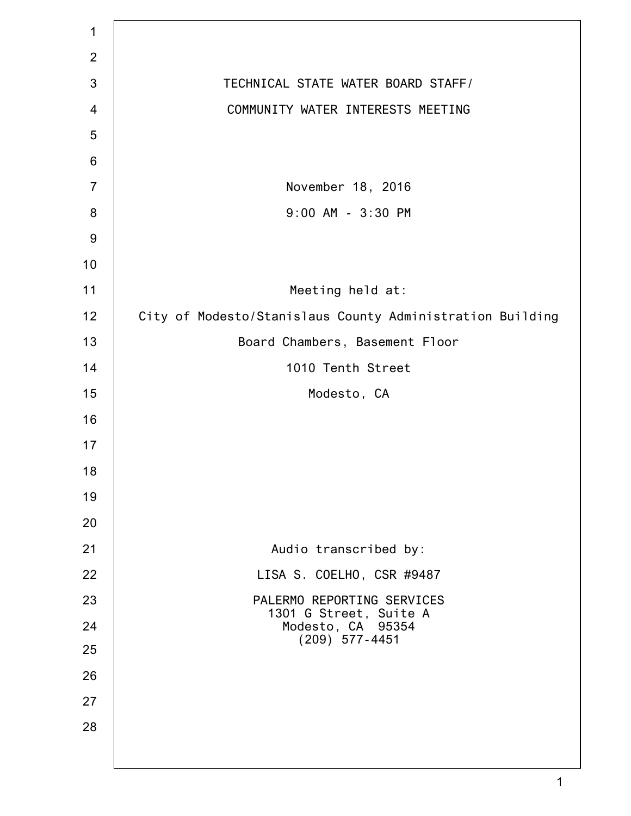| $\mathbf 1$    |                                                           |
|----------------|-----------------------------------------------------------|
| $\overline{2}$ |                                                           |
| 3              | TECHNICAL STATE WATER BOARD STAFF/                        |
| 4              | COMMUNITY WATER INTERESTS MEETING                         |
| 5              |                                                           |
| $6\,$          |                                                           |
| $\overline{7}$ | November 18, 2016                                         |
| 8              | 9:00 AM - 3:30 PM                                         |
| $9$            |                                                           |
| 10             |                                                           |
| 11             | Meeting held at:                                          |
| 12             | City of Modesto/Stanislaus County Administration Building |
| 13             | Board Chambers, Basement Floor                            |
| 14             | 1010 Tenth Street                                         |
| 15             | Modesto, CA                                               |
| 16             |                                                           |
| 17             |                                                           |
| 18             |                                                           |
| 19             |                                                           |
| 20             |                                                           |
| 21             | Audio transcribed by:                                     |
| 22             | LISA S. COELHO, CSR #9487                                 |
| 23             | PALERMO REPORTING SERVICES<br>1301 G Street, Suite A      |
| 24             | Modesto, CA 95354<br>$(209)$ 577-4451                     |
| 25             |                                                           |
| 26             |                                                           |
| 27             |                                                           |
| 28             |                                                           |
|                |                                                           |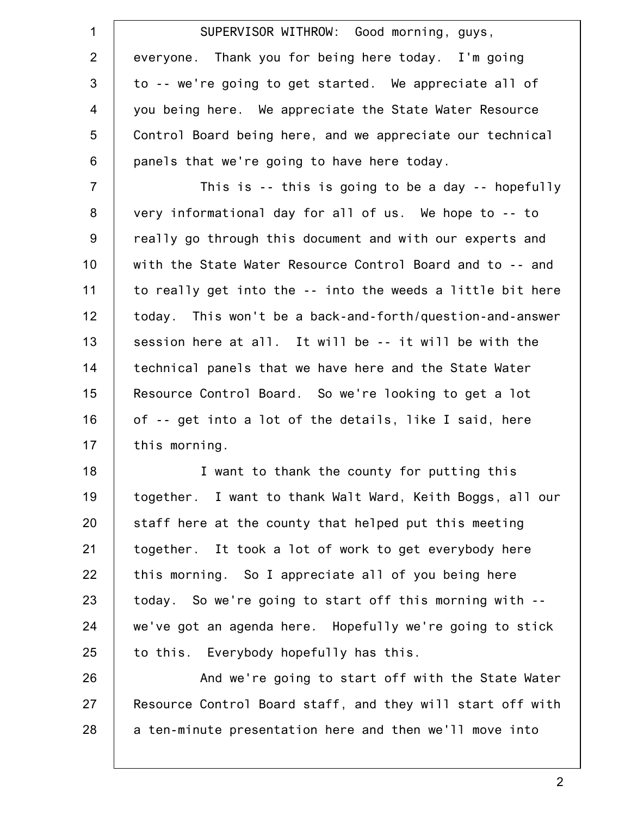| $\mathbf 1$    | SUPERVISOR WITHROW: Good morning, guys,                    |
|----------------|------------------------------------------------------------|
| $\overline{2}$ | everyone. Thank you for being here today. I'm going        |
| 3              | to -- we're going to get started. We appreciate all of     |
| $\overline{4}$ | you being here. We appreciate the State Water Resource     |
| 5              | Control Board being here, and we appreciate our technical  |
| $6\,$          | panels that we're going to have here today.                |
| $\overline{7}$ | This is $-$ this is going to be a day $-$ hopefully        |
| $\bf 8$        | very informational day for all of us. We hope to -- to     |
| 9              | really go through this document and with our experts and   |
| 10             | with the State Water Resource Control Board and to -- and  |
| 11             | to really get into the -- into the weeds a little bit here |
| 12             | today. This won't be a back-and-forth/question-and-answer  |
| 13             | session here at all. It will be -- it will be with the     |
| 14             | technical panels that we have here and the State Water     |
| 15             | Resource Control Board. So we're looking to get a lot      |
| 16             | of -- get into a lot of the details, like I said, here     |
| 17             | this morning.                                              |
| 18             | I want to thank the county for putting this                |
| 19             | together. I want to thank Walt Ward, Keith Boggs, all our  |
| 20             | staff here at the county that helped put this meeting      |
| 21             | together. It took a lot of work to get everybody here      |
| 22             | this morning. So I appreciate all of you being here        |
| 23             | today. So we're going to start off this morning with --    |
| 24             | we've got an agenda here. Hopefully we're going to stick   |
| 25             | to this. Everybody hopefully has this.                     |
| 26             | And we're going to start off with the State Water          |
| 27             | Resource Control Board staff, and they will start off with |
| 28             | a ten-minute presentation here and then we'll move into    |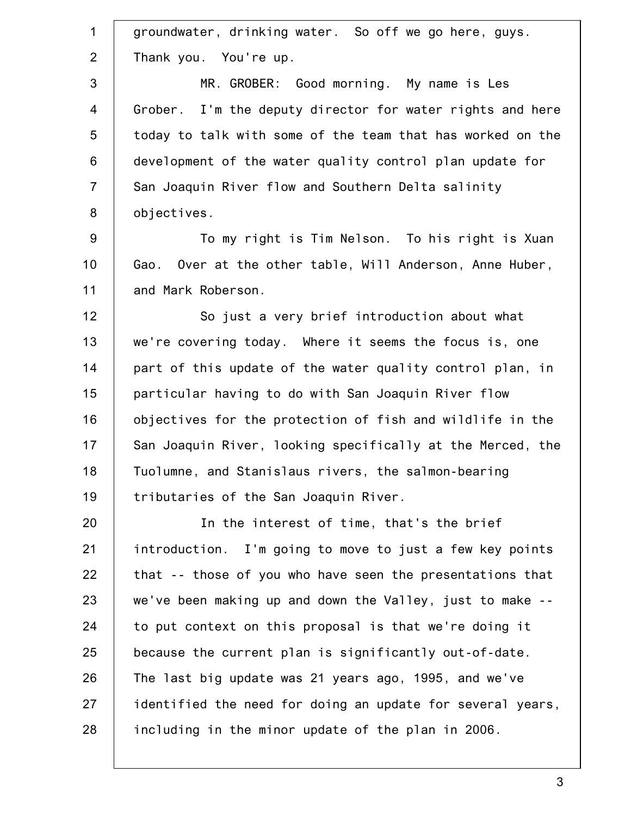1 2 3 4 5 6 7 8 9 10 11 12 13 14 15 16 17 18 19 20 21 22 23 24 25 26 27 28 groundwater, drinking water. So off we go here, guys. Thank you. You're up. MR. GROBER: Good morning. My name is Les Grober. I'm the deputy director for water rights and here today to talk with some of the team that has worked on the development of the water quality control plan update for San Joaquin River flow and Southern Delta salinity objectives. To my right is Tim Nelson. To his right is Xuan Gao. Over at the other table, Will Anderson, Anne Huber, and Mark Roberson. So just a very brief introduction about what we're covering today. Where it seems the focus is, one part of this update of the water quality control plan, in particular having to do with San Joaquin River flow objectives for the protection of fish and wildlife in the San Joaquin River, looking specifically at the Merced, the Tuolumne, and Stanislaus rivers, the salmon-bearing tributaries of the San Joaquin River. In the interest of time, that's the brief introduction. I'm going to move to just a few key points that -- those of you who have seen the presentations that we've been making up and down the Valley, just to make - to put context on this proposal is that we're doing it because the current plan is significantly out-of-date. The last big update was 21 years ago, 1995, and we've identified the need for doing an update for several years, including in the minor update of the plan in 2006.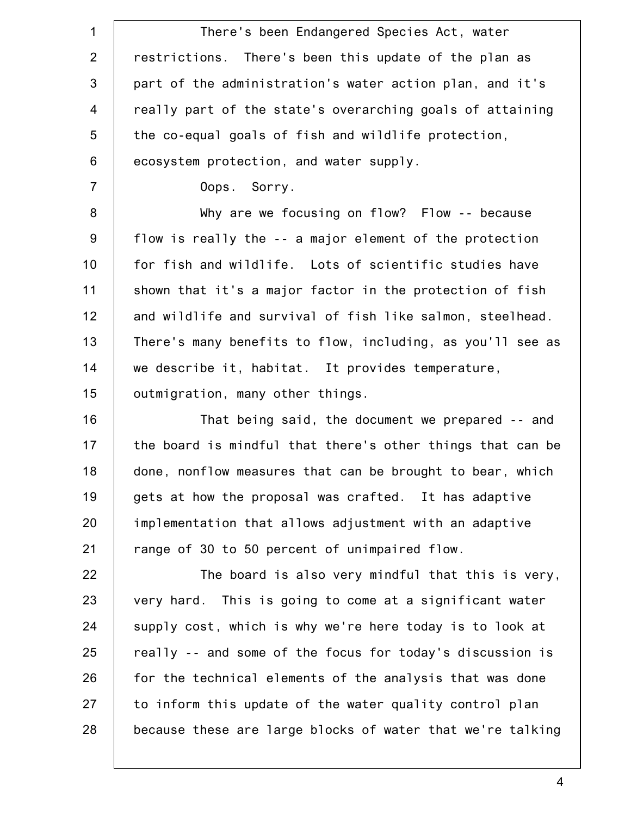1 2 3 4 5 6 7 8 9 10 11 12 13 14 15 16 17 18 19 20 21 22 23 24 25 26 27 28 There's been Endangered Species Act, water restrictions. There's been this update of the plan as part of the administration's water action plan, and it's really part of the state's overarching goals of attaining the co-equal goals of fish and wildlife protection, ecosystem protection, and water supply. Oops. Sorry. Why are we focusing on flow? Flow -- because flow is really the -- a major element of the protection for fish and wildlife. Lots of scientific studies have shown that it's a major factor in the protection of fish and wildlife and survival of fish like salmon, steelhead. There's many benefits to flow, including, as you'll see as we describe it, habitat. It provides temperature, outmigration, many other things. That being said, the document we prepared -- and the board is mindful that there's other things that can be done, nonflow measures that can be brought to bear, which gets at how the proposal was crafted. It has adaptive implementation that allows adjustment with an adaptive range of 30 to 50 percent of unimpaired flow. The board is also very mindful that this is very, very hard. This is going to come at a significant water supply cost, which is why we're here today is to look at really -- and some of the focus for today's discussion is for the technical elements of the analysis that was done to inform this update of the water quality control plan because these are large blocks of water that we're talking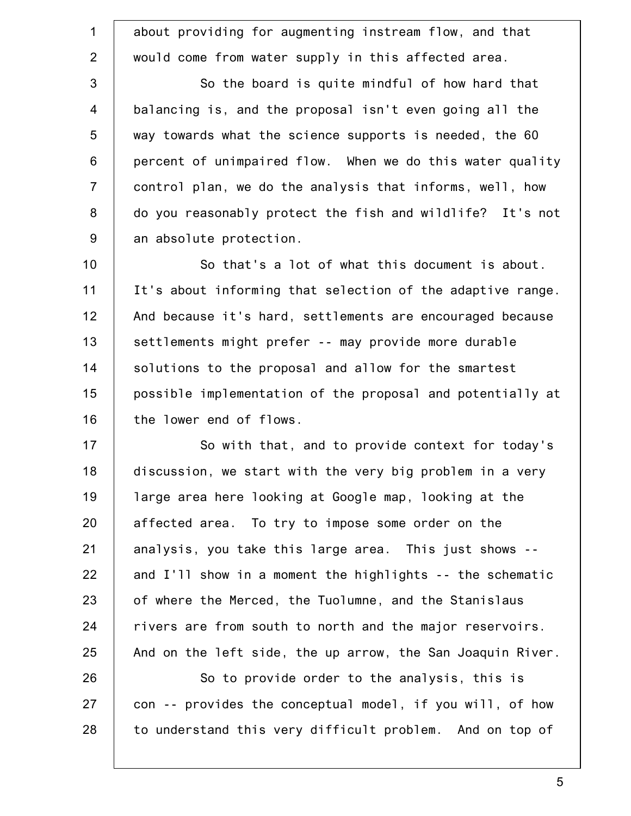1 2 3 4 5 6 7 8 9 about providing for augmenting instream flow, and that would come from water supply in this affected area. So the board is quite mindful of how hard that balancing is, and the proposal isn't even going all the way towards what the science supports is needed, the 60 percent of unimpaired flow. When we do this water quality control plan, we do the analysis that informs, well, how do you reasonably protect the fish and wildlife? It's not an absolute protection.

10 11 12 13 14 15 16 So that's a lot of what this document is about. It's about informing that selection of the adaptive range. And because it's hard, settlements are encouraged because settlements might prefer -- may provide more durable solutions to the proposal and allow for the smartest possible implementation of the proposal and potentially at the lower end of flows.

17 18 19 20 21 22 23 24 25 So with that, and to provide context for today's discussion, we start with the very big problem in a very large area here looking at Google map, looking at the affected area. To try to impose some order on the analysis, you take this large area. This just shows - and I'll show in a moment the highlights -- the schematic of where the Merced, the Tuolumne, and the Stanislaus rivers are from south to north and the major reservoirs. And on the left side, the up arrow, the San Joaquin River.

26 27 28 So to provide order to the analysis, this is con -- provides the conceptual model, if you will, of how to understand this very difficult problem. And on top of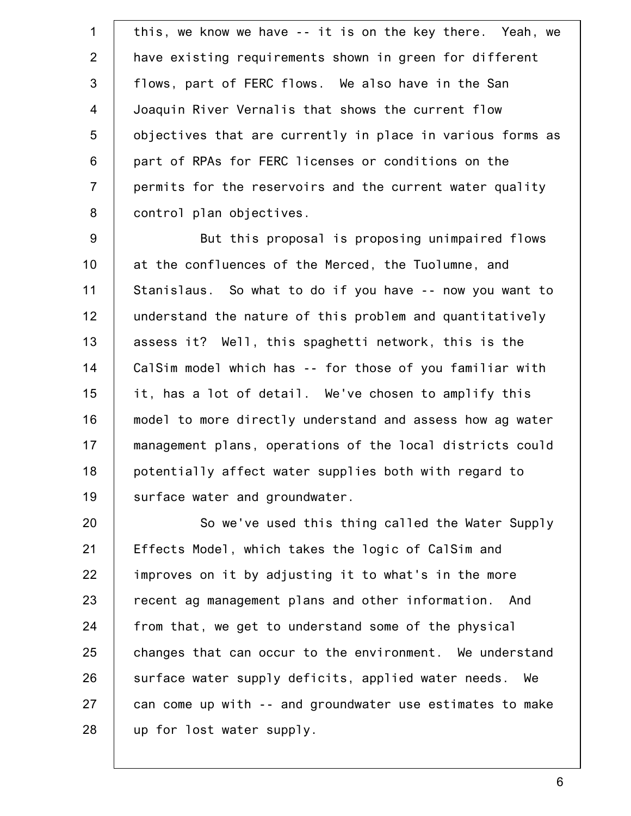1 2 3 4 5 6 7 8 this, we know we have -- it is on the key there. Yeah, we have existing requirements shown in green for different flows, part of FERC flows. We also have in the San Joaquin River Vernalis that shows the current flow objectives that are currently in place in various forms as part of RPAs for FERC licenses or conditions on the permits for the reservoirs and the current water quality control plan objectives.

9 10 11 12 13 14 15 16 17 18 19 But this proposal is proposing unimpaired flows at the confluences of the Merced, the Tuolumne, and Stanislaus. So what to do if you have -- now you want to understand the nature of this problem and quantitatively assess it? Well, this spaghetti network, this is the CalSim model which has -- for those of you familiar with it, has a lot of detail. We've chosen to amplify this model to more directly understand and assess how ag water management plans, operations of the local districts could potentially affect water supplies both with regard to surface water and groundwater.

20 21 22 23 24 25 26 27 28 So we've used this thing called the Water Supply Effects Model, which takes the logic of CalSim and improves on it by adjusting it to what's in the more recent ag management plans and other information. And from that, we get to understand some of the physical changes that can occur to the environment. We understand surface water supply deficits, applied water needs. We can come up with -- and groundwater use estimates to make up for lost water supply.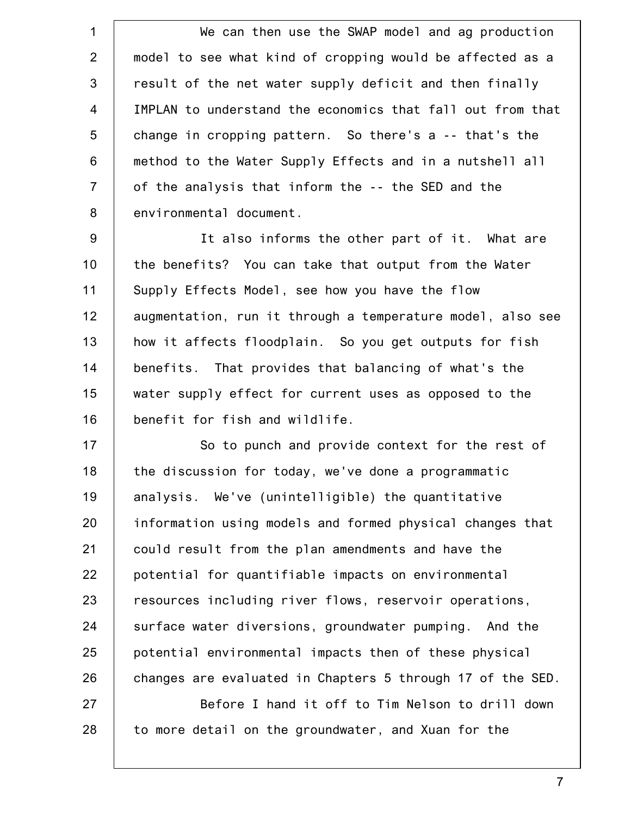1 2 3 4 5 6 7 8 We can then use the SWAP model and ag production model to see what kind of cropping would be affected as a result of the net water supply deficit and then finally IMPLAN to understand the economics that fall out from that change in cropping pattern. So there's a -- that's the method to the Water Supply Effects and in a nutshell all of the analysis that inform the -- the SED and the environmental document.

9 10 11 12 13 14 15 16 It also informs the other part of it. What are the benefits? You can take that output from the Water Supply Effects Model, see how you have the flow augmentation, run it through a temperature model, also see how it affects floodplain. So you get outputs for fish benefits. That provides that balancing of what's the water supply effect for current uses as opposed to the benefit for fish and wildlife.

17 18 19 20 21 22 23 24 25 26 So to punch and provide context for the rest of the discussion for today, we've done a programmatic analysis. We've (unintelligible) the quantitative information using models and formed physical changes that could result from the plan amendments and have the potential for quantifiable impacts on environmental resources including river flows, reservoir operations, surface water diversions, groundwater pumping. And the potential environmental impacts then of these physical changes are evaluated in Chapters 5 through 17 of the SED.

27 28 Before I hand it off to Tim Nelson to drill down to more detail on the groundwater, and Xuan for the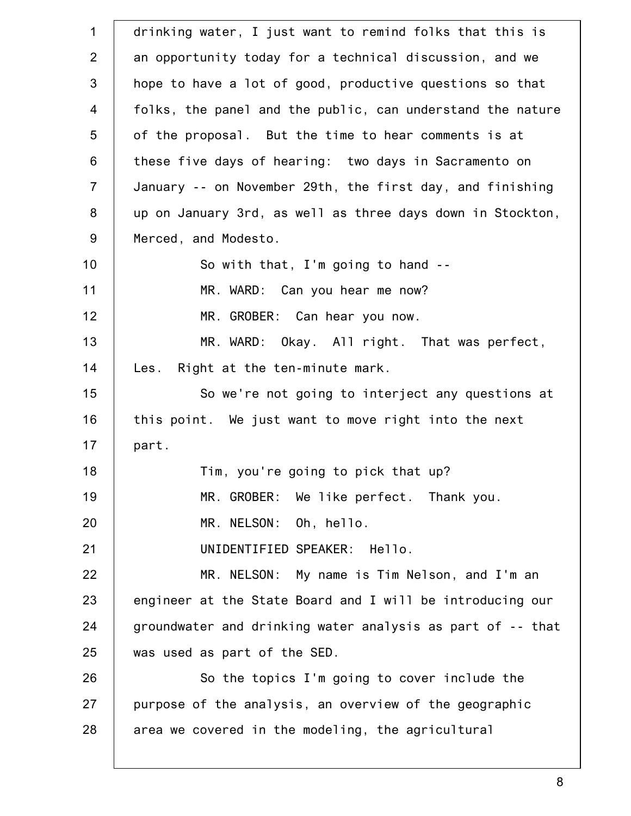| $\mathbf{1}$   | drinking water, I just want to remind folks that this is   |
|----------------|------------------------------------------------------------|
| 2              | an opportunity today for a technical discussion, and we    |
| 3              |                                                            |
|                | hope to have a lot of good, productive questions so that   |
| $\overline{4}$ | folks, the panel and the public, can understand the nature |
| 5              | of the proposal. But the time to hear comments is at       |
| 6              | these five days of hearing: two days in Sacramento on      |
| $\overline{7}$ | January -- on November 29th, the first day, and finishing  |
| 8              | up on January 3rd, as well as three days down in Stockton, |
| 9              | Merced, and Modesto.                                       |
| 10             | So with that, I'm going to hand --                         |
| 11             | MR. WARD: Can you hear me now?                             |
| 12             | MR. GROBER: Can hear you now.                              |
| 13             | MR. WARD: Okay. All right. That was perfect,               |
| 14             | Les. Right at the ten-minute mark.                         |
| 15             | So we're not going to interject any questions at           |
| 16             | this point. We just want to move right into the next       |
| 17             | part.                                                      |
| 18             | Tim, you're going to pick that up?                         |
| 19             | MR. GROBER: We like perfect. Thank you.                    |
| 20             | MR. NELSON: Oh, hello.                                     |
| 21             | UNIDENTIFIED SPEAKER: Hello.                               |
| 22             | MR. NELSON: My name is Tim Nelson, and I'm an              |
| 23             | engineer at the State Board and I will be introducing our  |
| 24             | groundwater and drinking water analysis as part of -- that |
| 25             | was used as part of the SED.                               |
| 26             | So the topics I'm going to cover include the               |
| 27             | purpose of the analysis, an overview of the geographic     |
| 28             | area we covered in the modeling, the agricultural          |
|                |                                                            |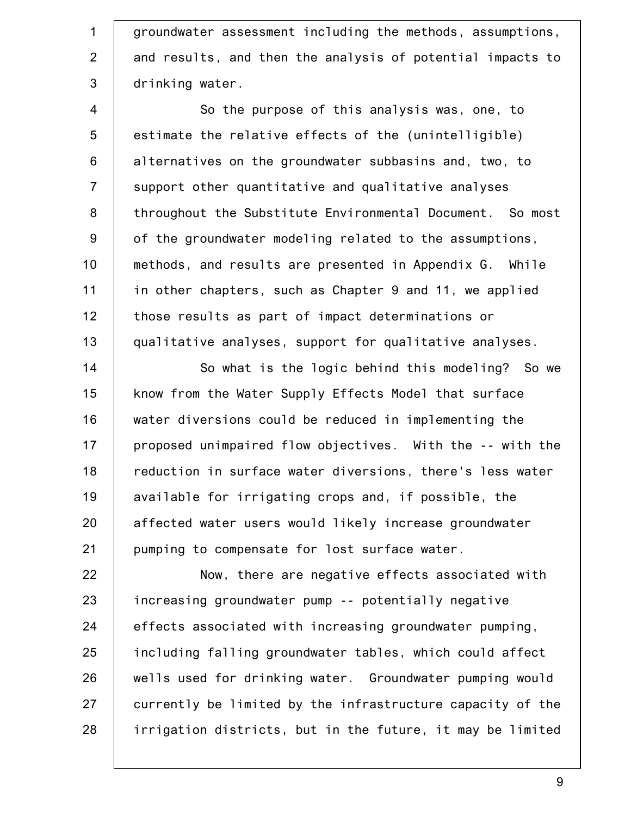1 2 3 groundwater assessment including the methods, assumptions, and results, and then the analysis of potential impacts to drinking water.

4 5 6 7 8 9 10 11 12 13 So the purpose of this analysis was, one, to estimate the relative effects of the (unintelligible) alternatives on the groundwater subbasins and, two, to support other quantitative and qualitative analyses throughout the Substitute Environmental Document. So most of the groundwater modeling related to the assumptions, methods, and results are presented in Appendix G. While in other chapters, such as Chapter 9 and 11, we applied those results as part of impact determinations or qualitative analyses, support for qualitative analyses.

14 15 16 17 18 19 20 21 So what is the logic behind this modeling? So we know from the Water Supply Effects Model that surface water diversions could be reduced in implementing the proposed unimpaired flow objectives. With the -- with the reduction in surface water diversions, there's less water available for irrigating crops and, if possible, the affected water users would likely increase groundwater pumping to compensate for lost surface water.

22 23 24 25 26 27 28 Now, there are negative effects associated with increasing groundwater pump -- potentially negative effects associated with increasing groundwater pumping, including falling groundwater tables, which could affect wells used for drinking water. Groundwater pumping would currently be limited by the infrastructure capacity of the irrigation districts, but in the future, it may be limited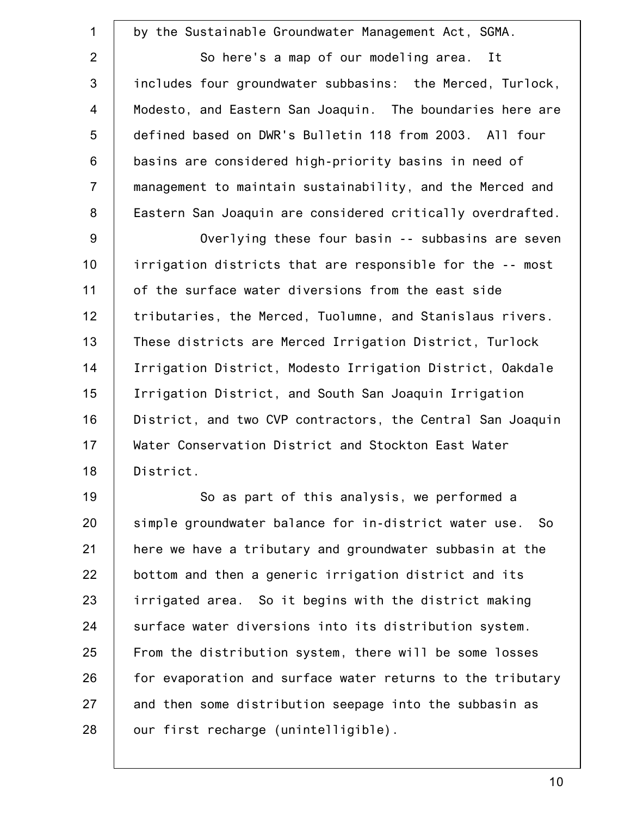1 2 3 4 5 6 7 8 9 10 11 12 13 14 15 16 17 18 19 20 21 22 23 24 25 by the Sustainable Groundwater Management Act, SGMA. So here's a map of our modeling area. It includes four groundwater subbasins: the Merced, Turlock, Modesto, and Eastern San Joaquin. The boundaries here are defined based on DWR's Bulletin 118 from 2003. All four basins are considered high-priority basins in need of management to maintain sustainability, and the Merced and Eastern San Joaquin are considered critically overdrafted. Overlying these four basin -- subbasins are seven irrigation districts that are responsible for the -- most of the surface water diversions from the east side tributaries, the Merced, Tuolumne, and Stanislaus rivers. These districts are Merced Irrigation District, Turlock Irrigation District, Modesto Irrigation District, Oakdale Irrigation District, and South San Joaquin Irrigation District, and two CVP contractors, the Central San Joaquin Water Conservation District and Stockton East Water District. So as part of this analysis, we performed a simple groundwater balance for in-district water use. So here we have a tributary and groundwater subbasin at the bottom and then a generic irrigation district and its irrigated area. So it begins with the district making surface water diversions into its distribution system. From the distribution system, there will be some losses

27 28 and then some distribution seepage into the subbasin as our first recharge (unintelligible).

for evaporation and surface water returns to the tributary

26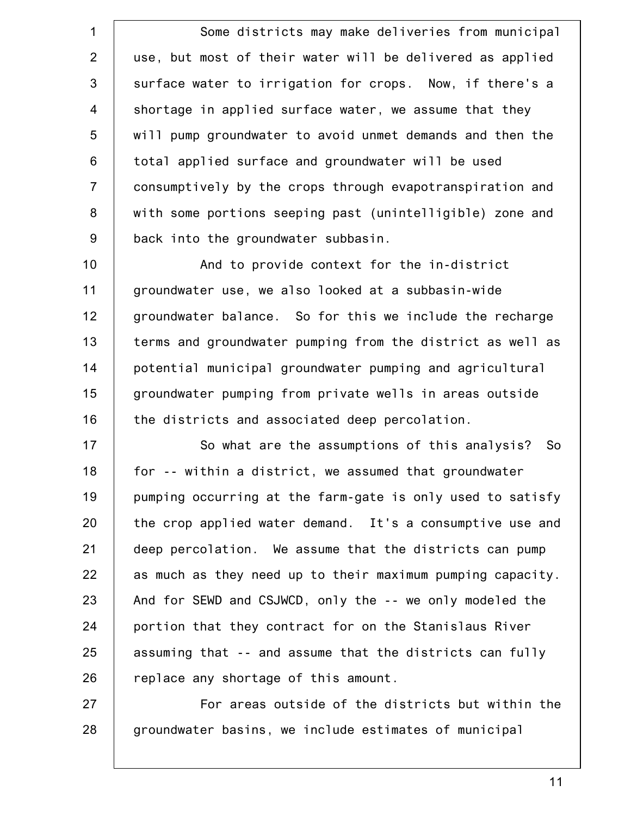1 2 3 4 5 6 7 8 9 10 11 12 13 14 15 16 17 18 19 20 21 22 23 24 25 26 Some districts may make deliveries from municipal use, but most of their water will be delivered as applied surface water to irrigation for crops. Now, if there's a shortage in applied surface water, we assume that they will pump groundwater to avoid unmet demands and then the total applied surface and groundwater will be used consumptively by the crops through evapotranspiration and with some portions seeping past (unintelligible) zone and back into the groundwater subbasin. And to provide context for the in-district groundwater use, we also looked at a subbasin-wide groundwater balance. So for this we include the recharge terms and groundwater pumping from the district as well as potential municipal groundwater pumping and agricultural groundwater pumping from private wells in areas outside the districts and associated deep percolation. So what are the assumptions of this analysis? So for -- within a district, we assumed that groundwater pumping occurring at the farm-gate is only used to satisfy the crop applied water demand. It's a consumptive use and deep percolation. We assume that the districts can pump as much as they need up to their maximum pumping capacity. And for SEWD and CSJWCD, only the -- we only modeled the portion that they contract for on the Stanislaus River assuming that -- and assume that the districts can fully replace any shortage of this amount.

27 28 For areas outside of the districts but within the groundwater basins, we include estimates of municipal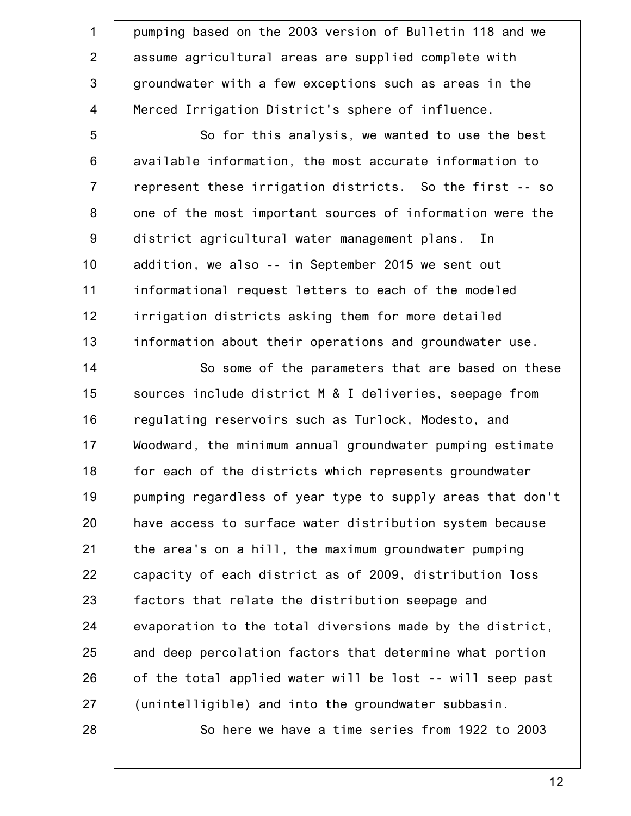1 2 3 4 pumping based on the 2003 version of Bulletin 118 and we assume agricultural areas are supplied complete with groundwater with a few exceptions such as areas in the Merced Irrigation District's sphere of influence.

5 6 7 8 9 10 11 12 13 So for this analysis, we wanted to use the best available information, the most accurate information to represent these irrigation districts. So the first -- so one of the most important sources of information were the district agricultural water management plans. In addition, we also -- in September 2015 we sent out informational request letters to each of the modeled irrigation districts asking them for more detailed information about their operations and groundwater use.

14 15 16 17 18 19 20 21 22 23 24 25 26 27 So some of the parameters that are based on these sources include district M & I deliveries, seepage from regulating reservoirs such as Turlock, Modesto, and Woodward, the minimum annual groundwater pumping estimate for each of the districts which represents groundwater pumping regardless of year type to supply areas that don't have access to surface water distribution system because the area's on a hill, the maximum groundwater pumping capacity of each district as of 2009, distribution loss factors that relate the distribution seepage and evaporation to the total diversions made by the district, and deep percolation factors that determine what portion of the total applied water will be lost -- will seep past (unintelligible) and into the groundwater subbasin.

28

So here we have a time series from 1922 to 2003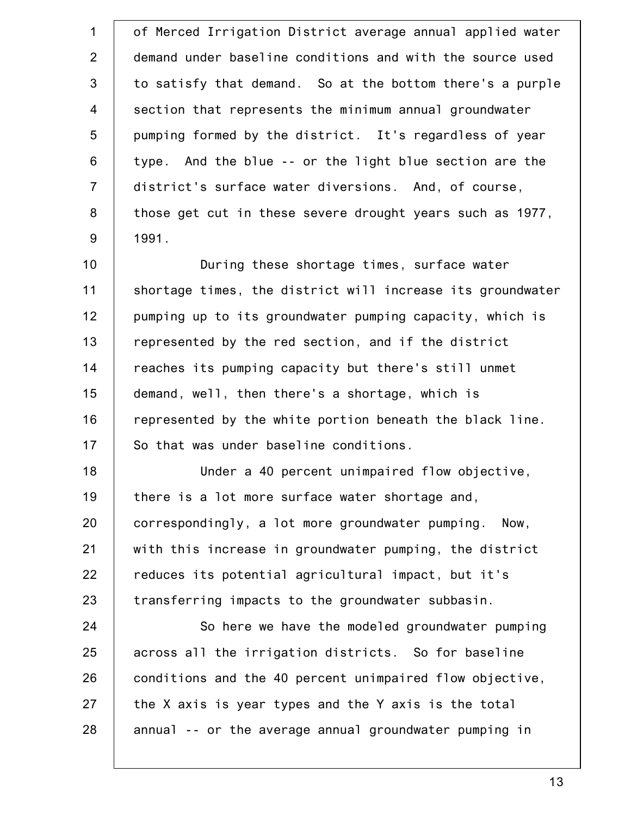| $\mathbf 1$    | of Merced Irrigation District average annual applied water |
|----------------|------------------------------------------------------------|
| 2              | demand under baseline conditions and with the source used  |
| 3              | to satisfy that demand. So at the bottom there's a purple  |
| $\overline{4}$ | section that represents the minimum annual groundwater     |
| 5              | pumping formed by the district. It's regardless of year    |
| 6              | type. And the blue -- or the light blue section are the    |
| $\overline{7}$ | district's surface water diversions. And, of course,       |
| 8              | those get cut in these severe drought years such as 1977,  |
| $9\,$          | 1991.                                                      |
| 10             | During these shortage times, surface water                 |
| 11             | shortage times, the district will increase its groundwater |
| 12             | pumping up to its groundwater pumping capacity, which is   |
| 13             | represented by the red section, and if the district        |
| 14             | reaches its pumping capacity but there's still unmet       |
| 15             | demand, well, then there's a shortage, which is            |
| 16             | represented by the white portion beneath the black line.   |
| 17             | So that was under baseline conditions.                     |
| 18             | Under a 40 percent unimpaired flow objective,              |
| 19             | there is a lot more surface water shortage and,            |
| 20             | correspondingly, a lot more groundwater pumping. Now,      |
| 21             | with this increase in groundwater pumping, the district    |
| 22             | reduces its potential agricultural impact, but it's        |
| 23             | transferring impacts to the groundwater subbasin.          |
| 24             | So here we have the modeled groundwater pumping            |
| 25             | across all the irrigation districts. So for baseline       |
| 26             | conditions and the 40 percent unimpaired flow objective,   |
| 27             | the X axis is year types and the Y axis is the total       |
| 28             | annual -- or the average annual groundwater pumping in     |
|                |                                                            |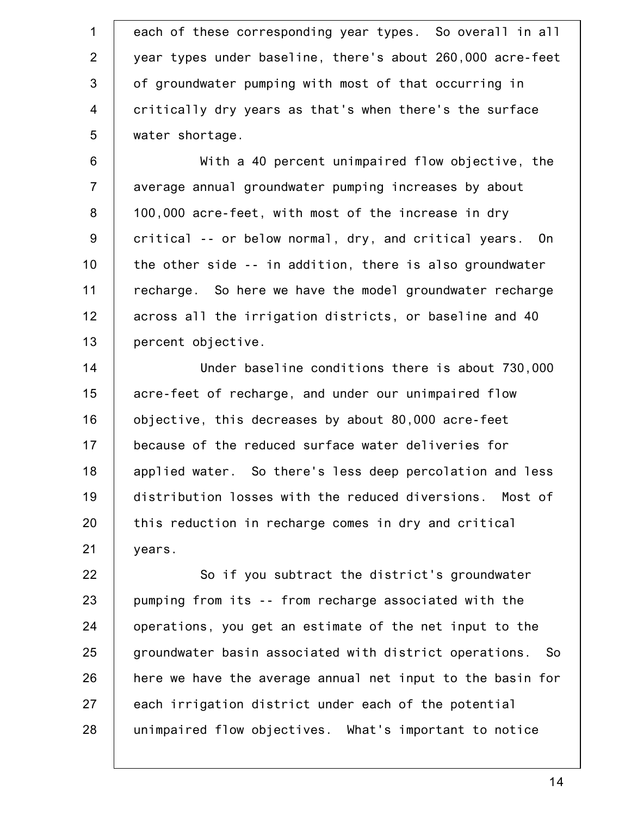1 2 3 4 5 each of these corresponding year types. So overall in all year types under baseline, there's about 260,000 acre-feet of groundwater pumping with most of that occurring in critically dry years as that's when there's the surface water shortage.

6 7 8 9 10 11 12 13 With a 40 percent unimpaired flow objective, the average annual groundwater pumping increases by about 100,000 acre-feet, with most of the increase in dry critical -- or below normal, dry, and critical years. On the other side -- in addition, there is also groundwater recharge. So here we have the model groundwater recharge across all the irrigation districts, or baseline and 40 percent objective.

14 15 16 17 18 19 20 21 Under baseline conditions there is about 730,000 acre-feet of recharge, and under our unimpaired flow objective, this decreases by about 80,000 acre-feet because of the reduced surface water deliveries for applied water. So there's less deep percolation and less distribution losses with the reduced diversions. Most of this reduction in recharge comes in dry and critical years.

22 23 24 25 26 27 28 So if you subtract the district's groundwater pumping from its -- from recharge associated with the operations, you get an estimate of the net input to the groundwater basin associated with district operations. So here we have the average annual net input to the basin for each irrigation district under each of the potential unimpaired flow objectives. What's important to notice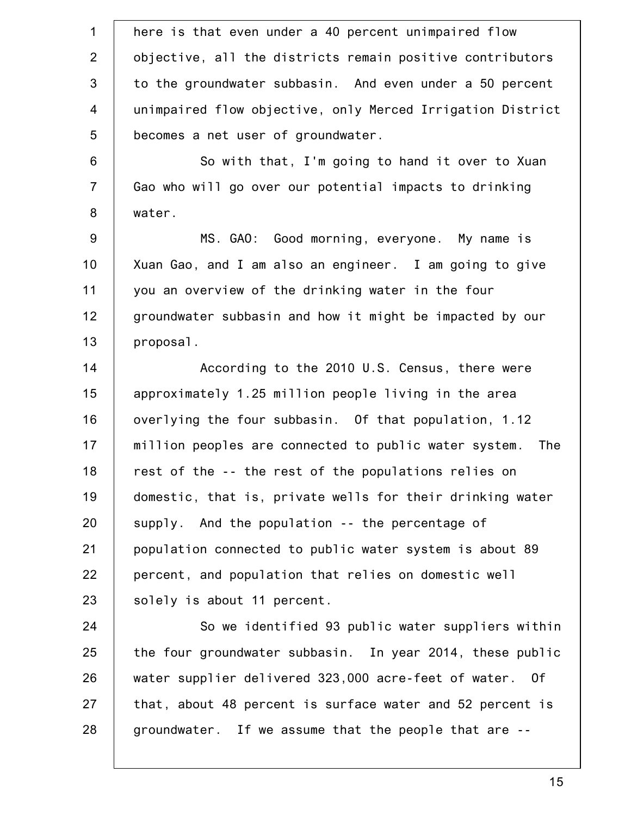1 2 3 4 5 6 7 8 9 10 11 12 13 14 15 16 17 18 19 20 21 22 23 24 25 26 27 28 here is that even under a 40 percent unimpaired flow objective, all the districts remain positive contributors to the groundwater subbasin. And even under a 50 percent unimpaired flow objective, only Merced Irrigation District becomes a net user of groundwater. So with that, I'm going to hand it over to Xuan Gao who will go over our potential impacts to drinking water. MS. GAO: Good morning, everyone. My name is Xuan Gao, and I am also an engineer. I am going to give you an overview of the drinking water in the four groundwater subbasin and how it might be impacted by our proposal. According to the 2010 U.S. Census, there were approximately 1.25 million people living in the area overlying the four subbasin. Of that population, 1.12 million peoples are connected to public water system. The rest of the -- the rest of the populations relies on domestic, that is, private wells for their drinking water supply. And the population -- the percentage of population connected to public water system is about 89 percent, and population that relies on domestic well solely is about 11 percent. So we identified 93 public water suppliers within the four groundwater subbasin. In year 2014, these public water supplier delivered 323,000 acre-feet of water. Of that, about 48 percent is surface water and 52 percent is groundwater. If we assume that the people that are --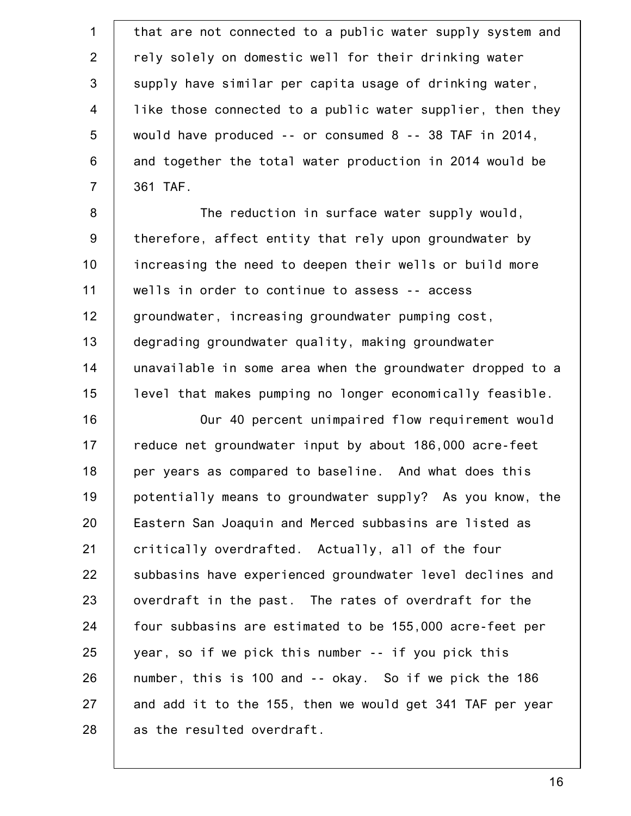1 2 3 4 5 6 7 8 9 10 11 12 13 14 15 16 17 18 19 20 21 22 23 24 25 26 27 28 that are not connected to a public water supply system and rely solely on domestic well for their drinking water supply have similar per capita usage of drinking water, like those connected to a public water supplier, then they would have produced -- or consumed 8 -- 38 TAF in 2014, and together the total water production in 2014 would be 361 TAF. The reduction in surface water supply would, therefore, affect entity that rely upon groundwater by increasing the need to deepen their wells or build more wells in order to continue to assess -- access groundwater, increasing groundwater pumping cost, degrading groundwater quality, making groundwater unavailable in some area when the groundwater dropped to a level that makes pumping no longer economically feasible. Our 40 percent unimpaired flow requirement would reduce net groundwater input by about 186,000 acre-feet per years as compared to baseline. And what does this potentially means to groundwater supply? As you know, the Eastern San Joaquin and Merced subbasins are listed as critically overdrafted. Actually, all of the four subbasins have experienced groundwater level declines and overdraft in the past. The rates of overdraft for the four subbasins are estimated to be 155,000 acre-feet per year, so if we pick this number -- if you pick this number, this is 100 and -- okay. So if we pick the 186 and add it to the 155, then we would get 341 TAF per year as the resulted overdraft.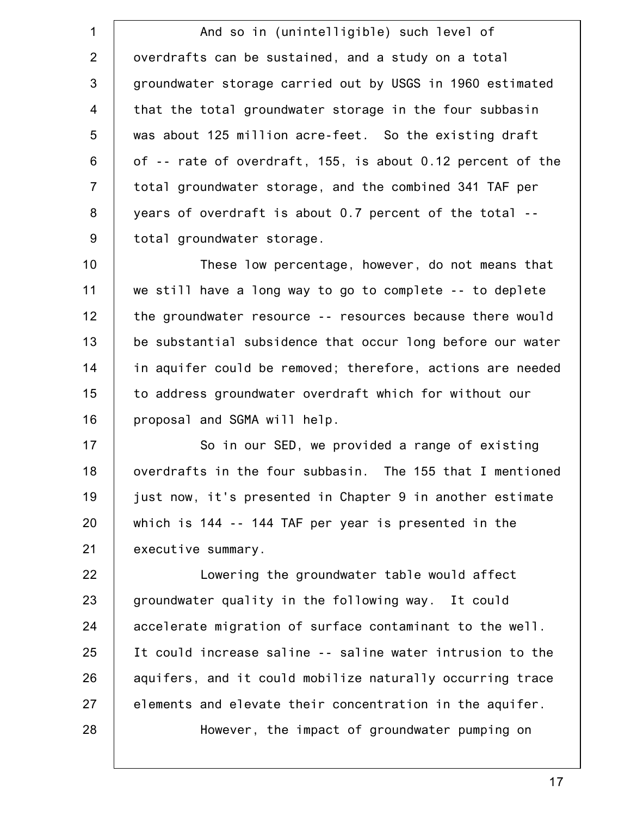1 2 3 4 5 6 7 8 9 And so in (unintelligible) such level of overdrafts can be sustained, and a study on a total groundwater storage carried out by USGS in 1960 estimated that the total groundwater storage in the four subbasin was about 125 million acre-feet. So the existing draft of -- rate of overdraft, 155, is about 0.12 percent of the total groundwater storage, and the combined 341 TAF per years of overdraft is about 0.7 percent of the total - total groundwater storage.

10 11 12 13 14 15 16 These low percentage, however, do not means that we still have a long way to go to complete -- to deplete the groundwater resource -- resources because there would be substantial subsidence that occur long before our water in aquifer could be removed; therefore, actions are needed to address groundwater overdraft which for without our proposal and SGMA will help.

17 18 19 20 21 So in our SED, we provided a range of existing overdrafts in the four subbasin. The 155 that I mentioned just now, it's presented in Chapter 9 in another estimate which is 144 -- 144 TAF per year is presented in the executive summary.

22 23 24 25 26 27 28 Lowering the groundwater table would affect groundwater quality in the following way. It could accelerate migration of surface contaminant to the well. It could increase saline -- saline water intrusion to the aquifers, and it could mobilize naturally occurring trace elements and elevate their concentration in the aquifer. However, the impact of groundwater pumping on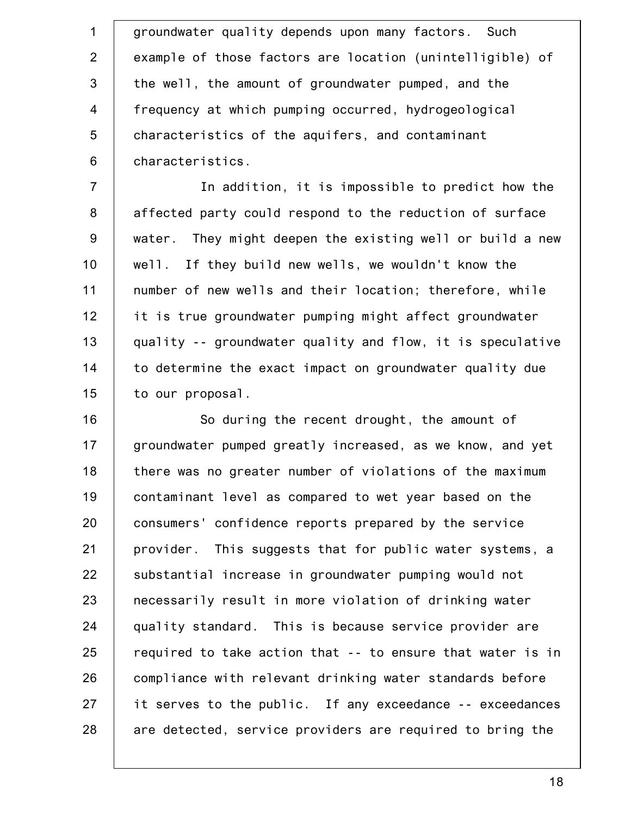1 2 3 4 5 6 groundwater quality depends upon many factors. Such example of those factors are location (unintelligible) of the well, the amount of groundwater pumped, and the frequency at which pumping occurred, hydrogeological characteristics of the aquifers, and contaminant characteristics.

7 8 9 10 11 12 13 14 15 In addition, it is impossible to predict how the affected party could respond to the reduction of surface water. They might deepen the existing well or build a new well. If they build new wells, we wouldn't know the number of new wells and their location; therefore, while it is true groundwater pumping might affect groundwater quality -- groundwater quality and flow, it is speculative to determine the exact impact on groundwater quality due to our proposal.

16 17 18 19 20 21 22 23 24 25 26 27 28 So during the recent drought, the amount of groundwater pumped greatly increased, as we know, and yet there was no greater number of violations of the maximum contaminant level as compared to wet year based on the consumers' confidence reports prepared by the service provider. This suggests that for public water systems, a substantial increase in groundwater pumping would not necessarily result in more violation of drinking water quality standard. This is because service provider are required to take action that -- to ensure that water is in compliance with relevant drinking water standards before it serves to the public. If any exceedance -- exceedances are detected, service providers are required to bring the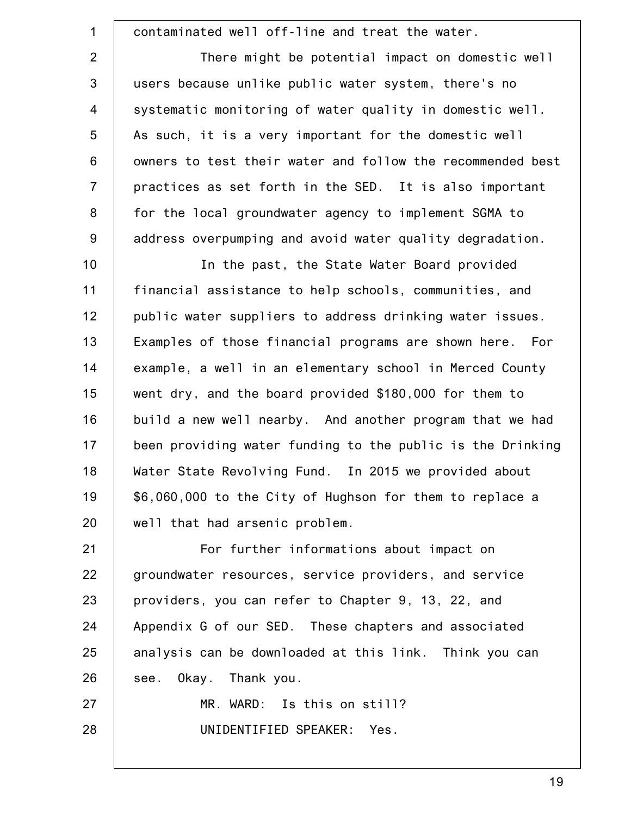1 2 3 4 5 6 7 8 9 10 11 12 13 14 15 16 17 18 19 20 21 22 23 24 25 26 27 28 contaminated well off-line and treat the water. There might be potential impact on domestic well users because unlike public water system, there's no systematic monitoring of water quality in domestic well. As such, it is a very important for the domestic well owners to test their water and follow the recommended best practices as set forth in the SED. It is also important for the local groundwater agency to implement SGMA to address overpumping and avoid water quality degradation. In the past, the State Water Board provided financial assistance to help schools, communities, and public water suppliers to address drinking water issues. Examples of those financial programs are shown here. For example, a well in an elementary school in Merced County went dry, and the board provided \$180,000 for them to build a new well nearby. And another program that we had been providing water funding to the public is the Drinking Water State Revolving Fund. In 2015 we provided about \$6,060,000 to the City of Hughson for them to replace a well that had arsenic problem. For further informations about impact on groundwater resources, service providers, and service providers, you can refer to Chapter 9, 13, 22, and Appendix G of our SED. These chapters and associated analysis can be downloaded at this link. Think you can see. Okay. Thank you. MR. WARD: Is this on still? UNIDENTIFIED SPEAKER: Yes.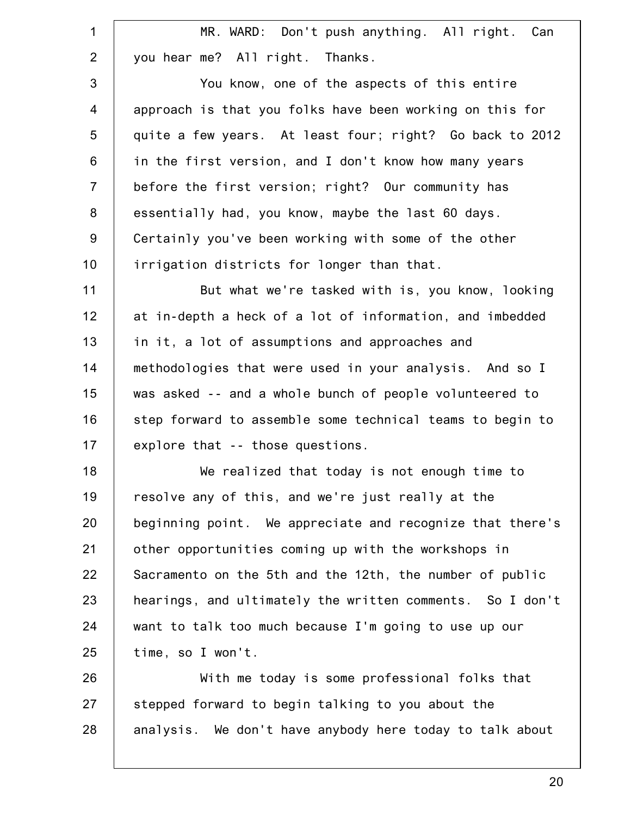| $\mathbf 1$    | MR. WARD: Don't push anything. All right. Can             |
|----------------|-----------------------------------------------------------|
| $\overline{2}$ | you hear me? All right. Thanks.                           |
| 3              | You know, one of the aspects of this entire               |
| $\overline{4}$ | approach is that you folks have been working on this for  |
| 5              | quite a few years. At least four; right? Go back to 2012  |
| $6\phantom{1}$ | in the first version, and I don't know how many years     |
| $\overline{7}$ | before the first version; right? Our community has        |
| 8              | essentially had, you know, maybe the last 60 days.        |
| $9\,$          | Certainly you've been working with some of the other      |
| 10             | irrigation districts for longer than that.                |
| 11             | But what we're tasked with is, you know, looking          |
| 12             | at in-depth a heck of a lot of information, and imbedded  |
| 13             | in it, a lot of assumptions and approaches and            |
| 14             | methodologies that were used in your analysis. And so I   |
| 15             | was asked -- and a whole bunch of people volunteered to   |
| 16             | step forward to assemble some technical teams to begin to |
| 17             | explore that -- those questions.                          |
| 18             | We realized that today is not enough time to              |
| 19             | resolve any of this, and we're just really at the         |
| 20             | beginning point. We appreciate and recognize that there's |
| 21             | other opportunities coming up with the workshops in       |
| 22             | Sacramento on the 5th and the 12th, the number of public  |
| 23             | hearings, and ultimately the written comments. So I don't |
| 24             | want to talk too much because I'm going to use up our     |
| 25             | time, so I won't.                                         |
| 26             | With me today is some professional folks that             |
| 27             | stepped forward to begin talking to you about the         |
| 28             | analysis. We don't have anybody here today to talk about  |
|                |                                                           |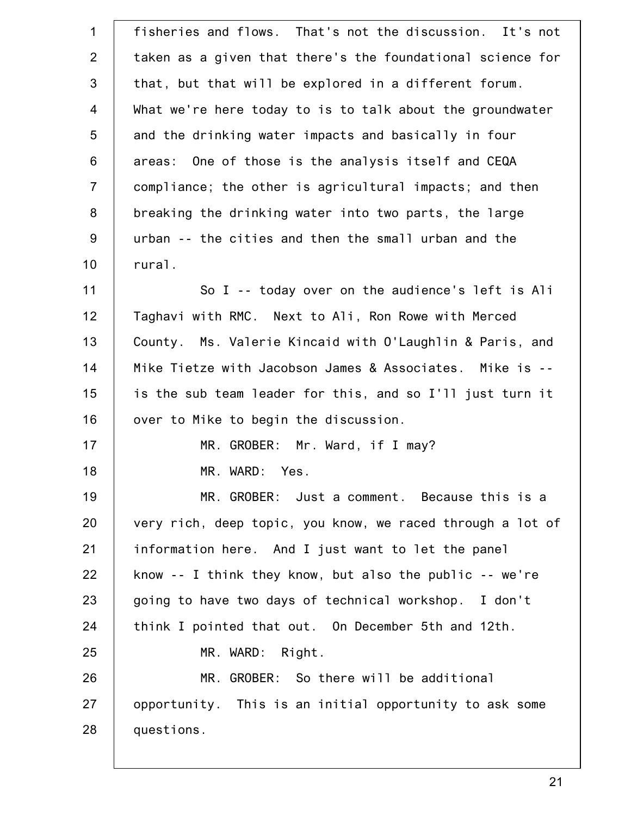| $\mathbf{1}$   | fisheries and flows. That's not the discussion. It's not      |
|----------------|---------------------------------------------------------------|
| $\overline{2}$ | taken as a given that there's the foundational science for    |
| 3              | that, but that will be explored in a different forum.         |
| $\overline{4}$ | What we're here today to is to talk about the groundwater     |
| 5              | and the drinking water impacts and basically in four          |
| $6\phantom{1}$ | areas: One of those is the analysis itself and CEQA           |
| $\overline{7}$ | compliance; the other is agricultural impacts; and then       |
| 8              | breaking the drinking water into two parts, the large         |
| $9\,$          | urban -- the cities and then the small urban and the          |
| 10             | rural.                                                        |
| 11             | So I -- today over on the audience's left is Ali              |
| 12             | Taghavi with RMC. Next to Ali, Ron Rowe with Merced           |
| 13             | Ms. Valerie Kincaid with O'Laughlin & Paris, and<br>County.   |
| 14             | Mike Tietze with Jacobson James & Associates. Mike is --      |
| 15             | is the sub team leader for this, and so I'll just turn it     |
| 16             | over to Mike to begin the discussion.                         |
| 17             | MR. GROBER: Mr. Ward, if I may?                               |
| 18             | MR. WARD: Yes.                                                |
| 19             | MR. GROBER: Just a comment. Because this is a                 |
| 20             | very rich, deep topic, you know, we raced through a lot of    |
| 21             | information here. And I just want to let the panel            |
| 22             | know $-$ - I think they know, but also the public $-$ - we're |
| 23             | going to have two days of technical workshop. I don't         |
| 24             | think I pointed that out. On December 5th and 12th.           |
| 25             | MR. WARD: Right.                                              |
| 26             | MR. GROBER: So there will be additional                       |
| 27             | opportunity. This is an initial opportunity to ask some       |
| 28             | questions.                                                    |
|                |                                                               |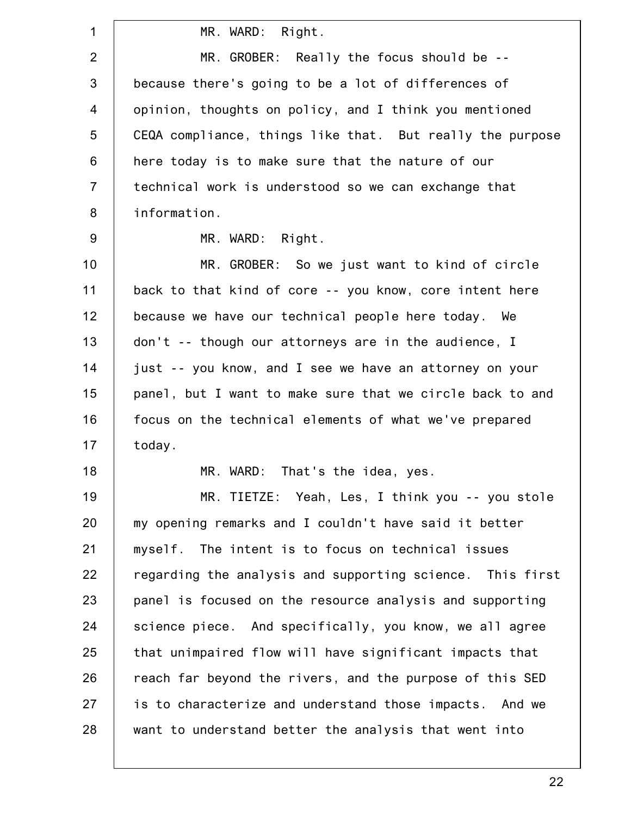| $\mathbf{1}$   | MR. WARD: Right.                                          |
|----------------|-----------------------------------------------------------|
| $\overline{2}$ | MR. GROBER: Really the focus should be --                 |
| 3              | because there's going to be a lot of differences of       |
| $\overline{4}$ | opinion, thoughts on policy, and I think you mentioned    |
| 5              | CEQA compliance, things like that. But really the purpose |
| 6              | here today is to make sure that the nature of our         |
| $\overline{7}$ | technical work is understood so we can exchange that      |
| 8              | information.                                              |
| $9\,$          | MR. WARD: Right.                                          |
| 10             | MR. GROBER: So we just want to kind of circle             |
| 11             | back to that kind of core -- you know, core intent here   |
| 12             | because we have our technical people here today. We       |
| 13             | don't -- though our attorneys are in the audience, I      |
| 14             | just -- you know, and I see we have an attorney on your   |
| 15             | panel, but I want to make sure that we circle back to and |
| 16             | focus on the technical elements of what we've prepared    |
| 17             | today.                                                    |
| 18             | MR. WARD: That's the idea, yes.                           |
| 19             | MR. TIETZE: Yeah, Les, I think you -- you stole           |
| 20             | my opening remarks and I couldn't have said it better     |
| 21             | myself. The intent is to focus on technical issues        |
| 22             | regarding the analysis and supporting science. This first |
| 23             | panel is focused on the resource analysis and supporting  |
| 24             | science piece. And specifically, you know, we all agree   |
| 25             | that unimpaired flow will have significant impacts that   |
| 26             | reach far beyond the rivers, and the purpose of this SED  |
| 27             | is to characterize and understand those impacts. And we   |
| 28             | want to understand better the analysis that went into     |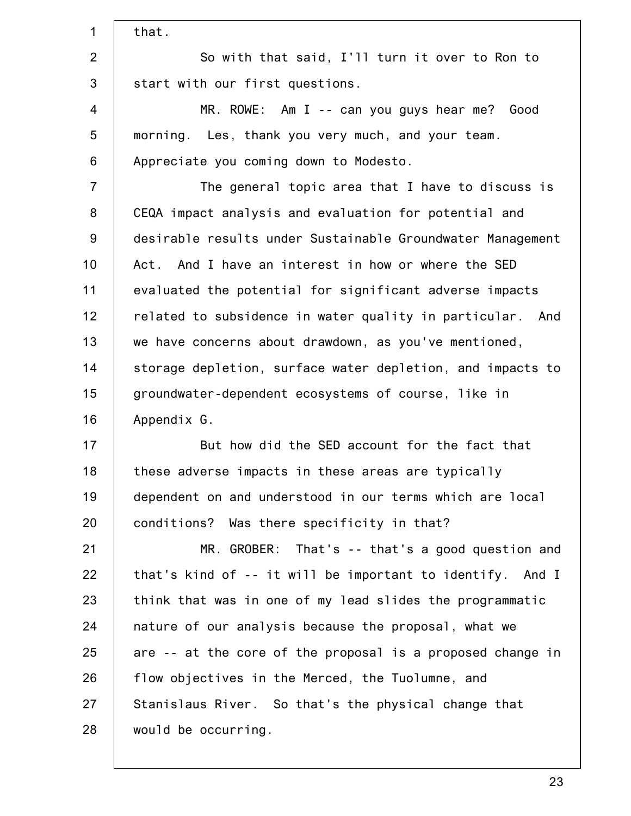| $\mathbf 1$    | that.                                                      |
|----------------|------------------------------------------------------------|
| $\overline{2}$ | So with that said, I'll turn it over to Ron to             |
| $\mathfrak{S}$ | start with our first questions.                            |
| $\overline{4}$ | $MR. ROWE: Am I -- can you gives hear me? Good$            |
| 5              | morning. Les, thank you very much, and your team.          |
| 6              | Appreciate you coming down to Modesto.                     |
| $\overline{7}$ | The general topic area that I have to discuss is           |
| 8              | CEQA impact analysis and evaluation for potential and      |
| 9              | desirable results under Sustainable Groundwater Management |
| 10             | Act. And I have an interest in how or where the SED        |
| 11             | evaluated the potential for significant adverse impacts    |
| 12             | related to subsidence in water quality in particular. And  |
| 13             | we have concerns about drawdown, as you've mentioned,      |
| 14             | storage depletion, surface water depletion, and impacts to |
| 15             | groundwater-dependent ecosystems of course, like in        |
| 16             | Appendix G.                                                |
| 17             | But how did the SED account for the fact that              |
| 18             | these adverse impacts in these areas are typically         |
| 19             | dependent on and understood in our terms which are local   |
| 20             | conditions? Was there specificity in that?                 |
| 21             | MR. GROBER: That's -- that's a good question and           |
| 22             | that's kind of -- it will be important to identify. And I  |
| 23             | think that was in one of my lead slides the programmatic   |
| 24             | nature of our analysis because the proposal, what we       |
| 25             | are -- at the core of the proposal is a proposed change in |
| 26             | flow objectives in the Merced, the Tuolumne, and           |
| 27             | Stanislaus River. So that's the physical change that       |
| 28             | would be occurring.                                        |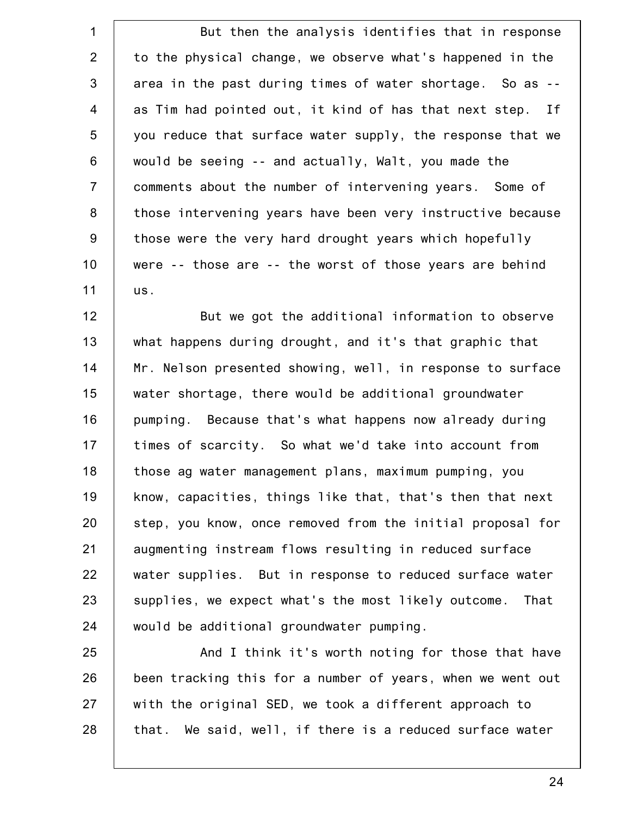1 2 3 4 5 6 7 8 9 10 11 But then the analysis identifies that in response to the physical change, we observe what's happened in the area in the past during times of water shortage. So as - as Tim had pointed out, it kind of has that next step. If you reduce that surface water supply, the response that we would be seeing -- and actually, Walt, you made the comments about the number of intervening years. Some of those intervening years have been very instructive because those were the very hard drought years which hopefully were -- those are -- the worst of those years are behind us.

12 13 14 15 16 17 18 19 20 21 22 23 24 But we got the additional information to observe what happens during drought, and it's that graphic that Mr. Nelson presented showing, well, in response to surface water shortage, there would be additional groundwater pumping. Because that's what happens now already during times of scarcity. So what we'd take into account from those ag water management plans, maximum pumping, you know, capacities, things like that, that's then that next step, you know, once removed from the initial proposal for augmenting instream flows resulting in reduced surface water supplies. But in response to reduced surface water supplies, we expect what's the most likely outcome. That would be additional groundwater pumping.

25 26 27 28 And I think it's worth noting for those that have been tracking this for a number of years, when we went out with the original SED, we took a different approach to that. We said, well, if there is a reduced surface water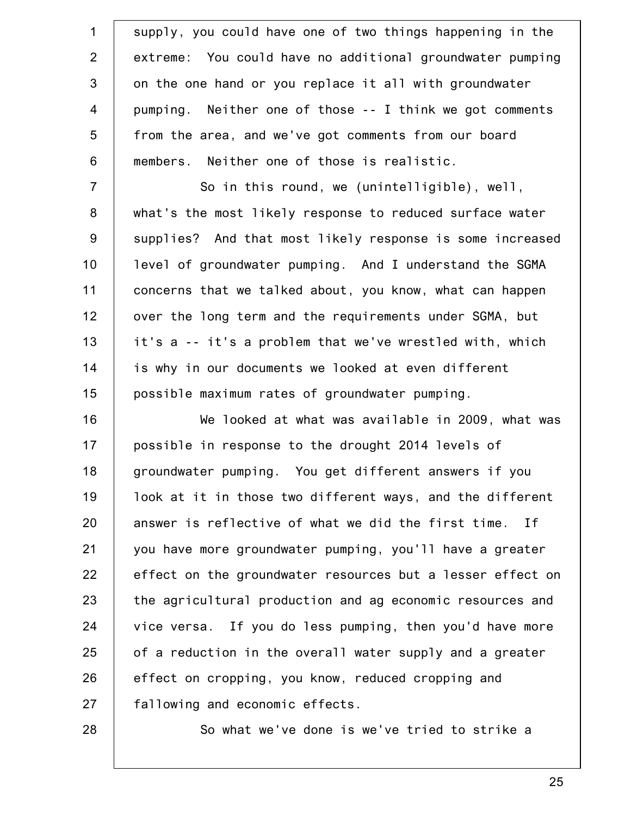| $\mathbf{1}$     | supply, you could have one of two things happening in the  |
|------------------|------------------------------------------------------------|
| $\overline{2}$   | extreme: You could have no additional groundwater pumping  |
| 3                | on the one hand or you replace it all with groundwater     |
| $\overline{4}$   | pumping. Neither one of those -- I think we got comments   |
| 5                | from the area, and we've got comments from our board       |
| $\,6$            | members. Neither one of those is realistic.                |
| $\overline{7}$   | So in this round, we (unintelligible), well,               |
| $\bf 8$          | what's the most likely response to reduced surface water   |
| $\boldsymbol{9}$ | supplies? And that most likely response is some increased  |
| 10               | level of groundwater pumping. And I understand the SGMA    |
| 11               | concerns that we talked about, you know, what can happen   |
| 12               | over the long term and the requirements under SGMA, but    |
| 13               | it's a -- it's a problem that we've wrestled with, which   |
| 14               | is why in our documents we looked at even different        |
| 15               | possible maximum rates of groundwater pumping.             |
| 16               | We looked at what was available in 2009, what was          |
| 17               | possible in response to the drought 2014 levels of         |
| 18               | groundwater pumping. You get different answers if you      |
| 19               | look at it in those two different ways, and the different  |
| 20               | answer is reflective of what we did the first time. If     |
| 21               | you have more groundwater pumping, you'll have a greater   |
| 22               | effect on the groundwater resources but a lesser effect on |
| 23               | the agricultural production and ag economic resources and  |
| 24               | vice versa. If you do less pumping, then you'd have more   |
| 25               | of a reduction in the overall water supply and a greater   |
| 26               | effect on cropping, you know, reduced cropping and         |
| 27               | fallowing and economic effects.                            |
| 28               | So what we've done is we've tried to strike a              |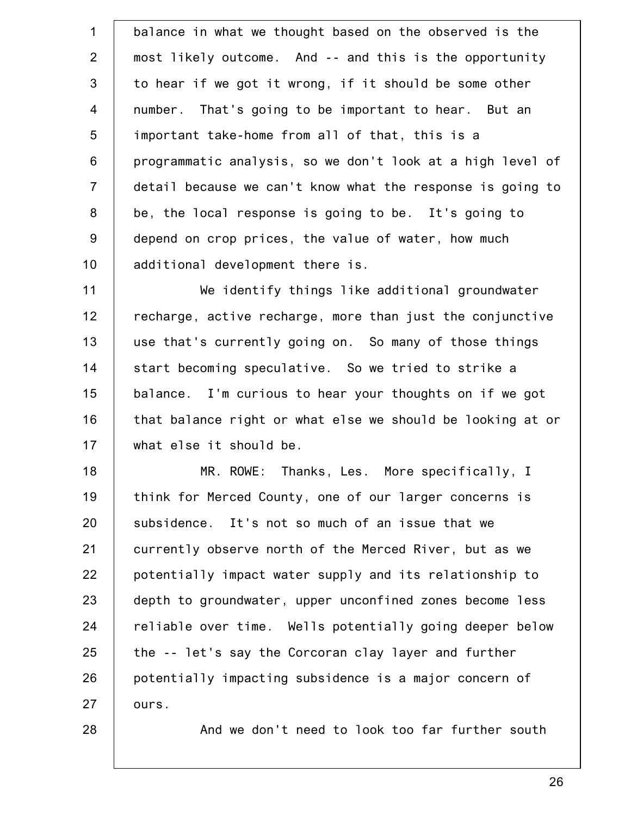1 2 3 4 5 6 7 8 9 10 11 balance in what we thought based on the observed is the most likely outcome. And -- and this is the opportunity to hear if we got it wrong, if it should be some other number. That's going to be important to hear. But an important take-home from all of that, this is a programmatic analysis, so we don't look at a high level of detail because we can't know what the response is going to be, the local response is going to be. It's going to depend on crop prices, the value of water, how much additional development there is. We identify things like additional groundwater

12 13 14 15 16 17 recharge, active recharge, more than just the conjunctive use that's currently going on. So many of those things start becoming speculative. So we tried to strike a balance. I'm curious to hear your thoughts on if we got that balance right or what else we should be looking at or what else it should be.

18 19 20 21 22 23 24 25 26 27 MR. ROWE: Thanks, Les. More specifically, I think for Merced County, one of our larger concerns is subsidence. It's not so much of an issue that we currently observe north of the Merced River, but as we potentially impact water supply and its relationship to depth to groundwater, upper unconfined zones become less reliable over time. Wells potentially going deeper below the -- let's say the Corcoran clay layer and further potentially impacting subsidence is a major concern of ours.

28

And we don't need to look too far further south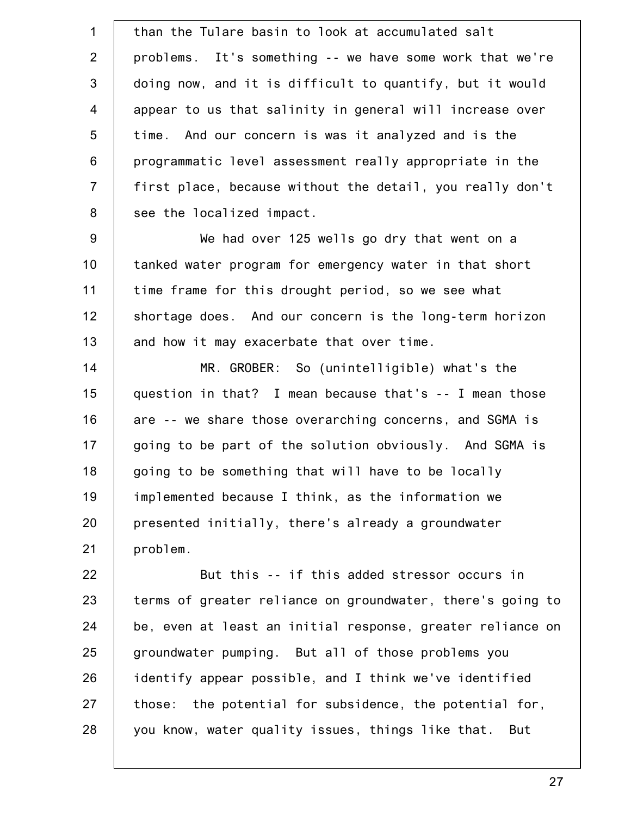1 2 3 4 5 6 7 8 9 10 11 12 13 14 15 16 17 18 19 20 21 22 23 24 25 26 27 28 than the Tulare basin to look at accumulated salt problems. It's something -- we have some work that we're doing now, and it is difficult to quantify, but it would appear to us that salinity in general will increase over time. And our concern is was it analyzed and is the programmatic level assessment really appropriate in the first place, because without the detail, you really don't see the localized impact. We had over 125 wells go dry that went on a tanked water program for emergency water in that short time frame for this drought period, so we see what shortage does. And our concern is the long-term horizon and how it may exacerbate that over time. MR. GROBER: So (unintelligible) what's the question in that? I mean because that's -- I mean those are -- we share those overarching concerns, and SGMA is going to be part of the solution obviously. And SGMA is going to be something that will have to be locally implemented because I think, as the information we presented initially, there's already a groundwater problem. But this -- if this added stressor occurs in terms of greater reliance on groundwater, there's going to be, even at least an initial response, greater reliance on groundwater pumping. But all of those problems you identify appear possible, and I think we've identified those: the potential for subsidence, the potential for, you know, water quality issues, things like that. But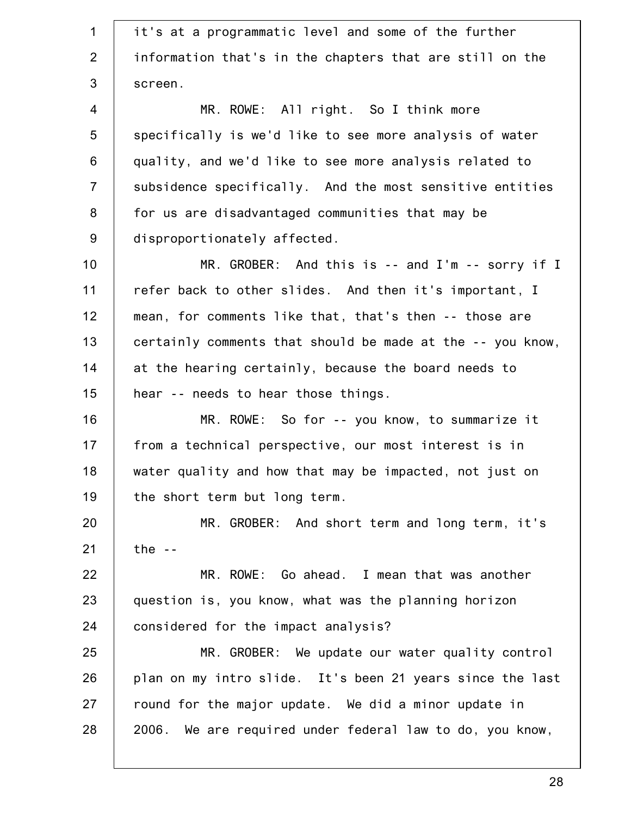1 2 3 4 5 6 7 8 9 10 11 12 13 14 15 16 17 18 19 20 21 22 23 24 25 26 27 28 it's at a programmatic level and some of the further information that's in the chapters that are still on the screen. MR. ROWE: All right. So I think more specifically is we'd like to see more analysis of water quality, and we'd like to see more analysis related to subsidence specifically. And the most sensitive entities for us are disadvantaged communities that may be disproportionately affected. MR. GROBER: And this is -- and I'm -- sorry if I refer back to other slides. And then it's important, I mean, for comments like that, that's then -- those are certainly comments that should be made at the -- you know, at the hearing certainly, because the board needs to hear -- needs to hear those things. MR. ROWE: So for -- you know, to summarize it from a technical perspective, our most interest is in water quality and how that may be impacted, not just on the short term but long term. MR. GROBER: And short term and long term, it's the  $-$ MR. ROWE: Go ahead. I mean that was another question is, you know, what was the planning horizon considered for the impact analysis? MR. GROBER: We update our water quality control plan on my intro slide. It's been 21 years since the last round for the major update. We did a minor update in 2006. We are required under federal law to do, you know,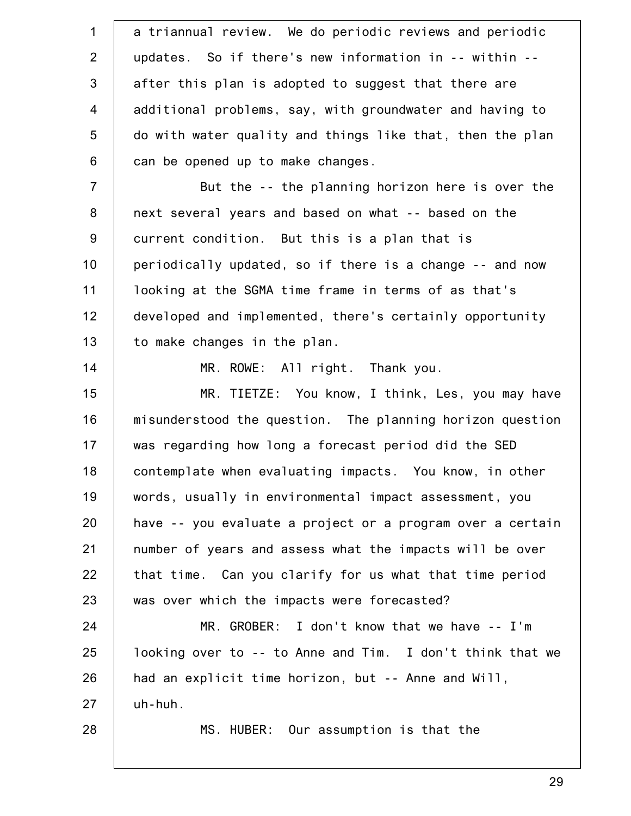1 2 3 4 5 6 7 8 9 10 11 12 13 14 15 16 17 18 19 20 21 22 23 24 25 26 27 28 a triannual review. We do periodic reviews and periodic updates. So if there's new information in -- within - after this plan is adopted to suggest that there are additional problems, say, with groundwater and having to do with water quality and things like that, then the plan can be opened up to make changes. But the -- the planning horizon here is over the next several years and based on what -- based on the current condition. But this is a plan that is periodically updated, so if there is a change -- and now looking at the SGMA time frame in terms of as that's developed and implemented, there's certainly opportunity to make changes in the plan. MR. ROWE: All right. Thank you. MR. TIETZE: You know, I think, Les, you may have misunderstood the question. The planning horizon question was regarding how long a forecast period did the SED contemplate when evaluating impacts. You know, in other words, usually in environmental impact assessment, you have -- you evaluate a project or a program over a certain number of years and assess what the impacts will be over that time. Can you clarify for us what that time period was over which the impacts were forecasted? MR. GROBER: I don't know that we have -- I'm looking over to -- to Anne and Tim. I don't think that we had an explicit time horizon, but -- Anne and Will, uh-huh. MS. HUBER: Our assumption is that the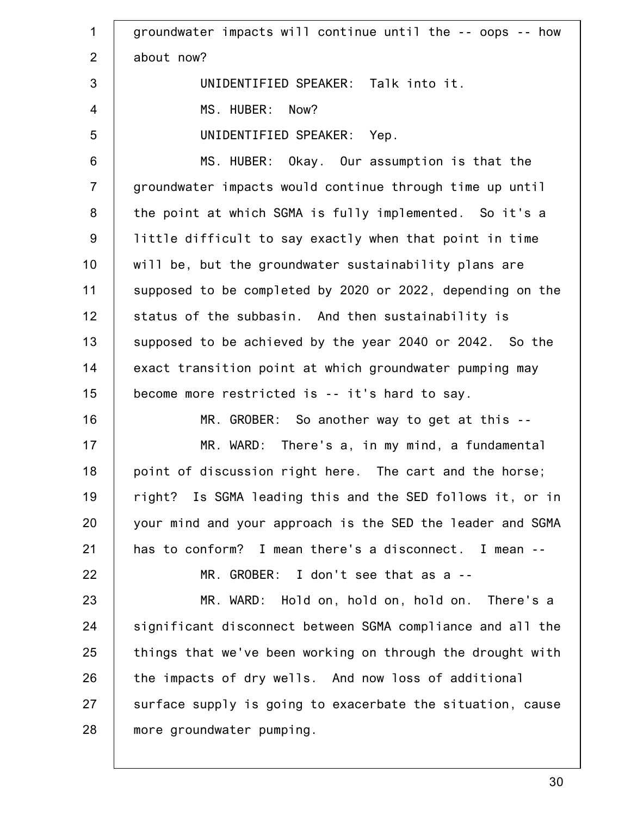1 2 3 4 5 6 7 8 9 10 11 12 13 14 15 16 17 18 19 20 21 22 23 24 25 26 27 28 groundwater impacts will continue until the -- oops -- how about now? UNIDENTIFIED SPEAKER: Talk into it. MS. HUBER: Now? UNIDENTIFIED SPEAKER: Yep. MS. HUBER: Okay. Our assumption is that the groundwater impacts would continue through time up until the point at which SGMA is fully implemented. So it's a little difficult to say exactly when that point in time will be, but the groundwater sustainability plans are supposed to be completed by 2020 or 2022, depending on the status of the subbasin. And then sustainability is supposed to be achieved by the year 2040 or 2042. So the exact transition point at which groundwater pumping may become more restricted is -- it's hard to say. MR. GROBER: So another way to get at this --MR. WARD: There's a, in my mind, a fundamental point of discussion right here. The cart and the horse; right? Is SGMA leading this and the SED follows it, or in your mind and your approach is the SED the leader and SGMA has to conform? I mean there's a disconnect. I mean -- MR. GROBER: I don't see that as a -- MR. WARD: Hold on, hold on, hold on. There's a significant disconnect between SGMA compliance and all the things that we've been working on through the drought with the impacts of dry wells. And now loss of additional surface supply is going to exacerbate the situation, cause more groundwater pumping.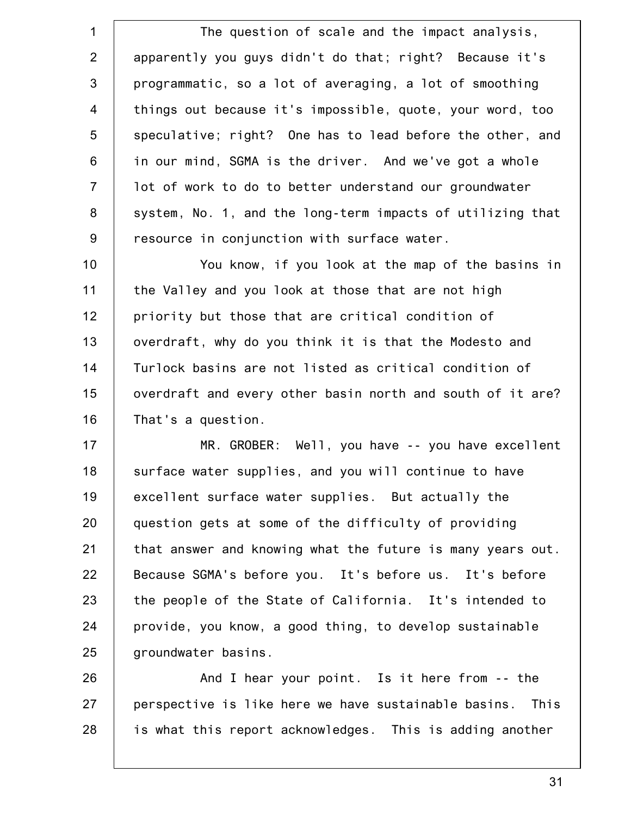1 2 3 4 5 6 7 8 9 The question of scale and the impact analysis, apparently you guys didn't do that; right? Because it's programmatic, so a lot of averaging, a lot of smoothing things out because it's impossible, quote, your word, too speculative; right? One has to lead before the other, and in our mind, SGMA is the driver. And we've got a whole lot of work to do to better understand our groundwater system, No. 1, and the long-term impacts of utilizing that resource in conjunction with surface water.

10 11 12 13 14 15 16 You know, if you look at the map of the basins in the Valley and you look at those that are not high priority but those that are critical condition of overdraft, why do you think it is that the Modesto and Turlock basins are not listed as critical condition of overdraft and every other basin north and south of it are? That's a question.

17 18 19 20 21 22 23 24 25 MR. GROBER: Well, you have -- you have excellent surface water supplies, and you will continue to have excellent surface water supplies. But actually the question gets at some of the difficulty of providing that answer and knowing what the future is many years out. Because SGMA's before you. It's before us. It's before the people of the State of California. It's intended to provide, you know, a good thing, to develop sustainable groundwater basins.

26 27 28 And I hear your point. Is it here from -- the perspective is like here we have sustainable basins. This is what this report acknowledges. This is adding another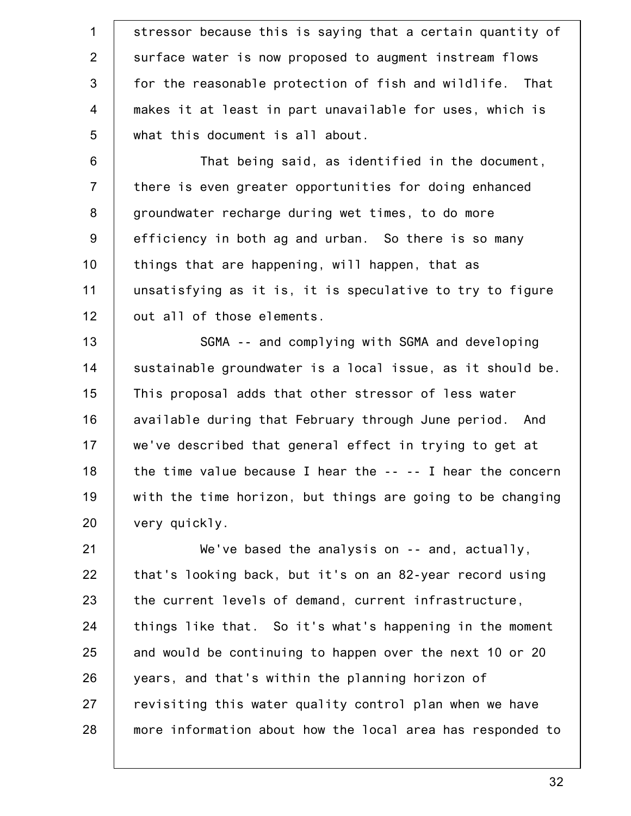1 2 3 4 5 stressor because this is saying that a certain quantity of surface water is now proposed to augment instream flows for the reasonable protection of fish and wildlife. That makes it at least in part unavailable for uses, which is what this document is all about.

6 7 8 9 10 11 12 That being said, as identified in the document, there is even greater opportunities for doing enhanced groundwater recharge during wet times, to do more efficiency in both ag and urban. So there is so many things that are happening, will happen, that as unsatisfying as it is, it is speculative to try to figure out all of those elements.

13 14 15 16 17 18 19 20 SGMA -- and complying with SGMA and developing sustainable groundwater is a local issue, as it should be. This proposal adds that other stressor of less water available during that February through June period. And we've described that general effect in trying to get at the time value because I hear the -- -- I hear the concern with the time horizon, but things are going to be changing very quickly.

21 22 23 24 25 26 27 28 We've based the analysis on -- and, actually, that's looking back, but it's on an 82-year record using the current levels of demand, current infrastructure, things like that. So it's what's happening in the moment and would be continuing to happen over the next 10 or 20 years, and that's within the planning horizon of revisiting this water quality control plan when we have more information about how the local area has responded to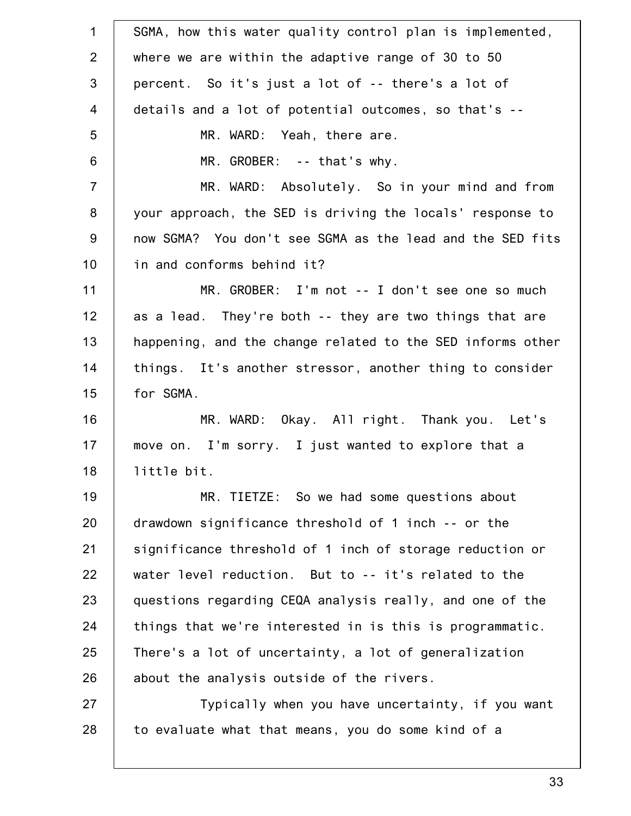| $\mathbf 1$    | SGMA, how this water quality control plan is implemented,  |
|----------------|------------------------------------------------------------|
| $\overline{2}$ | where we are within the adaptive range of 30 to 50         |
| 3              | percent. So it's just a lot of -- there's a lot of         |
| $\overline{4}$ | details and a lot of potential outcomes, so that's --      |
| 5              | MR. WARD: Yeah, there are.                                 |
| 6              | MR. GROBER: -- that's why.                                 |
| $\overline{7}$ | MR. WARD: Absolutely. So in your mind and from             |
| 8              | your approach, the SED is driving the locals' response to  |
| 9              | now SGMA? You don't see SGMA as the lead and the SED fits  |
| 10             | in and conforms behind it?                                 |
| 11             | MR. GROBER: I'm not -- I don't see one so much             |
| 12             | as a lead. They're both -- they are two things that are    |
| 13             | happening, and the change related to the SED informs other |
| 14             | things. It's another stressor, another thing to consider   |
| 15             | for SGMA.                                                  |
| 16             | MR. WARD: Okay. All right. Thank you. Let's                |
| 17             | move on. I'm sorry. I just wanted to explore that a        |
| 18             | little bit.                                                |
| 19             | MR. TIETZE: So we had some questions about                 |
| 20             | drawdown significance threshold of 1 inch -- or the        |
| 21             | significance threshold of 1 inch of storage reduction or   |
| 22             | water level reduction. But to -- it's related to the       |
| 23             | questions regarding CEQA analysis really, and one of the   |
| 24             | things that we're interested in is this is programmatic.   |
| 25             | There's a lot of uncertainty, a lot of generalization      |
| 26             | about the analysis outside of the rivers.                  |
| 27             | Typically when you have uncertainty, if you want           |
| 28             | to evaluate what that means, you do some kind of a         |
|                |                                                            |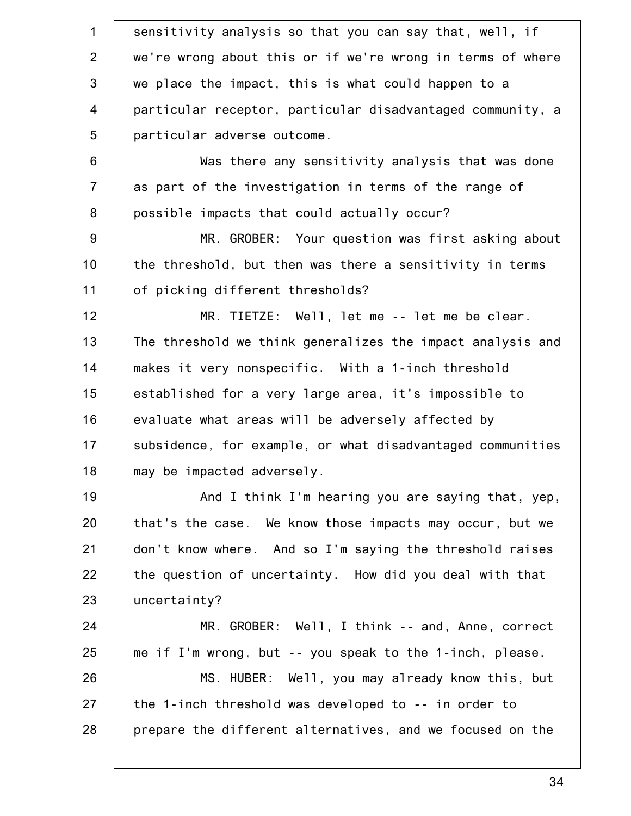1 2 3 4 5 6 7 8 9 10 11 12 13 14 15 16 17 18 19 20 21 22 23 24 25 26 27 28 sensitivity analysis so that you can say that, well, if we're wrong about this or if we're wrong in terms of where we place the impact, this is what could happen to a particular receptor, particular disadvantaged community, a particular adverse outcome. Was there any sensitivity analysis that was done as part of the investigation in terms of the range of possible impacts that could actually occur? MR. GROBER: Your question was first asking about the threshold, but then was there a sensitivity in terms of picking different thresholds? MR. TIETZE: Well, let me -- let me be clear. The threshold we think generalizes the impact analysis and makes it very nonspecific. With a 1-inch threshold established for a very large area, it's impossible to evaluate what areas will be adversely affected by subsidence, for example, or what disadvantaged communities may be impacted adversely. And I think I'm hearing you are saying that, yep, that's the case. We know those impacts may occur, but we don't know where. And so I'm saying the threshold raises the question of uncertainty. How did you deal with that uncertainty? MR. GROBER: Well, I think -- and, Anne, correct me if I'm wrong, but -- you speak to the 1-inch, please. MS. HUBER: Well, you may already know this, but the 1-inch threshold was developed to -- in order to prepare the different alternatives, and we focused on the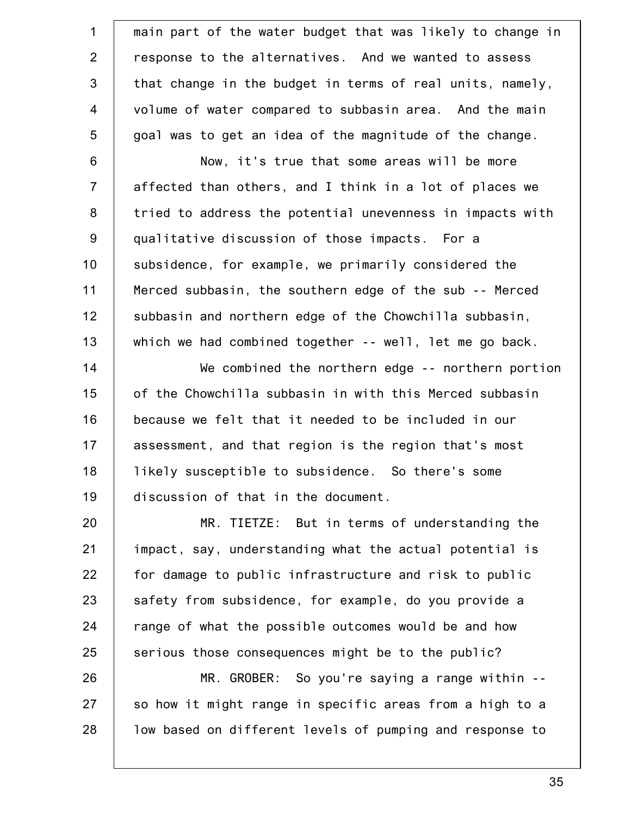1 2 3 4 5 6 7 8 9 10 11 12 13 14 15 16 17 18 19 20 21 22 23 24 25 26 27 main part of the water budget that was likely to change in response to the alternatives. And we wanted to assess that change in the budget in terms of real units, namely, volume of water compared to subbasin area. And the main goal was to get an idea of the magnitude of the change. Now, it's true that some areas will be more affected than others, and I think in a lot of places we tried to address the potential unevenness in impacts with qualitative discussion of those impacts. For a subsidence, for example, we primarily considered the Merced subbasin, the southern edge of the sub -- Merced subbasin and northern edge of the Chowchilla subbasin, which we had combined together -- well, let me go back. We combined the northern edge -- northern portion of the Chowchilla subbasin in with this Merced subbasin because we felt that it needed to be included in our assessment, and that region is the region that's most likely susceptible to subsidence. So there's some discussion of that in the document. MR. TIETZE: But in terms of understanding the impact, say, understanding what the actual potential is for damage to public infrastructure and risk to public safety from subsidence, for example, do you provide a range of what the possible outcomes would be and how serious those consequences might be to the public? MR. GROBER: So you're saying a range within -so how it might range in specific areas from a high to a

low based on different levels of pumping and response to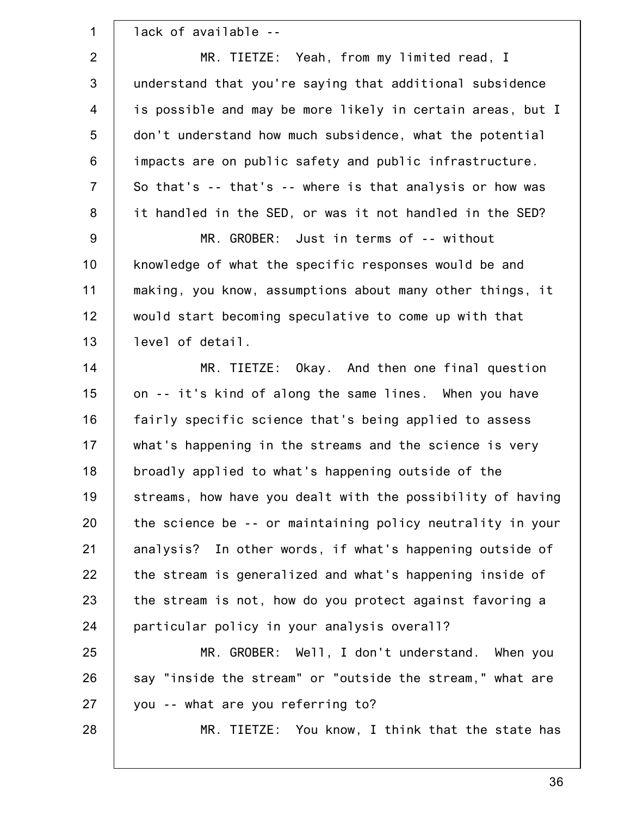| $\mathbf 1$    | lack of available --                                       |
|----------------|------------------------------------------------------------|
| $\overline{2}$ | MR. TIETZE: Yeah, from my limited read, I                  |
| 3              | understand that you're saying that additional subsidence   |
| $\overline{4}$ | is possible and may be more likely in certain areas, but I |
| 5              | don't understand how much subsidence, what the potential   |
| 6              | impacts are on public safety and public infrastructure.    |
| $\overline{7}$ | So that's -- that's -- where is that analysis or how was   |
| 8              | it handled in the SED, or was it not handled in the SED?   |
| $9\,$          | MR. GROBER: Just in terms of -- without                    |
| 10             | knowledge of what the specific responses would be and      |
| 11             | making, you know, assumptions about many other things, it  |
| 12             | would start becoming speculative to come up with that      |
| 13             | level of detail.                                           |
| 14             | MR. TIETZE: Okay. And then one final question              |
| 15             | on -- it's kind of along the same lines. When you have     |
| 16             | fairly specific science that's being applied to assess     |
| 17             | what's happening in the streams and the science is very    |
| 18             | broadly applied to what's happening outside of the         |
| 19             | streams, how have you dealt with the possibility of having |
| 20             | the science be -- or maintaining policy neutrality in your |
| 21             | analysis? In other words, if what's happening outside of   |
| 22             | the stream is generalized and what's happening inside of   |
| 23             | the stream is not, how do you protect against favoring a   |
| 24             | particular policy in your analysis overall?                |
| 25             | MR. GROBER: Well, I don't understand. When you             |
| 26             | say "inside the stream" or "outside the stream," what are  |
| 27             | you -- what are you referring to?                          |
| 28             | MR. TIETZE: You know, I think that the state has           |
|                |                                                            |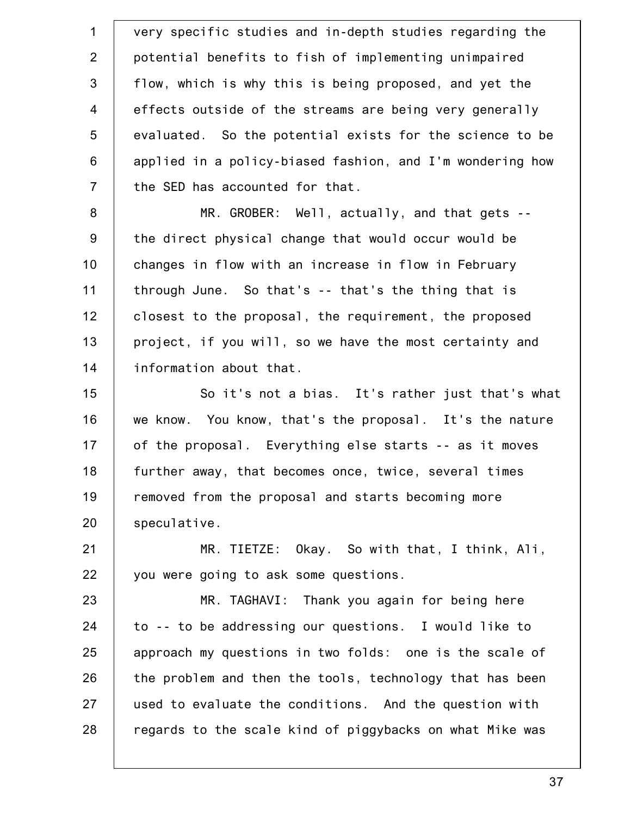1 2 3 4 5 6 7 8 9 10 11 12 13 14 15 16 17 18 19 20 21 22 23 24 25 26 27 28 very specific studies and in-depth studies regarding the potential benefits to fish of implementing unimpaired flow, which is why this is being proposed, and yet the effects outside of the streams are being very generally evaluated. So the potential exists for the science to be applied in a policy-biased fashion, and I'm wondering how the SED has accounted for that. MR. GROBER: Well, actually, and that gets - the direct physical change that would occur would be changes in flow with an increase in flow in February through June. So that's -- that's the thing that is closest to the proposal, the requirement, the proposed project, if you will, so we have the most certainty and information about that. So it's not a bias. It's rather just that's what we know. You know, that's the proposal. It's the nature of the proposal. Everything else starts -- as it moves further away, that becomes once, twice, several times removed from the proposal and starts becoming more speculative. MR. TIETZE: Okay. So with that, I think, Ali, you were going to ask some questions. MR. TAGHAVI: Thank you again for being here to -- to be addressing our questions. I would like to approach my questions in two folds: one is the scale of the problem and then the tools, technology that has been used to evaluate the conditions. And the question with regards to the scale kind of piggybacks on what Mike was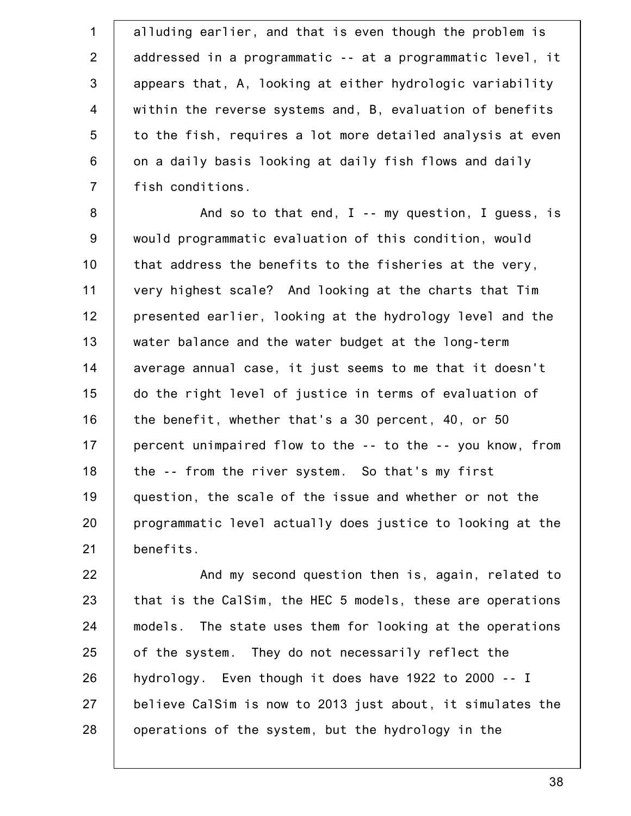1 2 3 4 5 6 7 alluding earlier, and that is even though the problem is addressed in a programmatic -- at a programmatic level, it appears that, A, looking at either hydrologic variability within the reverse systems and, B, evaluation of benefits to the fish, requires a lot more detailed analysis at even on a daily basis looking at daily fish flows and daily fish conditions.

8 9 10 11 12 13 14 15 16 17 18 19 20 21 And so to that end, I -- my question, I guess, is would programmatic evaluation of this condition, would that address the benefits to the fisheries at the very, very highest scale? And looking at the charts that Tim presented earlier, looking at the hydrology level and the water balance and the water budget at the long-term average annual case, it just seems to me that it doesn't do the right level of justice in terms of evaluation of the benefit, whether that's a 30 percent, 40, or 50 percent unimpaired flow to the -- to the -- you know, from the -- from the river system. So that's my first question, the scale of the issue and whether or not the programmatic level actually does justice to looking at the benefits.

22 23 24 25 26 27 28 And my second question then is, again, related to that is the CalSim, the HEC 5 models, these are operations models. The state uses them for looking at the operations of the system. They do not necessarily reflect the hydrology. Even though it does have 1922 to 2000 -- I believe CalSim is now to 2013 just about, it simulates the operations of the system, but the hydrology in the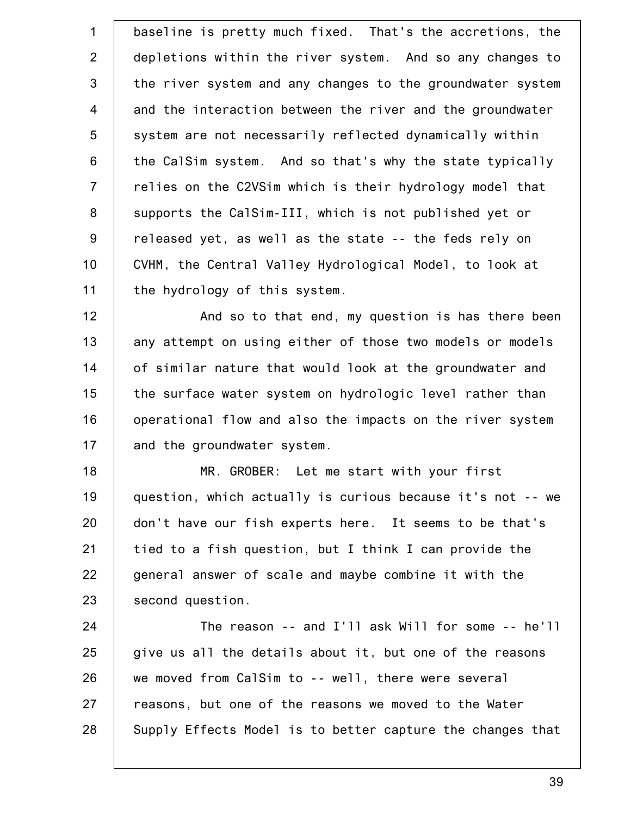1 2 3 4 5 6 7 8 9 10 11 baseline is pretty much fixed. That's the accretions, the depletions within the river system. And so any changes to the river system and any changes to the groundwater system and the interaction between the river and the groundwater system are not necessarily reflected dynamically within the CalSim system. And so that's why the state typically relies on the C2VSim which is their hydrology model that supports the CalSim-III, which is not published yet or released yet, as well as the state -- the feds rely on CVHM, the Central Valley Hydrological Model, to look at the hydrology of this system.

12 13 14 15 16 17 And so to that end, my question is has there been any attempt on using either of those two models or models of similar nature that would look at the groundwater and the surface water system on hydrologic level rather than operational flow and also the impacts on the river system and the groundwater system.

18 19 20 21 22 23 MR. GROBER: Let me start with your first question, which actually is curious because it's not -- we don't have our fish experts here. It seems to be that's tied to a fish question, but I think I can provide the general answer of scale and maybe combine it with the second question.

24 25 26 27 28 The reason -- and I'll ask Will for some -- he'll give us all the details about it, but one of the reasons we moved from CalSim to -- well, there were several reasons, but one of the reasons we moved to the Water Supply Effects Model is to better capture the changes that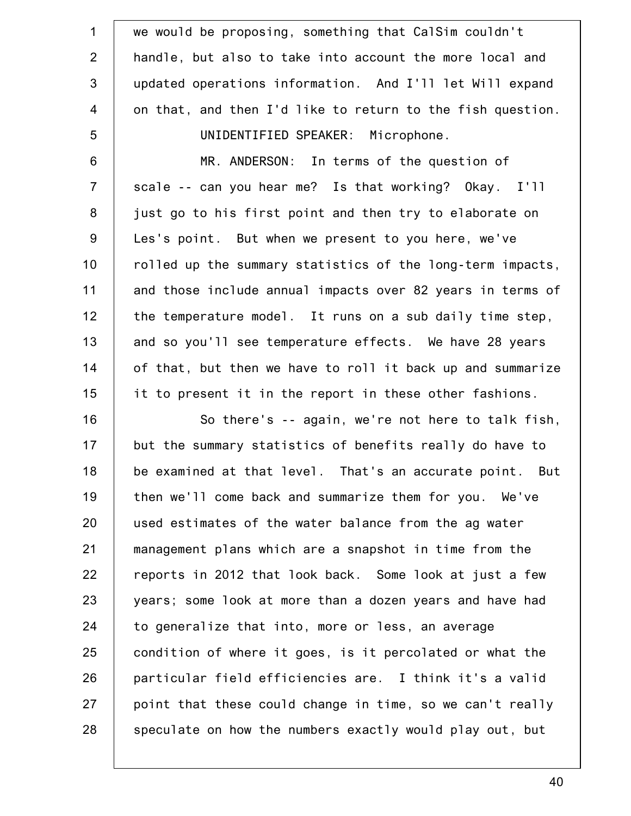| $\mathbf 1$     | we would be proposing, something that CalSim couldn't      |
|-----------------|------------------------------------------------------------|
| 2               |                                                            |
|                 | handle, but also to take into account the more local and   |
| $\mathfrak{S}$  | updated operations information. And I'll let Will expand   |
| $\overline{4}$  | on that, and then I'd like to return to the fish question. |
| $5\phantom{.0}$ | UNIDENTIFIED SPEAKER: Microphone.                          |
| $6\,$           | MR. ANDERSON: In terms of the question of                  |
| $\overline{7}$  | scale -- can you hear me? Is that working? Okay. I'll      |
| 8               | just go to his first point and then try to elaborate on    |
| $9\,$           | Les's point. But when we present to you here, we've        |
| 10              | rolled up the summary statistics of the long-term impacts, |
| 11              | and those include annual impacts over 82 years in terms of |
| 12              | the temperature model. It runs on a sub daily time step,   |
| 13              | and so you'll see temperature effects. We have 28 years    |
| 14              | of that, but then we have to roll it back up and summarize |
| 15              | it to present it in the report in these other fashions.    |
| 16              | So there's -- again, we're not here to talk fish,          |
| 17              | but the summary statistics of benefits really do have to   |
| 18              | be examined at that level. That's an accurate point. But   |
| 19              | then we'll come back and summarize them for you. We've     |
| 20              | used estimates of the water balance from the ag water      |
| 21              | management plans which are a snapshot in time from the     |
| 22              | reports in 2012 that look back. Some look at just a few    |
| 23              | years; some look at more than a dozen years and have had   |
| 24              | to generalize that into, more or less, an average          |
| 25              | condition of where it goes, is it percolated or what the   |
| 26              | particular field efficiencies are. I think it's a valid    |
| 27              | point that these could change in time, so we can't really  |
| 28              | speculate on how the numbers exactly would play out, but   |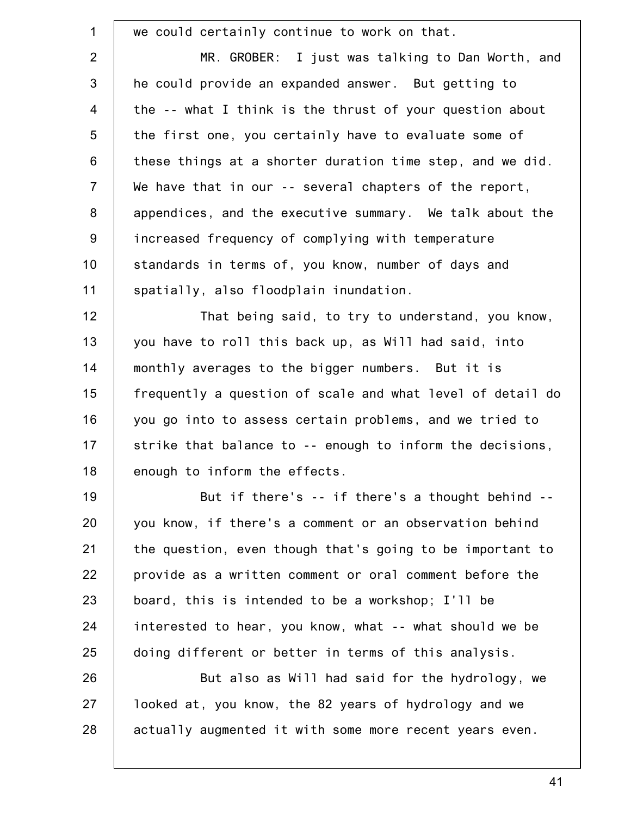1 2 3 4 5 6 7 8 9 10 11 12 13 14 15 16 17 18 19 20 21 22 23 24 25 26 27 28 we could certainly continue to work on that. MR. GROBER: I just was talking to Dan Worth, and he could provide an expanded answer. But getting to the -- what I think is the thrust of your question about the first one, you certainly have to evaluate some of these things at a shorter duration time step, and we did. We have that in our -- several chapters of the report, appendices, and the executive summary. We talk about the increased frequency of complying with temperature standards in terms of, you know, number of days and spatially, also floodplain inundation. That being said, to try to understand, you know, you have to roll this back up, as Will had said, into monthly averages to the bigger numbers. But it is frequently a question of scale and what level of detail do you go into to assess certain problems, and we tried to strike that balance to -- enough to inform the decisions, enough to inform the effects. But if there's -- if there's a thought behind - you know, if there's a comment or an observation behind the question, even though that's going to be important to provide as a written comment or oral comment before the board, this is intended to be a workshop; I'll be interested to hear, you know, what -- what should we be doing different or better in terms of this analysis. But also as Will had said for the hydrology, we looked at, you know, the 82 years of hydrology and we actually augmented it with some more recent years even.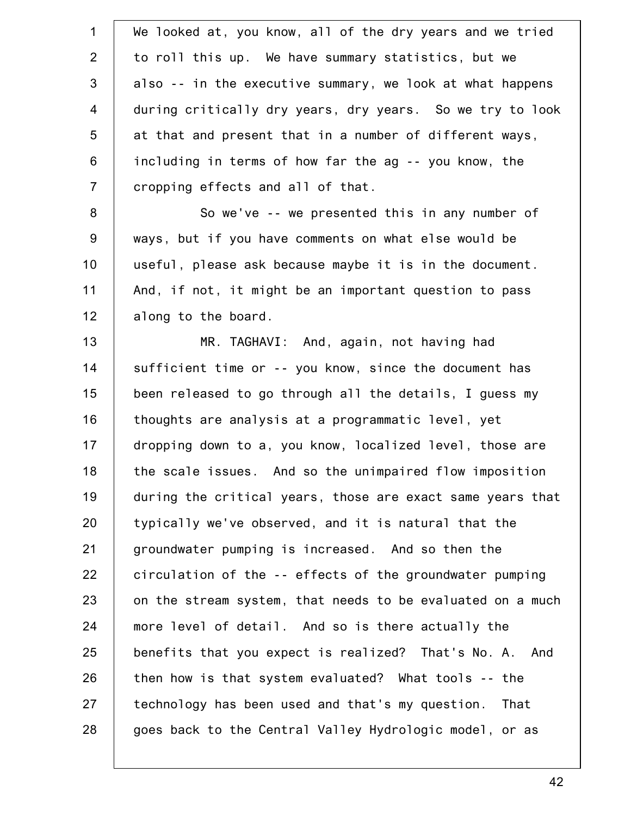| $\mathbf{1}$   | We looked at, you know, all of the dry years and we tried  |
|----------------|------------------------------------------------------------|
| $\overline{2}$ | to roll this up. We have summary statistics, but we        |
| 3              | also -- in the executive summary, we look at what happens  |
| $\overline{4}$ | during critically dry years, dry years. So we try to look  |
| 5              | at that and present that in a number of different ways,    |
| 6              | including in terms of how far the ag -- you know, the      |
| $\overline{7}$ | cropping effects and all of that.                          |
| $\bf 8$        | So we've -- we presented this in any number of             |
| $9\,$          | ways, but if you have comments on what else would be       |
| 10             | useful, please ask because maybe it is in the document.    |
| 11             | And, if not, it might be an important question to pass     |
| 12             | along to the board.                                        |
| 13             | MR. TAGHAVI: And, again, not having had                    |
| 14             | sufficient time or -- you know, since the document has     |
| 15             | been released to go through all the details, I guess my    |
| 16             | thoughts are analysis at a programmatic level, yet         |
| 17             | dropping down to a, you know, localized level, those are   |
| 18             | the scale issues. And so the unimpaired flow imposition    |
| 19             | during the critical years, those are exact same years that |
| 20             | typically we've observed, and it is natural that the       |
| 21             | groundwater pumping is increased. And so then the          |
| 22             | circulation of the -- effects of the groundwater pumping   |
| 23             | on the stream system, that needs to be evaluated on a much |
| 24             | more level of detail. And so is there actually the         |
| 25             | benefits that you expect is realized? That's No. A. And    |
| 26             | then how is that system evaluated? What tools -- the       |
| 27             | technology has been used and that's my question.<br>That   |
| 28             | goes back to the Central Valley Hydrologic model, or as    |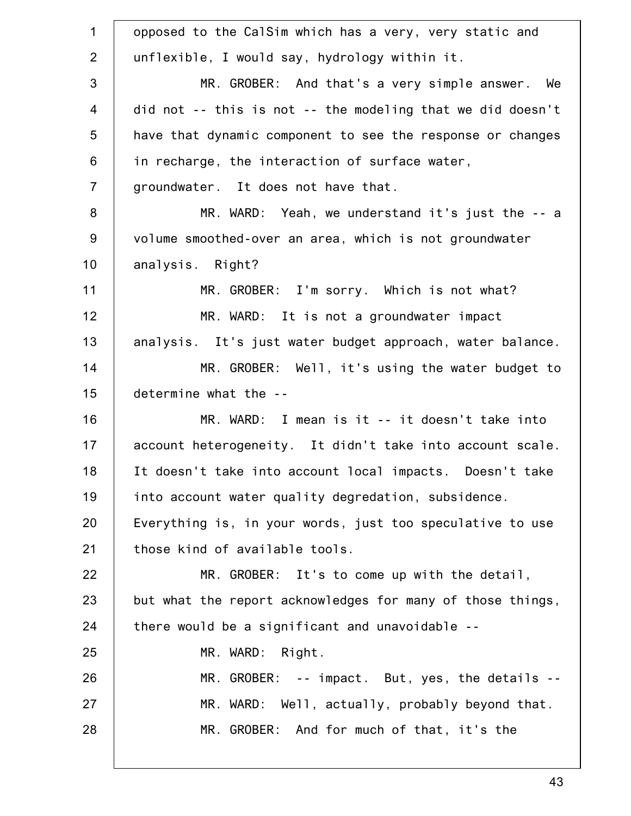1 2 3 4 5 6 7 8 9 10 11 12 13 14 15 16 17 18 19 20 21 22 23 24 25 26 27 28 opposed to the CalSim which has a very, very static and unflexible, I would say, hydrology within it. MR. GROBER: And that's a very simple answer. We did not -- this is not -- the modeling that we did doesn't have that dynamic component to see the response or changes in recharge, the interaction of surface water, groundwater. It does not have that. MR. WARD: Yeah, we understand it's just the -- a volume smoothed-over an area, which is not groundwater analysis. Right? MR. GROBER: I'm sorry. Which is not what? MR. WARD: It is not a groundwater impact analysis. It's just water budget approach, water balance. MR. GROBER: Well, it's using the water budget to determine what the -- MR. WARD: I mean is it -- it doesn't take into account heterogeneity. It didn't take into account scale. It doesn't take into account local impacts. Doesn't take into account water quality degredation, subsidence. Everything is, in your words, just too speculative to use those kind of available tools. MR. GROBER: It's to come up with the detail, but what the report acknowledges for many of those things, there would be a significant and unavoidable -- MR. WARD: Right. MR. GROBER: -- impact. But, yes, the details -- MR. WARD: Well, actually, probably beyond that. MR. GROBER: And for much of that, it's the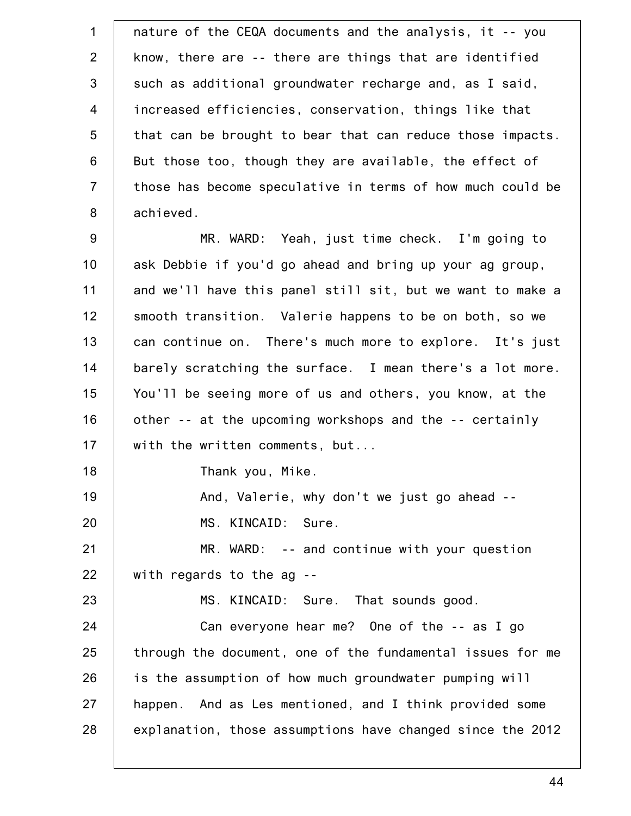1 2 3 4 5 6 7 8 9 10 11 12 13 14 15 16 17 18 19 20 21 22 23 24 25 26 27 28 nature of the CEQA documents and the analysis, it -- you know, there are -- there are things that are identified such as additional groundwater recharge and, as I said, increased efficiencies, conservation, things like that that can be brought to bear that can reduce those impacts. But those too, though they are available, the effect of those has become speculative in terms of how much could be achieved. MR. WARD: Yeah, just time check. I'm going to ask Debbie if you'd go ahead and bring up your ag group, and we'll have this panel still sit, but we want to make a smooth transition. Valerie happens to be on both, so we can continue on. There's much more to explore. It's just barely scratching the surface. I mean there's a lot more. You'll be seeing more of us and others, you know, at the other -- at the upcoming workshops and the -- certainly with the written comments, but... Thank you, Mike. And, Valerie, why don't we just go ahead -- MS. KINCAID: Sure. MR. WARD: -- and continue with your question with regards to the ag -- MS. KINCAID: Sure. That sounds good. Can everyone hear me? One of the -- as I go through the document, one of the fundamental issues for me is the assumption of how much groundwater pumping will happen. And as Les mentioned, and I think provided some explanation, those assumptions have changed since the 2012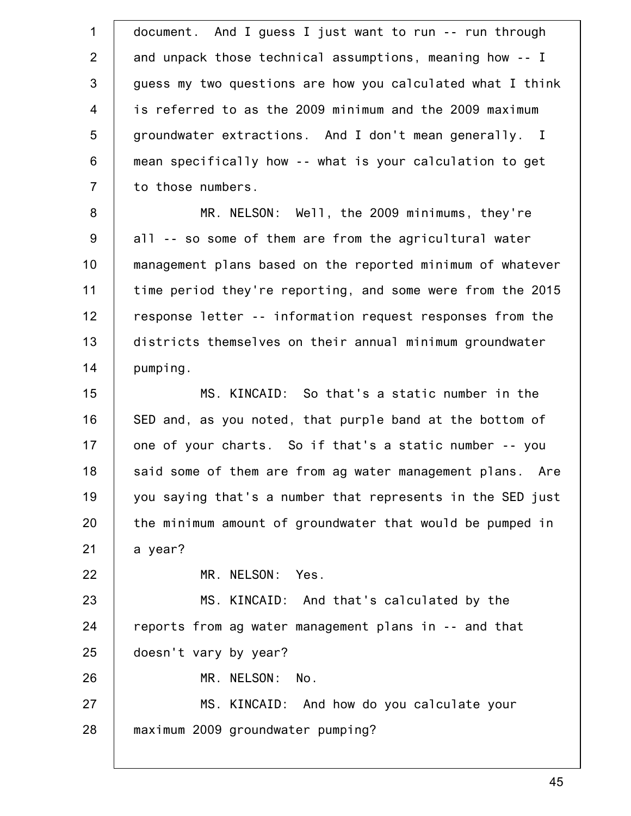| $\mathbf 1$      | document. And I guess I just want to run -- run through    |
|------------------|------------------------------------------------------------|
| 2                | and unpack those technical assumptions, meaning how -- I   |
| 3                | guess my two questions are how you calculated what I think |
| $\overline{4}$   | is referred to as the 2009 minimum and the 2009 maximum    |
| 5                | groundwater extractions. And I don't mean generally. I     |
| $\,6$            | mean specifically how -- what is your calculation to get   |
| $\overline{7}$   | to those numbers.                                          |
| $\boldsymbol{8}$ | MR. NELSON: Well, the 2009 minimums, they're               |
| $9\,$            | all -- so some of them are from the agricultural water     |
| 10               | management plans based on the reported minimum of whatever |
| 11               | time period they're reporting, and some were from the 2015 |
| 12               | response letter -- information request responses from the  |
| 13               | districts themselves on their annual minimum groundwater   |
| 14               | pumping.                                                   |
| 15               | MS. KINCAID: So that's a static number in the              |
| 16               | SED and, as you noted, that purple band at the bottom of   |
| 17               | one of your charts. So if that's a static number -- you    |
| 18               | said some of them are from ag water management plans. Are  |
| 19               | you saying that's a number that represents in the SED just |
| 20               | the minimum amount of groundwater that would be pumped in  |
| 21               | a year?                                                    |
| 22               | MR. NELSON:<br>Yes.                                        |
| 23               | MS. KINCAID: And that's calculated by the                  |
| 24               | reports from ag water management plans in -- and that      |
| 25               | doesn't vary by year?                                      |
| 26               | MR. NELSON:<br>No.                                         |
| 27               | MS. KINCAID: And how do you calculate your                 |
| 28               | maximum 2009 groundwater pumping?                          |
|                  |                                                            |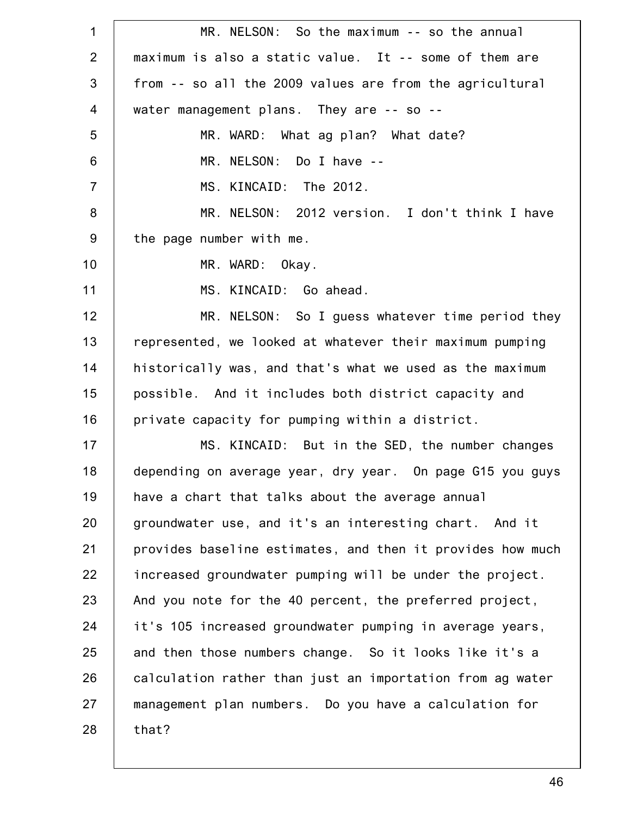1 2 3 4 5 6 7 8 9 10 11 12 13 14 15 16 17 18 19 20 21 22 23 24 25 26 27 28 MR. NELSON: So the maximum -- so the annual maximum is also a static value. It -- some of them are from -- so all the 2009 values are from the agricultural water management plans. They are -- so -- MR. WARD: What ag plan? What date? MR. NELSON: Do I have -- MS. KINCAID: The 2012. MR. NELSON: 2012 version. I don't think I have the page number with me. MR. WARD: Okay. MS. KINCAID: Go ahead. MR. NELSON: So I guess whatever time period they represented, we looked at whatever their maximum pumping historically was, and that's what we used as the maximum possible. And it includes both district capacity and private capacity for pumping within a district. MS. KINCAID: But in the SED, the number changes depending on average year, dry year. On page G15 you guys have a chart that talks about the average annual groundwater use, and it's an interesting chart. And it provides baseline estimates, and then it provides how much increased groundwater pumping will be under the project. And you note for the 40 percent, the preferred project, it's 105 increased groundwater pumping in average years, and then those numbers change. So it looks like it's a calculation rather than just an importation from ag water management plan numbers. Do you have a calculation for that?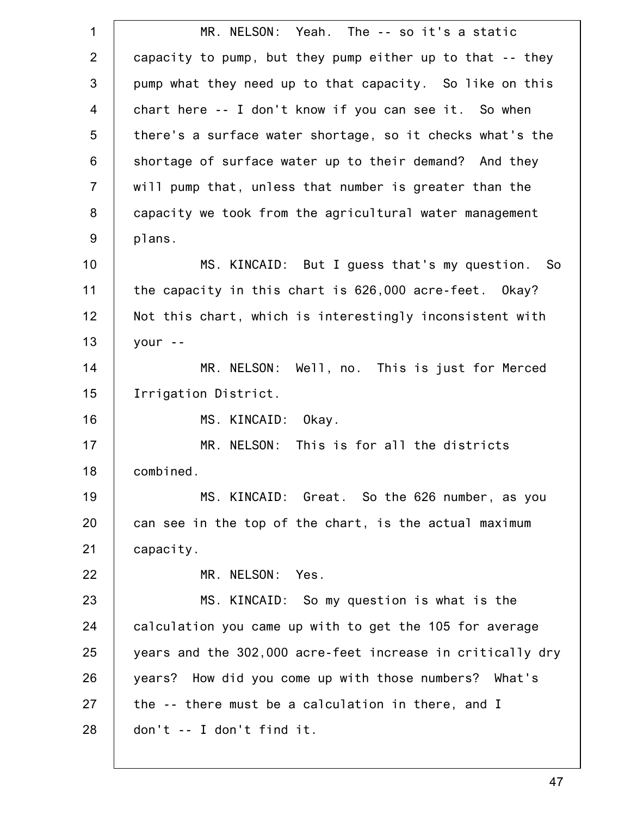| $\mathbf 1$    | MR. NELSON: Yeah. The -- so it's a static                  |
|----------------|------------------------------------------------------------|
| 2              | capacity to pump, but they pump either up to that -- they  |
| 3              | pump what they need up to that capacity. So like on this   |
| $\overline{4}$ | chart here -- I don't know if you can see it. So when      |
| 5              | there's a surface water shortage, so it checks what's the  |
| 6              | shortage of surface water up to their demand? And they     |
| $\overline{7}$ | will pump that, unless that number is greater than the     |
| 8              | capacity we took from the agricultural water management    |
| $9\,$          | plans.                                                     |
| 10             | MS. KINCAID: But I guess that's my question. So            |
| 11             | the capacity in this chart is 626,000 acre-feet. Okay?     |
| 12             | Not this chart, which is interestingly inconsistent with   |
| 13             | your $-$                                                   |
| 14             | Well, no. This is just for Merced<br>MR. NELSON:           |
| 15             | Irrigation District.                                       |
| 16             | MS. KINCAID:<br>Okay.                                      |
| 17             | MR. NELSON: This is for all the districts                  |
| 18             | combined.                                                  |
| 19             | MS. KINCAID: Great. So the 626 number, as you              |
| 20             | can see in the top of the chart, is the actual maximum     |
| 21             | capacity.                                                  |
| 22             | MR. NELSON:<br>Yes.                                        |
| 23             | MS. KINCAID: So my question is what is the                 |
| 24             | calculation you came up with to get the 105 for average    |
| 25             | years and the 302,000 acre-feet increase in critically dry |
| 26             | years? How did you come up with those numbers? What's      |
| 27             | the -- there must be a calculation in there, and I         |
| 28             | don't -- I don't find it.                                  |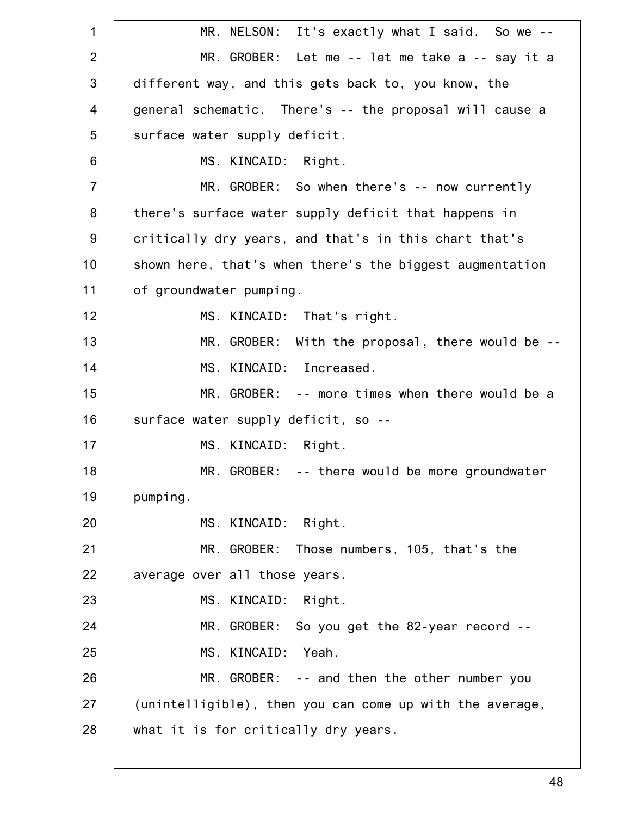1 2 3 4 5 6 7 8 9 10 11 12 13 14 15 16 17 18 19 20 21 22 23 24 25 26 27 28 MR. NELSON: It's exactly what I said. So we -- MR. GROBER: Let me -- let me take a -- say it a different way, and this gets back to, you know, the general schematic. There's -- the proposal will cause a surface water supply deficit. MS. KINCAID: Right. MR. GROBER: So when there's -- now currently there's surface water supply deficit that happens in critically dry years, and that's in this chart that's shown here, that's when there's the biggest augmentation of groundwater pumping. MS. KINCAID: That's right. MR. GROBER: With the proposal, there would be -- MS. KINCAID: Increased. MR. GROBER: -- more times when there would be a surface water supply deficit, so -- MS. KINCAID: Right. MR. GROBER: -- there would be more groundwater pumping. MS. KINCAID: Right. MR. GROBER: Those numbers, 105, that's the average over all those years. MS. KINCAID: Right. MR. GROBER: So you get the 82-year record --MS. KINCAID: Yeah. MR. GROBER: -- and then the other number you (unintelligible), then you can come up with the average, what it is for critically dry years.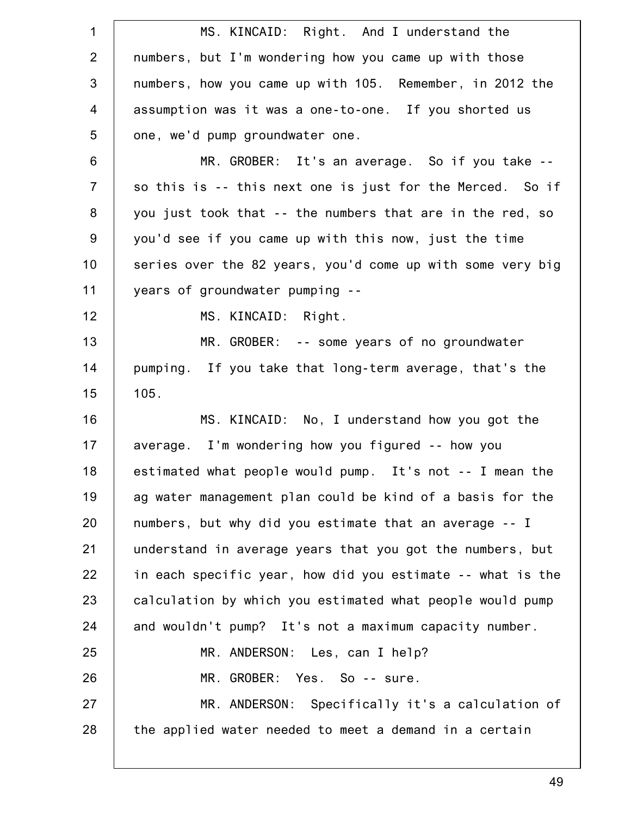| $\mathbf 1$    | MS. KINCAID: Right. And I understand the                   |
|----------------|------------------------------------------------------------|
| $\overline{2}$ | numbers, but I'm wondering how you came up with those      |
| 3              | numbers, how you came up with 105. Remember, in 2012 the   |
| $\overline{4}$ | assumption was it was a one-to-one. If you shorted us      |
| 5              | one, we'd pump groundwater one.                            |
| $\,6\,$        | MR. GROBER: It's an average. So if you take --             |
| $\overline{7}$ | so this is -- this next one is just for the Merced. So if  |
| 8              | you just took that -- the numbers that are in the red, so  |
| $9\,$          | you'd see if you came up with this now, just the time      |
| 10             | series over the 82 years, you'd come up with some very big |
| 11             | years of groundwater pumping --                            |
| 12             | MS. KINCAID: Right.                                        |
| 13             | MR. GROBER: -- some years of no groundwater                |
| 14             | pumping. If you take that long-term average, that's the    |
| 15             | 105.                                                       |
| 16             | MS. KINCAID: No, I understand how you got the              |
| 17             | average. I'm wondering how you figured -- how you          |
| 18             | estimated what people would pump. It's not -- I mean the   |
| 19             | ag water management plan could be kind of a basis for the  |
| 20             | numbers, but why did you estimate that an average -- I     |
| 21             | understand in average years that you got the numbers, but  |
| 22             | in each specific year, how did you estimate -- what is the |
| 23             | calculation by which you estimated what people would pump  |
| 24             | and wouldn't pump? It's not a maximum capacity number.     |
| 25             | MR. ANDERSON: Les, can I help?                             |
| 26             | MR. GROBER: Yes. So -- sure.                               |
| 27             | MR. ANDERSON: Specifically it's a calculation of           |
| 28             | the applied water needed to meet a demand in a certain     |
|                |                                                            |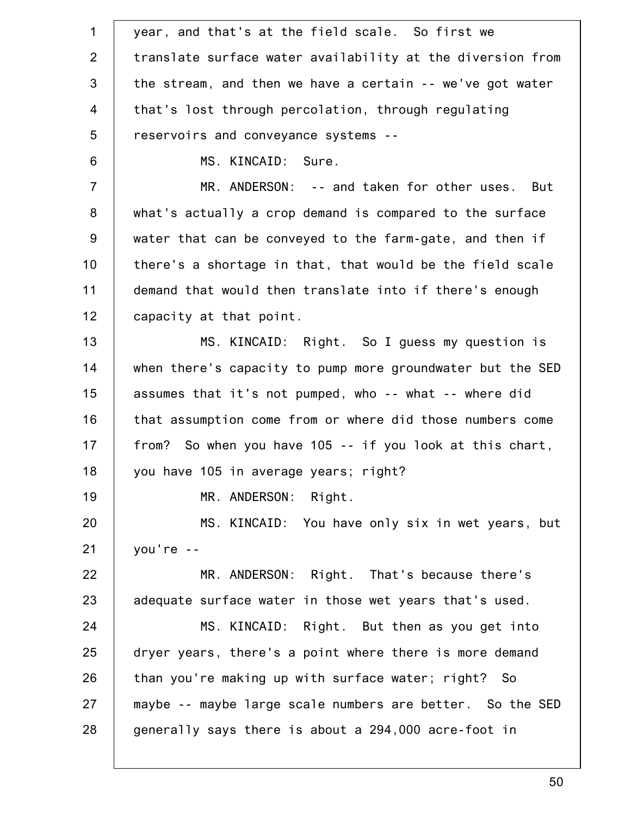| $\mathbf 1$    | year, and that's at the field scale. So first we           |
|----------------|------------------------------------------------------------|
| $\overline{2}$ | translate surface water availability at the diversion from |
| 3              | the stream, and then we have a certain -- we've got water  |
| $\overline{4}$ | that's lost through percolation, through regulating        |
| 5              | reservoirs and conveyance systems --                       |
| 6              | MS. KINCAID: Sure.                                         |
| $\overline{7}$ | MR. ANDERSON: -- and taken for other uses. But             |
| 8              | what's actually a crop demand is compared to the surface   |
| 9              | water that can be conveyed to the farm-gate, and then if   |
| 10             | there's a shortage in that, that would be the field scale  |
| 11             | demand that would then translate into if there's enough    |
| 12             | capacity at that point.                                    |
| 13             | MS. KINCAID: Right. So I guess my question is              |
| 14             | when there's capacity to pump more groundwater but the SED |
| 15             | assumes that it's not pumped, who -- what -- where did     |
| 16             | that assumption come from or where did those numbers come  |
| 17             | from? So when you have 105 -- if you look at this chart,   |
| 18             | you have 105 in average years; right?                      |
| 19             | MR. ANDERSON: Right.                                       |
| 20             | MS. KINCAID: You have only six in wet years, but           |
| 21             | $you're --$                                                |
| 22             | MR. ANDERSON: Right. That's because there's                |
| 23             | adequate surface water in those wet years that's used.     |
| 24             | MS. KINCAID: Right. But then as you get into               |
| 25             | dryer years, there's a point where there is more demand    |
| 26             | than you're making up with surface water; right? So        |
| 27             | maybe -- maybe large scale numbers are better. So the SED  |
| 28             | generally says there is about a 294,000 acre-foot in       |
|                |                                                            |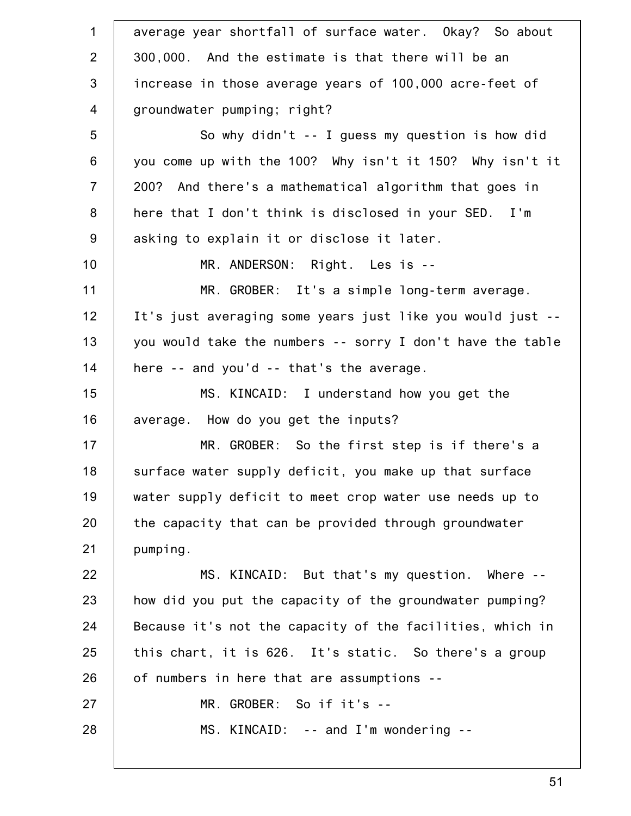1 2 3 4 5 6 7 8 9 10 11 12 13 14 15 16 17 18 19 20 21 22 23 24 25 26 27 28 average year shortfall of surface water. Okay? So about 300,000. And the estimate is that there will be an increase in those average years of 100,000 acre-feet of groundwater pumping; right? So why didn't -- I guess my question is how did you come up with the 100? Why isn't it 150? Why isn't it 200? And there's a mathematical algorithm that goes in here that I don't think is disclosed in your SED. I'm asking to explain it or disclose it later. MR. ANDERSON: Right. Les is -- MR. GROBER: It's a simple long-term average. It's just averaging some years just like you would just - you would take the numbers -- sorry I don't have the table here -- and you'd -- that's the average. MS. KINCAID: I understand how you get the average. How do you get the inputs? MR. GROBER: So the first step is if there's a surface water supply deficit, you make up that surface water supply deficit to meet crop water use needs up to the capacity that can be provided through groundwater pumping. MS. KINCAID: But that's my question. Where - how did you put the capacity of the groundwater pumping? Because it's not the capacity of the facilities, which in this chart, it is 626. It's static. So there's a group of numbers in here that are assumptions -- MR. GROBER: So if it's -- MS. KINCAID: -- and I'm wondering --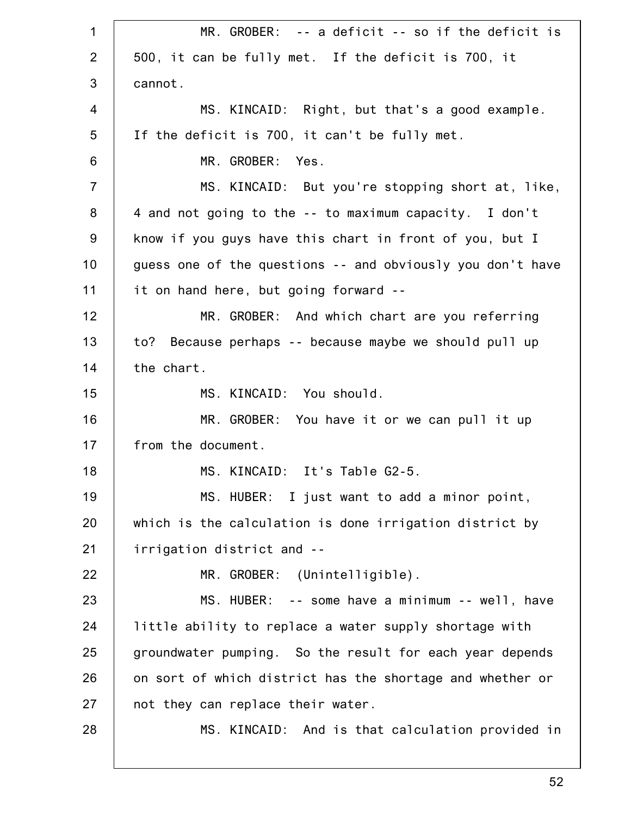1 2 3 4 5 6 7 8 9 10 11 12 13 14 15 16 17 18 19 20 21 22 23 24 25 26 27 28 MR. GROBER: -- a deficit -- so if the deficit is 500, it can be fully met. If the deficit is 700, it cannot. MS. KINCAID: Right, but that's a good example. If the deficit is 700, it can't be fully met. MR. GROBER: Yes. MS. KINCAID: But you're stopping short at, like, 4 and not going to the -- to maximum capacity. I don't know if you guys have this chart in front of you, but I guess one of the questions -- and obviously you don't have it on hand here, but going forward -- MR. GROBER: And which chart are you referring to? Because perhaps -- because maybe we should pull up the chart. MS. KINCAID: You should. MR. GROBER: You have it or we can pull it up from the document. MS. KINCAID: It's Table G2-5. MS. HUBER: I just want to add a minor point, which is the calculation is done irrigation district by irrigation district and -- MR. GROBER: (Unintelligible). MS. HUBER: -- some have a minimum -- well, have little ability to replace a water supply shortage with groundwater pumping. So the result for each year depends on sort of which district has the shortage and whether or not they can replace their water. MS. KINCAID: And is that calculation provided in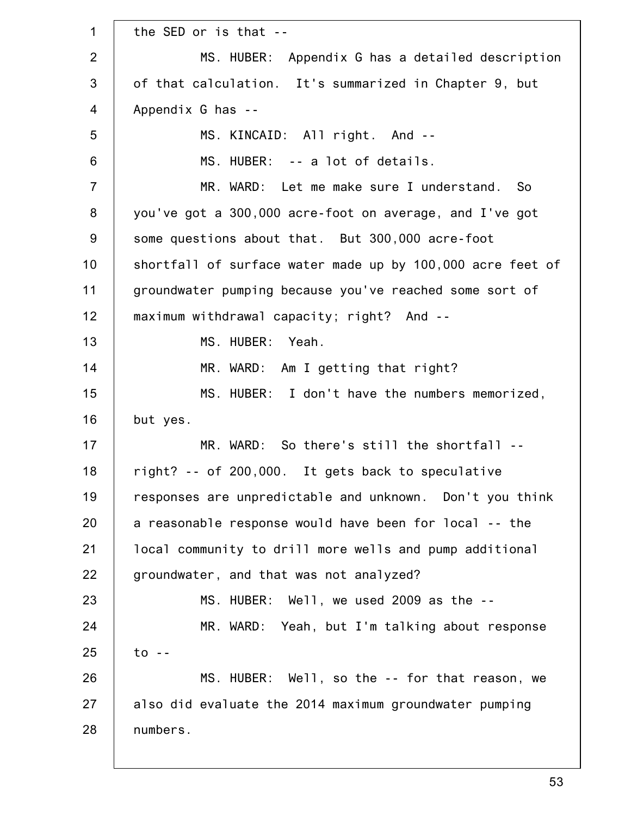1 2 3 4 5 6 7 8 9 10 11 12 13 14 15 16 17 18 19 20 21 22 23 24 25 26 27 28 the SED or is that -- MS. HUBER: Appendix G has a detailed description of that calculation. It's summarized in Chapter 9, but Appendix G has -- MS. KINCAID: All right. And -- MS. HUBER: -- a lot of details. MR. WARD: Let me make sure I understand. So you've got a 300,000 acre-foot on average, and I've got some questions about that. But 300,000 acre-foot shortfall of surface water made up by 100,000 acre feet of groundwater pumping because you've reached some sort of maximum withdrawal capacity; right? And -- MS. HUBER: Yeah. MR. WARD: Am I getting that right? MS. HUBER: I don't have the numbers memorized, but yes. MR. WARD: So there's still the shortfall - right? -- of 200,000. It gets back to speculative responses are unpredictable and unknown. Don't you think a reasonable response would have been for local -- the local community to drill more wells and pump additional groundwater, and that was not analyzed? MS. HUBER: Well, we used 2009 as the -- MR. WARD: Yeah, but I'm talking about response to -- MS. HUBER: Well, so the -- for that reason, we also did evaluate the 2014 maximum groundwater pumping numbers.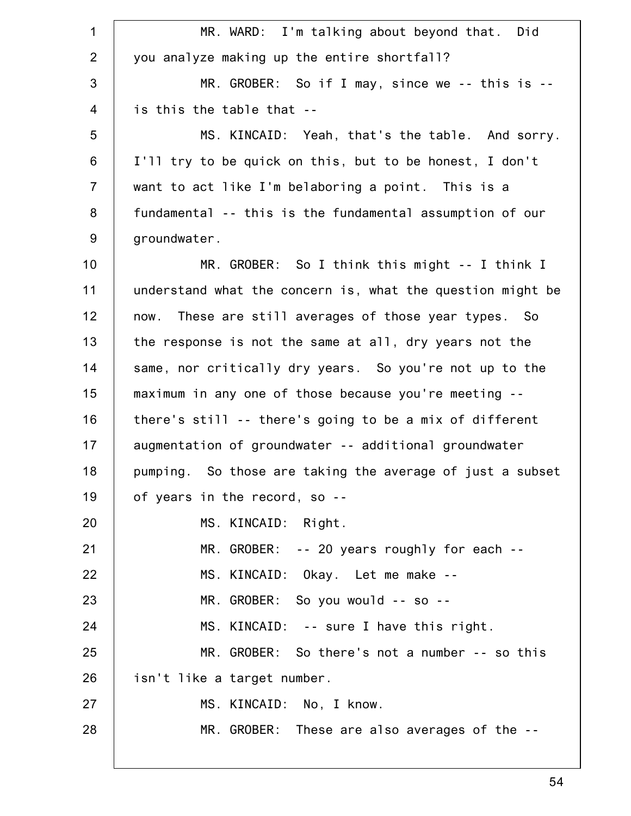| $\mathbf 1$    | MR. WARD: I'm talking about beyond that. Did               |
|----------------|------------------------------------------------------------|
| 2              | you analyze making up the entire shortfall?                |
| 3              | MR. GROBER: So if I may, since we $-$ - this is $-$        |
| $\overline{4}$ | is this the table that --                                  |
| 5              | MS. KINCAID: Yeah, that's the table. And sorry.            |
| $\,6$          | I'll try to be quick on this, but to be honest, I don't    |
| $\overline{7}$ | want to act like I'm belaboring a point. This is a         |
| 8              | fundamental -- this is the fundamental assumption of our   |
| $9\,$          | groundwater.                                               |
| 10             | MR. GROBER: So I think this might -- I think I             |
| 11             | understand what the concern is, what the question might be |
| 12             | now. These are still averages of those year types. So      |
| 13             | the response is not the same at all, dry years not the     |
| 14             | same, nor critically dry years. So you're not up to the    |
| 15             | maximum in any one of those because you're meeting --      |
| 16             | there's still -- there's going to be a mix of different    |
| 17             | augmentation of groundwater -- additional groundwater      |
| 18             | pumping. So those are taking the average of just a subset  |
| 19             | of years in the record, so --                              |
| 20             | MS. KINCAID: Right.                                        |
| 21             | MR. GROBER: -- 20 years roughly for each --                |
| 22             | MS. KINCAID: Okay. Let me make --                          |
| 23             | MR. GROBER: So you would -- so --                          |
| 24             | MS. KINCAID: -- sure I have this right.                    |
| 25             | MR. GROBER: So there's not a number -- so this             |
| 26             | isn't like a target number.                                |
| 27             | MS. KINCAID: No, I know.                                   |
| 28             | MR. GROBER: These are also averages of the --              |
|                |                                                            |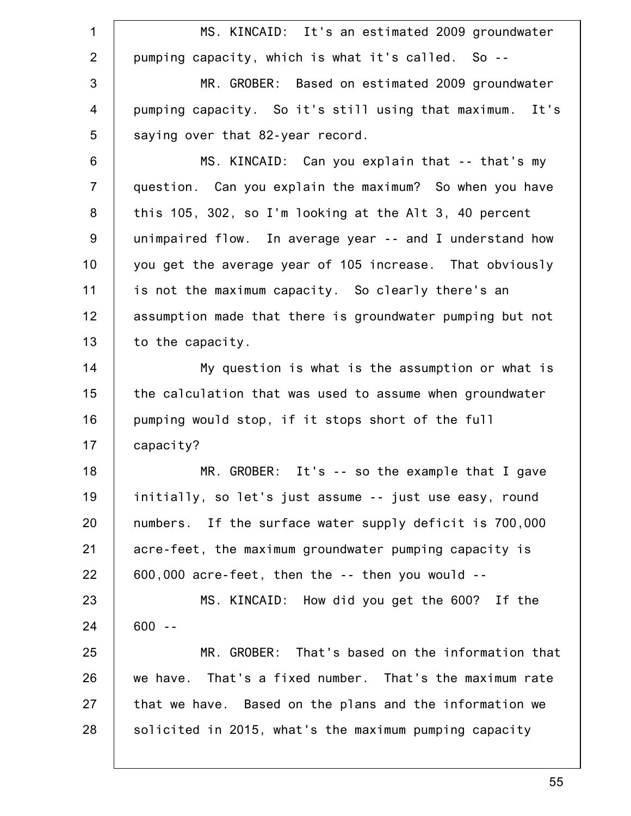1 2 3 4 5 6 7 8 9 10 11 12 13 14 15 16 17 18 19 20 21 22 23 24 25 26 27 28 MS. KINCAID: It's an estimated 2009 groundwater pumping capacity, which is what it's called. So -- MR. GROBER: Based on estimated 2009 groundwater pumping capacity. So it's still using that maximum. It's saying over that 82-year record. MS. KINCAID: Can you explain that -- that's my question. Can you explain the maximum? So when you have this 105, 302, so I'm looking at the Alt 3, 40 percent unimpaired flow. In average year -- and I understand how you get the average year of 105 increase. That obviously is not the maximum capacity. So clearly there's an assumption made that there is groundwater pumping but not to the capacity. My question is what is the assumption or what is the calculation that was used to assume when groundwater pumping would stop, if it stops short of the full capacity? MR. GROBER: It's -- so the example that I gave initially, so let's just assume -- just use easy, round numbers. If the surface water supply deficit is 700,000 acre-feet, the maximum groundwater pumping capacity is 600,000 acre-feet, then the -- then you would -- MS. KINCAID: How did you get the 600? If the 600 -- MR. GROBER: That's based on the information that we have. That's a fixed number. That's the maximum rate that we have. Based on the plans and the information we solicited in 2015, what's the maximum pumping capacity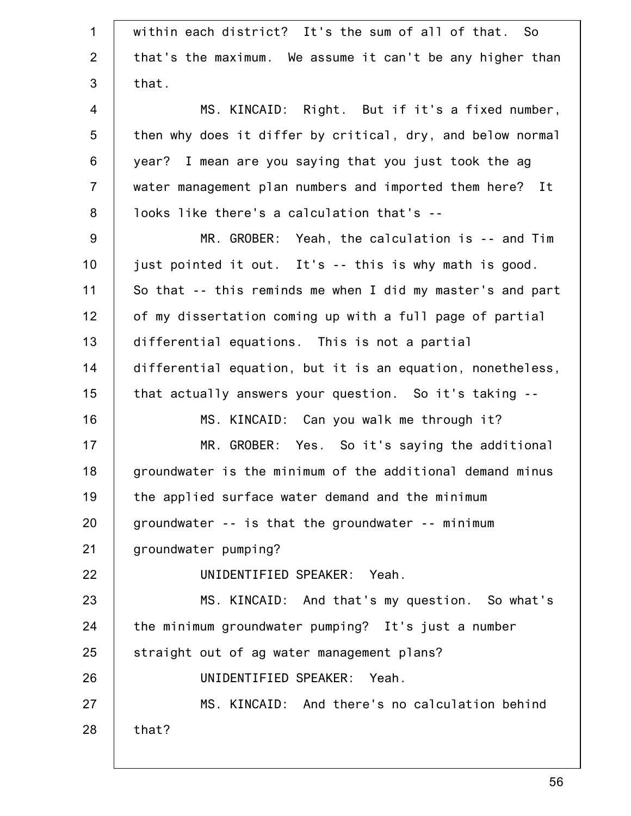| $\mathbf{1}$   | within each district? It's the sum of all of that. So      |
|----------------|------------------------------------------------------------|
| 2              | that's the maximum. We assume it can't be any higher than  |
| 3              | that.                                                      |
| $\overline{4}$ | MS. KINCAID: Right. But if it's a fixed number,            |
| $\sqrt{5}$     | then why does it differ by critical, dry, and below normal |
| 6              | year? I mean are you saying that you just took the ag      |
| $\overline{7}$ | water management plan numbers and imported them here? It   |
| $\bf 8$        | looks like there's a calculation that's --                 |
| $9\,$          | MR. GROBER: Yeah, the calculation is -- and Tim            |
| 10             | just pointed it out. It's -- this is why math is good.     |
| 11             | So that -- this reminds me when I did my master's and part |
| 12             | of my dissertation coming up with a full page of partial   |
| 13             | differential equations. This is not a partial              |
| 14             | differential equation, but it is an equation, nonetheless, |
| 15             | that actually answers your question. So it's taking --     |
| 16             | MS. KINCAID: Can you walk me through it?                   |
| 17             | MR. GROBER: Yes. So it's saying the additional             |
| 18             | groundwater is the minimum of the additional demand minus  |
| 19             | the applied surface water demand and the minimum           |
| 20             | groundwater -- is that the groundwater -- minimum          |
| 21             | groundwater pumping?                                       |
| 22             | UNIDENTIFIED SPEAKER: Yeah.                                |
| 23             | MS. KINCAID: And that's my question. So what's             |
| 24             | the minimum groundwater pumping? It's just a number        |
| 25             | straight out of ag water management plans?                 |
| 26             | UNIDENTIFIED SPEAKER: Yeah.                                |
| 27             | MS. KINCAID: And there's no calculation behind             |
| 28             | that?                                                      |
|                |                                                            |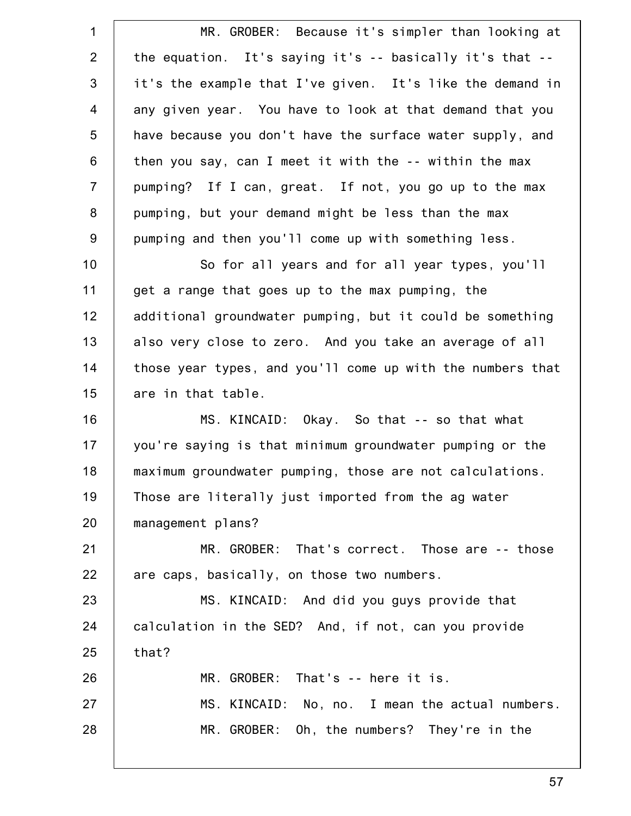1 2 3 4 5 6 7 8 9 10 11 12 13 14 15 16 17 18 19 20 21 22 23 24 25 26 27 28 MR. GROBER: Because it's simpler than looking at the equation. It's saying it's -- basically it's that - it's the example that I've given. It's like the demand in any given year. You have to look at that demand that you have because you don't have the surface water supply, and then you say, can I meet it with the -- within the max pumping? If I can, great. If not, you go up to the max pumping, but your demand might be less than the max pumping and then you'll come up with something less. So for all years and for all year types, you'll get a range that goes up to the max pumping, the additional groundwater pumping, but it could be something also very close to zero. And you take an average of all those year types, and you'll come up with the numbers that are in that table. MS. KINCAID: Okay. So that -- so that what you're saying is that minimum groundwater pumping or the maximum groundwater pumping, those are not calculations. Those are literally just imported from the ag water management plans? MR. GROBER: That's correct. Those are -- those are caps, basically, on those two numbers. MS. KINCAID: And did you guys provide that calculation in the SED? And, if not, can you provide that? MR. GROBER: That's -- here it is. MS. KINCAID: No, no. I mean the actual numbers. MR. GROBER: Oh, the numbers? They're in the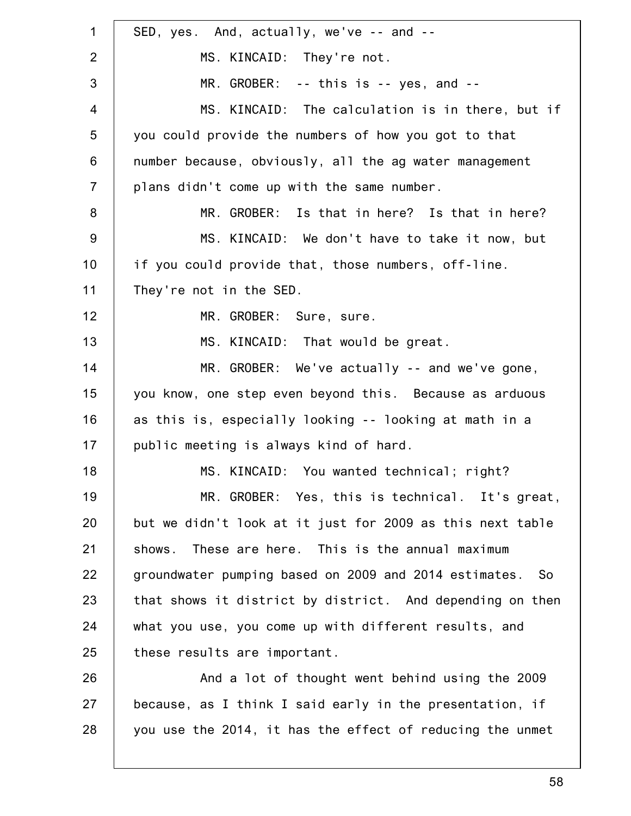1 2 3 4 5 6 7 8 9 10 11 12 13 14 15 16 17 18 19 20 21 22 23 24 25 26 27 28 SED, yes. And, actually, we've -- and -- MS. KINCAID: They're not. MR. GROBER: -- this is -- yes, and -- MS. KINCAID: The calculation is in there, but if you could provide the numbers of how you got to that number because, obviously, all the ag water management plans didn't come up with the same number. MR. GROBER: Is that in here? Is that in here? MS. KINCAID: We don't have to take it now, but if you could provide that, those numbers, off-line. They're not in the SED. MR. GROBER: Sure, sure. MS. KINCAID: That would be great. MR. GROBER: We've actually -- and we've gone, you know, one step even beyond this. Because as arduous as this is, especially looking -- looking at math in a public meeting is always kind of hard. MS. KINCAID: You wanted technical; right? MR. GROBER: Yes, this is technical. It's great, but we didn't look at it just for 2009 as this next table shows. These are here. This is the annual maximum groundwater pumping based on 2009 and 2014 estimates. So that shows it district by district. And depending on then what you use, you come up with different results, and these results are important. And a lot of thought went behind using the 2009 because, as I think I said early in the presentation, if you use the 2014, it has the effect of reducing the unmet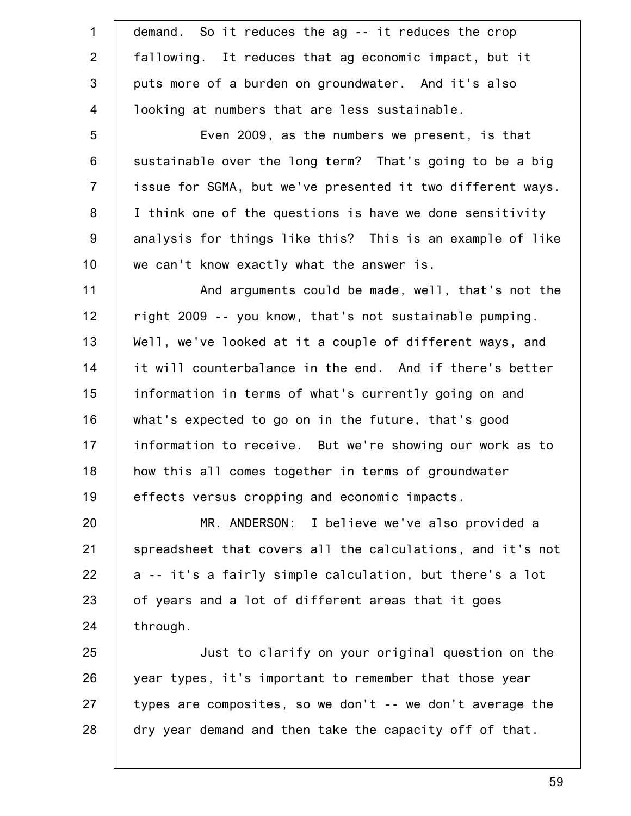| $\mathbf 1$     | demand. So it reduces the ag -- it reduces the crop        |
|-----------------|------------------------------------------------------------|
| 2               | fallowing. It reduces that ag economic impact, but it      |
| 3               | puts more of a burden on groundwater. And it's also        |
| $\overline{4}$  | looking at numbers that are less sustainable.              |
| 5               | Even 2009, as the numbers we present, is that              |
| $6\phantom{1}6$ | sustainable over the long term? That's going to be a big   |
| $\overline{7}$  | issue for SGMA, but we've presented it two different ways. |
| 8               | I think one of the questions is have we done sensitivity   |
| $9\,$           | analysis for things like this? This is an example of like  |
| 10              | we can't know exactly what the answer is.                  |
| 11              | And arguments could be made, well, that's not the          |
| 12              | right 2009 -- you know, that's not sustainable pumping.    |
| 13              | Well, we've looked at it a couple of different ways, and   |
| 14              | it will counterbalance in the end. And if there's better   |
| 15              | information in terms of what's currently going on and      |
| 16              | what's expected to go on in the future, that's good        |
| 17              | information to receive. But we're showing our work as to   |
| 18              | how this all comes together in terms of groundwater        |
| 19              | effects versus cropping and economic impacts.              |
| 20              | MR. ANDERSON: I believe we've also provided a              |
| 21              | spreadsheet that covers all the calculations, and it's not |
| 22              | a -- it's a fairly simple calculation, but there's a lot   |
| 23              | of years and a lot of different areas that it goes         |
| 24              | through.                                                   |
| 25              | Just to clarify on your original question on the           |
| 26              | year types, it's important to remember that those year     |
| 27              | types are composites, so we don't -- we don't average the  |
| 28              | dry year demand and then take the capacity off of that.    |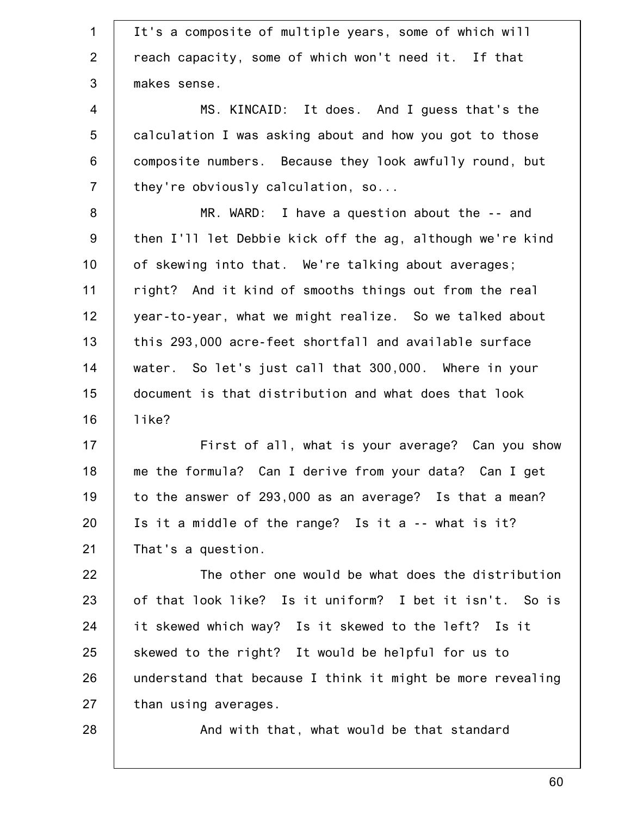1 2 3 4 5 6 7 8 9 10 11 12 13 14 15 16 17 18 19 20 21 22 23 24 25 26 27 28 It's a composite of multiple years, some of which will reach capacity, some of which won't need it. If that makes sense. MS. KINCAID: It does. And I guess that's the calculation I was asking about and how you got to those composite numbers. Because they look awfully round, but they're obviously calculation, so... MR. WARD: I have a question about the -- and then I'll let Debbie kick off the ag, although we're kind of skewing into that. We're talking about averages; right? And it kind of smooths things out from the real year-to-year, what we might realize. So we talked about this 293,000 acre-feet shortfall and available surface water. So let's just call that 300,000. Where in your document is that distribution and what does that look like? First of all, what is your average? Can you show me the formula? Can I derive from your data? Can I get to the answer of 293,000 as an average? Is that a mean? Is it a middle of the range? Is it a -- what is it? That's a question. The other one would be what does the distribution of that look like? Is it uniform? I bet it isn't. So is it skewed which way? Is it skewed to the left? Is it skewed to the right? It would be helpful for us to understand that because I think it might be more revealing than using averages. And with that, what would be that standard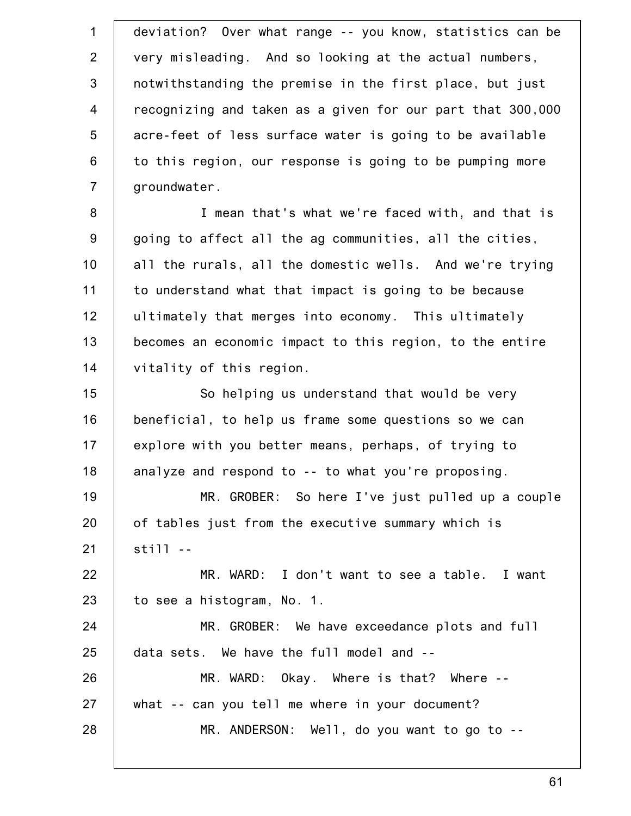1 2 3 4 5 6 7 8 9 10 11 12 13 14 15 16 17 18 19 20 21 22 23 24 25 26 27 28 deviation? Over what range -- you know, statistics can be very misleading. And so looking at the actual numbers, notwithstanding the premise in the first place, but just recognizing and taken as a given for our part that 300,000 acre-feet of less surface water is going to be available to this region, our response is going to be pumping more groundwater. I mean that's what we're faced with, and that is going to affect all the ag communities, all the cities, all the rurals, all the domestic wells. And we're trying to understand what that impact is going to be because ultimately that merges into economy. This ultimately becomes an economic impact to this region, to the entire vitality of this region. So helping us understand that would be very beneficial, to help us frame some questions so we can explore with you better means, perhaps, of trying to analyze and respond to -- to what you're proposing. MR. GROBER: So here I've just pulled up a couple of tables just from the executive summary which is still -- MR. WARD: I don't want to see a table. I want to see a histogram, No. 1. MR. GROBER: We have exceedance plots and full data sets. We have the full model and -- MR. WARD: Okay. Where is that? Where - what -- can you tell me where in your document? MR. ANDERSON: Well, do you want to go to --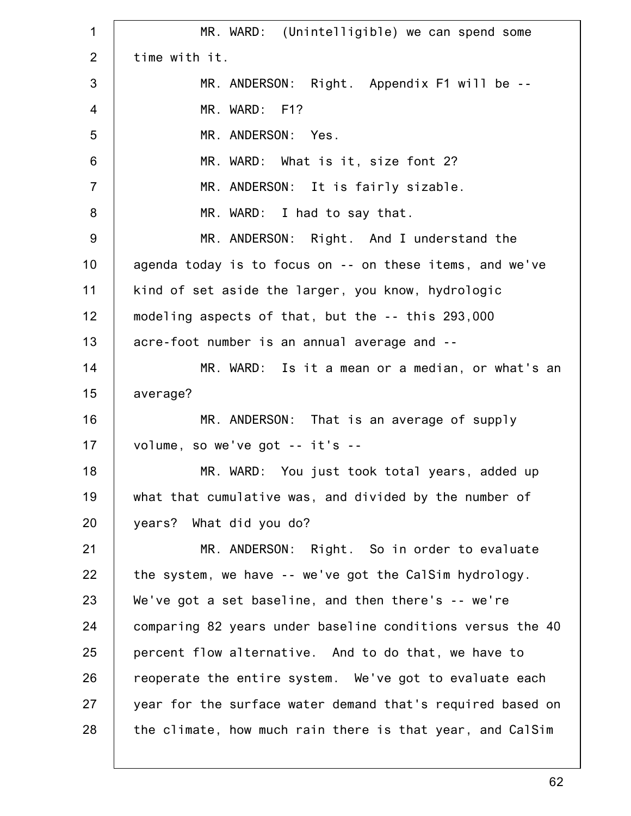1 2 3 4 5 6 7 8 9 10 11 12 13 14 15 16 17 18 19 20 21 22 23 24 25 26 27 28 MR. WARD: (Unintelligible) we can spend some time with it. MR. ANDERSON: Right. Appendix F1 will be -- MR. WARD: F1? MR. ANDERSON: Yes. MR. WARD: What is it, size font 2? MR. ANDERSON: It is fairly sizable. MR. WARD: I had to say that. MR. ANDERSON: Right. And I understand the agenda today is to focus on -- on these items, and we've kind of set aside the larger, you know, hydrologic modeling aspects of that, but the -- this 293,000 acre-foot number is an annual average and -- MR. WARD: Is it a mean or a median, or what's an average? MR. ANDERSON: That is an average of supply volume, so we've got -- it's -- MR. WARD: You just took total years, added up what that cumulative was, and divided by the number of years? What did you do? MR. ANDERSON: Right. So in order to evaluate the system, we have -- we've got the CalSim hydrology. We've got a set baseline, and then there's -- we're comparing 82 years under baseline conditions versus the 40 percent flow alternative. And to do that, we have to reoperate the entire system. We've got to evaluate each year for the surface water demand that's required based on the climate, how much rain there is that year, and CalSim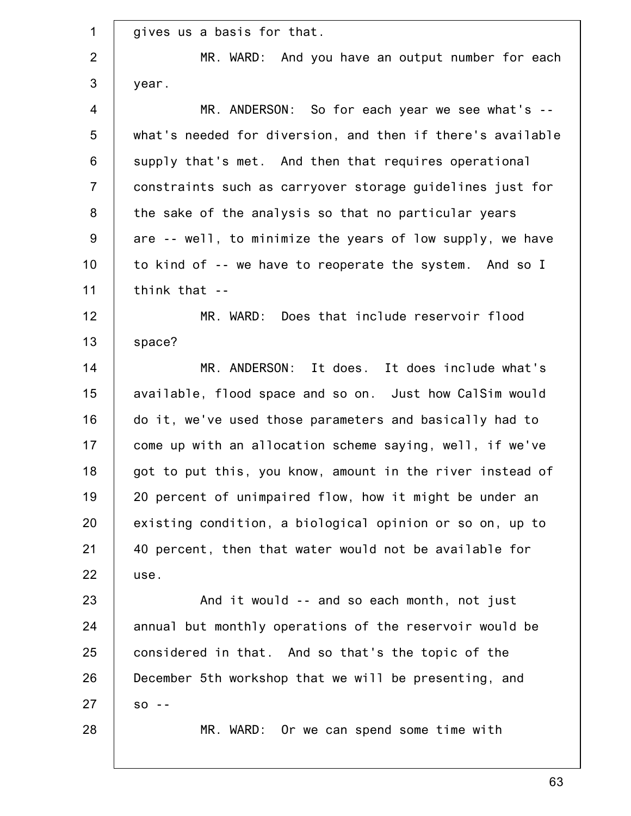| $\mathbf 1$    | gives us a basis for that.                                 |
|----------------|------------------------------------------------------------|
| $\overline{2}$ | MR. WARD: And you have an output number for each           |
| $\mathbf{3}$   | year.                                                      |
| $\overline{4}$ | MR. ANDERSON: So for each year we see what's --            |
| 5              | what's needed for diversion, and then if there's available |
| 6              | supply that's met. And then that requires operational      |
| $\overline{7}$ | constraints such as carryover storage guidelines just for  |
| $\bf 8$        | the sake of the analysis so that no particular years       |
| $9\,$          | are -- well, to minimize the years of low supply, we have  |
| 10             | to kind of -- we have to reoperate the system. And so I    |
| 11             | think that --                                              |
| 12             | MR. WARD: Does that include reservoir flood                |
| 13             | space?                                                     |
| 14             | MR. ANDERSON: It does. It does include what's              |
| 15             | available, flood space and so on. Just how CalSim would    |
| 16             | do it, we've used those parameters and basically had to    |
| 17             | come up with an allocation scheme saying, well, if we've   |
| 18             | got to put this, you know, amount in the river instead of  |
| 19             | 20 percent of unimpaired flow, how it might be under an    |
| 20             | existing condition, a biological opinion or so on, up to   |
| 21             | 40 percent, then that water would not be available for     |
| 22             | use.                                                       |
| 23             | And it would -- and so each month, not just                |
| 24             | annual but monthly operations of the reservoir would be    |
| 25             | considered in that. And so that's the topic of the         |
| 26             | December 5th workshop that we will be presenting, and      |
| 27             | $SO - -$                                                   |
| 28             | MR. WARD: Or we can spend some time with                   |
|                |                                                            |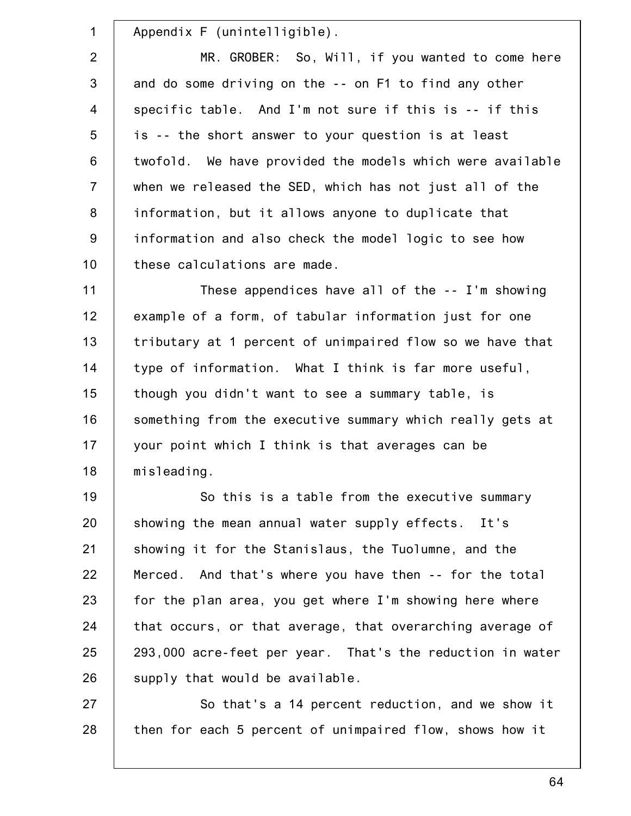1 2 3 4 5 6 7 8 9 10 11 12 13 14 15 16 17 18 19 20 21 22 23 24 25 26 Appendix F (unintelligible). MR. GROBER: So, Will, if you wanted to come here and do some driving on the -- on F1 to find any other specific table. And I'm not sure if this is -- if this is -- the short answer to your question is at least twofold. We have provided the models which were available when we released the SED, which has not just all of the information, but it allows anyone to duplicate that information and also check the model logic to see how these calculations are made. These appendices have all of the -- I'm showing example of a form, of tabular information just for one tributary at 1 percent of unimpaired flow so we have that type of information. What I think is far more useful, though you didn't want to see a summary table, is something from the executive summary which really gets at your point which I think is that averages can be misleading. So this is a table from the executive summary showing the mean annual water supply effects. It's showing it for the Stanislaus, the Tuolumne, and the Merced. And that's where you have then -- for the total for the plan area, you get where I'm showing here where that occurs, or that average, that overarching average of 293,000 acre-feet per year. That's the reduction in water supply that would be available.

27 28 So that's a 14 percent reduction, and we show it then for each 5 percent of unimpaired flow, shows how it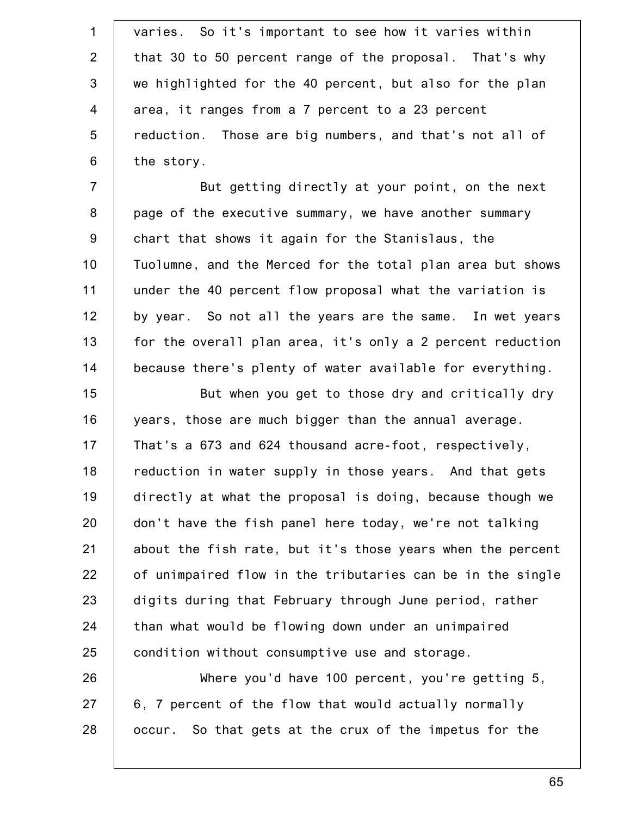1 2 3 4 5 6 7 8 9 10 11 12 13 14 15 16 17 18 19 20 21 22 23 24 25 26 27 28 varies. So it's important to see how it varies within that 30 to 50 percent range of the proposal. That's why we highlighted for the 40 percent, but also for the plan area, it ranges from a 7 percent to a 23 percent reduction. Those are big numbers, and that's not all of the story. But getting directly at your point, on the next page of the executive summary, we have another summary chart that shows it again for the Stanislaus, the Tuolumne, and the Merced for the total plan area but shows under the 40 percent flow proposal what the variation is by year. So not all the years are the same. In wet years for the overall plan area, it's only a 2 percent reduction because there's plenty of water available for everything. But when you get to those dry and critically dry years, those are much bigger than the annual average. That's a 673 and 624 thousand acre-foot, respectively, reduction in water supply in those years. And that gets directly at what the proposal is doing, because though we don't have the fish panel here today, we're not talking about the fish rate, but it's those years when the percent of unimpaired flow in the tributaries can be in the single digits during that February through June period, rather than what would be flowing down under an unimpaired condition without consumptive use and storage. Where you'd have 100 percent, you're getting 5, 6, 7 percent of the flow that would actually normally occur. So that gets at the crux of the impetus for the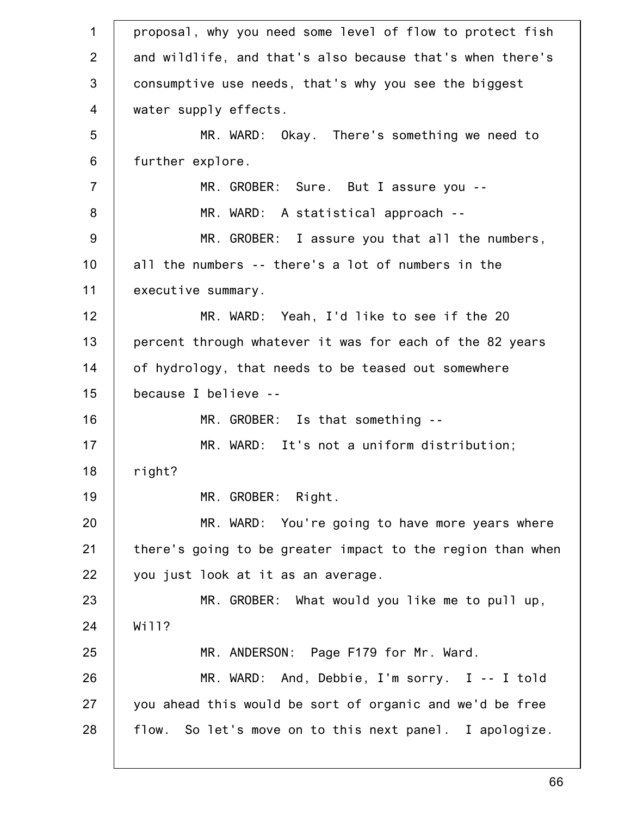1 2 3 4 5 6 7 8 9 10 11 12 13 14 15 16 17 18 19 20 21 22 23 24 25 26 27 28 proposal, why you need some level of flow to protect fish and wildlife, and that's also because that's when there's consumptive use needs, that's why you see the biggest water supply effects. MR. WARD: Okay. There's something we need to further explore. MR. GROBER: Sure. But I assure you -- MR. WARD: A statistical approach -- MR. GROBER: I assure you that all the numbers, all the numbers -- there's a lot of numbers in the executive summary. MR. WARD: Yeah, I'd like to see if the 20 percent through whatever it was for each of the 82 years of hydrology, that needs to be teased out somewhere because I believe -- MR. GROBER: Is that something -- MR. WARD: It's not a uniform distribution; right? MR. GROBER: Right. MR. WARD: You're going to have more years where there's going to be greater impact to the region than when you just look at it as an average. MR. GROBER: What would you like me to pull up, Wi11? MR. ANDERSON: Page F179 for Mr. Ward. MR. WARD: And, Debbie, I'm sorry. I -- I told you ahead this would be sort of organic and we'd be free flow. So let's move on to this next panel. I apologize.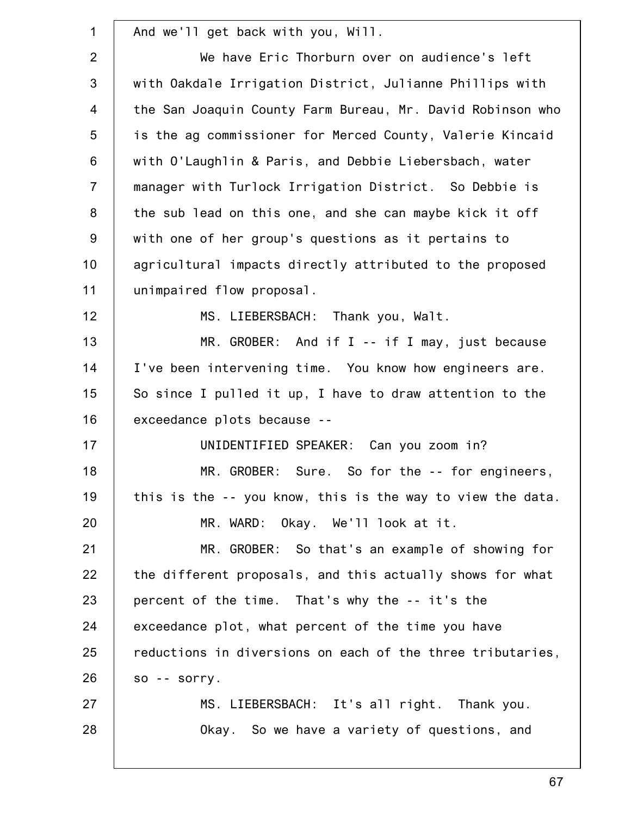| $\mathbf 1$    | And we'll get back with you, Will.                         |
|----------------|------------------------------------------------------------|
| 2              | We have Eric Thorburn over on audience's left              |
| 3              | with Oakdale Irrigation District, Julianne Phillips with   |
| $\overline{4}$ | the San Joaquin County Farm Bureau, Mr. David Robinson who |
| 5              | is the ag commissioner for Merced County, Valerie Kincaid  |
| $6\phantom{1}$ | with O'Laughlin & Paris, and Debbie Liebersbach, water     |
| $\overline{7}$ | manager with Turlock Irrigation District. So Debbie is     |
| 8              | the sub lead on this one, and she can maybe kick it off    |
| 9              | with one of her group's questions as it pertains to        |
| 10             | agricultural impacts directly attributed to the proposed   |
| 11             | unimpaired flow proposal.                                  |
| 12             | MS. LIEBERSBACH: Thank you, Walt.                          |
| 13             | MR. GROBER: And if I -- if I may, just because             |
| 14             | I've been intervening time. You know how engineers are.    |
| 15             | So since I pulled it up, I have to draw attention to the   |
| 16             | exceedance plots because --                                |
| 17             | UNIDENTIFIED SPEAKER: Can you zoom in?                     |
| 18             | MR. GROBER: Sure. So for the -- for engineers,             |
| 19             | this is the -- you know, this is the way to view the data. |
| 20             | MR. WARD: Okay. We'll look at it.                          |
| 21             | MR. GROBER: So that's an example of showing for            |
| 22             | the different proposals, and this actually shows for what  |
| 23             | percent of the time. That's why the -- it's the            |
| 24             | exceedance plot, what percent of the time you have         |
| 25             | reductions in diversions on each of the three tributaries, |
| 26             | $so -$ sorry.                                              |
| 27             | MS. LIEBERSBACH: It's all right. Thank you.                |
| 28             | Okay. So we have a variety of questions, and               |
|                |                                                            |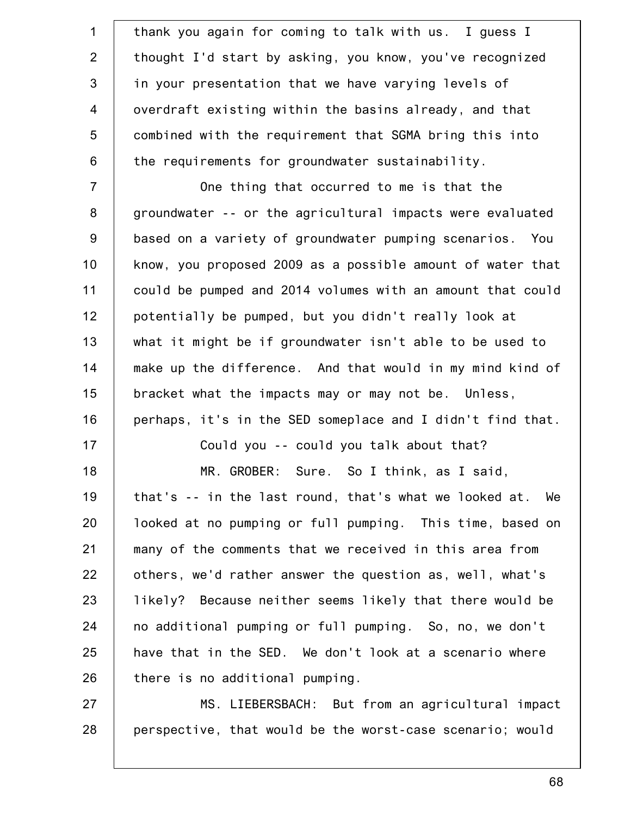| $\mathbf 1$    | thank you again for coming to talk with us. I guess I      |
|----------------|------------------------------------------------------------|
| $\overline{2}$ | thought I'd start by asking, you know, you've recognized   |
| 3              | in your presentation that we have varying levels of        |
| $\overline{4}$ | overdraft existing within the basins already, and that     |
| 5              | combined with the requirement that SGMA bring this into    |
| $6\phantom{1}$ | the requirements for groundwater sustainability.           |
| $\overline{7}$ | One thing that occurred to me is that the                  |
| 8              | groundwater -- or the agricultural impacts were evaluated  |
| $9\,$          | based on a variety of groundwater pumping scenarios. You   |
| 10             | know, you proposed 2009 as a possible amount of water that |
| 11             | could be pumped and 2014 volumes with an amount that could |
| 12             | potentially be pumped, but you didn't really look at       |
| 13             | what it might be if groundwater isn't able to be used to   |
| 14             | make up the difference. And that would in my mind kind of  |
| 15             | bracket what the impacts may or may not be. Unless,        |
| 16             | perhaps, it's in the SED someplace and I didn't find that. |
| 17             | Could you -- could you talk about that?                    |
| 18             | MR. GROBER: Sure. So I think, as I said,                   |
| 19             | that's -- in the last round, that's what we looked at. We  |
| 20             | looked at no pumping or full pumping. This time, based on  |
| 21             | many of the comments that we received in this area from    |
| 22             | others, we'd rather answer the question as, well, what's   |
| 23             | likely? Because neither seems likely that there would be   |
| 24             | no additional pumping or full pumping. So, no, we don't    |
| 25             | have that in the SED. We don't look at a scenario where    |
| 26             | there is no additional pumping.                            |
| 27             | MS. LIEBERSBACH: But from an agricultural impact           |
| 28             | perspective, that would be the worst-case scenario; would  |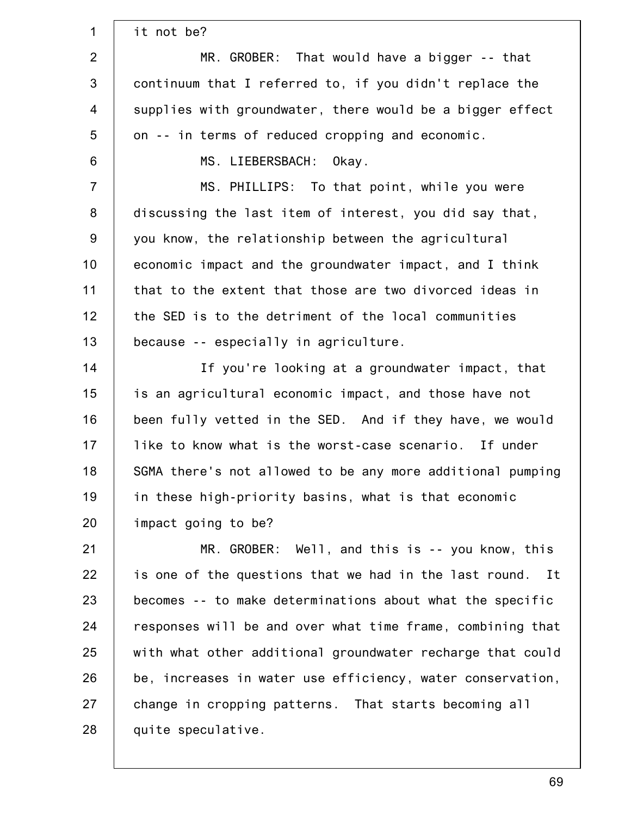| $\mathbf 1$    | it not be?                                                 |
|----------------|------------------------------------------------------------|
| $\overline{2}$ | MR. GROBER: That would have a bigger -- that               |
| $\mathbf{3}$   | continuum that I referred to, if you didn't replace the    |
| $\overline{4}$ | supplies with groundwater, there would be a bigger effect  |
| 5              | on -- in terms of reduced cropping and economic.           |
| $6\,$          | MS. LIEBERSBACH:<br>Okay.                                  |
| $\overline{7}$ | MS. PHILLIPS: To that point, while you were                |
| $\bf 8$        | discussing the last item of interest, you did say that,    |
| $9\,$          | you know, the relationship between the agricultural        |
| 10             | economic impact and the groundwater impact, and I think    |
| 11             | that to the extent that those are two divorced ideas in    |
| 12             | the SED is to the detriment of the local communities       |
| 13             | because -- especially in agriculture.                      |
| 14             | If you're looking at a groundwater impact, that            |
| 15             | is an agricultural economic impact, and those have not     |
| 16             | been fully vetted in the SED. And if they have, we would   |
| 17             | like to know what is the worst-case scenario. If under     |
| 18             | SGMA there's not allowed to be any more additional pumping |
| 19             | in these high-priority basins, what is that economic       |
| 20             | impact going to be?                                        |
| 21             | MR. GROBER: Well, and this is -- you know, this            |
| 22             | is one of the questions that we had in the last round. It  |
| 23             | becomes -- to make determinations about what the specific  |
| 24             | responses will be and over what time frame, combining that |
| 25             | with what other additional groundwater recharge that could |
| 26             | be, increases in water use efficiency, water conservation, |
| 27             | change in cropping patterns. That starts becoming all      |
| 28             | quite speculative.                                         |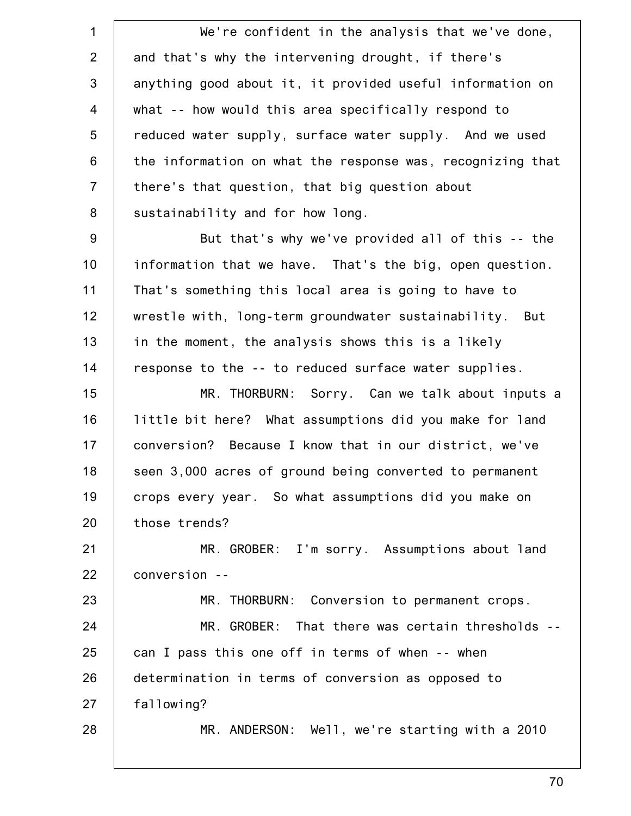1 2 3 4 5 6 7 8 9 10 11 12 13 14 15 16 17 18 19 20 21 22 23 24 25 26 27 28 We're confident in the analysis that we've done, and that's why the intervening drought, if there's anything good about it, it provided useful information on what -- how would this area specifically respond to reduced water supply, surface water supply. And we used the information on what the response was, recognizing that there's that question, that big question about sustainability and for how long. But that's why we've provided all of this -- the information that we have. That's the big, open question. That's something this local area is going to have to wrestle with, long-term groundwater sustainability. But in the moment, the analysis shows this is a likely response to the -- to reduced surface water supplies. MR. THORBURN: Sorry. Can we talk about inputs a little bit here? What assumptions did you make for land conversion? Because I know that in our district, we've seen 3,000 acres of ground being converted to permanent crops every year. So what assumptions did you make on those trends? MR. GROBER: I'm sorry. Assumptions about land conversion -- MR. THORBURN: Conversion to permanent crops. MR. GROBER: That there was certain thresholds - can I pass this one off in terms of when -- when determination in terms of conversion as opposed to fallowing? MR. ANDERSON: Well, we're starting with a 2010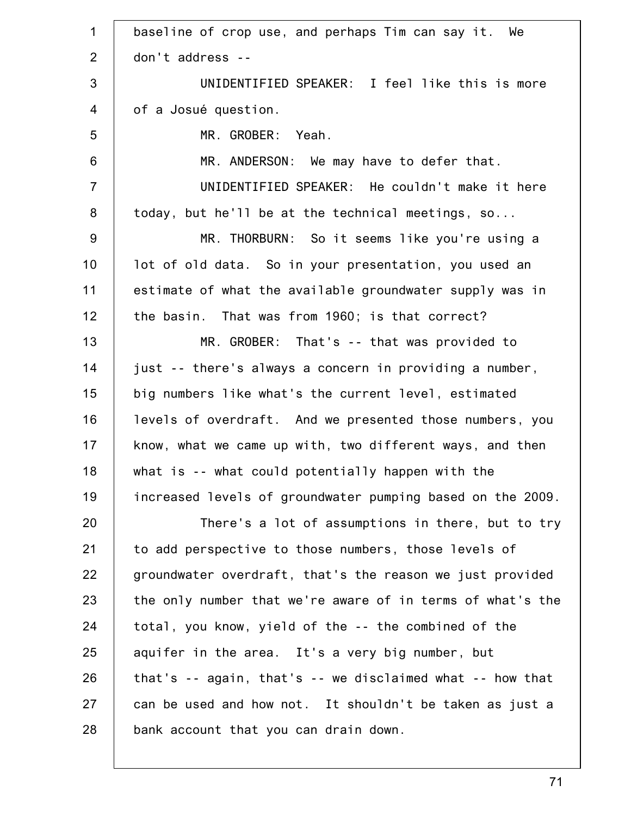| $\mathbf 1$    | baseline of crop use, and perhaps Tim can say it. We         |
|----------------|--------------------------------------------------------------|
| 2              | don't address --                                             |
| 3              | UNIDENTIFIED SPEAKER: I feel like this is more               |
| $\overline{4}$ | of a Josué question.                                         |
| 5              | MR. GROBER: Yeah.                                            |
| 6              | MR. ANDERSON: We may have to defer that.                     |
| $\overline{7}$ | UNIDENTIFIED SPEAKER: He couldn't make it here               |
| 8              | today, but he'll be at the technical meetings, so            |
| 9              | MR. THORBURN: So it seems like you're using a                |
| 10             | lot of old data. So in your presentation, you used an        |
| 11             | estimate of what the available groundwater supply was in     |
| 12             | the basin. That was from 1960; is that correct?              |
| 13             | MR. GROBER: That's -- that was provided to                   |
| 14             | just -- there's always a concern in providing a number,      |
| 15             | big numbers like what's the current level, estimated         |
| 16             | levels of overdraft. And we presented those numbers, you     |
| 17             | know, what we came up with, two different ways, and then     |
| 18             | what is -- what could potentially happen with the            |
| 19             | increased levels of groundwater pumping based on the 2009.   |
| 20             | There's a lot of assumptions in there, but to try            |
| 21             | to add perspective to those numbers, those levels of         |
| 22             | groundwater overdraft, that's the reason we just provided    |
| 23             | the only number that we're aware of in terms of what's the   |
| 24             | total, you know, yield of the -- the combined of the         |
| 25             | aquifer in the area. It's a very big number, but             |
| 26             | that's $-$ again, that's $-$ we disclaimed what $-$ how that |
| 27             | can be used and how not. It shouldn't be taken as just a     |
| 28             | bank account that you can drain down.                        |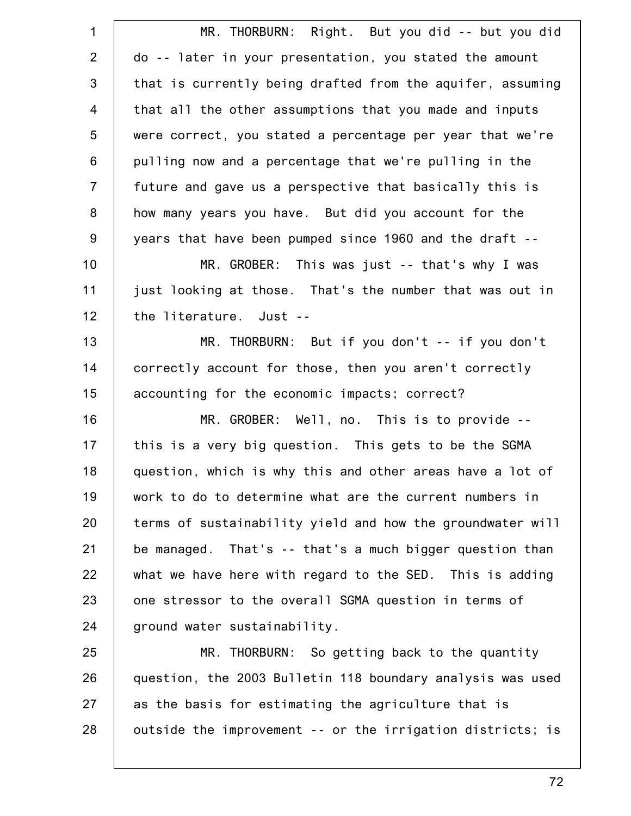| $\mathbf 1$    | MR. THORBURN: Right. But you did -- but you did            |
|----------------|------------------------------------------------------------|
| $\overline{2}$ | do -- later in your presentation, you stated the amount    |
| 3              | that is currently being drafted from the aquifer, assuming |
| $\overline{4}$ | that all the other assumptions that you made and inputs    |
| 5              | were correct, you stated a percentage per year that we're  |
| $6\phantom{1}$ | pulling now and a percentage that we're pulling in the     |
| $\overline{7}$ | future and gave us a perspective that basically this is    |
| 8              | how many years you have. But did you account for the       |
| 9              | years that have been pumped since 1960 and the draft --    |
| 10             | MR. GROBER: This was just -- that's why I was              |
| 11             | just looking at those. That's the number that was out in   |
| 12             | the literature. Just --                                    |
| 13             | MR. THORBURN: But if you don't -- if you don't             |
| 14             | correctly account for those, then you aren't correctly     |
| 15             | accounting for the economic impacts; correct?              |
| 16             | MR. GROBER: Well, no. This is to provide --                |
| 17             | this is a very big question. This gets to be the SGMA      |
| 18             | question, which is why this and other areas have a lot of  |
| 19             | work to do to determine what are the current numbers in    |
| 20             | terms of sustainability yield and how the groundwater will |
| 21             | be managed. That's -- that's a much bigger question than   |
| 22             | what we have here with regard to the SED. This is adding   |
| 23             | one stressor to the overall SGMA question in terms of      |
| 24             | ground water sustainability.                               |
| 25             | MR. THORBURN: So getting back to the quantity              |
| 26             | question, the 2003 Bulletin 118 boundary analysis was used |
| 27             | as the basis for estimating the agriculture that is        |
| 28             | outside the improvement -- or the irrigation districts; is |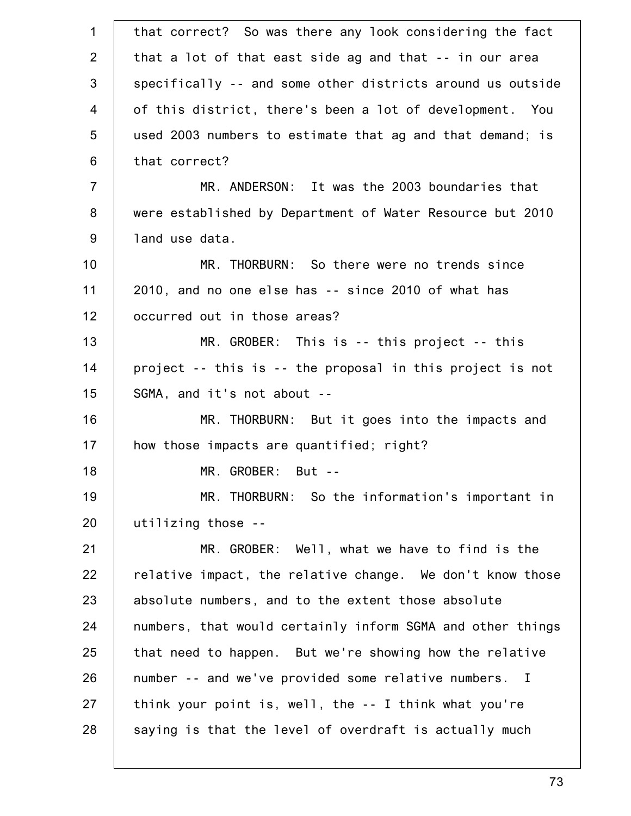| $\mathbf 1$    | that correct? So was there any look considering the fact   |
|----------------|------------------------------------------------------------|
| 2              | that a lot of that east side ag and that -- in our area    |
| 3              | specifically -- and some other districts around us outside |
| 4              | of this district, there's been a lot of development. You   |
| 5              | used 2003 numbers to estimate that ag and that demand; is  |
| 6              | that correct?                                              |
| $\overline{7}$ | MR. ANDERSON: It was the 2003 boundaries that              |
| 8              | were established by Department of Water Resource but 2010  |
| 9              | land use data.                                             |
| 10             | MR. THORBURN: So there were no trends since                |
| 11             | 2010, and no one else has -- since 2010 of what has        |
| 12             | occurred out in those areas?                               |
| 13             | MR. GROBER: This is -- this project -- this                |
| 14             | project -- this is -- the proposal in this project is not  |
| 15             | SGMA, and it's not about --                                |
| 16             | MR. THORBURN: But it goes into the impacts and             |
| 17             | how those impacts are quantified; right?                   |
| 18             | MR. GROBER: But --                                         |
| 19             | MR. THORBURN: So the information's important in            |
| 20             | utilizing those --                                         |
| 21             | MR. GROBER: Well, what we have to find is the              |
| 22             | relative impact, the relative change. We don't know those  |
| 23             | absolute numbers, and to the extent those absolute         |
| 24             | numbers, that would certainly inform SGMA and other things |
| 25             | that need to happen. But we're showing how the relative    |
| 26             | number -- and we've provided some relative numbers. I      |
| 27             | think your point is, well, the -- I think what you're      |
| 28             | saying is that the level of overdraft is actually much     |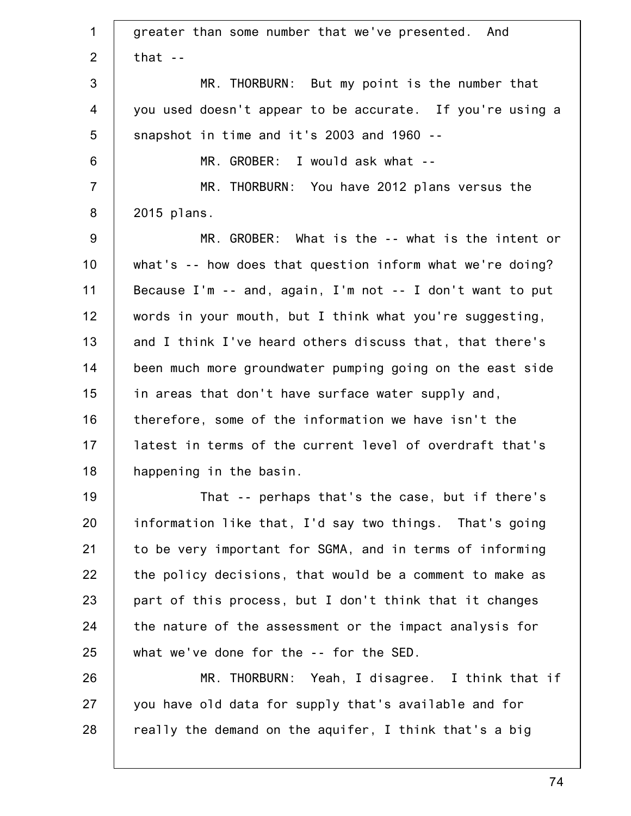1 2 3 4 5 6 7 8 9 10 11 12 13 14 15 16 17 18 19 20 21 22 23 24 25 26 27 28 greater than some number that we've presented. And that  $-$ MR. THORBURN: But my point is the number that you used doesn't appear to be accurate. If you're using a snapshot in time and it's 2003 and 1960 -- MR. GROBER: I would ask what -- MR. THORBURN: You have 2012 plans versus the 2015 plans. MR. GROBER: What is the -- what is the intent or what's -- how does that question inform what we're doing? Because I'm -- and, again, I'm not -- I don't want to put words in your mouth, but I think what you're suggesting, and I think I've heard others discuss that, that there's been much more groundwater pumping going on the east side in areas that don't have surface water supply and, therefore, some of the information we have isn't the latest in terms of the current level of overdraft that's happening in the basin. That -- perhaps that's the case, but if there's information like that, I'd say two things. That's going to be very important for SGMA, and in terms of informing the policy decisions, that would be a comment to make as part of this process, but I don't think that it changes the nature of the assessment or the impact analysis for what we've done for the -- for the SED. MR. THORBURN: Yeah, I disagree. I think that if you have old data for supply that's available and for really the demand on the aquifer, I think that's a big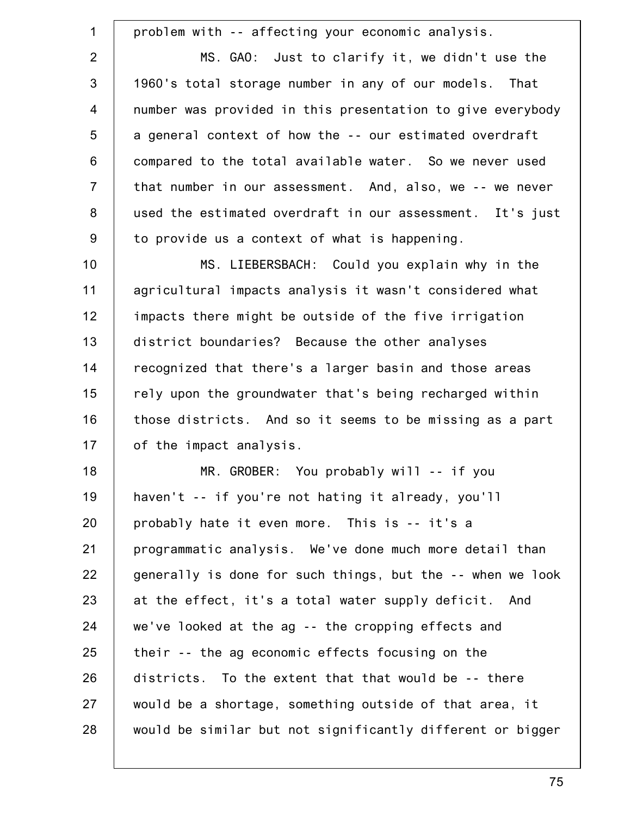| $\mathbf{1}$   | problem with -- affecting your economic analysis.          |
|----------------|------------------------------------------------------------|
| $\overline{2}$ | MS. GAO: Just to clarify it, we didn't use the             |
| 3              | 1960's total storage number in any of our models. That     |
| $\overline{4}$ | number was provided in this presentation to give everybody |
| 5              | a general context of how the -- our estimated overdraft    |
| 6              | compared to the total available water. So we never used    |
| $\overline{7}$ | that number in our assessment. And, also, we -- we never   |
| 8              | used the estimated overdraft in our assessment. It's just  |
| 9              | to provide us a context of what is happening.              |
| 10             | MS. LIEBERSBACH: Could you explain why in the              |
| 11             | agricultural impacts analysis it wasn't considered what    |
| 12             | impacts there might be outside of the five irrigation      |
| 13             | district boundaries? Because the other analyses            |
| 14             | recognized that there's a larger basin and those areas     |
| 15             | rely upon the groundwater that's being recharged within    |
| 16             | those districts. And so it seems to be missing as a part   |
| 17             | of the impact analysis.                                    |
| 18             | MR. GROBER: You probably will -- if you                    |
| 19             | haven't -- if you're not hating it already, you'll         |
| 20             | probably hate it even more. This is -- it's a              |
| 21             | programmatic analysis. We've done much more detail than    |
| 22             | generally is done for such things, but the -- when we look |
| 23             | at the effect, it's a total water supply deficit. And      |
| 24             | we've looked at the ag -- the cropping effects and         |
| 25             | their -- the ag economic effects focusing on the           |
| 26             | districts. To the extent that that would be -- there       |
| 27             | would be a shortage, something outside of that area, it    |
| 28             | would be similar but not significantly different or bigger |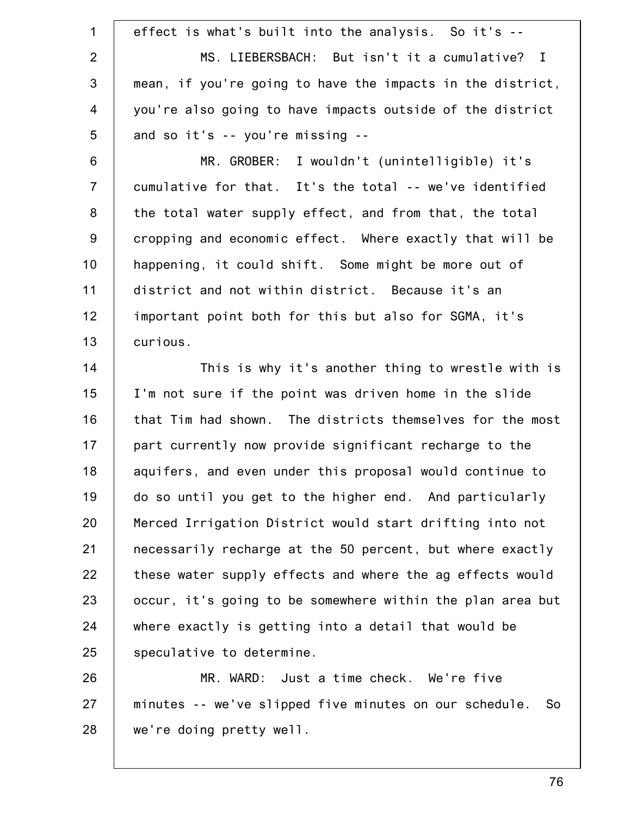1 2 3 4 5 6 7 8 9 10 11 12 13 14 15 16 17 18 19 20 21 22 23 24 25 26 27 28 effect is what's built into the analysis. So it's -- MS. LIEBERSBACH: But isn't it a cumulative? I mean, if you're going to have the impacts in the district, you're also going to have impacts outside of the district and so it's -- you're missing -- MR. GROBER: I wouldn't (unintelligible) it's cumulative for that. It's the total -- we've identified the total water supply effect, and from that, the total cropping and economic effect. Where exactly that will be happening, it could shift. Some might be more out of district and not within district. Because it's an important point both for this but also for SGMA, it's curious. This is why it's another thing to wrestle with is I'm not sure if the point was driven home in the slide that Tim had shown. The districts themselves for the most part currently now provide significant recharge to the aquifers, and even under this proposal would continue to do so until you get to the higher end. And particularly Merced Irrigation District would start drifting into not necessarily recharge at the 50 percent, but where exactly these water supply effects and where the ag effects would occur, it's going to be somewhere within the plan area but where exactly is getting into a detail that would be speculative to determine. MR. WARD: Just a time check. We're five minutes -- we've slipped five minutes on our schedule. So we're doing pretty well.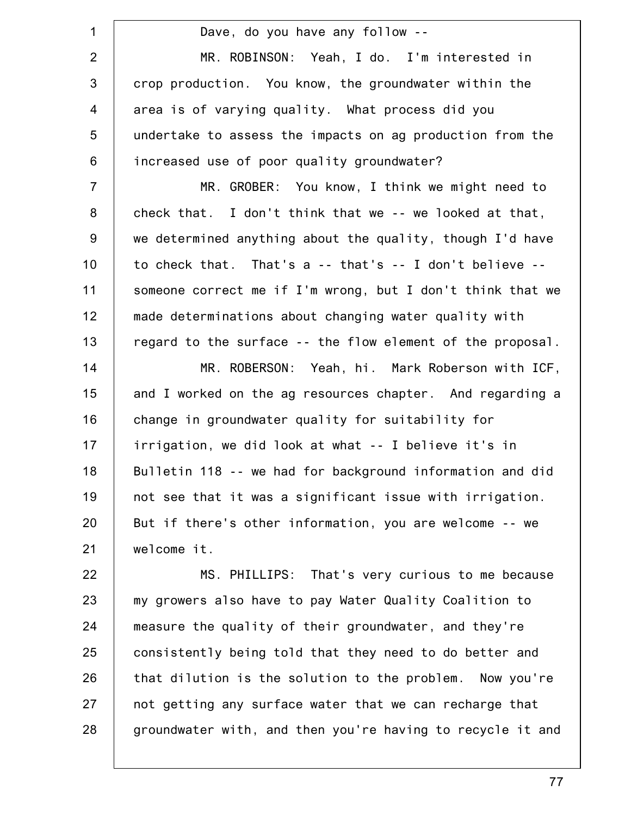1 2 3 4 5 6 7 8 9 10 11 12 13 14 15 16 17 18 19 20 21 22 23 Dave, do you have any follow -- MR. ROBINSON: Yeah, I do. I'm interested in crop production. You know, the groundwater within the area is of varying quality. What process did you undertake to assess the impacts on ag production from the increased use of poor quality groundwater? MR. GROBER: You know, I think we might need to check that. I don't think that we -- we looked at that, we determined anything about the quality, though I'd have to check that. That's a -- that's -- I don't believe - someone correct me if I'm wrong, but I don't think that we made determinations about changing water quality with regard to the surface -- the flow element of the proposal. MR. ROBERSON: Yeah, hi. Mark Roberson with ICF, and I worked on the ag resources chapter. And regarding a change in groundwater quality for suitability for irrigation, we did look at what -- I believe it's in Bulletin 118 -- we had for background information and did not see that it was a significant issue with irrigation. But if there's other information, you are welcome -- we welcome it. MS. PHILLIPS: That's very curious to me because my growers also have to pay Water Quality Coalition to

24 25 26 27 28 measure the quality of their groundwater, and they're consistently being told that they need to do better and that dilution is the solution to the problem. Now you're not getting any surface water that we can recharge that groundwater with, and then you're having to recycle it and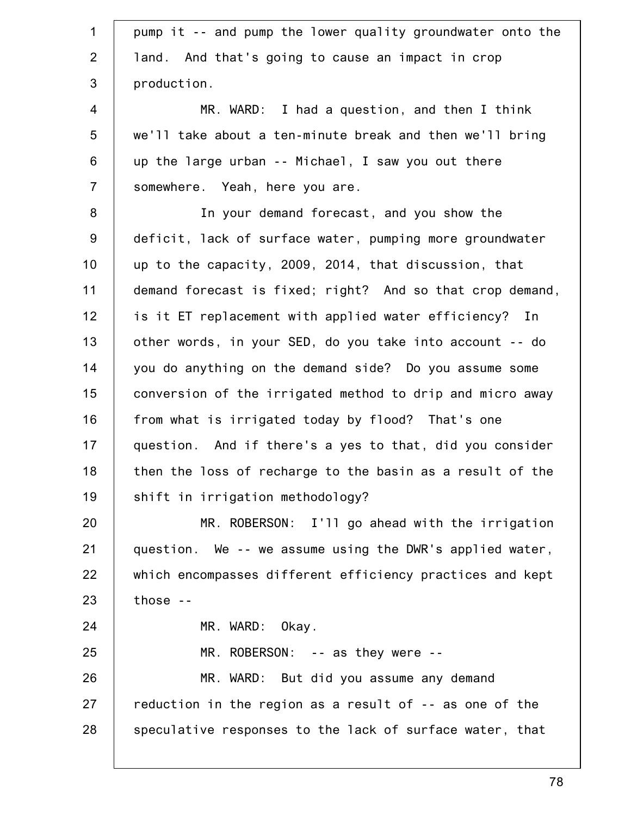| $\mathbf 1$    | pump it -- and pump the lower quality groundwater onto the |
|----------------|------------------------------------------------------------|
| 2              | land. And that's going to cause an impact in crop          |
| 3              | production.                                                |
| $\overline{4}$ | MR. WARD: I had a question, and then I think               |
| 5              | we'll take about a ten-minute break and then we'll bring   |
| 6              | up the large urban -- Michael, I saw you out there         |
| $\overline{7}$ | somewhere. Yeah, here you are.                             |
| 8              | In your demand forecast, and you show the                  |
| $9\,$          | deficit, lack of surface water, pumping more groundwater   |
| 10             | up to the capacity, 2009, 2014, that discussion, that      |
| 11             | demand forecast is fixed; right? And so that crop demand,  |
| 12             | is it ET replacement with applied water efficiency? In     |
| 13             | other words, in your SED, do you take into account -- do   |
| 14             | you do anything on the demand side? Do you assume some     |
| 15             | conversion of the irrigated method to drip and micro away  |
| 16             | from what is irrigated today by flood? That's one          |
| 17             | question. And if there's a yes to that, did you consider   |
| 18             | then the loss of recharge to the basin as a result of the  |
| 19             | shift in irrigation methodology?                           |
| 20             | MR. ROBERSON: I'll go ahead with the irrigation            |
| 21             | question. We -- we assume using the DWR's applied water,   |
| 22             | which encompasses different efficiency practices and kept  |
| 23             | $those -$                                                  |
| 24             | MR. WARD: Okay.                                            |
| 25             | $MR. ROBERSON: -- as they were --$                         |
| 26             | MR. WARD: But did you assume any demand                    |
| 27             | reduction in the region as a result of -- as one of the    |
| 28             | speculative responses to the lack of surface water, that   |
|                |                                                            |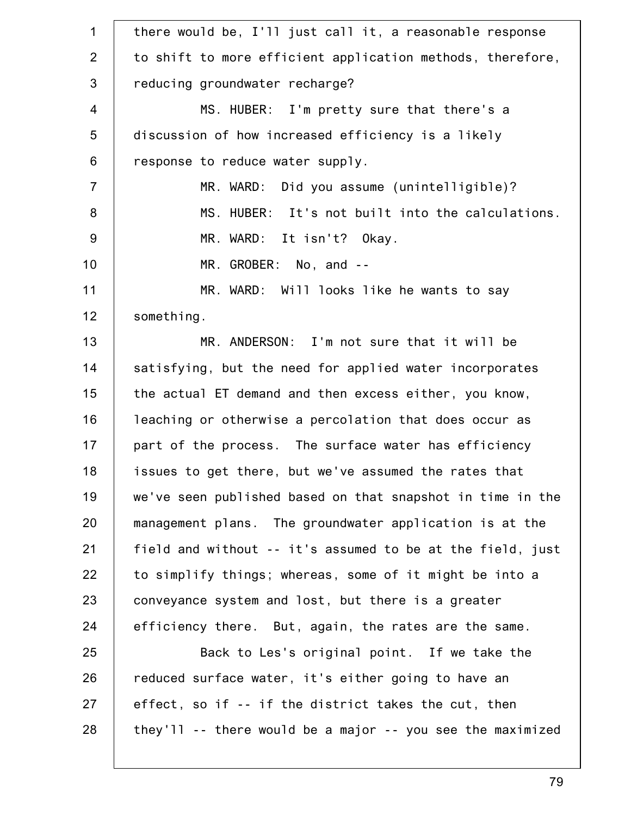| $\mathbf 1$    | there would be, I'll just call it, a reasonable response   |
|----------------|------------------------------------------------------------|
| 2              | to shift to more efficient application methods, therefore, |
| $\mathfrak{B}$ | reducing groundwater recharge?                             |
| $\overline{4}$ | MS. HUBER: I'm pretty sure that there's a                  |
| 5              | discussion of how increased efficiency is a likely         |
| 6              | response to reduce water supply.                           |
| $\overline{7}$ | MR. WARD: Did you assume (unintelligible)?                 |
| 8              | MS. HUBER: It's not built into the calculations.           |
| 9              | MR. WARD: It isn't? Okay.                                  |
| 10             | MR. GROBER: No, and --                                     |
| 11             | MR. WARD: Will looks like he wants to say                  |
| 12             | something.                                                 |
| 13             | MR. ANDERSON: I'm not sure that it will be                 |
| 14             | satisfying, but the need for applied water incorporates    |
| 15             | the actual ET demand and then excess either, you know,     |
| 16             | leaching or otherwise a percolation that does occur as     |
| 17             | part of the process. The surface water has efficiency      |
| 18             | issues to get there, but we've assumed the rates that      |
| 19             | we've seen published based on that snapshot in time in the |
| 20             | management plans. The groundwater application is at the    |
| 21             | field and without -- it's assumed to be at the field, just |
| 22             | to simplify things; whereas, some of it might be into a    |
| 23             | conveyance system and lost, but there is a greater         |
| 24             | efficiency there. But, again, the rates are the same.      |
| 25             | Back to Les's original point. If we take the               |
| 26             | reduced surface water, it's either going to have an        |
| 27             | effect, so if -- if the district takes the cut, then       |
| 28             | they'll -- there would be a major -- you see the maximized |
|                |                                                            |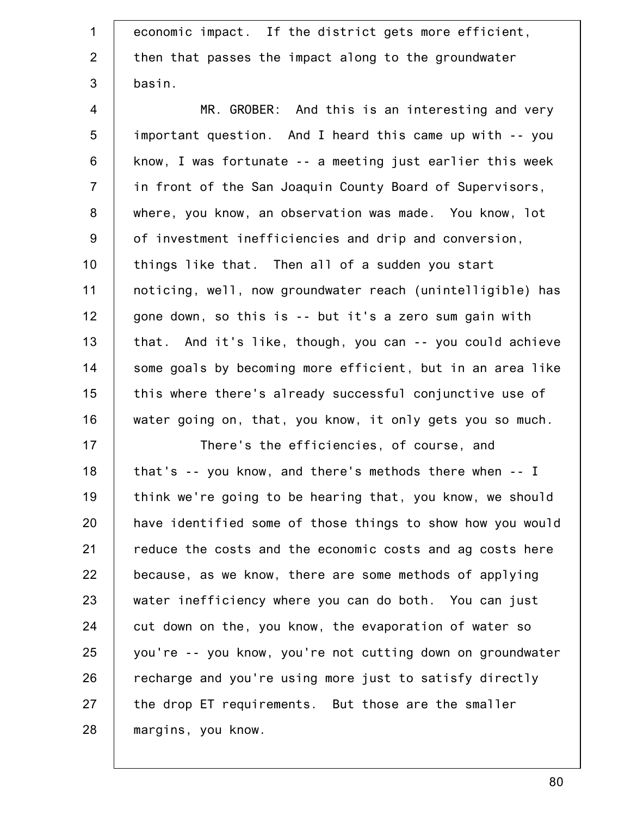| $\mathbf{1}$   | economic impact. If the district gets more efficient,      |
|----------------|------------------------------------------------------------|
| $\overline{2}$ | then that passes the impact along to the groundwater       |
| $\mathfrak{S}$ | basin.                                                     |
| 4              | MR. GROBER: And this is an interesting and very            |
| 5              | important question. And I heard this came up with -- you   |
| $\,6$          | know, I was fortunate -- a meeting just earlier this week  |
| $\overline{7}$ | in front of the San Joaquin County Board of Supervisors,   |
| $\bf 8$        | where, you know, an observation was made. You know, lot    |
| $9\,$          | of investment inefficiencies and drip and conversion,      |
| 10             | things like that. Then all of a sudden you start           |
| 11             | noticing, well, now groundwater reach (unintelligible) has |
| 12             | gone down, so this is -- but it's a zero sum gain with     |
| 13             | that. And it's like, though, you can -- you could achieve  |
| 14             | some goals by becoming more efficient, but in an area like |
| 15             | this where there's already successful conjunctive use of   |
| 16             | water going on, that, you know, it only gets you so much.  |
| 17             | There's the efficiencies, of course, and                   |
| 18             | that's -- you know, and there's methods there when -- I    |
| 19             | think we're going to be hearing that, you know, we should  |
| 20             | have identified some of those things to show how you would |
| 21             | reduce the costs and the economic costs and ag costs here  |
| 22             | because, as we know, there are some methods of applying    |
| 23             | water inefficiency where you can do both. You can just     |
| 24             | cut down on the, you know, the evaporation of water so     |
| 25             | you're -- you know, you're not cutting down on groundwater |
| 26             | recharge and you're using more just to satisfy directly    |
| 27             | the drop ET requirements. But those are the smaller        |
| 28             | margins, you know.                                         |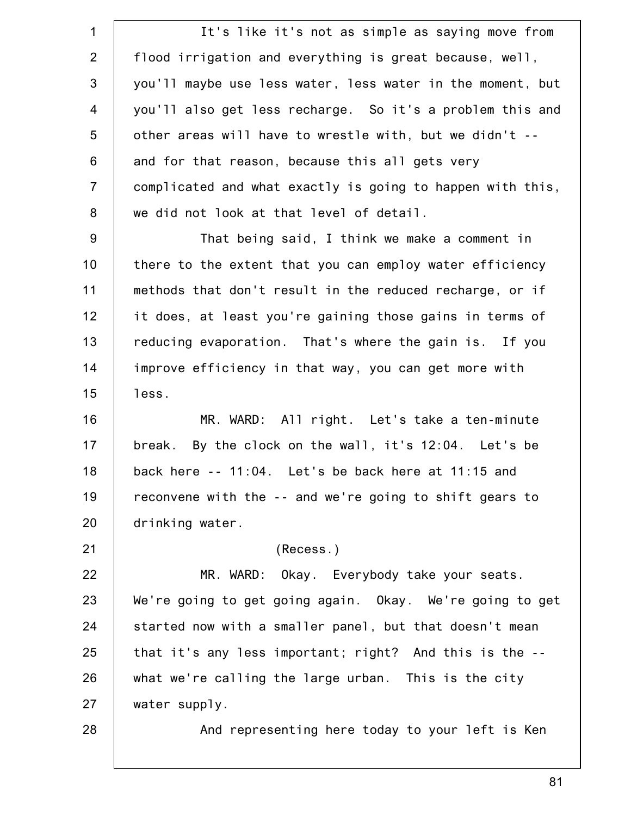1 2 3 4 5 6 7 8 9 10 11 12 13 14 15 16 17 18 19 20 21 22 23 24 25 26 27 28 It's like it's not as simple as saying move from flood irrigation and everything is great because, well, you'll maybe use less water, less water in the moment, but you'll also get less recharge. So it's a problem this and other areas will have to wrestle with, but we didn't - and for that reason, because this all gets very complicated and what exactly is going to happen with this, we did not look at that level of detail. That being said, I think we make a comment in there to the extent that you can employ water efficiency methods that don't result in the reduced recharge, or if it does, at least you're gaining those gains in terms of reducing evaporation. That's where the gain is. If you improve efficiency in that way, you can get more with less. MR. WARD: All right. Let's take a ten-minute break. By the clock on the wall, it's 12:04. Let's be back here -- 11:04. Let's be back here at 11:15 and reconvene with the -- and we're going to shift gears to drinking water. (Recess.) MR. WARD: Okay. Everybody take your seats. We're going to get going again. Okay. We're going to get started now with a smaller panel, but that doesn't mean that it's any less important; right? And this is the - what we're calling the large urban. This is the city water supply. And representing here today to your left is Ken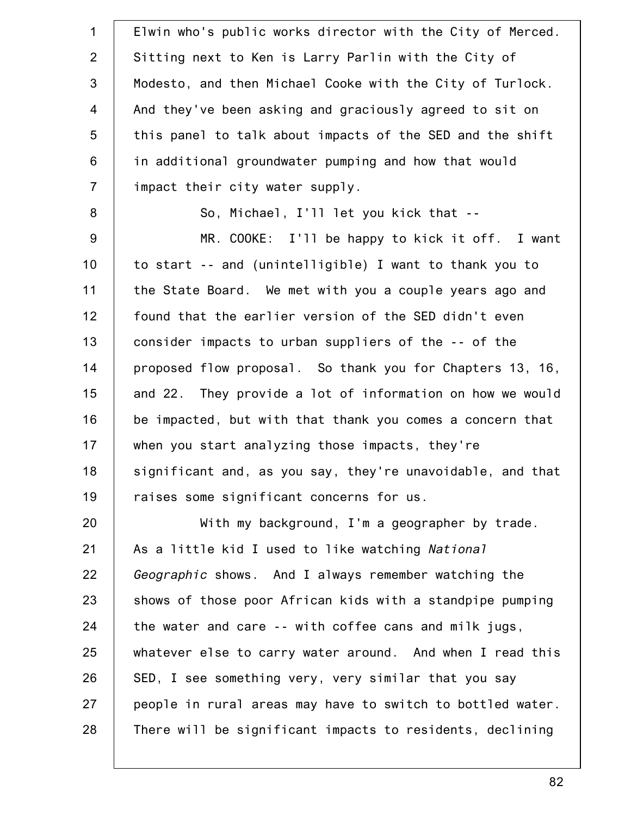| $\mathbf 1$    | Elwin who's public works director with the City of Merced. |
|----------------|------------------------------------------------------------|
| $\overline{2}$ | Sitting next to Ken is Larry Parlin with the City of       |
| $\mathfrak{S}$ | Modesto, and then Michael Cooke with the City of Turlock.  |
| $\overline{4}$ | And they've been asking and graciously agreed to sit on    |
| 5              | this panel to talk about impacts of the SED and the shift  |
| $\,6\,$        | in additional groundwater pumping and how that would       |
| $\overline{7}$ | impact their city water supply.                            |
| $\bf 8$        | So, Michael, I'll let you kick that --                     |
| 9              | MR. COOKE: I'll be happy to kick it off. I want            |
| 10             | to start -- and (unintelligible) I want to thank you to    |
| 11             | the State Board. We met with you a couple years ago and    |
| 12             | found that the earlier version of the SED didn't even      |
| 13             | consider impacts to urban suppliers of the -- of the       |
| 14             | proposed flow proposal. So thank you for Chapters 13, 16,  |
| 15             | and 22. They provide a lot of information on how we would  |
| 16             | be impacted, but with that thank you comes a concern that  |
| 17             | when you start analyzing those impacts, they're            |
| 18             | significant and, as you say, they're unavoidable, and that |
| 19             | raises some significant concerns for us.                   |
| 20             | With my background, I'm a geographer by trade.             |
| 21             | As a little kid I used to like watching National           |
| 22             | Geographic shows. And I always remember watching the       |
| 23             | shows of those poor African kids with a standpipe pumping  |
| 24             | the water and care -- with coffee cans and milk jugs,      |
| 25             | whatever else to carry water around. And when I read this  |
| 26             | SED, I see something very, very similar that you say       |
| 27             | people in rural areas may have to switch to bottled water. |
| 28             | There will be significant impacts to residents, declining  |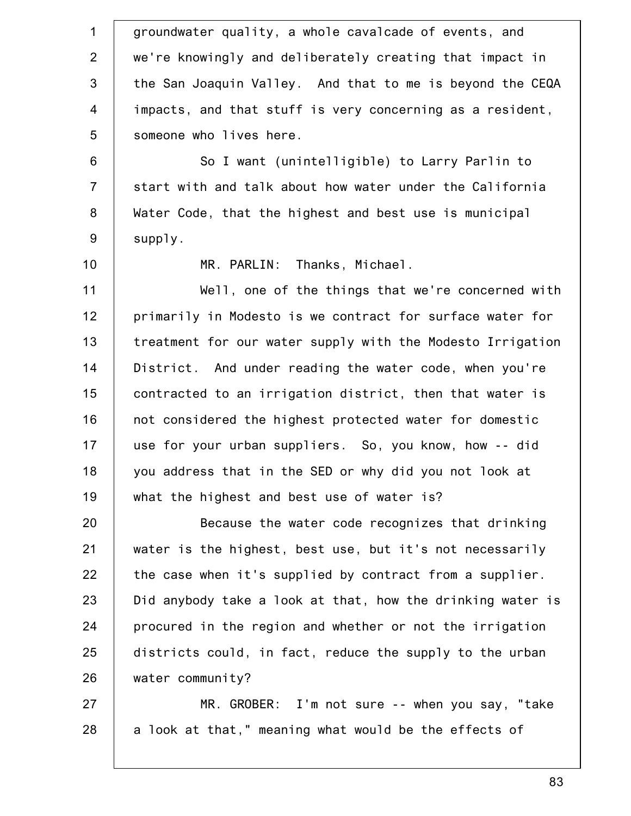1 2 3 4 5 6 7 8 9 10 11 12 13 14 15 16 17 18 19 20 21 22 23 24 25 26 27 28 groundwater quality, a whole cavalcade of events, and we're knowingly and deliberately creating that impact in the San Joaquin Valley. And that to me is beyond the CEQA impacts, and that stuff is very concerning as a resident, someone who lives here. So I want (unintelligible) to Larry Parlin to start with and talk about how water under the California Water Code, that the highest and best use is municipal supply. MR. PARLIN: Thanks, Michael. Well, one of the things that we're concerned with primarily in Modesto is we contract for surface water for treatment for our water supply with the Modesto Irrigation District. And under reading the water code, when you're contracted to an irrigation district, then that water is not considered the highest protected water for domestic use for your urban suppliers. So, you know, how -- did you address that in the SED or why did you not look at what the highest and best use of water is? Because the water code recognizes that drinking water is the highest, best use, but it's not necessarily the case when it's supplied by contract from a supplier. Did anybody take a look at that, how the drinking water is procured in the region and whether or not the irrigation districts could, in fact, reduce the supply to the urban water community? MR. GROBER: I'm not sure -- when you say, "take a look at that," meaning what would be the effects of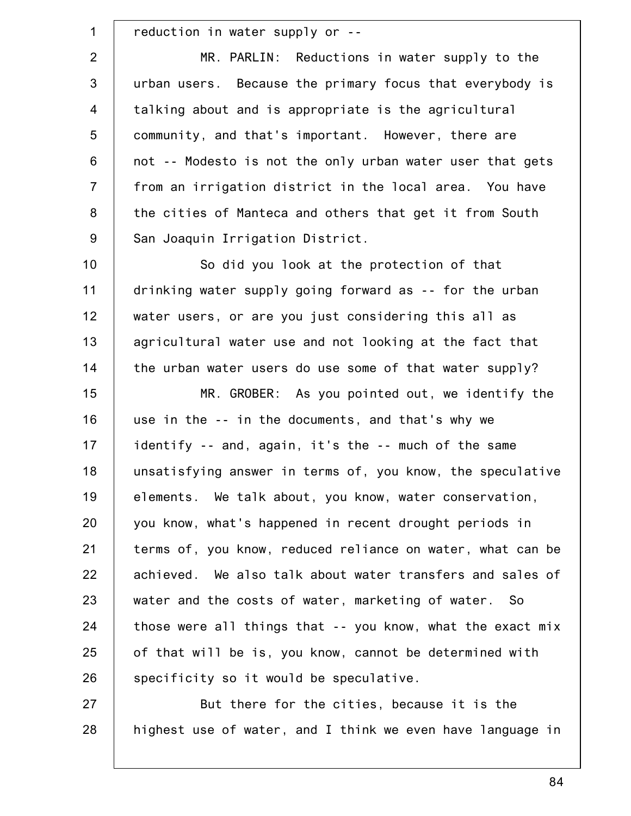| 1                | reduction in water supply or --                            |
|------------------|------------------------------------------------------------|
| $\overline{2}$   | MR. PARLIN: Reductions in water supply to the              |
| $\mathfrak{S}$   | urban users. Because the primary focus that everybody is   |
| $\overline{4}$   | talking about and is appropriate is the agricultural       |
| 5                | community, and that's important. However, there are        |
| $6\,$            | not -- Modesto is not the only urban water user that gets  |
| $\overline{7}$   | from an irrigation district in the local area. You have    |
| 8                | the cities of Manteca and others that get it from South    |
| $\boldsymbol{9}$ | San Joaquin Irrigation District.                           |
| 10               | So did you look at the protection of that                  |
| 11               | drinking water supply going forward as -- for the urban    |
| 12               | water users, or are you just considering this all as       |
| 13               | agricultural water use and not looking at the fact that    |
| 14               | the urban water users do use some of that water supply?    |
| 15               | MR. GROBER: As you pointed out, we identify the            |
| 16               | use in the -- in the documents, and that's why we          |
| 17               | identify -- and, again, it's the -- much of the same       |
| 18               | unsatisfying answer in terms of, you know, the speculative |
| 19               | elements. We talk about, you know, water conservation,     |
| 20               | you know, what's happened in recent drought periods in     |
| 21               | terms of, you know, reduced reliance on water, what can be |
| 22               | achieved. We also talk about water transfers and sales of  |
| 23               | water and the costs of water, marketing of water. So       |
| 24               | those were all things that -- you know, what the exact mix |
| 25               | of that will be is, you know, cannot be determined with    |
| 26               | specificity so it would be speculative.                    |
| 27               | But there for the cities, because it is the                |
| 28               | highest use of water, and I think we even have language in |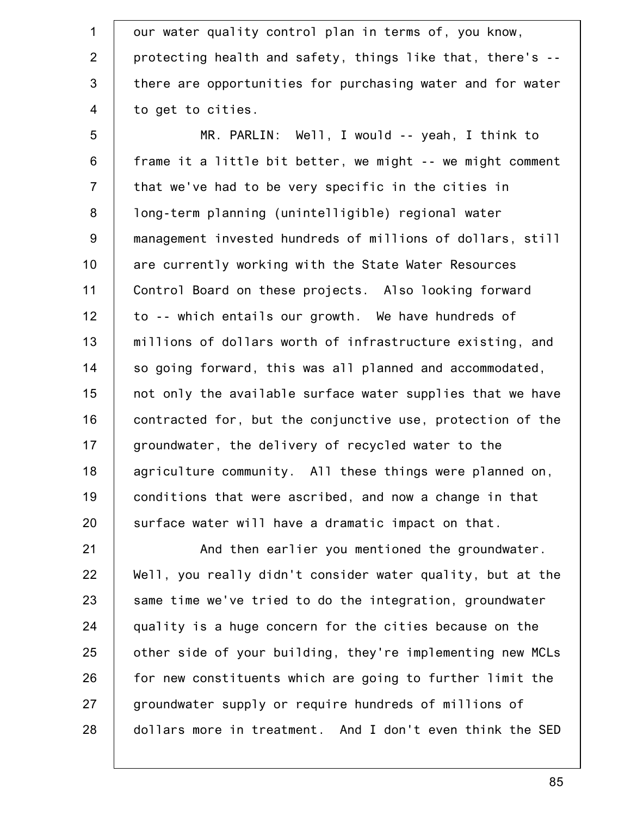1 2 3 4 our water quality control plan in terms of, you know, protecting health and safety, things like that, there's - there are opportunities for purchasing water and for water to get to cities.

5 6 7 8 9 10 11 12 13 14 15 16 17 18 19 20 MR. PARLIN: Well, I would -- yeah, I think to frame it a little bit better, we might -- we might comment that we've had to be very specific in the cities in long-term planning (unintelligible) regional water management invested hundreds of millions of dollars, still are currently working with the State Water Resources Control Board on these projects. Also looking forward to -- which entails our growth. We have hundreds of millions of dollars worth of infrastructure existing, and so going forward, this was all planned and accommodated, not only the available surface water supplies that we have contracted for, but the conjunctive use, protection of the groundwater, the delivery of recycled water to the agriculture community. All these things were planned on, conditions that were ascribed, and now a change in that surface water will have a dramatic impact on that.

21 22 23 24 25 26 27 28 And then earlier you mentioned the groundwater. Well, you really didn't consider water quality, but at the same time we've tried to do the integration, groundwater quality is a huge concern for the cities because on the other side of your building, they're implementing new MCLs for new constituents which are going to further limit the groundwater supply or require hundreds of millions of dollars more in treatment. And I don't even think the SED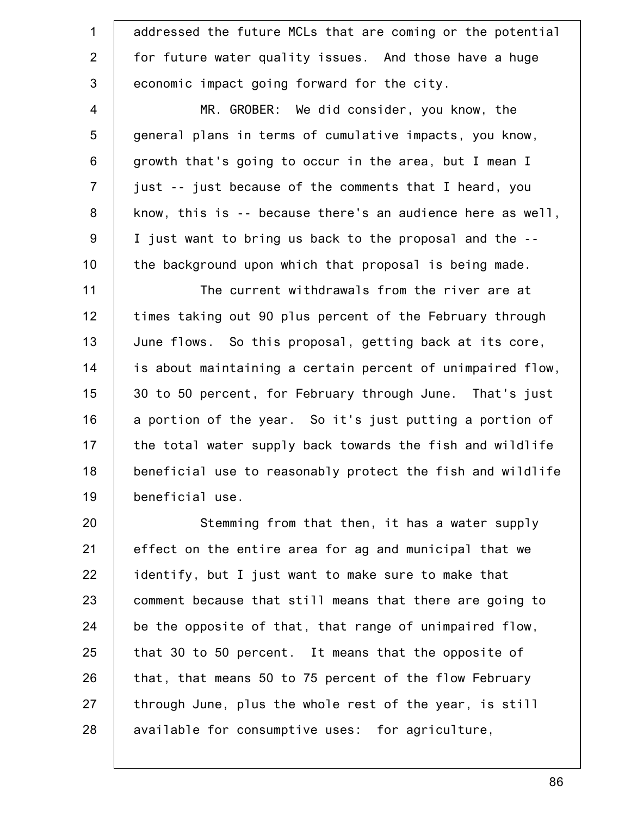| $\mathbf{1}$   | addressed the future MCLs that are coming or the potential |
|----------------|------------------------------------------------------------|
| $\overline{2}$ | for future water quality issues. And those have a huge     |
| $\mathfrak{S}$ | economic impact going forward for the city.                |
| 4              | MR. GROBER: We did consider, you know, the                 |
| $\overline{5}$ | general plans in terms of cumulative impacts, you know,    |
| $\,6$          | growth that's going to occur in the area, but I mean I     |
| $\overline{7}$ | just -- just because of the comments that I heard, you     |
| $\bf 8$        | know, this is -- because there's an audience here as well, |
| $9\,$          | I just want to bring us back to the proposal and the --    |
| 10             | the background upon which that proposal is being made.     |
| 11             | The current withdrawals from the river are at              |
| 12             | times taking out 90 plus percent of the February through   |
| 13             | June flows. So this proposal, getting back at its core,    |
| 14             | is about maintaining a certain percent of unimpaired flow, |
| 15             | 30 to 50 percent, for February through June. That's just   |
| 16             | a portion of the year. So it's just putting a portion of   |
| 17             | the total water supply back towards the fish and wildlife  |
| 18             | beneficial use to reasonably protect the fish and wildlife |
| 19             | beneficial use.                                            |
| 20             | Stemming from that then, it has a water supply             |
| 21             | effect on the entire area for ag and municipal that we     |
| 22             | identify, but I just want to make sure to make that        |
| 23             | comment because that still means that there are going to   |
| 24             | be the opposite of that, that range of unimpaired flow,    |
| 25             | that 30 to 50 percent. It means that the opposite of       |
| 26             | that, that means 50 to 75 percent of the flow February     |
| 27             | through June, plus the whole rest of the year, is still    |

28 available for consumptive uses: for agriculture,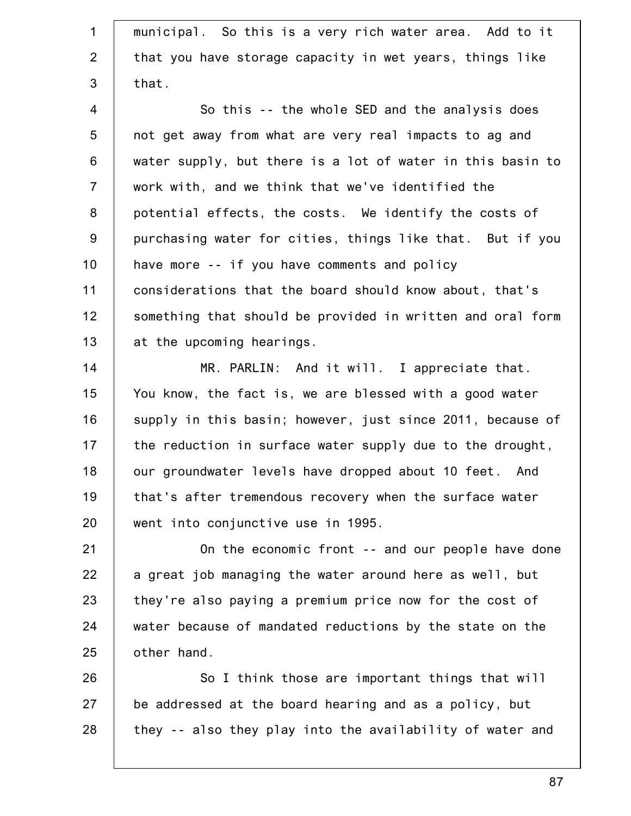1 2 3 4 5 6 7 8 9 10 11 12 13 14 15 16 17 18 19 20 21 22 23 24 25 26 27 28 municipal. So this is a very rich water area. Add to it that you have storage capacity in wet years, things like that. So this -- the whole SED and the analysis does not get away from what are very real impacts to ag and water supply, but there is a lot of water in this basin to work with, and we think that we've identified the potential effects, the costs. We identify the costs of purchasing water for cities, things like that. But if you have more -- if you have comments and policy considerations that the board should know about, that's something that should be provided in written and oral form at the upcoming hearings. MR. PARLIN: And it will. I appreciate that. You know, the fact is, we are blessed with a good water supply in this basin; however, just since 2011, because of the reduction in surface water supply due to the drought, our groundwater levels have dropped about 10 feet. And that's after tremendous recovery when the surface water went into conjunctive use in 1995. On the economic front -- and our people have done a great job managing the water around here as well, but they're also paying a premium price now for the cost of water because of mandated reductions by the state on the other hand. So I think those are important things that will be addressed at the board hearing and as a policy, but they -- also they play into the availability of water and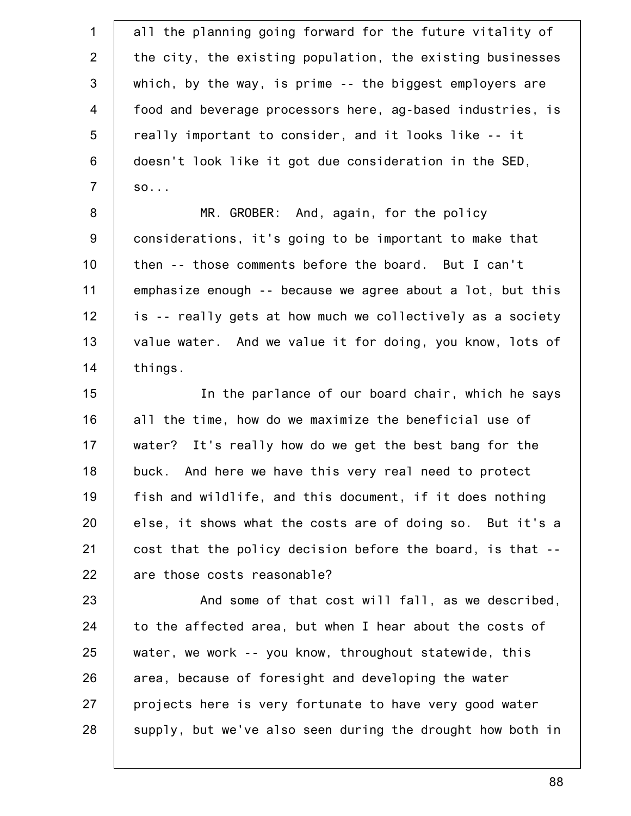1 2 3 4 5 6 7 8 9 10 11 12 13 14 15 16 17 18 19 20 21 22 23 24 25 26 27 28 all the planning going forward for the future vitality of the city, the existing population, the existing businesses which, by the way, is prime -- the biggest employers are food and beverage processors here, ag-based industries, is really important to consider, and it looks like -- it doesn't look like it got due consideration in the SED, so... MR. GROBER: And, again, for the policy considerations, it's going to be important to make that then -- those comments before the board. But I can't emphasize enough -- because we agree about a lot, but this is -- really gets at how much we collectively as a society value water. And we value it for doing, you know, lots of things. In the parlance of our board chair, which he says all the time, how do we maximize the beneficial use of water? It's really how do we get the best bang for the buck. And here we have this very real need to protect fish and wildlife, and this document, if it does nothing else, it shows what the costs are of doing so. But it's a cost that the policy decision before the board, is that - are those costs reasonable? And some of that cost will fall, as we described, to the affected area, but when I hear about the costs of water, we work -- you know, throughout statewide, this area, because of foresight and developing the water projects here is very fortunate to have very good water supply, but we've also seen during the drought how both in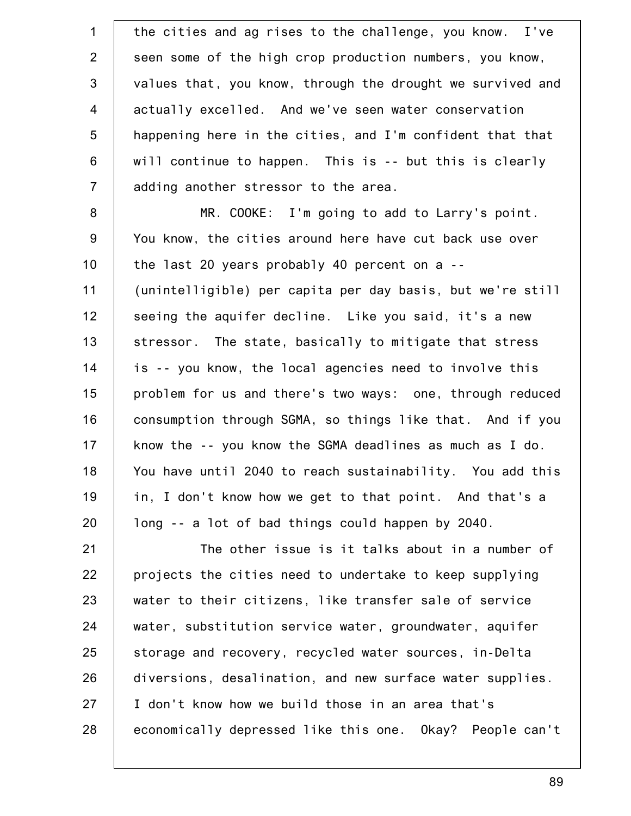1 2 3 4 5 6 7 8 9 10 11 12 13 14 15 16 17 18 19 20 21 22 23 24 25 26 27 28 the cities and ag rises to the challenge, you know. I've seen some of the high crop production numbers, you know, values that, you know, through the drought we survived and actually excelled. And we've seen water conservation happening here in the cities, and I'm confident that that will continue to happen. This is -- but this is clearly adding another stressor to the area. MR. COOKE: I'm going to add to Larry's point. You know, the cities around here have cut back use over the last 20 years probably 40 percent on a -- (unintelligible) per capita per day basis, but we're still seeing the aquifer decline. Like you said, it's a new stressor. The state, basically to mitigate that stress is -- you know, the local agencies need to involve this problem for us and there's two ways: one, through reduced consumption through SGMA, so things like that. And if you know the -- you know the SGMA deadlines as much as I do. You have until 2040 to reach sustainability. You add this in, I don't know how we get to that point. And that's a long -- a lot of bad things could happen by 2040. The other issue is it talks about in a number of projects the cities need to undertake to keep supplying water to their citizens, like transfer sale of service water, substitution service water, groundwater, aquifer storage and recovery, recycled water sources, in-Delta diversions, desalination, and new surface water supplies. I don't know how we build those in an area that's economically depressed like this one. Okay? People can't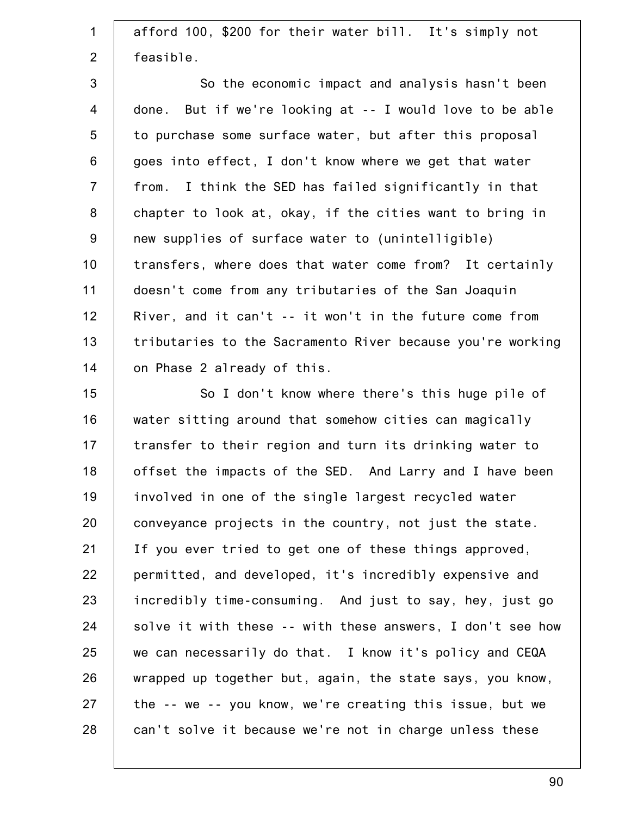1 2 3 4 5 6 7 8 9 10 11 12 13 14 15 16 17 18 19 20 21 22 23 24 25 26 27 28 afford 100, \$200 for their water bill. It's simply not feasible. So the economic impact and analysis hasn't been done. But if we're looking at -- I would love to be able to purchase some surface water, but after this proposal goes into effect, I don't know where we get that water from. I think the SED has failed significantly in that chapter to look at, okay, if the cities want to bring in new supplies of surface water to (unintelligible) transfers, where does that water come from? It certainly doesn't come from any tributaries of the San Joaquin River, and it can't -- it won't in the future come from tributaries to the Sacramento River because you're working on Phase 2 already of this. So I don't know where there's this huge pile of water sitting around that somehow cities can magically transfer to their region and turn its drinking water to offset the impacts of the SED. And Larry and I have been involved in one of the single largest recycled water conveyance projects in the country, not just the state. If you ever tried to get one of these things approved, permitted, and developed, it's incredibly expensive and incredibly time-consuming. And just to say, hey, just go solve it with these -- with these answers, I don't see how we can necessarily do that. I know it's policy and CEQA wrapped up together but, again, the state says, you know, the -- we -- you know, we're creating this issue, but we can't solve it because we're not in charge unless these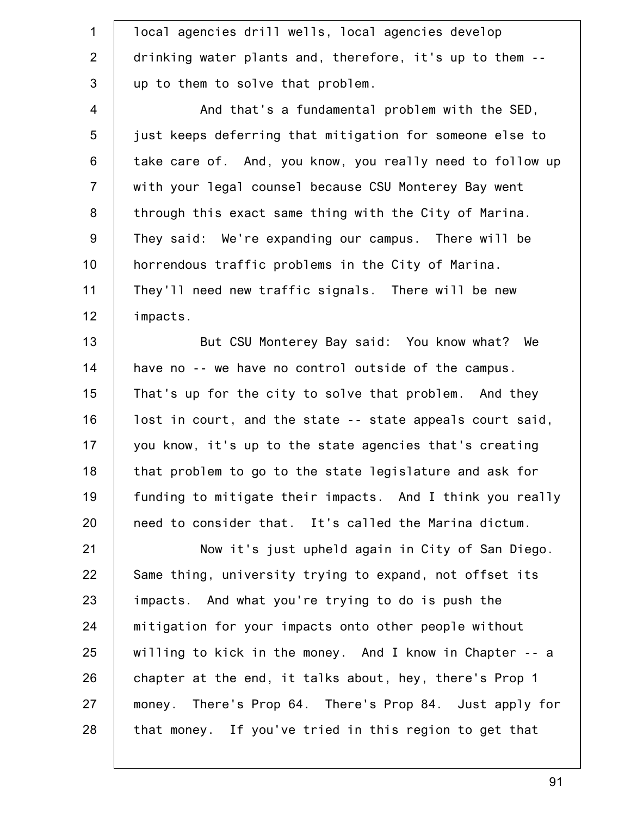| $\mathbf 1$      | local agencies drill wells, local agencies develop        |
|------------------|-----------------------------------------------------------|
| $\overline{2}$   | drinking water plants and, therefore, it's up to them --  |
| $\mathfrak{S}$   | up to them to solve that problem.                         |
| $\overline{4}$   | And that's a fundamental problem with the SED,            |
| 5                | just keeps deferring that mitigation for someone else to  |
| $\,6$            | take care of. And, you know, you really need to follow up |
| $\overline{7}$   | with your legal counsel because CSU Monterey Bay went     |
| 8                | through this exact same thing with the City of Marina.    |
| $\boldsymbol{9}$ | They said: We're expanding our campus. There will be      |
| 10               | horrendous traffic problems in the City of Marina.        |
| 11               | They'll need new traffic signals. There will be new       |
| 12               | impacts.                                                  |
| 13               | But CSU Monterey Bay said: You know what? We              |
| 14               | have no -- we have no control outside of the campus.      |
| 15               | That's up for the city to solve that problem. And they    |
| 16               | lost in court, and the state -- state appeals court said, |
| 17               | you know, it's up to the state agencies that's creating   |
| 18               | that problem to go to the state legislature and ask for   |
| 19               | funding to mitigate their impacts. And I think you really |
| 20               | need to consider that. It's called the Marina dictum.     |
| 21               | Now it's just upheld again in City of San Diego.          |
| 22               | Same thing, university trying to expand, not offset its   |
| 23               | impacts. And what you're trying to do is push the         |
| 24               | mitigation for your impacts onto other people without     |
| 25               | willing to kick in the money. And I know in Chapter -- a  |
| 26               | chapter at the end, it talks about, hey, there's Prop 1   |
| 27               | money. There's Prop 64. There's Prop 84. Just apply for   |
| 28               | that money. If you've tried in this region to get that    |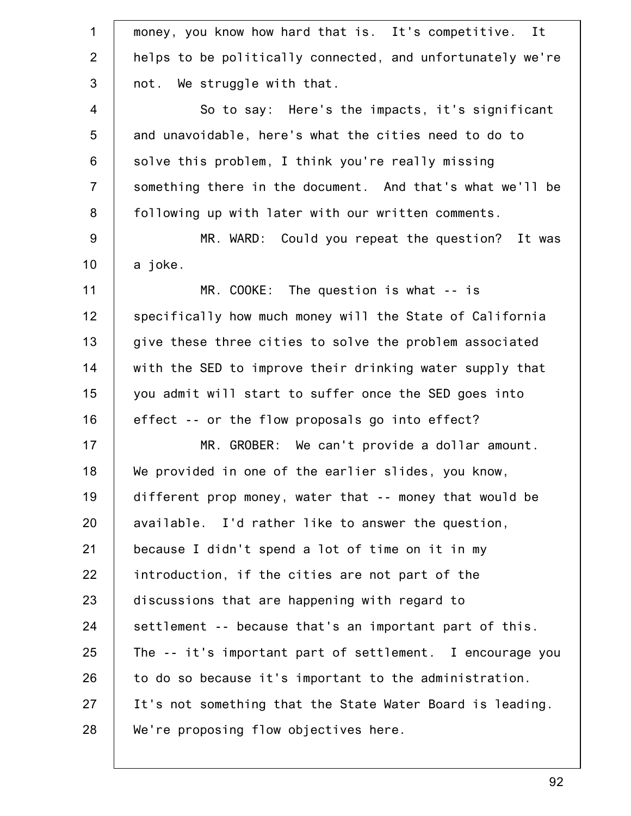| $\mathbf 1$    | money, you know how hard that is. It's competitive. It     |
|----------------|------------------------------------------------------------|
| $\overline{2}$ | helps to be politically connected, and unfortunately we're |
| 3              | not. We struggle with that.                                |
| $\overline{4}$ | So to say: Here's the impacts, it's significant            |
| 5              | and unavoidable, here's what the cities need to do to      |
| 6              | solve this problem, I think you're really missing          |
| $\overline{7}$ | something there in the document. And that's what we'll be  |
| $\,8\,$        | following up with later with our written comments.         |
| $9\,$          | MR. WARD: Could you repeat the question? It was            |
| 10             | a joke.                                                    |
| 11             | $MR. COOKE: The question is what -- is$                    |
| 12             | specifically how much money will the State of California   |
| 13             | give these three cities to solve the problem associated    |
| 14             | with the SED to improve their drinking water supply that   |
| 15             | you admit will start to suffer once the SED goes into      |
| 16             | effect -- or the flow proposals go into effect?            |
| 17             | MR. GROBER: We can't provide a dollar amount.              |
| 18             | We provided in one of the earlier slides, you know,        |
| 19             | different prop money, water that -- money that would be    |
| 20             | available. I'd rather like to answer the question,         |
| 21             | because I didn't spend a lot of time on it in my           |
| 22             | introduction, if the cities are not part of the            |
| 23             | discussions that are happening with regard to              |
| 24             | settlement -- because that's an important part of this.    |
| 25             | The -- it's important part of settlement. I encourage you  |
| 26             | to do so because it's important to the administration.     |
| 27             | It's not something that the State Water Board is leading.  |
| 28             | We're proposing flow objectives here.                      |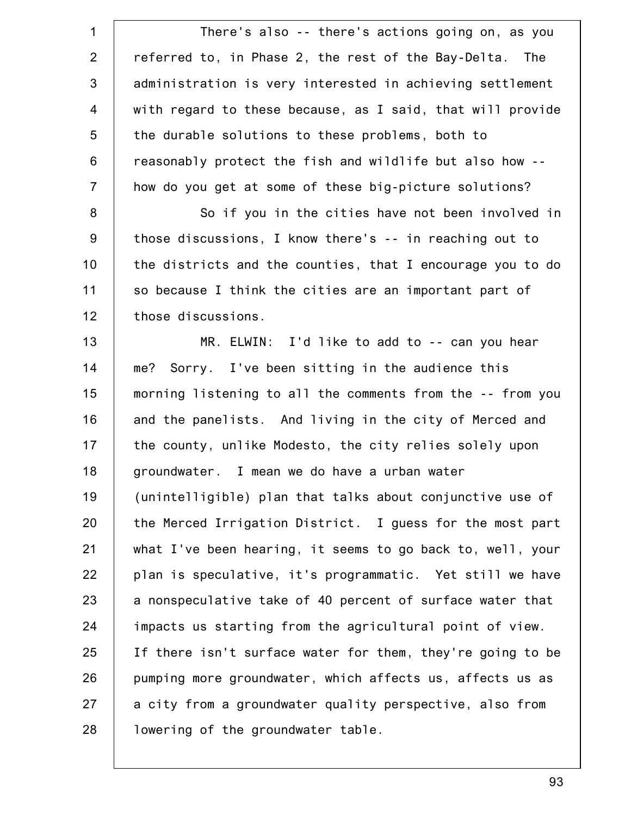1 2 3 4 5 6 7 8 9 10 11 12 13 14 15 16 17 18 19 20 21 22 23 24 25 26 27 28 There's also -- there's actions going on, as you referred to, in Phase 2, the rest of the Bay-Delta. The administration is very interested in achieving settlement with regard to these because, as I said, that will provide the durable solutions to these problems, both to reasonably protect the fish and wildlife but also how - how do you get at some of these big-picture solutions? So if you in the cities have not been involved in those discussions, I know there's -- in reaching out to the districts and the counties, that I encourage you to do so because I think the cities are an important part of those discussions. MR. ELWIN: I'd like to add to -- can you hear me? Sorry. I've been sitting in the audience this morning listening to all the comments from the -- from you and the panelists. And living in the city of Merced and the county, unlike Modesto, the city relies solely upon groundwater. I mean we do have a urban water (unintelligible) plan that talks about conjunctive use of the Merced Irrigation District. I guess for the most part what I've been hearing, it seems to go back to, well, your plan is speculative, it's programmatic. Yet still we have a nonspeculative take of 40 percent of surface water that impacts us starting from the agricultural point of view. If there isn't surface water for them, they're going to be pumping more groundwater, which affects us, affects us as a city from a groundwater quality perspective, also from lowering of the groundwater table.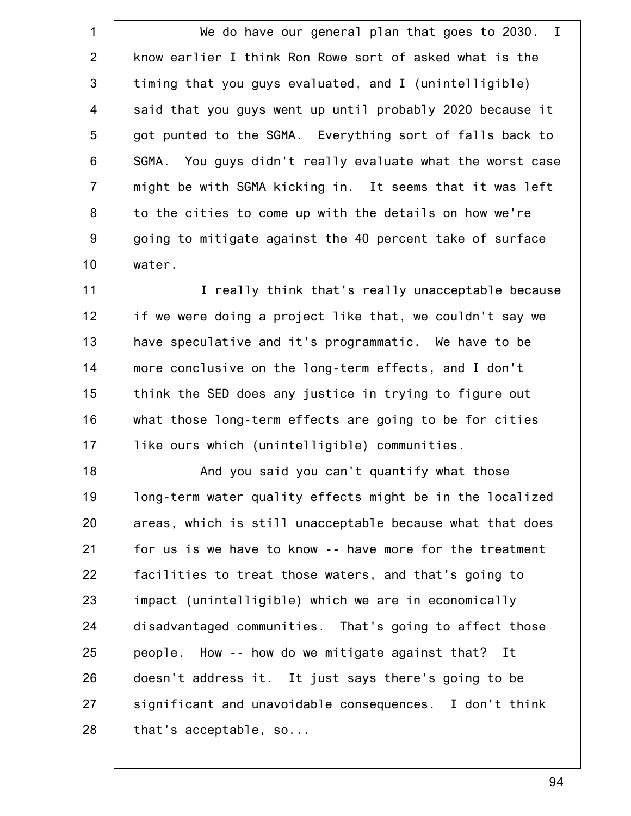1 2 3 4 5 6 7 8 9 10 We do have our general plan that goes to 2030. I know earlier I think Ron Rowe sort of asked what is the timing that you guys evaluated, and I (unintelligible) said that you guys went up until probably 2020 because it got punted to the SGMA. Everything sort of falls back to SGMA. You guys didn't really evaluate what the worst case might be with SGMA kicking in. It seems that it was left to the cities to come up with the details on how we're going to mitigate against the 40 percent take of surface water.

11 12 13 14 15 16 17 I really think that's really unacceptable because if we were doing a project like that, we couldn't say we have speculative and it's programmatic. We have to be more conclusive on the long-term effects, and I don't think the SED does any justice in trying to figure out what those long-term effects are going to be for cities like ours which (unintelligible) communities.

18 19 20 21 22 23 24 25 26 27 28 And you said you can't quantify what those long-term water quality effects might be in the localized areas, which is still unacceptable because what that does for us is we have to know -- have more for the treatment facilities to treat those waters, and that's going to impact (unintelligible) which we are in economically disadvantaged communities. That's going to affect those people. How -- how do we mitigate against that? It doesn't address it. It just says there's going to be significant and unavoidable consequences. I don't think that's acceptable, so...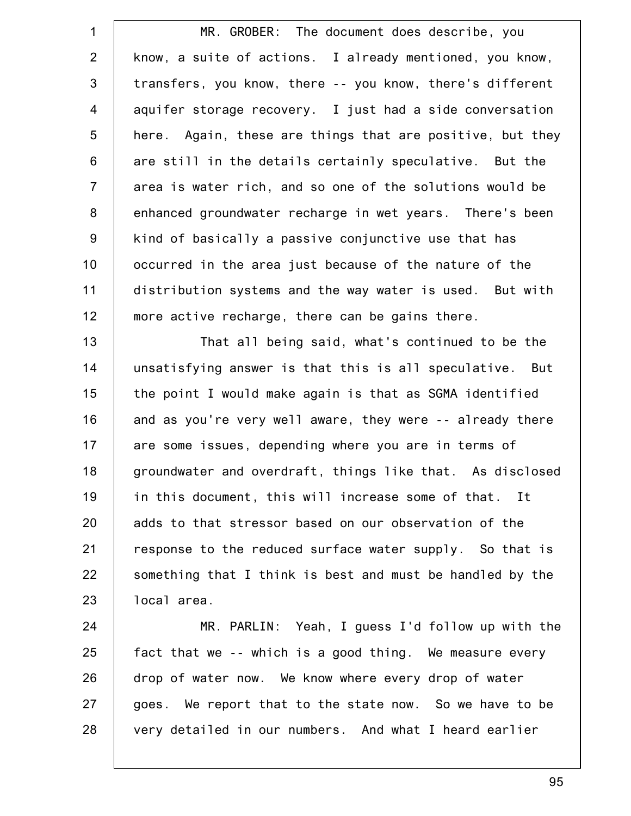1 2 3 4 5 6 7 8 9 10 11 12 MR. GROBER: The document does describe, you know, a suite of actions. I already mentioned, you know, transfers, you know, there -- you know, there's different aquifer storage recovery. I just had a side conversation here. Again, these are things that are positive, but they are still in the details certainly speculative. But the area is water rich, and so one of the solutions would be enhanced groundwater recharge in wet years. There's been kind of basically a passive conjunctive use that has occurred in the area just because of the nature of the distribution systems and the way water is used. But with more active recharge, there can be gains there.

13 14 15 16 17 18 19 20 21 22 23 That all being said, what's continued to be the unsatisfying answer is that this is all speculative. But the point I would make again is that as SGMA identified and as you're very well aware, they were -- already there are some issues, depending where you are in terms of groundwater and overdraft, things like that. As disclosed in this document, this will increase some of that. It adds to that stressor based on our observation of the response to the reduced surface water supply. So that is something that I think is best and must be handled by the local area.

24 25 26 27 28 MR. PARLIN: Yeah, I guess I'd follow up with the fact that we -- which is a good thing. We measure every drop of water now. We know where every drop of water goes. We report that to the state now. So we have to be very detailed in our numbers. And what I heard earlier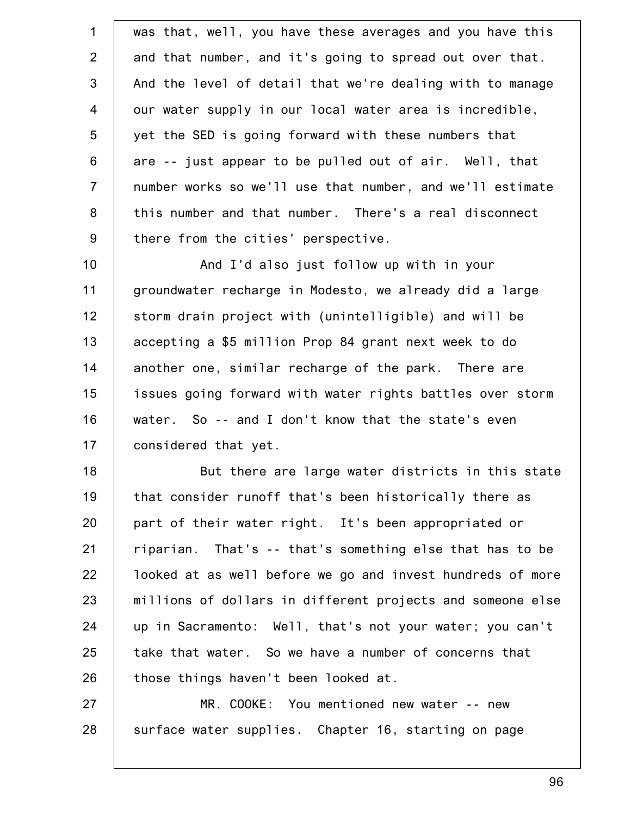1 2 3 4 5 6 7 8 9 10 11 12 13 14 15 16 17 18 19 20 21 22 23 24 was that, well, you have these averages and you have this and that number, and it's going to spread out over that. And the level of detail that we're dealing with to manage our water supply in our local water area is incredible, yet the SED is going forward with these numbers that are -- just appear to be pulled out of air. Well, that number works so we'll use that number, and we'll estimate this number and that number. There's a real disconnect there from the cities' perspective. And I'd also just follow up with in your groundwater recharge in Modesto, we already did a large storm drain project with (unintelligible) and will be accepting a \$5 million Prop 84 grant next week to do another one, similar recharge of the park. There are issues going forward with water rights battles over storm water. So -- and I don't know that the state's even considered that yet. But there are large water districts in this state that consider runoff that's been historically there as part of their water right. It's been appropriated or riparian. That's -- that's something else that has to be looked at as well before we go and invest hundreds of more millions of dollars in different projects and someone else up in Sacramento: Well, that's not your water; you can't

25 26 take that water. So we have a number of concerns that those things haven't been looked at.

27 28 MR. COOKE: You mentioned new water -- new surface water supplies. Chapter 16, starting on page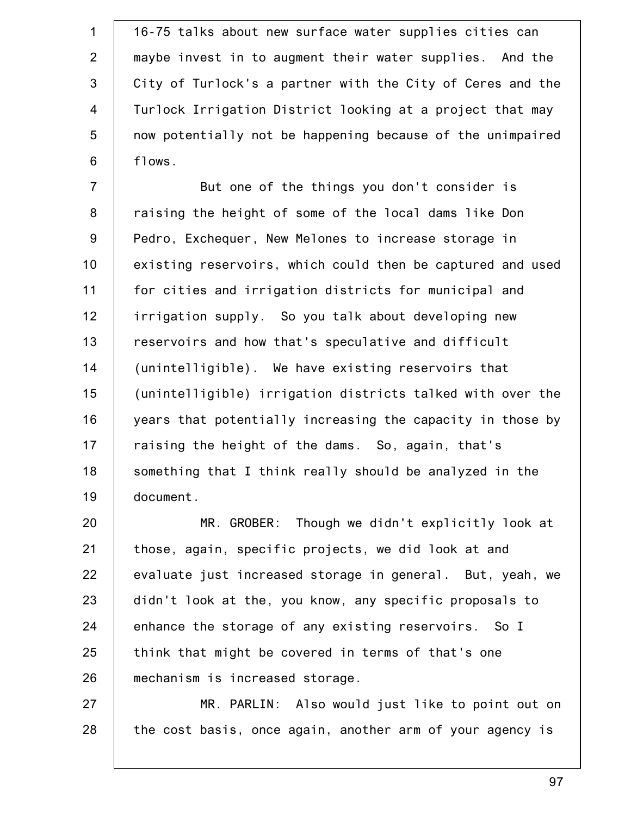1 2 3 4 5 6 16-75 talks about new surface water supplies cities can maybe invest in to augment their water supplies. And the City of Turlock's a partner with the City of Ceres and the Turlock Irrigation District looking at a project that may now potentially not be happening because of the unimpaired flows.

7 8 9 10 11 12 13 14 15 16 17 18 19 But one of the things you don't consider is raising the height of some of the local dams like Don Pedro, Exchequer, New Melones to increase storage in existing reservoirs, which could then be captured and used for cities and irrigation districts for municipal and irrigation supply. So you talk about developing new reservoirs and how that's speculative and difficult (unintelligible). We have existing reservoirs that (unintelligible) irrigation districts talked with over the years that potentially increasing the capacity in those by raising the height of the dams. So, again, that's something that I think really should be analyzed in the document.

20 21 22 23 24 25 26 MR. GROBER: Though we didn't explicitly look at those, again, specific projects, we did look at and evaluate just increased storage in general. But, yeah, we didn't look at the, you know, any specific proposals to enhance the storage of any existing reservoirs. So I think that might be covered in terms of that's one mechanism is increased storage.

27 28 MR. PARLIN: Also would just like to point out on the cost basis, once again, another arm of your agency is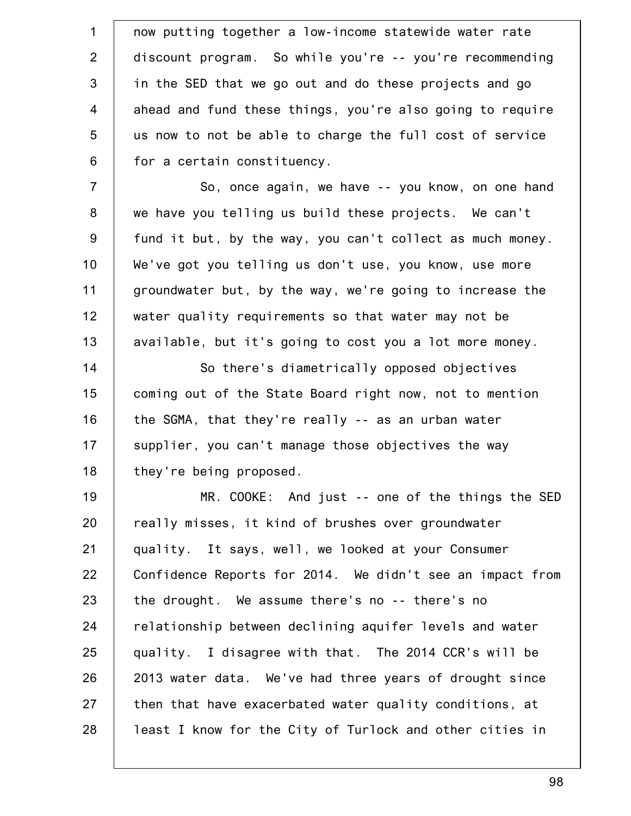1 2 3 4 5 6 now putting together a low-income statewide water rate discount program. So while you're -- you're recommending in the SED that we go out and do these projects and go ahead and fund these things, you're also going to require us now to not be able to charge the full cost of service for a certain constituency.

7 8 9 10 11 12 13 So, once again, we have -- you know, on one hand we have you telling us build these projects. We can't fund it but, by the way, you can't collect as much money. We've got you telling us don't use, you know, use more groundwater but, by the way, we're going to increase the water quality requirements so that water may not be available, but it's going to cost you a lot more money.

14 15 16 17 18 So there's diametrically opposed objectives coming out of the State Board right now, not to mention the SGMA, that they're really -- as an urban water supplier, you can't manage those objectives the way they're being proposed.

19 20 21 22 23 24 25 26 27 28 MR. COOKE: And just -- one of the things the SED really misses, it kind of brushes over groundwater quality. It says, well, we looked at your Consumer Confidence Reports for 2014. We didn't see an impact from the drought. We assume there's no -- there's no relationship between declining aquifer levels and water quality. I disagree with that. The 2014 CCR's will be 2013 water data. We've had three years of drought since then that have exacerbated water quality conditions, at least I know for the City of Turlock and other cities in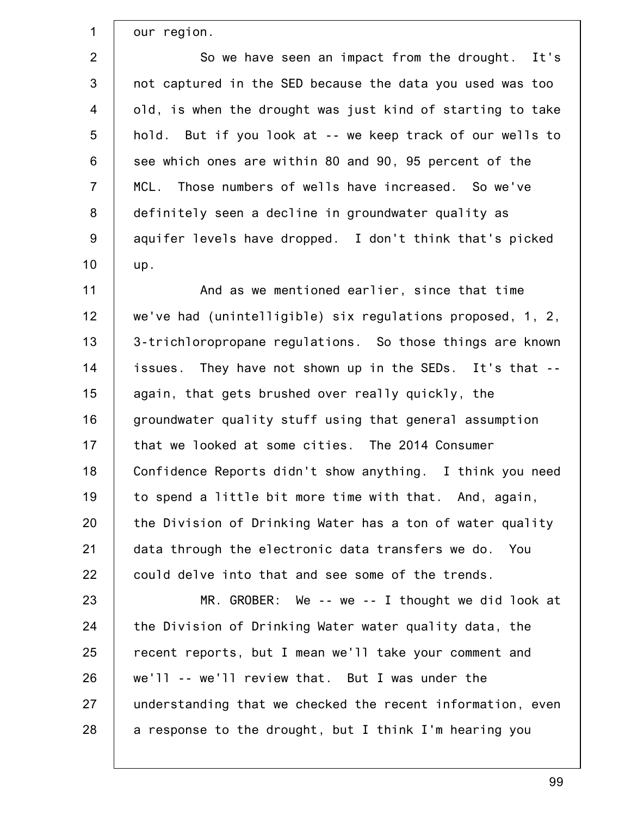our region.

1

2 3 4 5 6 7 8 9 10 So we have seen an impact from the drought. It's not captured in the SED because the data you used was too old, is when the drought was just kind of starting to take hold. But if you look at -- we keep track of our wells to see which ones are within 80 and 90, 95 percent of the MCL. Those numbers of wells have increased. So we've definitely seen a decline in groundwater quality as aquifer levels have dropped. I don't think that's picked up.

11 12 13 14 15 16 17 18 19 20 21 22 And as we mentioned earlier, since that time we've had (unintelligible) six regulations proposed, 1, 2, 3-trichloropropane regulations. So those things are known issues. They have not shown up in the SEDs. It's that - again, that gets brushed over really quickly, the groundwater quality stuff using that general assumption that we looked at some cities. The 2014 Consumer Confidence Reports didn't show anything. I think you need to spend a little bit more time with that. And, again, the Division of Drinking Water has a ton of water quality data through the electronic data transfers we do. You could delve into that and see some of the trends.

23 24 25 26 27 28 MR. GROBER: We -- we -- I thought we did look at the Division of Drinking Water water quality data, the recent reports, but I mean we'll take your comment and we'll -- we'll review that. But I was under the understanding that we checked the recent information, even a response to the drought, but I think I'm hearing you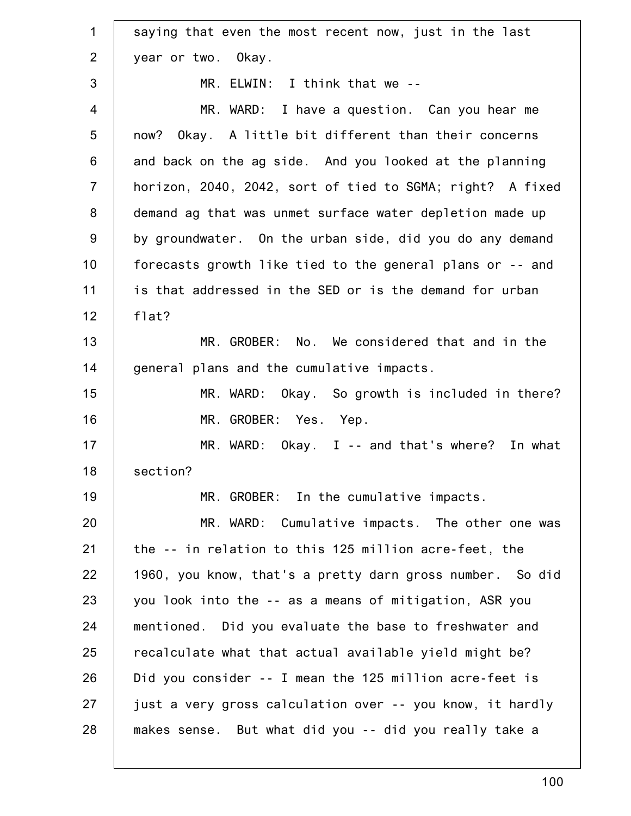| $\mathbf 1$    | saying that even the most recent now, just in the last    |
|----------------|-----------------------------------------------------------|
| 2              | year or two. Okay.                                        |
| 3              | MR. ELWIN: I think that we --                             |
| $\overline{4}$ | MR. WARD: I have a question. Can you hear me              |
| 5              | now? Okay. A little bit different than their concerns     |
| $6\phantom{1}$ | and back on the ag side. And you looked at the planning   |
| $\overline{7}$ | horizon, 2040, 2042, sort of tied to SGMA; right? A fixed |
| 8              | demand ag that was unmet surface water depletion made up  |
| $9\,$          | by groundwater. On the urban side, did you do any demand  |
| 10             | forecasts growth like tied to the general plans or -- and |
| 11             | is that addressed in the SED or is the demand for urban   |
| 12             | flat?                                                     |
| 13             | MR. GROBER: No. We considered that and in the             |
| 14             | general plans and the cumulative impacts.                 |
| 15             | MR. WARD: Okay. So growth is included in there?           |
| 16             | MR. GROBER: Yes. Yep.                                     |
| 17             | $MR. WARD: Okay. I -- and that's where? In what$          |
| 18             | section?                                                  |
| 19             | MR. GROBER: In the cumulative impacts.                    |
| 20             | MR. WARD: Cumulative impacts. The other one was           |
| 21             | the -- in relation to this 125 million acre-feet, the     |
| 22             | 1960, you know, that's a pretty darn gross number. So did |
| 23             | you look into the -- as a means of mitigation, ASR you    |
| 24             | mentioned. Did you evaluate the base to freshwater and    |
| 25             | recalculate what that actual available yield might be?    |
| 26             | Did you consider -- I mean the 125 million acre-feet is   |
| 27             | just a very gross calculation over -- you know, it hardly |
| 28             | makes sense. But what did you -- did you really take a    |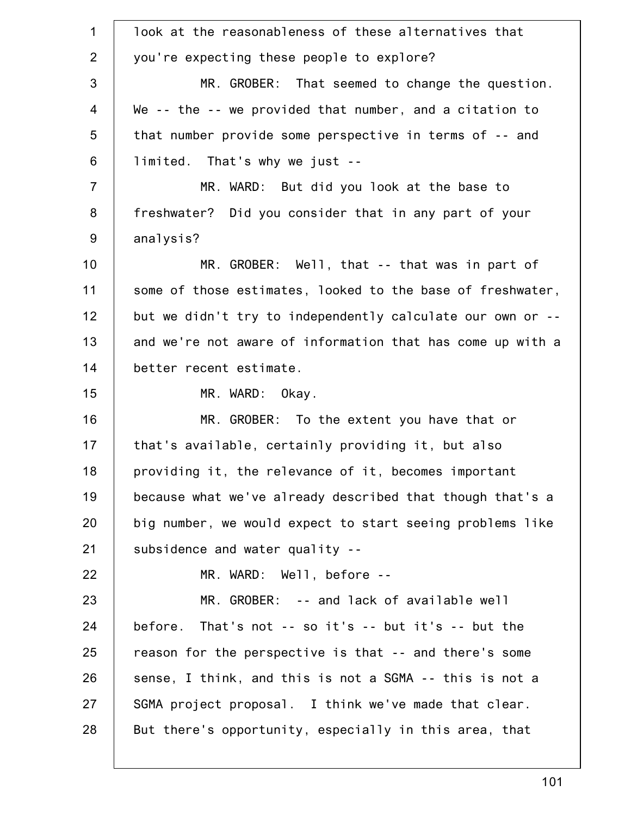| $\mathbf{1}$   | look at the reasonableness of these alternatives that      |
|----------------|------------------------------------------------------------|
| $\overline{2}$ | you're expecting these people to explore?                  |
| 3              | MR. GROBER: That seemed to change the question.            |
| $\overline{4}$ | We -- the -- we provided that number, and a citation to    |
| 5              | that number provide some perspective in terms of -- and    |
| 6              | limited. That's why we just --                             |
| $\overline{7}$ | MR. WARD: But did you look at the base to                  |
| 8              | freshwater? Did you consider that in any part of your      |
| 9              | analysis?                                                  |
| 10             | MR. GROBER: Well, that -- that was in part of              |
| 11             | some of those estimates, looked to the base of freshwater, |
| 12             | but we didn't try to independently calculate our own or -- |
| 13             | and we're not aware of information that has come up with a |
| 14             | better recent estimate.                                    |
| 15             | MR. WARD: Okay.                                            |
| 16             | MR. GROBER: To the extent you have that or                 |
| 17             | that's available, certainly providing it, but also         |
| 18             | providing it, the relevance of it, becomes important       |
| 19             | because what we've already described that though that's a  |
| 20             | big number, we would expect to start seeing problems like  |
| 21             | subsidence and water quality --                            |
| 22             | MR. WARD: Well, before --                                  |
| 23             | MR. GROBER: -- and lack of available well                  |
| 24             | before. That's not $-$ so it's $-$ but it's $-$ but the    |
| 25             |                                                            |
|                | reason for the perspective is that -- and there's some     |
| 26             | sense, I think, and this is not a SGMA -- this is not a    |
| 27             | SGMA project proposal. I think we've made that clear.      |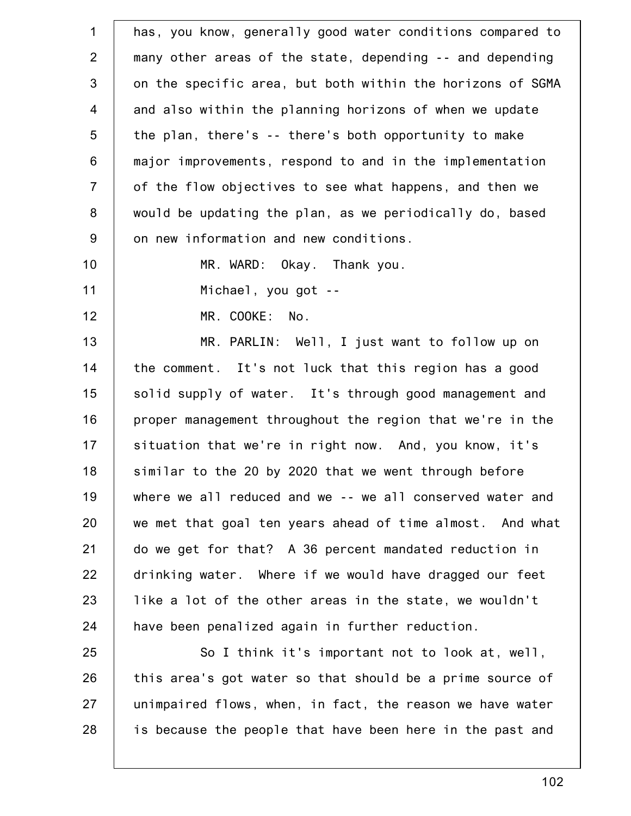1 2 3 4 5 6 7 8 9 10 11 12 13 14 15 16 17 18 19 20 21 22 23 24 25 26 27 28 has, you know, generally good water conditions compared to many other areas of the state, depending -- and depending on the specific area, but both within the horizons of SGMA and also within the planning horizons of when we update the plan, there's -- there's both opportunity to make major improvements, respond to and in the implementation of the flow objectives to see what happens, and then we would be updating the plan, as we periodically do, based on new information and new conditions. MR. WARD: Okay. Thank you. Michael, you got -- MR. COOKE: No. MR. PARLIN: Well, I just want to follow up on the comment. It's not luck that this region has a good solid supply of water. It's through good management and proper management throughout the region that we're in the situation that we're in right now. And, you know, it's similar to the 20 by 2020 that we went through before where we all reduced and we -- we all conserved water and we met that goal ten years ahead of time almost. And what do we get for that? A 36 percent mandated reduction in drinking water. Where if we would have dragged our feet like a lot of the other areas in the state, we wouldn't have been penalized again in further reduction. So I think it's important not to look at, well, this area's got water so that should be a prime source of unimpaired flows, when, in fact, the reason we have water is because the people that have been here in the past and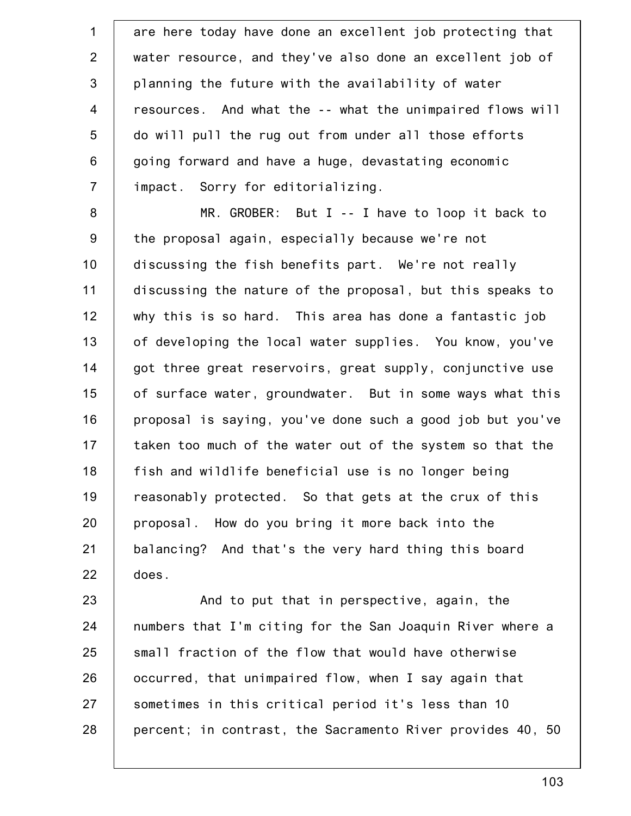1 2 3 4 5 6 7 are here today have done an excellent job protecting that water resource, and they've also done an excellent job of planning the future with the availability of water resources. And what the -- what the unimpaired flows will do will pull the rug out from under all those efforts going forward and have a huge, devastating economic impact. Sorry for editorializing.

8 9 10 11 12 13 14 15 16 17 18 19 20 21 22 MR. GROBER: But I -- I have to loop it back to the proposal again, especially because we're not discussing the fish benefits part. We're not really discussing the nature of the proposal, but this speaks to why this is so hard. This area has done a fantastic job of developing the local water supplies. You know, you've got three great reservoirs, great supply, conjunctive use of surface water, groundwater. But in some ways what this proposal is saying, you've done such a good job but you've taken too much of the water out of the system so that the fish and wildlife beneficial use is no longer being reasonably protected. So that gets at the crux of this proposal. How do you bring it more back into the balancing? And that's the very hard thing this board does.

23 24 25 26 27 28 And to put that in perspective, again, the numbers that I'm citing for the San Joaquin River where a small fraction of the flow that would have otherwise occurred, that unimpaired flow, when I say again that sometimes in this critical period it's less than 10 percent; in contrast, the Sacramento River provides 40, 50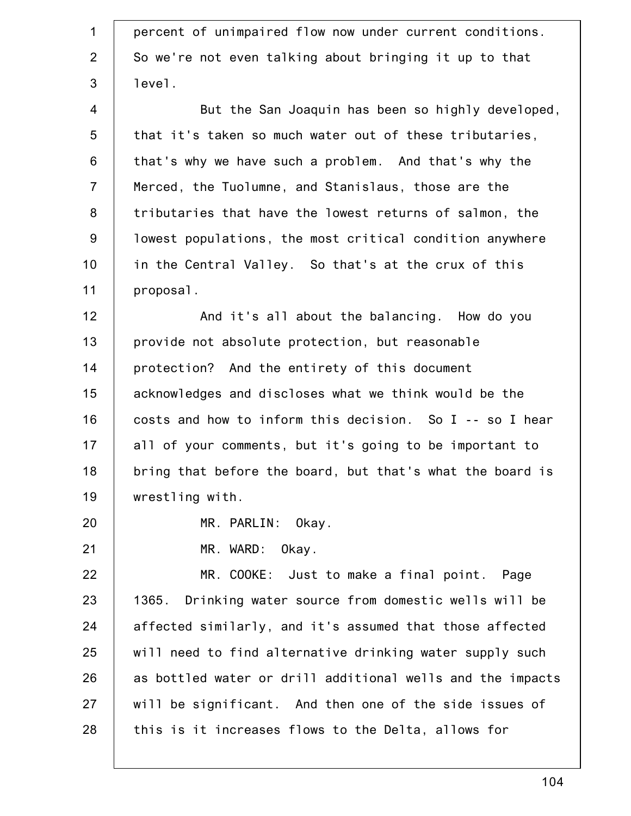| $\mathbf 1$    | percent of unimpaired flow now under current conditions.   |
|----------------|------------------------------------------------------------|
| $\overline{2}$ | So we're not even talking about bringing it up to that     |
| $\mathfrak{S}$ | level.                                                     |
| $\overline{4}$ |                                                            |
|                | But the San Joaquin has been so highly developed,          |
| 5              | that it's taken so much water out of these tributaries,    |
| 6              | that's why we have such a problem. And that's why the      |
| $\overline{7}$ | Merced, the Tuolumne, and Stanislaus, those are the        |
| $\bf 8$        | tributaries that have the lowest returns of salmon, the    |
| 9              | lowest populations, the most critical condition anywhere   |
| 10             | in the Central Valley. So that's at the crux of this       |
| 11             | proposal.                                                  |
| 12             | And it's all about the balancing. How do you               |
| 13             | provide not absolute protection, but reasonable            |
| 14             | protection? And the entirety of this document              |
| 15             | acknowledges and discloses what we think would be the      |
| 16             | costs and how to inform this decision. So I -- so I hear   |
| 17             | all of your comments, but it's going to be important to    |
| 18             | bring that before the board, but that's what the board is  |
| 19             | wrestling with.                                            |
| 20             | MR. PARLIN: Okay.                                          |
| 21             | MR. WARD:<br>Okay.                                         |
| 22             | MR. COOKE: Just to make a final point. Page                |
| 23             | 1365. Drinking water source from domestic wells will be    |
| 24             | affected similarly, and it's assumed that those affected   |
| 25             | will need to find alternative drinking water supply such   |
| 26             | as bottled water or drill additional wells and the impacts |
| 27             | will be significant. And then one of the side issues of    |
| 28             | this is it increases flows to the Delta, allows for        |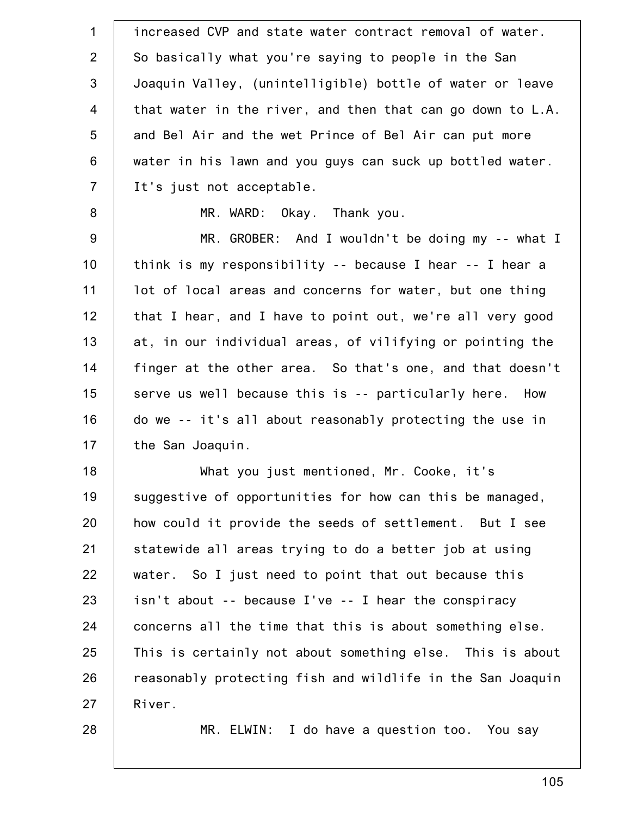| $\mathbf 1$    | increased CVP and state water contract removal of water.   |
|----------------|------------------------------------------------------------|
| $\overline{2}$ | So basically what you're saying to people in the San       |
| 3              | Joaquin Valley, (unintelligible) bottle of water or leave  |
| 4              | that water in the river, and then that can go down to L.A. |
| 5              | and Bel Air and the wet Prince of Bel Air can put more     |
| 6              | water in his lawn and you guys can suck up bottled water.  |
| $\overline{7}$ | It's just not acceptable.                                  |
| 8              | MR. WARD: Okay. Thank you.                                 |
| $9\,$          | MR. GROBER: And I wouldn't be doing my -- what I           |
| 10             | think is my responsibility -- because I hear -- I hear a   |
| 11             | lot of local areas and concerns for water, but one thing   |
| 12             | that I hear, and I have to point out, we're all very good  |
| 13             | at, in our individual areas, of vilifying or pointing the  |
| 14             | finger at the other area. So that's one, and that doesn't  |
| 15             | serve us well because this is -- particularly here. How    |
| 16             | do we -- it's all about reasonably protecting the use in   |
| 17             | the San Joaquin.                                           |
| 18             | What you just mentioned, Mr. Cooke, it's                   |
| 19             | suggestive of opportunities for how can this be managed,   |
| 20             | how could it provide the seeds of settlement. But I see    |
| 21             | statewide all areas trying to do a better job at using     |
| 22             | water. So I just need to point that out because this       |
| 23             | isn't about -- because I've -- I hear the conspiracy       |
| 24             | concerns all the time that this is about something else.   |
| 25             | This is certainly not about something else. This is about  |
| 26             | reasonably protecting fish and wildlife in the San Joaquin |
| 27             | River.                                                     |
| 28             | I do have a question too. You say<br>MR. ELWIN:            |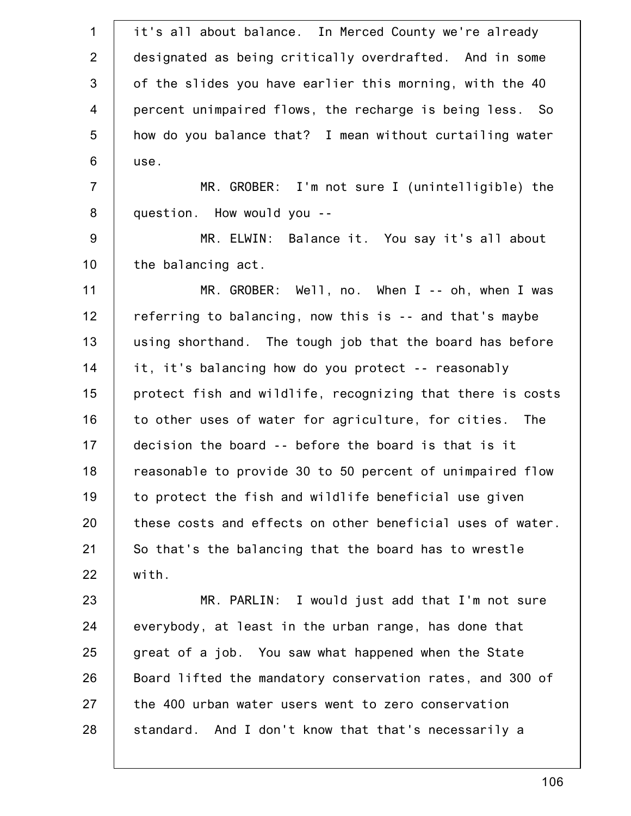| $\mathbf 1$    | it's all about balance. In Merced County we're already     |
|----------------|------------------------------------------------------------|
| $\overline{2}$ | designated as being critically overdrafted. And in some    |
| 3              | of the slides you have earlier this morning, with the 40   |
| $\overline{4}$ | percent unimpaired flows, the recharge is being less. So   |
| 5              | how do you balance that? I mean without curtailing water   |
| 6              | use.                                                       |
| $\overline{7}$ | MR. GROBER: I'm not sure I (unintelligible) the            |
| $\bf 8$        | question. How would you --                                 |
| $9\,$          | MR. ELWIN: Balance it. You say it's all about              |
| 10             | the balancing act.                                         |
| 11             | MR. GROBER: Well, no. When $I - -$ oh, when I was          |
| 12             | referring to balancing, now this is -- and that's maybe    |
| 13             | using shorthand. The tough job that the board has before   |
| 14             | it, it's balancing how do you protect -- reasonably        |
| 15             | protect fish and wildlife, recognizing that there is costs |
| 16             | to other uses of water for agriculture, for cities. The    |
| 17             | decision the board -- before the board is that is it       |
| 18             | reasonable to provide 30 to 50 percent of unimpaired flow  |
| 19             | to protect the fish and wildlife beneficial use given      |
| 20             | these costs and effects on other beneficial uses of water. |
| 21             | So that's the balancing that the board has to wrestle      |
| 22             | with.                                                      |
| 23             | MR. PARLIN: I would just add that I'm not sure             |
| 24             | everybody, at least in the urban range, has done that      |
| 25             | great of a job. You saw what happened when the State       |
| 26             | Board lifted the mandatory conservation rates, and 300 of  |
| 27             | the 400 urban water users went to zero conservation        |
| 28             | standard. And I don't know that that's necessarily a       |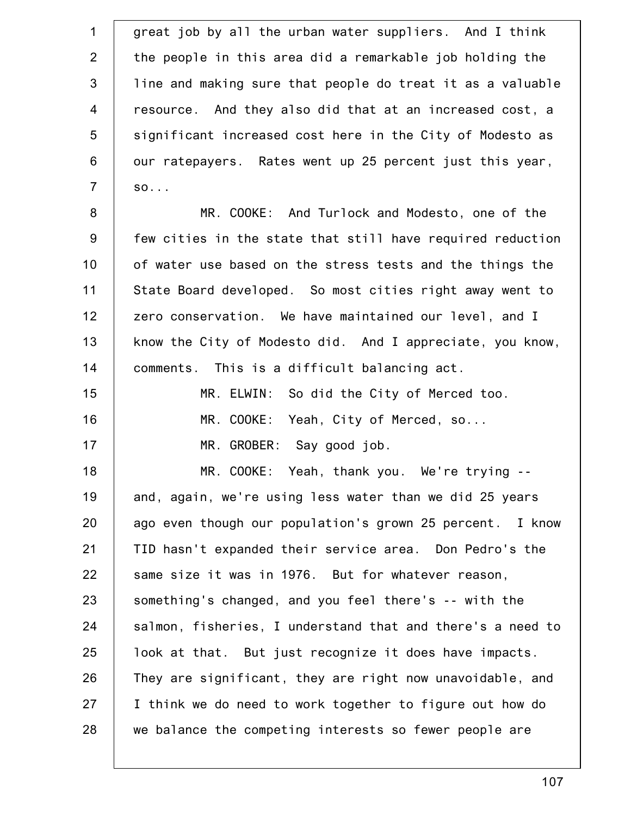| $\mathbf 1$    | great job by all the urban water suppliers. And I think    |
|----------------|------------------------------------------------------------|
| $\overline{2}$ | the people in this area did a remarkable job holding the   |
| $\mathfrak{S}$ | line and making sure that people do treat it as a valuable |
| $\overline{4}$ | resource. And they also did that at an increased cost, a   |
| 5              | significant increased cost here in the City of Modesto as  |
| 6              | our ratepayers. Rates went up 25 percent just this year,   |
| $\overline{7}$ | $SO.$                                                      |
| 8              | MR. COOKE: And Turlock and Modesto, one of the             |
| $9\,$          | few cities in the state that still have required reduction |
| 10             | of water use based on the stress tests and the things the  |
| 11             | State Board developed. So most cities right away went to   |
| 12             | zero conservation. We have maintained our level, and I     |
| 13             | know the City of Modesto did. And I appreciate, you know,  |
| 14             | comments. This is a difficult balancing act.               |
| 15             | MR. ELWIN: So did the City of Merced too.                  |
| 16             | MR. COOKE: Yeah, City of Merced, so                        |
| 17             | MR. GROBER: Say good job.                                  |
| 18             | MR. COOKE:<br>Yeah, thank you. We're trying                |
| 19             | and, again, we're using less water than we did 25 years    |
| 20             | ago even though our population's grown 25 percent. I know  |
| 21             | TID hasn't expanded their service area. Don Pedro's the    |
| 22             | same size it was in 1976. But for whatever reason,         |
| 23             | something's changed, and you feel there's -- with the      |
| 24             | salmon, fisheries, I understand that and there's a need to |
| 25             | look at that. But just recognize it does have impacts.     |
| 26             | They are significant, they are right now unavoidable, and  |
| 27             | I think we do need to work together to figure out how do   |
| 28             | we balance the competing interests so fewer people are     |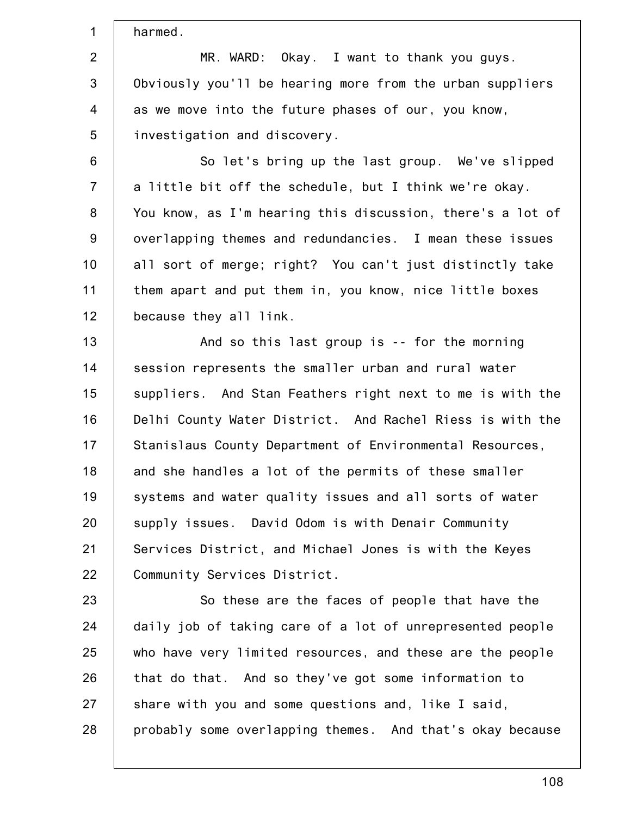1 2 3 4 5 6 7 8 9 10 11 12 13 14 15 16 17 18 19 20 21 22 23 24 25 26 27 harmed. MR. WARD: Okay. I want to thank you guys. Obviously you'll be hearing more from the urban suppliers as we move into the future phases of our, you know, investigation and discovery. So let's bring up the last group. We've slipped a little bit off the schedule, but I think we're okay. You know, as I'm hearing this discussion, there's a lot of overlapping themes and redundancies. I mean these issues all sort of merge; right? You can't just distinctly take them apart and put them in, you know, nice little boxes because they all link. And so this last group is -- for the morning session represents the smaller urban and rural water suppliers. And Stan Feathers right next to me is with the Delhi County Water District. And Rachel Riess is with the Stanislaus County Department of Environmental Resources, and she handles a lot of the permits of these smaller systems and water quality issues and all sorts of water supply issues. David Odom is with Denair Community Services District, and Michael Jones is with the Keyes Community Services District. So these are the faces of people that have the daily job of taking care of a lot of unrepresented people who have very limited resources, and these are the people that do that. And so they've got some information to share with you and some questions and, like I said,

28 probably some overlapping themes. And that's okay because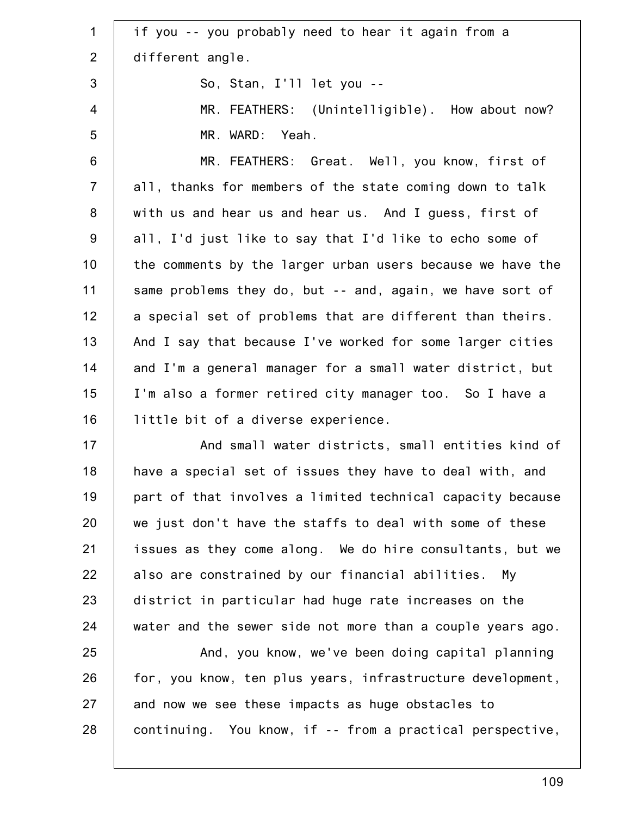1 2 3 4 5 6 7 8 9 10 11 12 13 14 15 16 17 18 19 20 21 22 23 24 25 26 27 if you -- you probably need to hear it again from a different angle. So, Stan, I'll let you -- MR. FEATHERS: (Unintelligible). How about now? MR. WARD: Yeah. MR. FEATHERS: Great. Well, you know, first of all, thanks for members of the state coming down to talk with us and hear us and hear us. And I guess, first of all, I'd just like to say that I'd like to echo some of the comments by the larger urban users because we have the same problems they do, but -- and, again, we have sort of a special set of problems that are different than theirs. And I say that because I've worked for some larger cities and I'm a general manager for a small water district, but I'm also a former retired city manager too. So I have a little bit of a diverse experience. And small water districts, small entities kind of have a special set of issues they have to deal with, and part of that involves a limited technical capacity because we just don't have the staffs to deal with some of these issues as they come along. We do hire consultants, but we also are constrained by our financial abilities. My district in particular had huge rate increases on the water and the sewer side not more than a couple years ago. And, you know, we've been doing capital planning for, you know, ten plus years, infrastructure development, and now we see these impacts as huge obstacles to

continuing. You know, if -- from a practical perspective,

28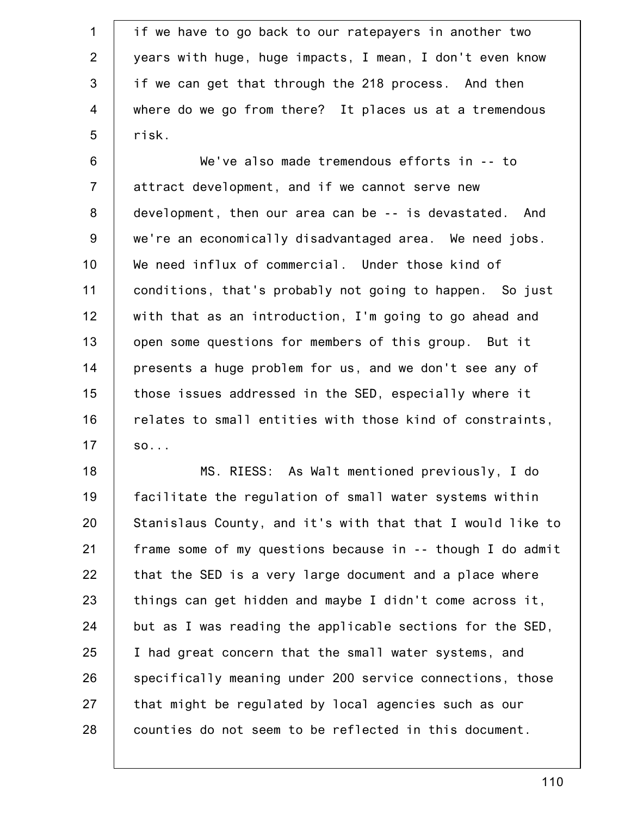1 2 3 4 5 if we have to go back to our ratepayers in another two years with huge, huge impacts, I mean, I don't even know if we can get that through the 218 process. And then where do we go from there? It places us at a tremendous risk.

6 7 8 9 10 11 12 13 14 15 16 17 We've also made tremendous efforts in -- to attract development, and if we cannot serve new development, then our area can be -- is devastated. And we're an economically disadvantaged area. We need jobs. We need influx of commercial. Under those kind of conditions, that's probably not going to happen. So just with that as an introduction, I'm going to go ahead and open some questions for members of this group. But it presents a huge problem for us, and we don't see any of those issues addressed in the SED, especially where it relates to small entities with those kind of constraints, so...

18 19 20 21 22 23 24 25 26 27 28 MS. RIESS: As Walt mentioned previously, I do facilitate the regulation of small water systems within Stanislaus County, and it's with that that I would like to frame some of my questions because in -- though I do admit that the SED is a very large document and a place where things can get hidden and maybe I didn't come across it, but as I was reading the applicable sections for the SED, I had great concern that the small water systems, and specifically meaning under 200 service connections, those that might be regulated by local agencies such as our counties do not seem to be reflected in this document.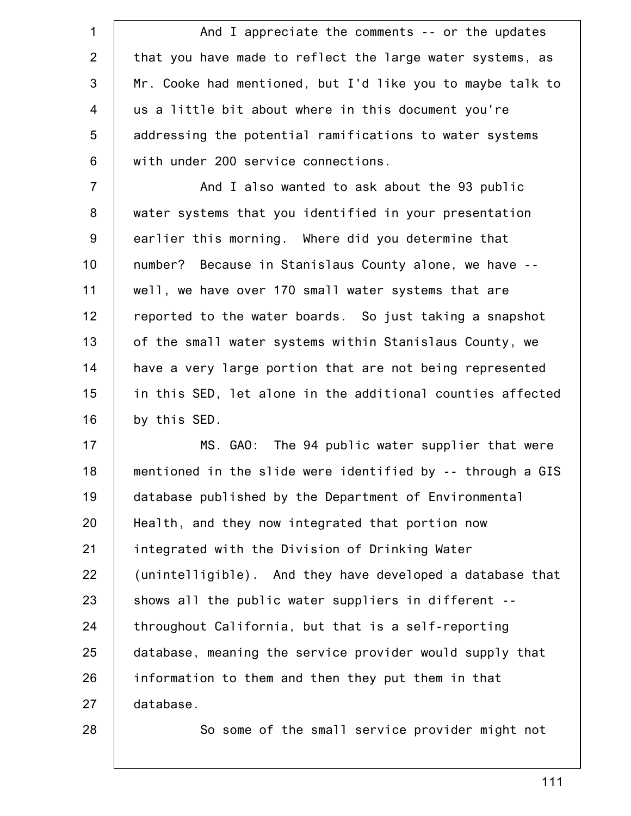1 2 3 4 5 6 And I appreciate the comments -- or the updates that you have made to reflect the large water systems, as Mr. Cooke had mentioned, but I'd like you to maybe talk to us a little bit about where in this document you're addressing the potential ramifications to water systems with under 200 service connections.

7 8 9 10 11 12 13 14 15 16 And I also wanted to ask about the 93 public water systems that you identified in your presentation earlier this morning. Where did you determine that number? Because in Stanislaus County alone, we have - well, we have over 170 small water systems that are reported to the water boards. So just taking a snapshot of the small water systems within Stanislaus County, we have a very large portion that are not being represented in this SED, let alone in the additional counties affected by this SED.

17 18 19 20 21 22 23 24 25 26 27 MS. GAO: The 94 public water supplier that were mentioned in the slide were identified by -- through a GIS database published by the Department of Environmental Health, and they now integrated that portion now integrated with the Division of Drinking Water (unintelligible). And they have developed a database that shows all the public water suppliers in different - throughout California, but that is a self-reporting database, meaning the service provider would supply that information to them and then they put them in that database.

28

So some of the small service provider might not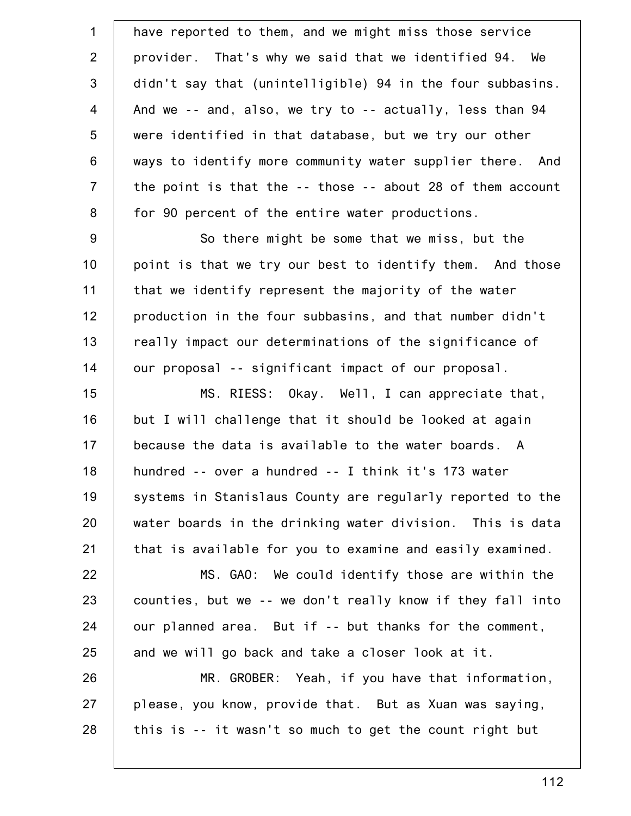| $\mathbf 1$    | have reported to them, and we might miss those service     |
|----------------|------------------------------------------------------------|
| $\overline{2}$ | provider. That's why we said that we identified 94. We     |
| 3              | didn't say that (unintelligible) 94 in the four subbasins. |
| $\overline{4}$ | And we -- and, also, we try to -- actually, less than 94   |
| 5              | were identified in that database, but we try our other     |
| $6\,$          | ways to identify more community water supplier there. And  |
| $\overline{7}$ | the point is that the -- those -- about 28 of them account |
| $\bf 8$        | for 90 percent of the entire water productions.            |
| 9              | So there might be some that we miss, but the               |
| 10             | point is that we try our best to identify them. And those  |
| 11             | that we identify represent the majority of the water       |
| 12             | production in the four subbasins, and that number didn't   |
| 13             | really impact our determinations of the significance of    |
| 14             | our proposal -- significant impact of our proposal.        |
| 15             | MS. RIESS: Okay. Well, I can appreciate that,              |
| 16             | but I will challenge that it should be looked at again     |
| 17             | because the data is available to the water boards. A       |
| 18             | hundred -- over a hundred -- I think it's 173 water        |
| 19             | systems in Stanislaus County are regularly reported to the |
| 20             | water boards in the drinking water division. This is data  |
| 21             | that is available for you to examine and easily examined.  |
| 22             | MS. GAO: We could identify those are within the            |
| 23             | counties, but we -- we don't really know if they fall into |
| 24             | our planned area. But if -- but thanks for the comment,    |
| 25             | and we will go back and take a closer look at it.          |
| 26             | MR. GROBER: Yeah, if you have that information,            |
| 27             | please, you know, provide that. But as Xuan was saying,    |
| 28             | this is -- it wasn't so much to get the count right but    |
|                |                                                            |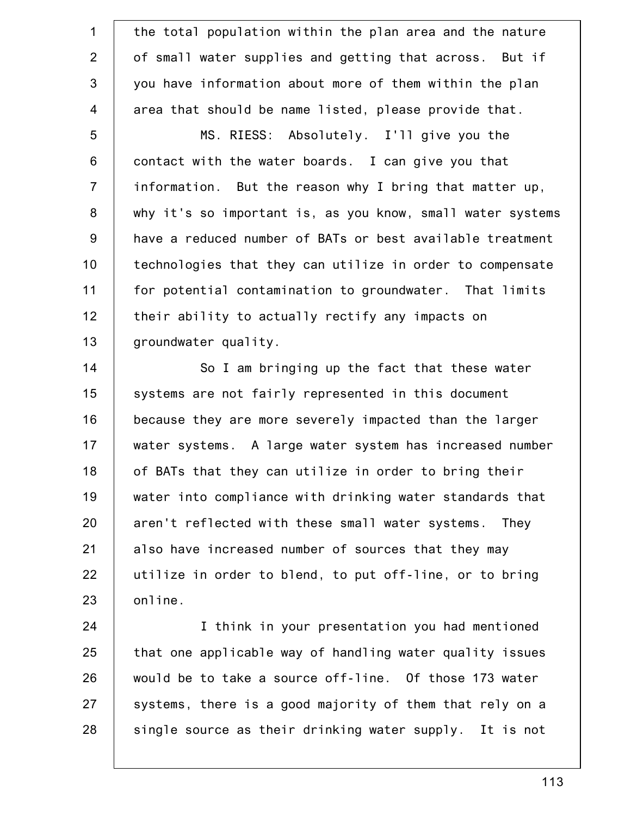1 2 3 4 5 6 7 8 9 10 11 12 13 14 15 16 the total population within the plan area and the nature of small water supplies and getting that across. But if you have information about more of them within the plan area that should be name listed, please provide that. MS. RIESS: Absolutely. I'll give you the contact with the water boards. I can give you that information. But the reason why I bring that matter up, why it's so important is, as you know, small water systems have a reduced number of BATs or best available treatment technologies that they can utilize in order to compensate for potential contamination to groundwater. That limits their ability to actually rectify any impacts on groundwater quality. So I am bringing up the fact that these water systems are not fairly represented in this document because they are more severely impacted than the larger

17 18 19 20 21 22 23 water systems. A large water system has increased number of BATs that they can utilize in order to bring their water into compliance with drinking water standards that aren't reflected with these small water systems. They also have increased number of sources that they may utilize in order to blend, to put off-line, or to bring online.

24 25 26 27 28 I think in your presentation you had mentioned that one applicable way of handling water quality issues would be to take a source off-line. Of those 173 water systems, there is a good majority of them that rely on a single source as their drinking water supply. It is not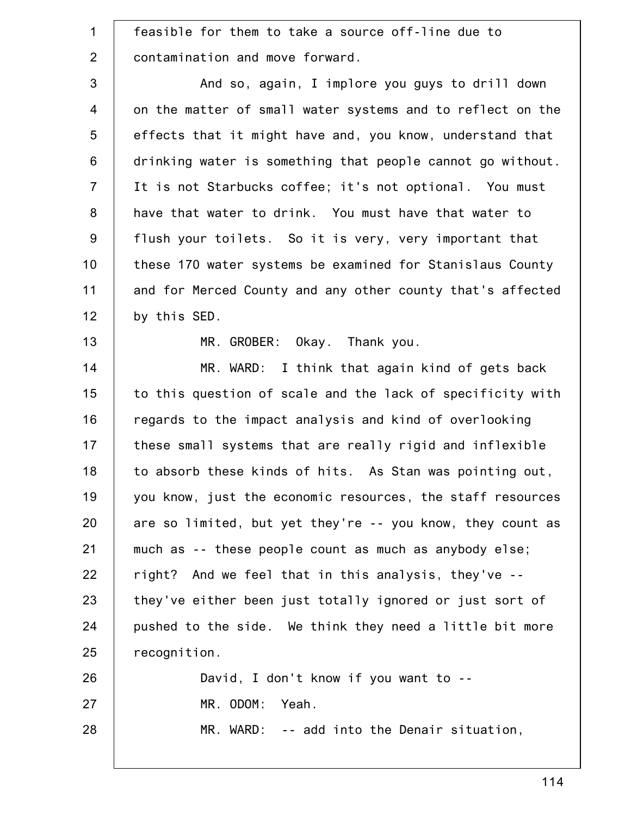1 2 3 4 5 6 7 8 9 10 11 12 13 14 15 16 17 18 19 20 21 22 23 24 25 26 27 28 feasible for them to take a source off-line due to contamination and move forward. And so, again, I implore you guys to drill down on the matter of small water systems and to reflect on the effects that it might have and, you know, understand that drinking water is something that people cannot go without. It is not Starbucks coffee; it's not optional. You must have that water to drink. You must have that water to flush your toilets. So it is very, very important that these 170 water systems be examined for Stanislaus County and for Merced County and any other county that's affected by this SED. MR. GROBER: Okay. Thank you. MR. WARD: I think that again kind of gets back to this question of scale and the lack of specificity with regards to the impact analysis and kind of overlooking these small systems that are really rigid and inflexible to absorb these kinds of hits. As Stan was pointing out, you know, just the economic resources, the staff resources are so limited, but yet they're -- you know, they count as much as -- these people count as much as anybody else; right? And we feel that in this analysis, they've - they've either been just totally ignored or just sort of pushed to the side. We think they need a little bit more recognition. David, I don't know if you want to -- MR. ODOM: Yeah. MR. WARD: -- add into the Denair situation,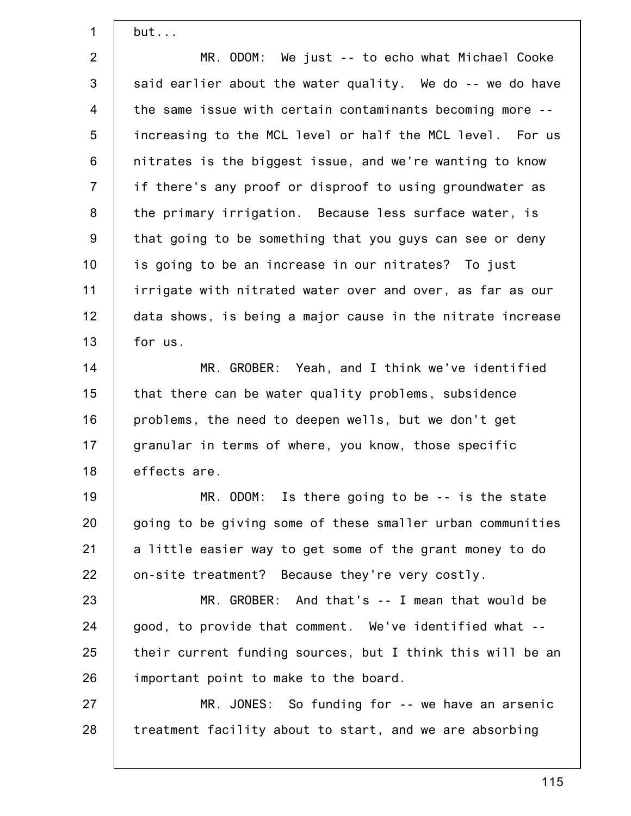but...

1

2 3 4 5 6 7 8 9 10 11 12 13 MR. ODOM: We just -- to echo what Michael Cooke said earlier about the water quality. We do -- we do have the same issue with certain contaminants becoming more - increasing to the MCL level or half the MCL level. For us nitrates is the biggest issue, and we're wanting to know if there's any proof or disproof to using groundwater as the primary irrigation. Because less surface water, is that going to be something that you guys can see or deny is going to be an increase in our nitrates? To just irrigate with nitrated water over and over, as far as our data shows, is being a major cause in the nitrate increase for us.

14 15 16 17 18 MR. GROBER: Yeah, and I think we've identified that there can be water quality problems, subsidence problems, the need to deepen wells, but we don't get granular in terms of where, you know, those specific effects are.

19 20 21 22 MR. ODOM: Is there going to be -- is the state going to be giving some of these smaller urban communities a little easier way to get some of the grant money to do on-site treatment? Because they're very costly.

23 24 25 26 MR. GROBER: And that's -- I mean that would be good, to provide that comment. We've identified what - their current funding sources, but I think this will be an important point to make to the board.

27 28 MR. JONES: So funding for -- we have an arsenic treatment facility about to start, and we are absorbing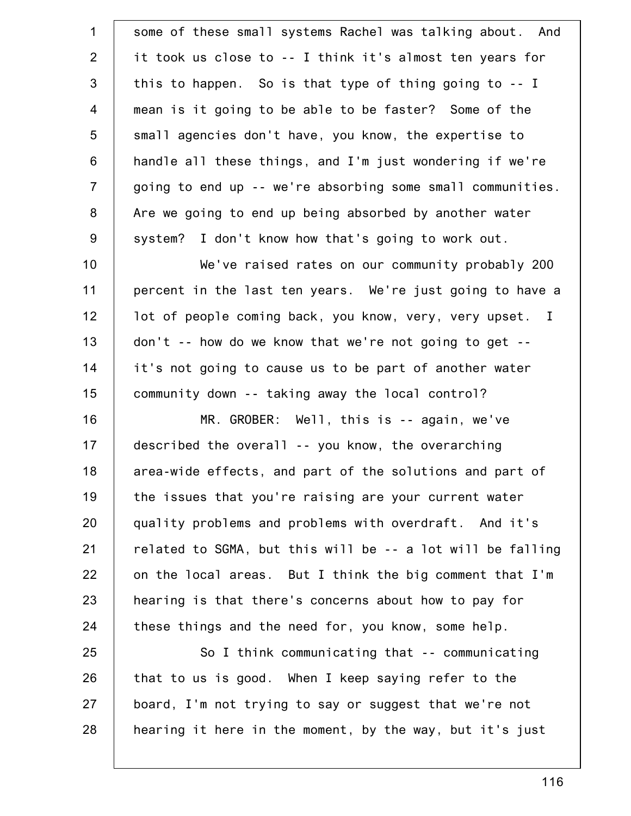| some of these small systems Rachel was talking about. And  |
|------------------------------------------------------------|
| it took us close to -- I think it's almost ten years for   |
| this to happen. So is that type of thing going to -- I     |
| mean is it going to be able to be faster? Some of the      |
| small agencies don't have, you know, the expertise to      |
| handle all these things, and I'm just wondering if we're   |
| going to end up -- we're absorbing some small communities. |
| Are we going to end up being absorbed by another water     |
| system? I don't know how that's going to work out.         |
| We've raised rates on our community probably 200           |
| percent in the last ten years. We're just going to have a  |
| lot of people coming back, you know, very, very upset. I   |
| don't -- how do we know that we're not going to get --     |
| it's not going to cause us to be part of another water     |
| community down -- taking away the local control?           |
| MR. GROBER: Well, this is -- again, we've                  |
| described the overall -- you know, the overarching         |
| area-wide effects, and part of the solutions and part of   |
| the issues that you're raising are your current water      |
| quality problems and problems with overdraft. And it's     |
| related to SGMA, but this will be -- a lot will be falling |
| on the local areas. But I think the big comment that I'm   |
| hearing is that there's concerns about how to pay for      |
| these things and the need for, you know, some help.        |
| So I think communicating that -- communicating             |
| that to us is good. When I keep saying refer to the        |
| board, I'm not trying to say or suggest that we're not     |
| hearing it here in the moment, by the way, but it's just   |
|                                                            |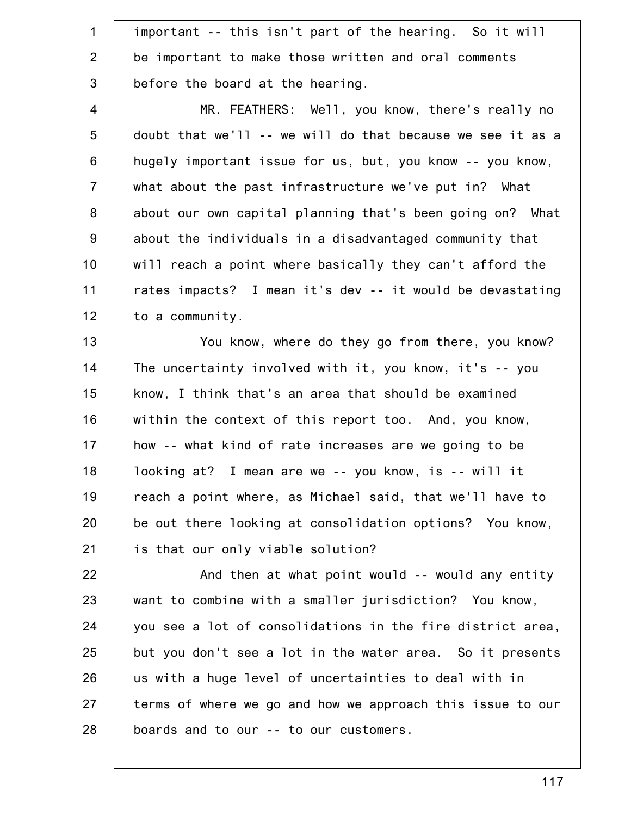1 2 3 important -- this isn't part of the hearing. So it will be important to make those written and oral comments before the board at the hearing.

4 5 6 7 8 9 10 11 12 MR. FEATHERS: Well, you know, there's really no doubt that we'll -- we will do that because we see it as a hugely important issue for us, but, you know -- you know, what about the past infrastructure we've put in? What about our own capital planning that's been going on? What about the individuals in a disadvantaged community that will reach a point where basically they can't afford the rates impacts? I mean it's dev -- it would be devastating to a community.

13 14 15 16 17 18 19 20 21 You know, where do they go from there, you know? The uncertainty involved with it, you know, it's -- you know, I think that's an area that should be examined within the context of this report too. And, you know, how -- what kind of rate increases are we going to be looking at? I mean are we -- you know, is -- will it reach a point where, as Michael said, that we'll have to be out there looking at consolidation options? You know, is that our only viable solution?

22 23 24 25 26 27 28 And then at what point would -- would any entity want to combine with a smaller jurisdiction? You know, you see a lot of consolidations in the fire district area, but you don't see a lot in the water area. So it presents us with a huge level of uncertainties to deal with in terms of where we go and how we approach this issue to our boards and to our -- to our customers.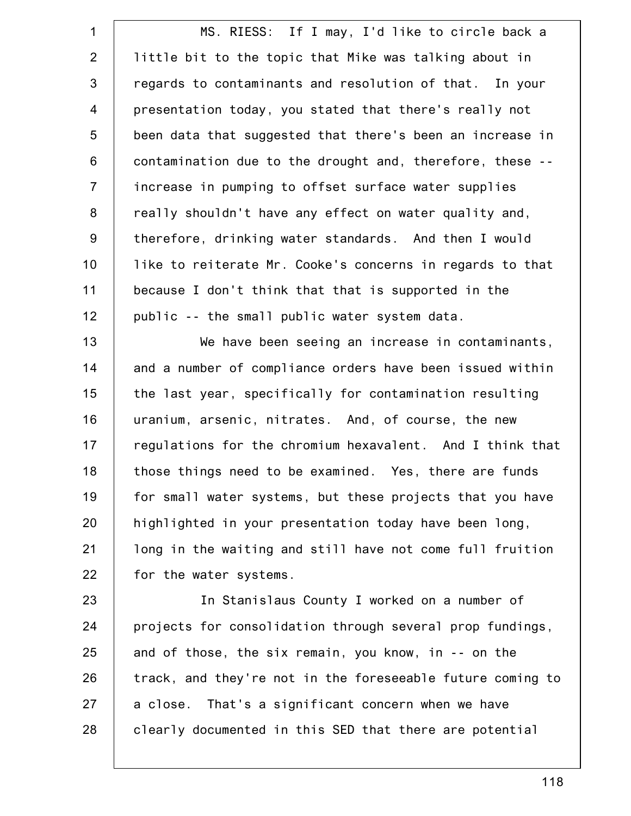1 2 3 4 5 6 7 8 9 10 11 12 MS. RIESS: If I may, I'd like to circle back a little bit to the topic that Mike was talking about in regards to contaminants and resolution of that. In your presentation today, you stated that there's really not been data that suggested that there's been an increase in contamination due to the drought and, therefore, these - increase in pumping to offset surface water supplies really shouldn't have any effect on water quality and, therefore, drinking water standards. And then I would like to reiterate Mr. Cooke's concerns in regards to that because I don't think that that is supported in the public -- the small public water system data.

13 14 15 16 17 18 19 20 21 22 We have been seeing an increase in contaminants, and a number of compliance orders have been issued within the last year, specifically for contamination resulting uranium, arsenic, nitrates. And, of course, the new regulations for the chromium hexavalent. And I think that those things need to be examined. Yes, there are funds for small water systems, but these projects that you have highlighted in your presentation today have been long, long in the waiting and still have not come full fruition for the water systems.

23 24 25 26 27 28 In Stanislaus County I worked on a number of projects for consolidation through several prop fundings, and of those, the six remain, you know, in -- on the track, and they're not in the foreseeable future coming to a close. That's a significant concern when we have clearly documented in this SED that there are potential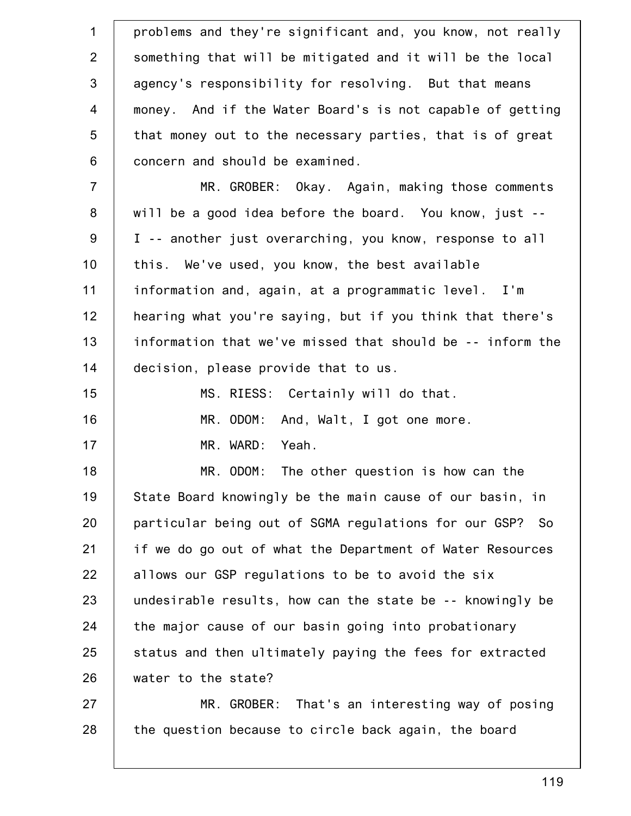| $\mathbf 1$      | problems and they're significant and, you know, not really |
|------------------|------------------------------------------------------------|
| 2                | something that will be mitigated and it will be the local  |
| 3                | agency's responsibility for resolving. But that means      |
| $\overline{4}$   | money. And if the Water Board's is not capable of getting  |
| 5                | that money out to the necessary parties, that is of great  |
| $6\phantom{1}$   | concern and should be examined.                            |
| $\overline{7}$   | MR. GROBER: Okay. Again, making those comments             |
| 8                | will be a good idea before the board. You know, just --    |
| $\boldsymbol{9}$ | I -- another just overarching, you know, response to all   |
| 10               | this. We've used, you know, the best available             |
| 11               | information and, again, at a programmatic level. I'm       |
| 12               | hearing what you're saying, but if you think that there's  |
| 13               | information that we've missed that should be -- inform the |
| 14               | decision, please provide that to us.                       |
| 15               | MS. RIESS: Certainly will do that.                         |
| 16               | MR. ODOM: And, Walt, I got one more.                       |
| 17               | MR. WARD: Yeah.                                            |
| 18               | MR. ODOM:<br>The other question is how can the             |
| 19               | State Board knowingly be the main cause of our basin, in   |
| 20               | particular being out of SGMA regulations for our GSP? So   |
| 21               | if we do go out of what the Department of Water Resources  |
| 22               | allows our GSP regulations to be to avoid the six          |
| 23               | undesirable results, how can the state be -- knowingly be  |
| 24               | the major cause of our basin going into probationary       |
| 25               | status and then ultimately paying the fees for extracted   |
| 26               | water to the state?                                        |
| 27               | MR. GROBER: That's an interesting way of posing            |
| 28               | the question because to circle back again, the board       |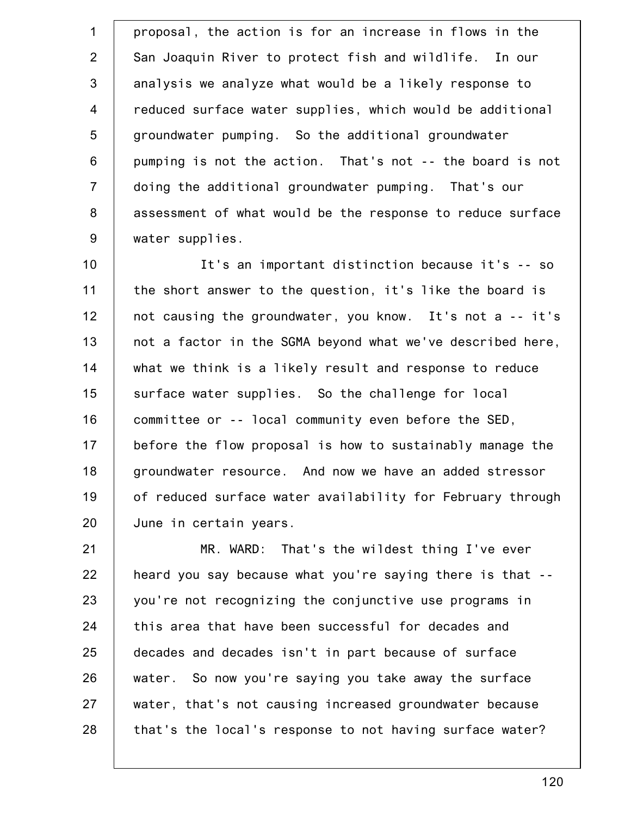1 2 3 4 5 6 7 8 9 proposal, the action is for an increase in flows in the San Joaquin River to protect fish and wildlife. In our analysis we analyze what would be a likely response to reduced surface water supplies, which would be additional groundwater pumping. So the additional groundwater pumping is not the action. That's not -- the board is not doing the additional groundwater pumping. That's our assessment of what would be the response to reduce surface water supplies.

10 11 12 13 14 15 16 17 18 19 20 It's an important distinction because it's -- so the short answer to the question, it's like the board is not causing the groundwater, you know. It's not a -- it's not a factor in the SGMA beyond what we've described here, what we think is a likely result and response to reduce surface water supplies. So the challenge for local committee or -- local community even before the SED, before the flow proposal is how to sustainably manage the groundwater resource. And now we have an added stressor of reduced surface water availability for February through June in certain years.

21 22 23 24 25 26 27 28 MR. WARD: That's the wildest thing I've ever heard you say because what you're saying there is that - you're not recognizing the conjunctive use programs in this area that have been successful for decades and decades and decades isn't in part because of surface water. So now you're saying you take away the surface water, that's not causing increased groundwater because that's the local's response to not having surface water?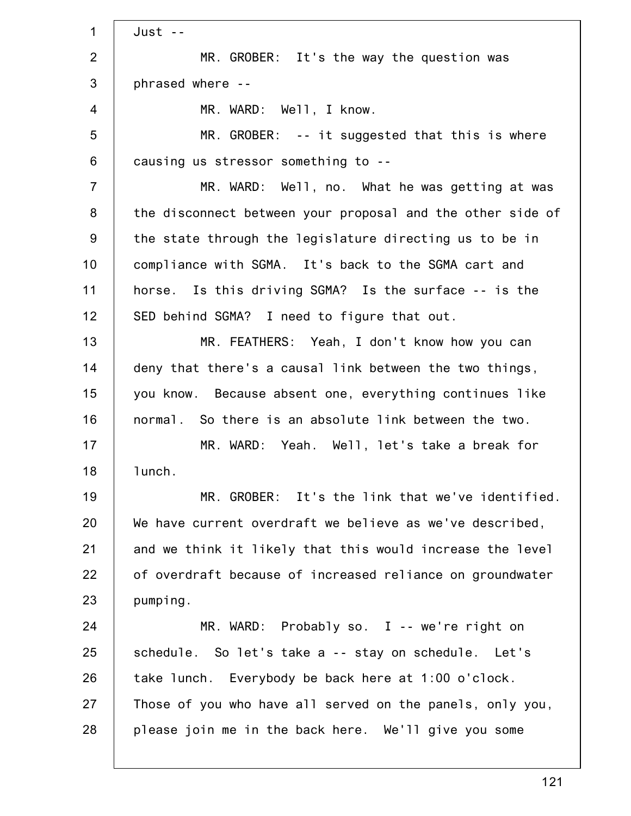1 2 3 4 5 6 7 8 9 10 11 12 13 14 15 16 17 18 19 20 21 22 23 24 25 26 27 28 Just -- MR. GROBER: It's the way the question was phrased where -- MR. WARD: Well, I know. MR. GROBER: -- it suggested that this is where causing us stressor something to -- MR. WARD: Well, no. What he was getting at was the disconnect between your proposal and the other side of the state through the legislature directing us to be in compliance with SGMA. It's back to the SGMA cart and horse. Is this driving SGMA? Is the surface -- is the SED behind SGMA? I need to figure that out. MR. FEATHERS: Yeah, I don't know how you can deny that there's a causal link between the two things, you know. Because absent one, everything continues like normal. So there is an absolute link between the two. MR. WARD: Yeah. Well, let's take a break for lunch. MR. GROBER: It's the link that we've identified. We have current overdraft we believe as we've described, and we think it likely that this would increase the level of overdraft because of increased reliance on groundwater pumping. MR. WARD: Probably so. I -- we're right on schedule. So let's take a -- stay on schedule. Let's take lunch. Everybody be back here at 1:00 o'clock. Those of you who have all served on the panels, only you, please join me in the back here. We'll give you some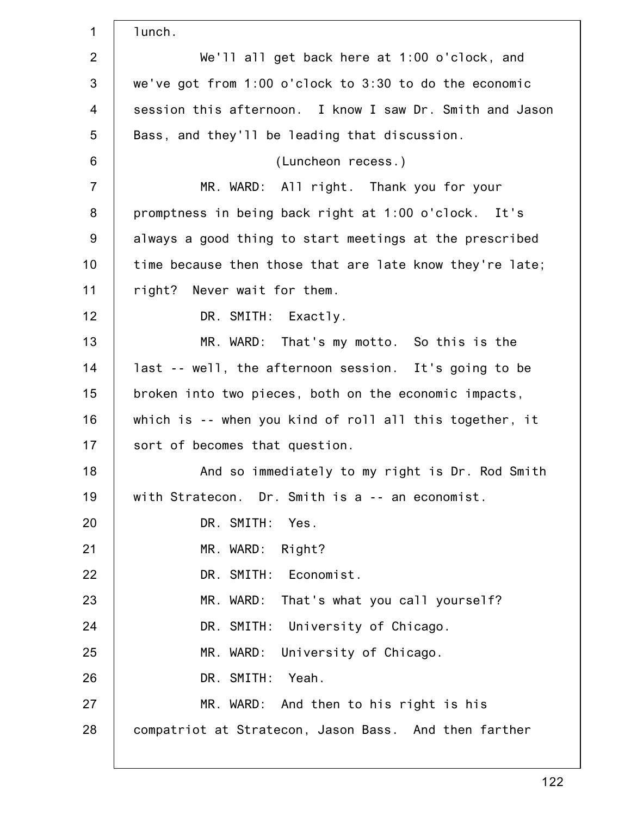| $\mathbf 1$    | lunch.                                                   |
|----------------|----------------------------------------------------------|
| $\overline{2}$ | We'll all get back here at 1:00 o'clock, and             |
| 3              | we've got from 1:00 o'clock to 3:30 to do the economic   |
| $\overline{4}$ | session this afternoon. I know I saw Dr. Smith and Jason |
| 5              | Bass, and they'll be leading that discussion.            |
| $6\,$          | (Luncheon recess.)                                       |
| $\overline{7}$ | MR. WARD: All right. Thank you for your                  |
| 8              | promptness in being back right at 1:00 o'clock. It's     |
| 9              | always a good thing to start meetings at the prescribed  |
| 10             | time because then those that are late know they're late; |
| 11             | right? Never wait for them.                              |
| 12             | DR. SMITH: Exactly.                                      |
| 13             | MR. WARD: That's my motto. So this is the                |
| 14             | last -- well, the afternoon session. It's going to be    |
| 15             | broken into two pieces, both on the economic impacts,    |
| 16             | which is -- when you kind of roll all this together, it  |
| 17             | sort of becomes that question.                           |
| 18             | And so immediately to my right is Dr. Rod Smith          |
| 19             | with Stratecon. Dr. Smith is a -- an economist.          |
| 20             | DR. SMITH: Yes.                                          |
| 21             | MR. WARD:<br>Right?                                      |
| 22             | DR. SMITH: Economist.                                    |
| 23             | That's what you call yourself?<br>MR. WARD:              |
| 24             | DR. SMITH: University of Chicago.                        |
| 25             | MR. WARD: University of Chicago.                         |
| 26             | DR. SMITH:<br>Yeah.                                      |
| 27             | MR. WARD: And then to his right is his                   |
| 28             | compatriot at Stratecon, Jason Bass. And then farther    |
|                |                                                          |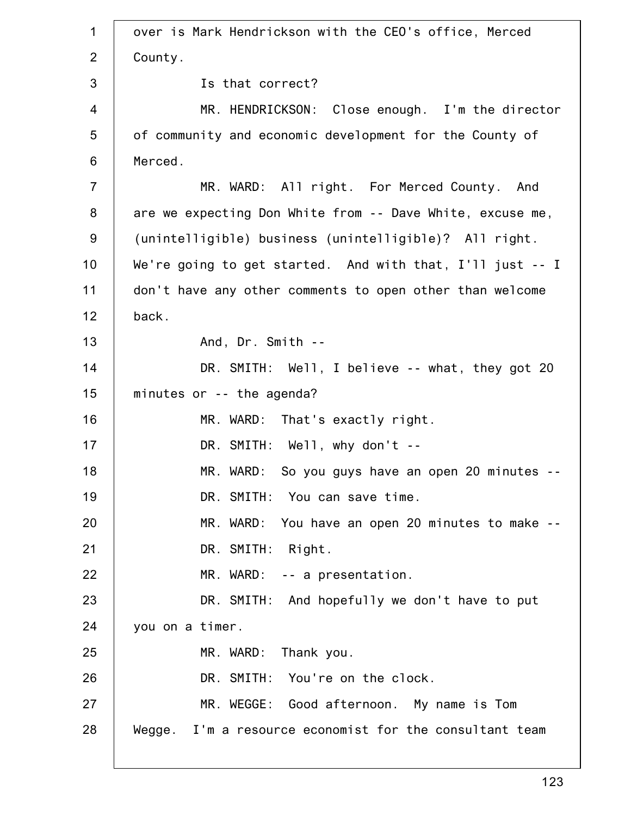1 2 3 4 5 6 7 8 9 10 11 12 13 14 15 16 17 18 19 20 21 22 23 24 25 26 27 28 over is Mark Hendrickson with the CEO's office, Merced County. Is that correct? MR. HENDRICKSON: Close enough. I'm the director of community and economic development for the County of Merced. MR. WARD: All right. For Merced County. And are we expecting Don White from -- Dave White, excuse me, (unintelligible) business (unintelligible)? All right. We're going to get started. And with that, I'll just -- I don't have any other comments to open other than welcome back. And, Dr. Smith -- DR. SMITH: Well, I believe -- what, they got 20 minutes or -- the agenda? MR. WARD: That's exactly right. DR. SMITH: Well, why don't --MR. WARD: So you guys have an open 20 minutes --DR. SMITH: You can save time. MR. WARD: You have an open 20 minutes to make -- DR. SMITH: Right. MR. WARD: -- a presentation. DR. SMITH: And hopefully we don't have to put you on a timer. MR. WARD: Thank you. DR. SMITH: You're on the clock. MR. WEGGE: Good afternoon. My name is Tom Wegge. I'm a resource economist for the consultant team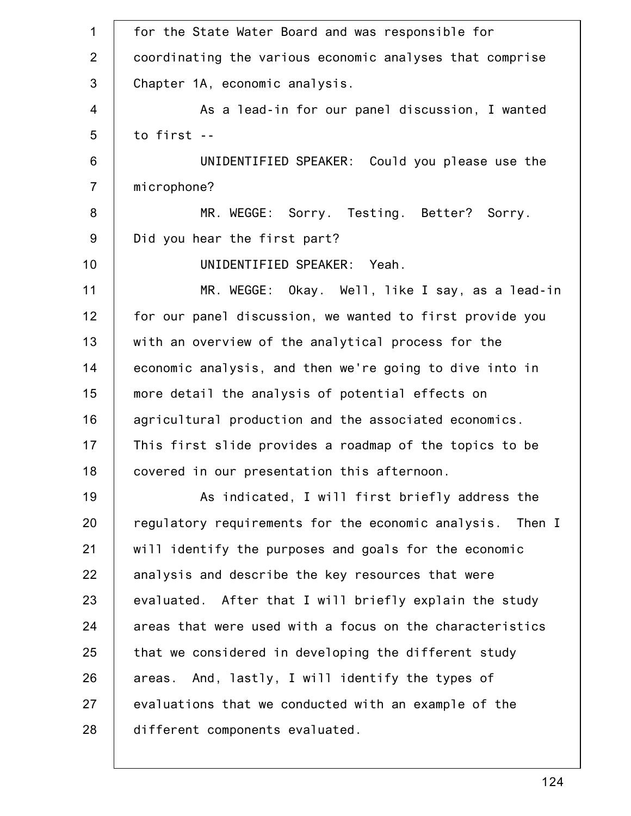| $\mathbf{1}$   | for the State Water Board and was responsible for         |
|----------------|-----------------------------------------------------------|
| $\overline{2}$ | coordinating the various economic analyses that comprise  |
| $\mathbf{3}$   | Chapter 1A, economic analysis.                            |
| $\overline{4}$ | As a lead-in for our panel discussion, I wanted           |
| 5              | to first --                                               |
| 6              | UNIDENTIFIED SPEAKER: Could you please use the            |
| $\overline{7}$ | microphone?                                               |
| $\bf 8$        | MR. WEGGE: Sorry. Testing. Better? Sorry.                 |
| 9              | Did you hear the first part?                              |
| 10             | UNIDENTIFIED SPEAKER: Yeah.                               |
| 11             | MR. WEGGE: Okay. Well, like I say, as a lead-in           |
| 12             | for our panel discussion, we wanted to first provide you  |
| 13             | with an overview of the analytical process for the        |
| 14             | economic analysis, and then we're going to dive into in   |
| 15             | more detail the analysis of potential effects on          |
| 16             | agricultural production and the associated economics.     |
| 17             | This first slide provides a roadmap of the topics to be   |
| 18             | covered in our presentation this afternoon.               |
| 19             | As indicated, I will first briefly address the            |
| 20             | regulatory requirements for the economic analysis. Then I |
| 21             | will identify the purposes and goals for the economic     |
| 22             | analysis and describe the key resources that were         |
| 23             | evaluated. After that I will briefly explain the study    |
| 24             | areas that were used with a focus on the characteristics  |
| 25             | that we considered in developing the different study      |
| 26             | areas. And, lastly, I will identify the types of          |
| 27             | evaluations that we conducted with an example of the      |
| 28             | different components evaluated.                           |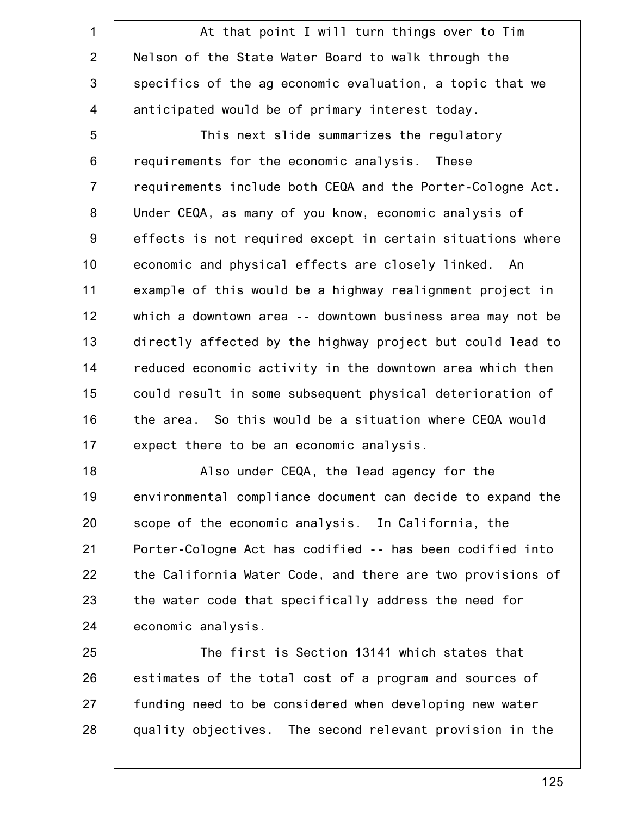1 2 3 4 5 6 7 8 9 10 11 12 13 14 15 16 17 At that point I will turn things over to Tim Nelson of the State Water Board to walk through the specifics of the ag economic evaluation, a topic that we anticipated would be of primary interest today. This next slide summarizes the regulatory requirements for the economic analysis. These requirements include both CEQA and the Porter-Cologne Act. Under CEQA, as many of you know, economic analysis of effects is not required except in certain situations where economic and physical effects are closely linked. An example of this would be a highway realignment project in which a downtown area -- downtown business area may not be directly affected by the highway project but could lead to reduced economic activity in the downtown area which then could result in some subsequent physical deterioration of the area. So this would be a situation where CEQA would expect there to be an economic analysis.

18 19 20 21 22 23 24 Also under CEQA, the lead agency for the environmental compliance document can decide to expand the scope of the economic analysis. In California, the Porter-Cologne Act has codified -- has been codified into the California Water Code, and there are two provisions of the water code that specifically address the need for economic analysis.

25 26 27 28 The first is Section 13141 which states that estimates of the total cost of a program and sources of funding need to be considered when developing new water quality objectives. The second relevant provision in the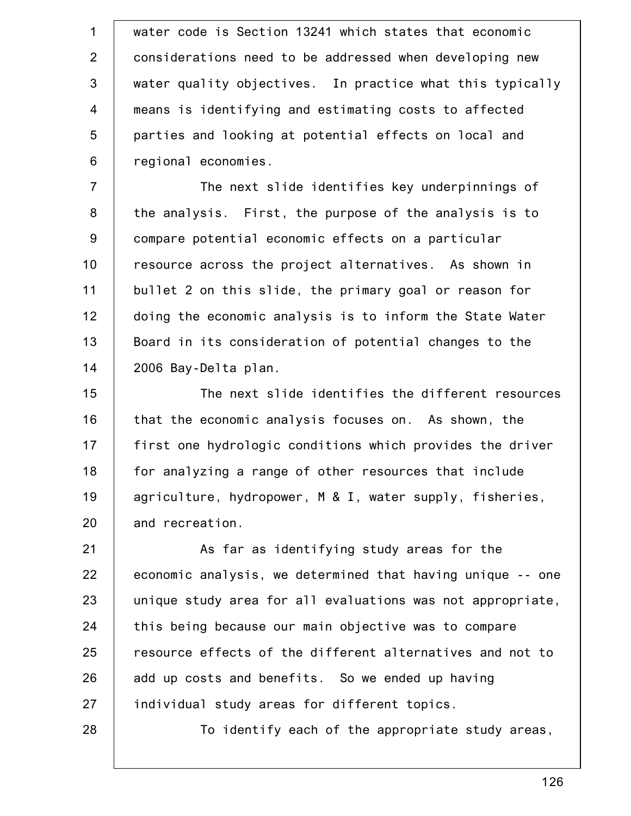1 2 3 4 5 6 water code is Section 13241 which states that economic considerations need to be addressed when developing new water quality objectives. In practice what this typically means is identifying and estimating costs to affected parties and looking at potential effects on local and regional economies.

7 8 9 10 11 12 13 14 The next slide identifies key underpinnings of the analysis. First, the purpose of the analysis is to compare potential economic effects on a particular resource across the project alternatives. As shown in bullet 2 on this slide, the primary goal or reason for doing the economic analysis is to inform the State Water Board in its consideration of potential changes to the 2006 Bay-Delta plan.

15 16 17 18 19 20 The next slide identifies the different resources that the economic analysis focuses on. As shown, the first one hydrologic conditions which provides the driver for analyzing a range of other resources that include agriculture, hydropower, M & I, water supply, fisheries, and recreation.

21 22 23 24 25 26 27 As far as identifying study areas for the economic analysis, we determined that having unique -- one unique study area for all evaluations was not appropriate, this being because our main objective was to compare resource effects of the different alternatives and not to add up costs and benefits. So we ended up having individual study areas for different topics.

28

To identify each of the appropriate study areas,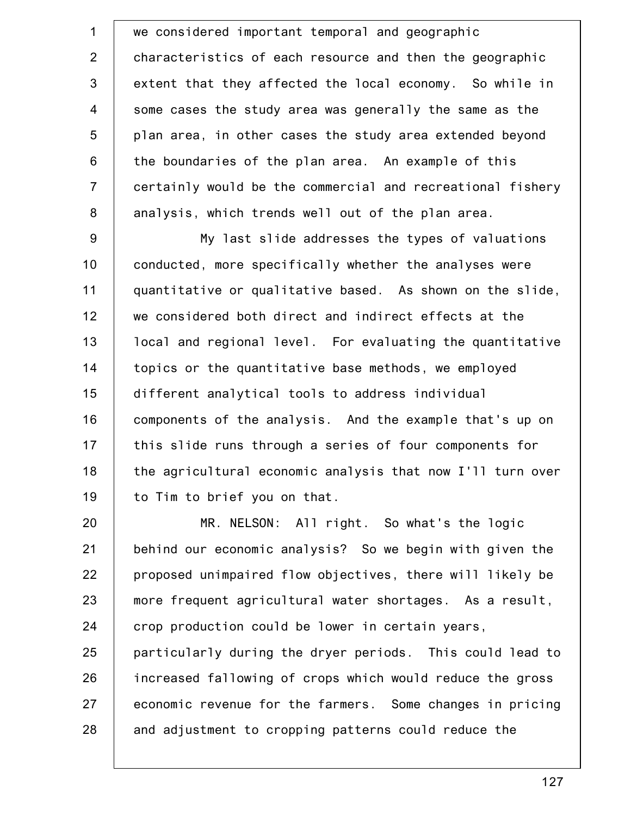1 2 3 4 5 6 7 8 we considered important temporal and geographic characteristics of each resource and then the geographic extent that they affected the local economy. So while in some cases the study area was generally the same as the plan area, in other cases the study area extended beyond the boundaries of the plan area. An example of this certainly would be the commercial and recreational fishery analysis, which trends well out of the plan area.

9 10 11 12 13 14 15 16 17 18 19 My last slide addresses the types of valuations conducted, more specifically whether the analyses were quantitative or qualitative based. As shown on the slide, we considered both direct and indirect effects at the local and regional level. For evaluating the quantitative topics or the quantitative base methods, we employed different analytical tools to address individual components of the analysis. And the example that's up on this slide runs through a series of four components for the agricultural economic analysis that now I'll turn over to Tim to brief you on that.

20 21 22 23 24 25 26 27 28 MR. NELSON: All right. So what's the logic behind our economic analysis? So we begin with given the proposed unimpaired flow objectives, there will likely be more frequent agricultural water shortages. As a result, crop production could be lower in certain years, particularly during the dryer periods. This could lead to increased fallowing of crops which would reduce the gross economic revenue for the farmers. Some changes in pricing and adjustment to cropping patterns could reduce the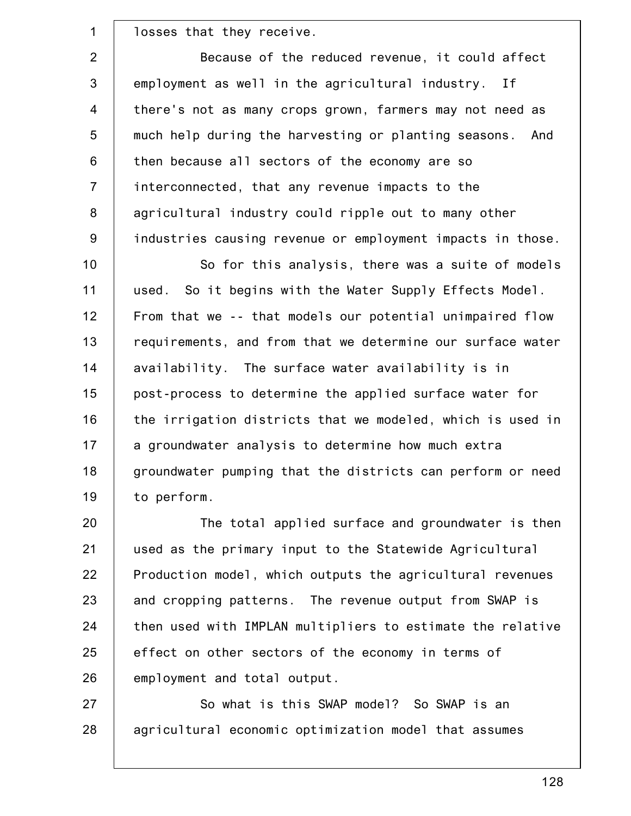losses that they receive.

1

2 3 4 5 6 7 8 9 Because of the reduced revenue, it could affect employment as well in the agricultural industry. If there's not as many crops grown, farmers may not need as much help during the harvesting or planting seasons. And then because all sectors of the economy are so interconnected, that any revenue impacts to the agricultural industry could ripple out to many other industries causing revenue or employment impacts in those.

10 11 12 13 14 15 16 17 18 19 So for this analysis, there was a suite of models used. So it begins with the Water Supply Effects Model. From that we -- that models our potential unimpaired flow requirements, and from that we determine our surface water availability. The surface water availability is in post-process to determine the applied surface water for the irrigation districts that we modeled, which is used in a groundwater analysis to determine how much extra groundwater pumping that the districts can perform or need to perform.

20 21 22 23 24 25 26 The total applied surface and groundwater is then used as the primary input to the Statewide Agricultural Production model, which outputs the agricultural revenues and cropping patterns. The revenue output from SWAP is then used with IMPLAN multipliers to estimate the relative effect on other sectors of the economy in terms of employment and total output.

27 28 So what is this SWAP model? So SWAP is an agricultural economic optimization model that assumes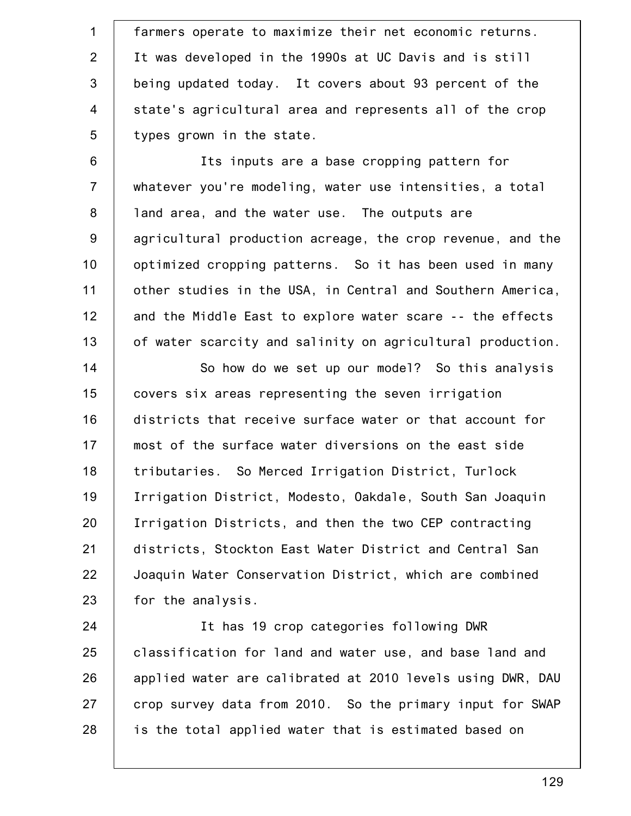1 2 3 4 5 farmers operate to maximize their net economic returns. It was developed in the 1990s at UC Davis and is still being updated today. It covers about 93 percent of the state's agricultural area and represents all of the crop types grown in the state.

6 7 8 9 10 11 12 13 Its inputs are a base cropping pattern for whatever you're modeling, water use intensities, a total land area, and the water use. The outputs are agricultural production acreage, the crop revenue, and the optimized cropping patterns. So it has been used in many other studies in the USA, in Central and Southern America, and the Middle East to explore water scare -- the effects of water scarcity and salinity on agricultural production.

14 15 16 17 18 19 20 21 22 23 So how do we set up our model? So this analysis covers six areas representing the seven irrigation districts that receive surface water or that account for most of the surface water diversions on the east side tributaries. So Merced Irrigation District, Turlock Irrigation District, Modesto, Oakdale, South San Joaquin Irrigation Districts, and then the two CEP contracting districts, Stockton East Water District and Central San Joaquin Water Conservation District, which are combined for the analysis.

24 25 26 27 28 It has 19 crop categories following DWR classification for land and water use, and base land and applied water are calibrated at 2010 levels using DWR, DAU crop survey data from 2010. So the primary input for SWAP is the total applied water that is estimated based on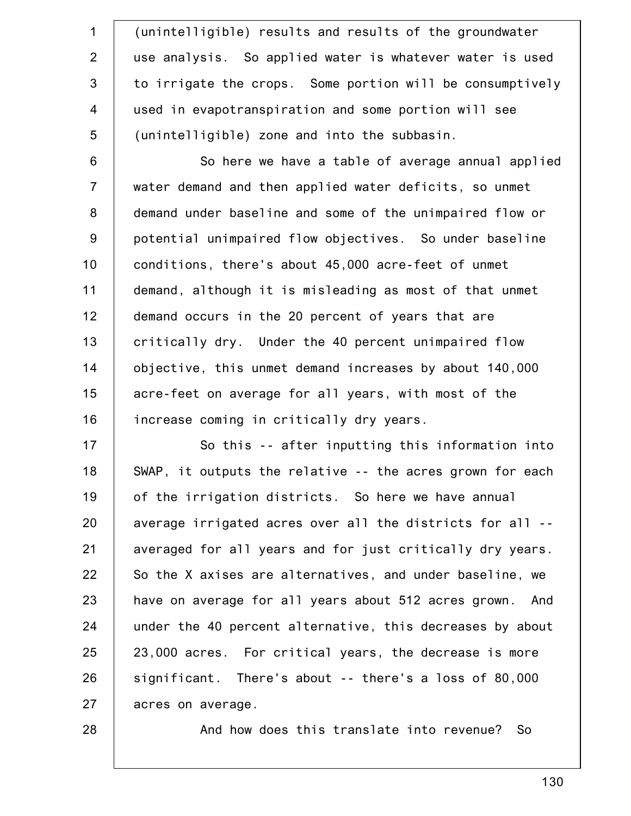1 2 3 4 5 (unintelligible) results and results of the groundwater use analysis. So applied water is whatever water is used to irrigate the crops. Some portion will be consumptively used in evapotranspiration and some portion will see (unintelligible) zone and into the subbasin.

6 7 8 9 10 11 12 13 14 15 16 So here we have a table of average annual applied water demand and then applied water deficits, so unmet demand under baseline and some of the unimpaired flow or potential unimpaired flow objectives. So under baseline conditions, there's about 45,000 acre-feet of unmet demand, although it is misleading as most of that unmet demand occurs in the 20 percent of years that are critically dry. Under the 40 percent unimpaired flow objective, this unmet demand increases by about 140,000 acre-feet on average for all years, with most of the increase coming in critically dry years.

17 18 19 20 21 22 23 24 25 26 27 So this -- after inputting this information into SWAP, it outputs the relative -- the acres grown for each of the irrigation districts. So here we have annual average irrigated acres over all the districts for all - averaged for all years and for just critically dry years. So the X axises are alternatives, and under baseline, we have on average for all years about 512 acres grown. And under the 40 percent alternative, this decreases by about 23,000 acres. For critical years, the decrease is more significant. There's about -- there's a loss of 80,000 acres on average.

28

And how does this translate into revenue? So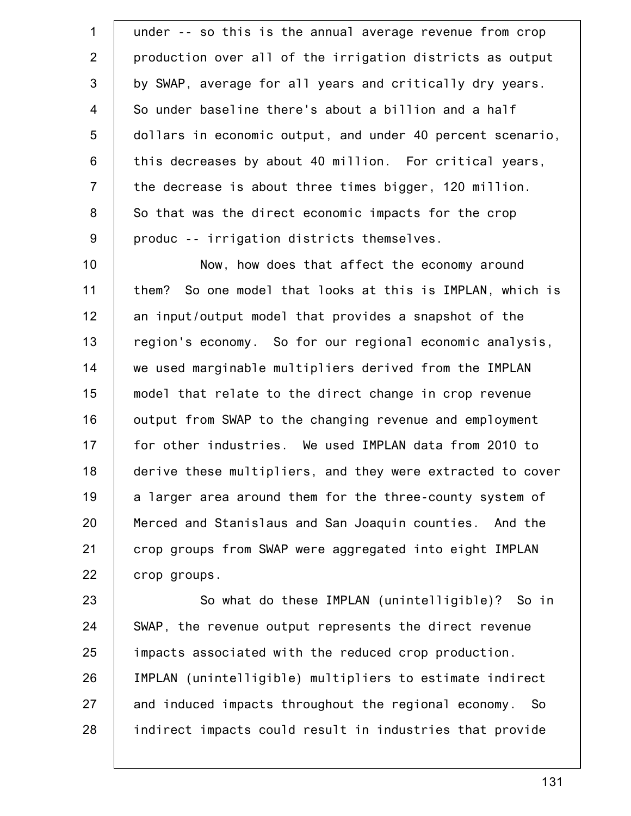1 2 3 4 5 6 7 8 9 under -- so this is the annual average revenue from crop production over all of the irrigation districts as output by SWAP, average for all years and critically dry years. So under baseline there's about a billion and a half dollars in economic output, and under 40 percent scenario, this decreases by about 40 million. For critical years, the decrease is about three times bigger, 120 million. So that was the direct economic impacts for the crop produc -- irrigation districts themselves.

10 11 12 13 14 15 16 17 18 19 20 21 22 Now, how does that affect the economy around them? So one model that looks at this is IMPLAN, which is an input/output model that provides a snapshot of the region's economy. So for our regional economic analysis, we used marginable multipliers derived from the IMPLAN model that relate to the direct change in crop revenue output from SWAP to the changing revenue and employment for other industries. We used IMPLAN data from 2010 to derive these multipliers, and they were extracted to cover a larger area around them for the three-county system of Merced and Stanislaus and San Joaquin counties. And the crop groups from SWAP were aggregated into eight IMPLAN crop groups.

23 24 25 26 27 28 So what do these IMPLAN (unintelligible)? So in SWAP, the revenue output represents the direct revenue impacts associated with the reduced crop production. IMPLAN (unintelligible) multipliers to estimate indirect and induced impacts throughout the regional economy. So indirect impacts could result in industries that provide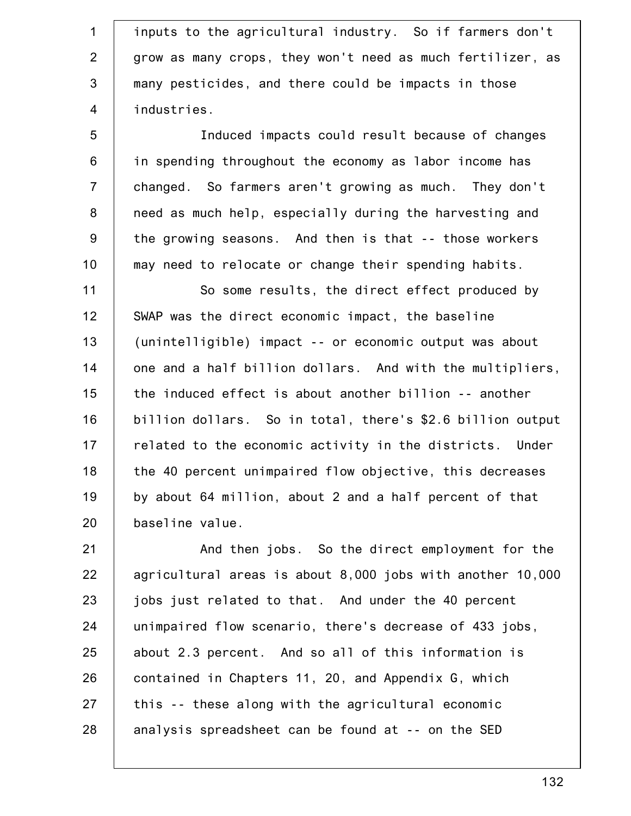1 2 3 4 inputs to the agricultural industry. So if farmers don't grow as many crops, they won't need as much fertilizer, as many pesticides, and there could be impacts in those industries.

5 6 7 8 9 10 Induced impacts could result because of changes in spending throughout the economy as labor income has changed. So farmers aren't growing as much. They don't need as much help, especially during the harvesting and the growing seasons. And then is that -- those workers may need to relocate or change their spending habits.

11 12 13 14 15 16 17 18 19 20 So some results, the direct effect produced by SWAP was the direct economic impact, the baseline (unintelligible) impact -- or economic output was about one and a half billion dollars. And with the multipliers, the induced effect is about another billion -- another billion dollars. So in total, there's \$2.6 billion output related to the economic activity in the districts. Under the 40 percent unimpaired flow objective, this decreases by about 64 million, about 2 and a half percent of that baseline value.

21 22 23 24 25 26 27 28 And then jobs. So the direct employment for the agricultural areas is about 8,000 jobs with another 10,000 jobs just related to that. And under the 40 percent unimpaired flow scenario, there's decrease of 433 jobs, about 2.3 percent. And so all of this information is contained in Chapters 11, 20, and Appendix G, which this -- these along with the agricultural economic analysis spreadsheet can be found at -- on the SED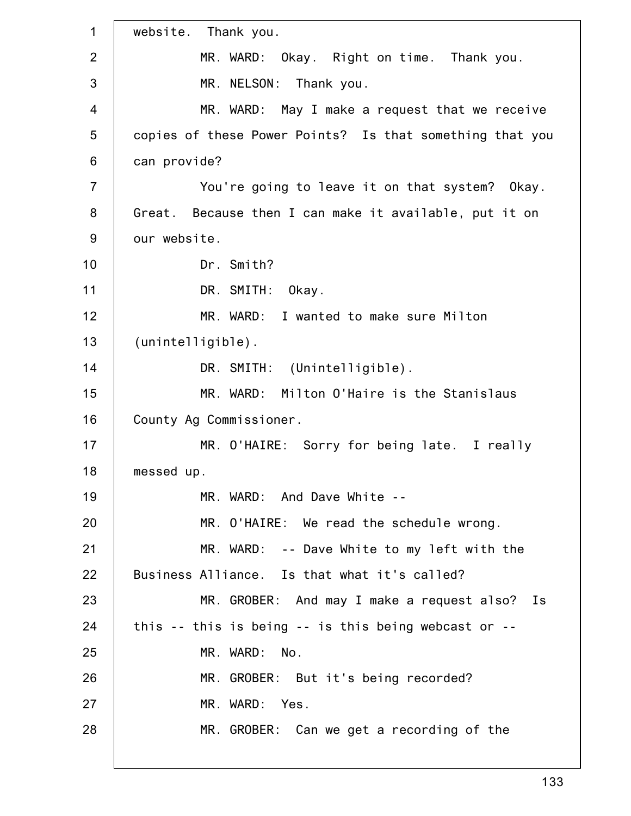1 2 3 4 5 6 7 8 9 10 11 12 13 14 15 16 17 18 19 20 21 22 23 24 25 26 27 28 website. Thank you. MR. WARD: Okay. Right on time. Thank you. MR. NELSON: Thank you. MR. WARD: May I make a request that we receive copies of these Power Points? Is that something that you can provide? You're going to leave it on that system? Okay. Great. Because then I can make it available, put it on our website. Dr. Smith? DR. SMITH: Okay. MR. WARD: I wanted to make sure Milton (unintelligible). DR. SMITH: (Unintelligible). MR. WARD: Milton O'Haire is the Stanislaus County Ag Commissioner. MR. O'HAIRE: Sorry for being late. I really messed up. MR. WARD: And Dave White -- MR. O'HAIRE: We read the schedule wrong. MR. WARD: -- Dave White to my left with the Business Alliance. Is that what it's called? MR. GROBER: And may I make a request also? Is this -- this is being -- is this being webcast or -- MR. WARD: No. MR. GROBER: But it's being recorded? MR. WARD: Yes. MR. GROBER: Can we get a recording of the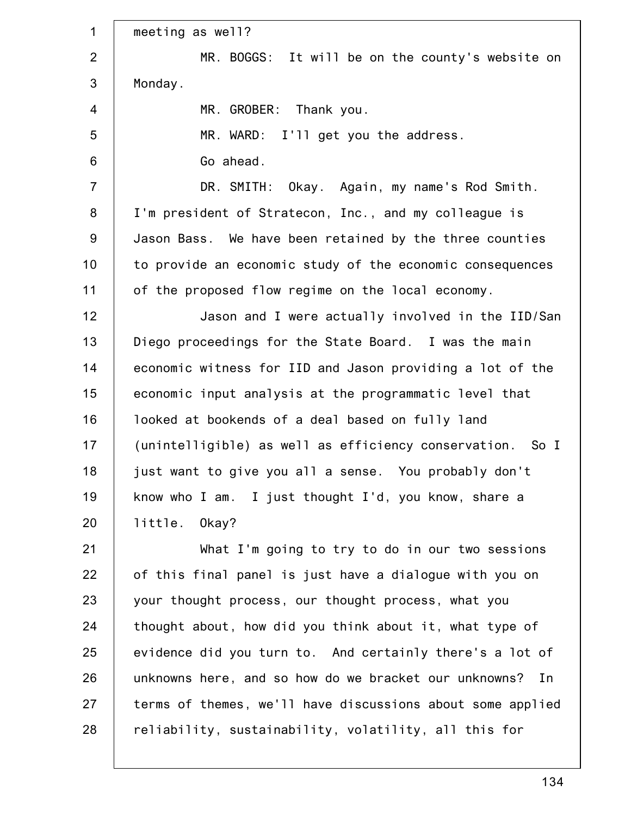| $\mathbf 1$    | meeting as well?                                           |
|----------------|------------------------------------------------------------|
| 2              | MR. BOGGS: It will be on the county's website on           |
| 3              | Monday.                                                    |
| 4              | MR. GROBER: Thank you.                                     |
| 5              | MR. WARD: I'll get you the address.                        |
| $6\phantom{1}$ | Go ahead.                                                  |
| $\overline{7}$ | DR. SMITH: Okay. Again, my name's Rod Smith.               |
| 8              | I'm president of Stratecon, Inc., and my colleague is      |
| $9\,$          | Jason Bass. We have been retained by the three counties    |
| 10             | to provide an economic study of the economic consequences  |
| 11             | of the proposed flow regime on the local economy.          |
| 12             | Jason and I were actually involved in the IID/San          |
| 13             | Diego proceedings for the State Board. I was the main      |
| 14             | economic witness for IID and Jason providing a lot of the  |
| 15             | economic input analysis at the programmatic level that     |
| 16             | looked at bookends of a deal based on fully land           |
| 17             | (unintelligible) as well as efficiency conservation. So I  |
| 18             | just want to give you all a sense. You probably don't      |
| 19             | know who I am. I just thought I'd, you know, share a       |
| 20             | little. Okay?                                              |
| 21             | What I'm going to try to do in our two sessions            |
| 22             | of this final panel is just have a dialogue with you on    |
| 23             | your thought process, our thought process, what you        |
| 24             | thought about, how did you think about it, what type of    |
| 25             | evidence did you turn to. And certainly there's a lot of   |
| 26             | unknowns here, and so how do we bracket our unknowns? In   |
| 27             | terms of themes, we'll have discussions about some applied |
| 28             | reliability, sustainability, volatility, all this for      |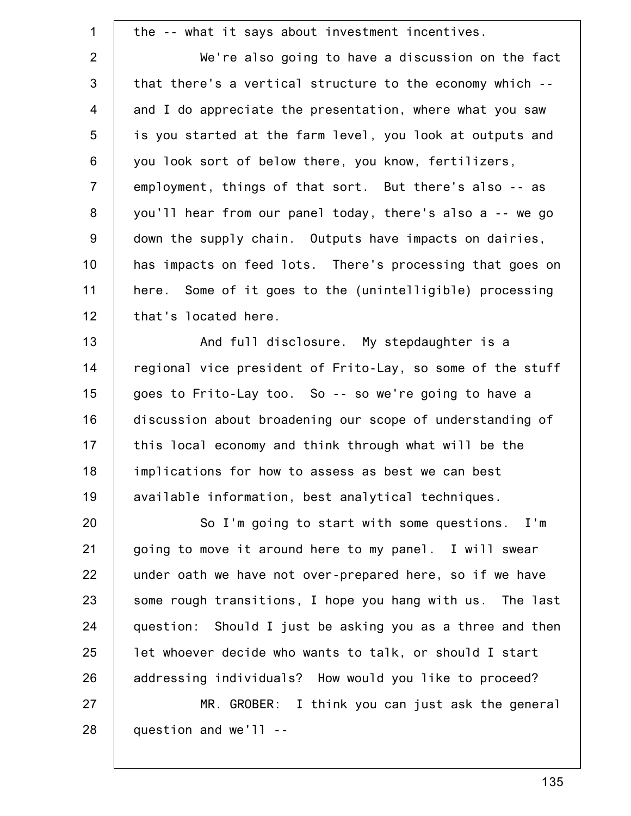1 2 3 4 5 6 7 8 9 10 11 12 the -- what it says about investment incentives. We're also going to have a discussion on the fact that there's a vertical structure to the economy which - and I do appreciate the presentation, where what you saw is you started at the farm level, you look at outputs and you look sort of below there, you know, fertilizers, employment, things of that sort. But there's also -- as you'll hear from our panel today, there's also a -- we go down the supply chain. Outputs have impacts on dairies, has impacts on feed lots. There's processing that goes on here. Some of it goes to the (unintelligible) processing that's located here.

13 14 15 16 17 18 19 And full disclosure. My stepdaughter is a regional vice president of Frito-Lay, so some of the stuff goes to Frito-Lay too. So -- so we're going to have a discussion about broadening our scope of understanding of this local economy and think through what will be the implications for how to assess as best we can best available information, best analytical techniques.

20 21 22 23 24 25 26 27 So I'm going to start with some questions. I'm going to move it around here to my panel. I will swear under oath we have not over-prepared here, so if we have some rough transitions, I hope you hang with us. The last question: Should I just be asking you as a three and then let whoever decide who wants to talk, or should I start addressing individuals? How would you like to proceed? MR. GROBER: I think you can just ask the general

28

question and we'll --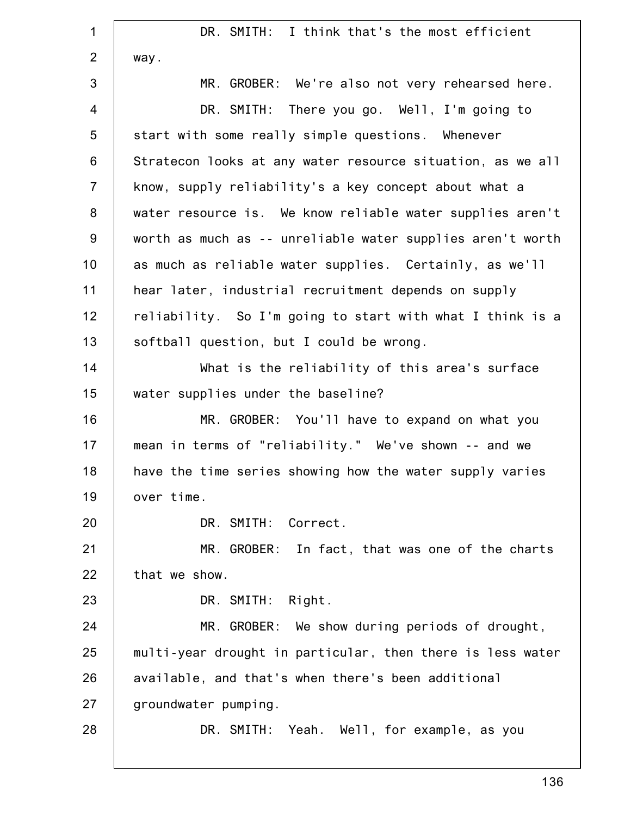1 2 3 4 5 6 7 8 9 10 11 12 13 14 15 16 17 18 19 20 21 22 23 24 25 26 27 28 DR. SMITH: I think that's the most efficient way. MR. GROBER: We're also not very rehearsed here. DR. SMITH: There you go. Well, I'm going to start with some really simple questions. Whenever Stratecon looks at any water resource situation, as we all know, supply reliability's a key concept about what a water resource is. We know reliable water supplies aren't worth as much as -- unreliable water supplies aren't worth as much as reliable water supplies. Certainly, as we'll hear later, industrial recruitment depends on supply reliability. So I'm going to start with what I think is a softball question, but I could be wrong. What is the reliability of this area's surface water supplies under the baseline? MR. GROBER: You'll have to expand on what you mean in terms of "reliability." We've shown -- and we have the time series showing how the water supply varies over time. DR. SMITH: Correct. MR. GROBER: In fact, that was one of the charts that we show. DR. SMITH: Right. MR. GROBER: We show during periods of drought, multi-year drought in particular, then there is less water available, and that's when there's been additional groundwater pumping. DR. SMITH: Yeah. Well, for example, as you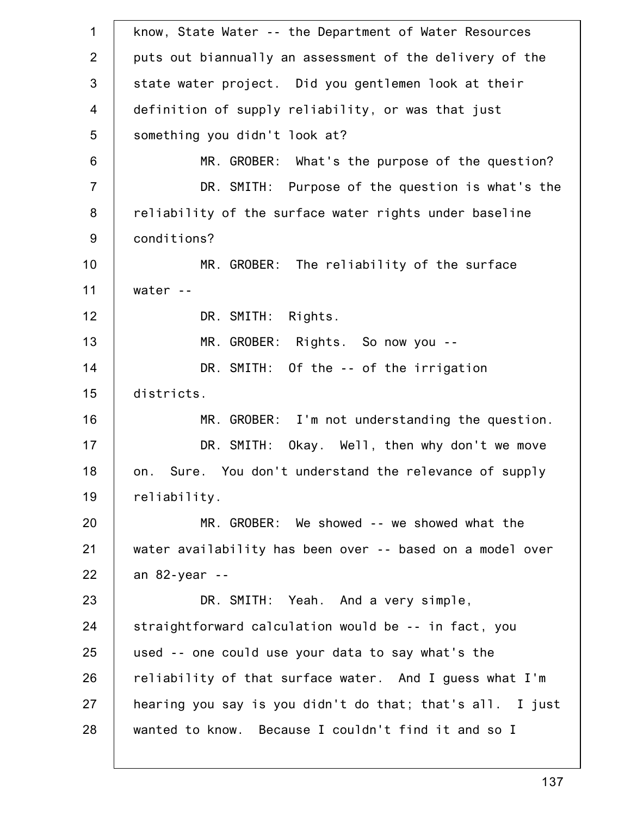1 2 3 4 5 6 7 8 9 10 11 12 13 14 15 16 17 18 19 20 21 22 23 24 25 26 27 28 know, State Water -- the Department of Water Resources puts out biannually an assessment of the delivery of the state water project. Did you gentlemen look at their definition of supply reliability, or was that just something you didn't look at? MR. GROBER: What's the purpose of the question? DR. SMITH: Purpose of the question is what's the reliability of the surface water rights under baseline conditions? MR. GROBER: The reliability of the surface water -- DR. SMITH: Rights. MR. GROBER: Rights. So now you -- DR. SMITH: Of the -- of the irrigation districts. MR. GROBER: I'm not understanding the question. DR. SMITH: Okay. Well, then why don't we move on. Sure. You don't understand the relevance of supply reliability. MR. GROBER: We showed -- we showed what the water availability has been over -- based on a model over an 82-year -- DR. SMITH: Yeah. And a very simple, straightforward calculation would be -- in fact, you used -- one could use your data to say what's the reliability of that surface water. And I guess what I'm hearing you say is you didn't do that; that's all. I just wanted to know. Because I couldn't find it and so I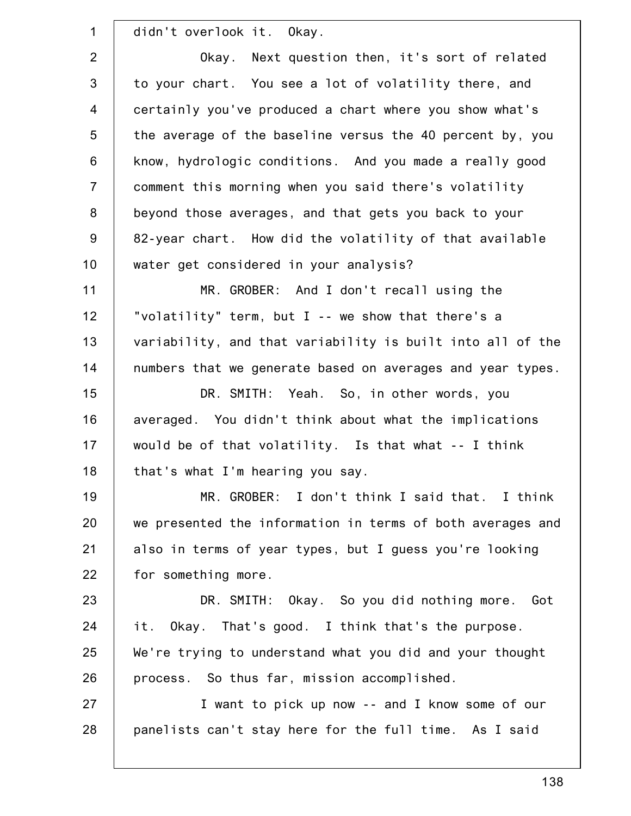1 2 3 4 5 6 7 8 9 10 11 12 13 14 15 16 17 18 19 20 21 22 23 24 25 26 27 28 didn't overlook it. Okay. Okay. Next question then, it's sort of related to your chart. You see a lot of volatility there, and certainly you've produced a chart where you show what's the average of the baseline versus the 40 percent by, you know, hydrologic conditions. And you made a really good comment this morning when you said there's volatility beyond those averages, and that gets you back to your 82-year chart. How did the volatility of that available water get considered in your analysis? MR. GROBER: And I don't recall using the "volatility" term, but I -- we show that there's a variability, and that variability is built into all of the numbers that we generate based on averages and year types. DR. SMITH: Yeah. So, in other words, you averaged. You didn't think about what the implications would be of that volatility. Is that what -- I think that's what I'm hearing you say. MR. GROBER: I don't think I said that. I think we presented the information in terms of both averages and also in terms of year types, but I guess you're looking for something more. DR. SMITH: Okay. So you did nothing more. Got it. Okay. That's good. I think that's the purpose. We're trying to understand what you did and your thought process. So thus far, mission accomplished. I want to pick up now -- and I know some of our panelists can't stay here for the full time. As I said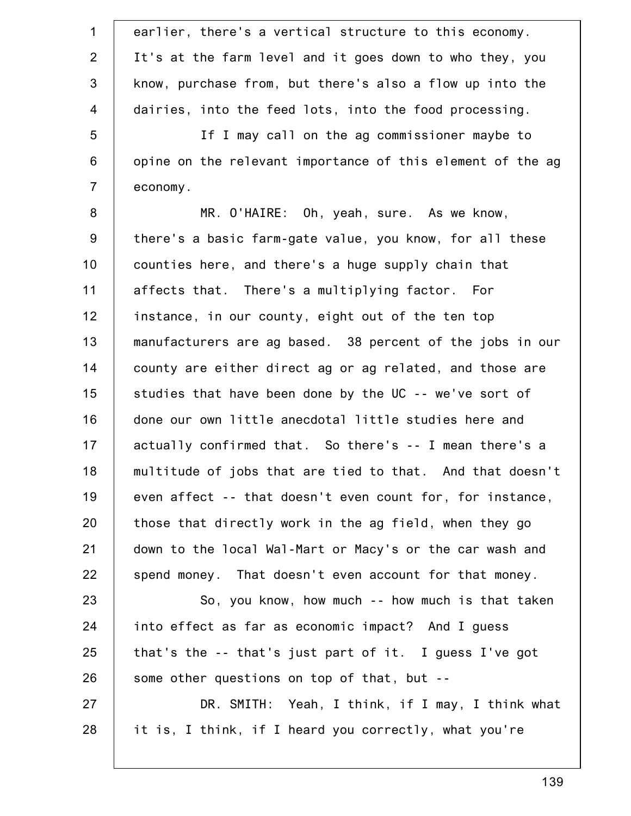| $\mathbf 1$    | earlier, there's a vertical structure to this economy.     |
|----------------|------------------------------------------------------------|
| $\overline{2}$ | It's at the farm level and it goes down to who they, you   |
| 3              | know, purchase from, but there's also a flow up into the   |
| 4              | dairies, into the feed lots, into the food processing.     |
| 5              | If I may call on the ag commissioner maybe to              |
| $\,6$          | opine on the relevant importance of this element of the ag |
| $\overline{7}$ | economy.                                                   |
| $\bf 8$        | MR. O'HAIRE: Oh, yeah, sure. As we know,                   |
| 9              | there's a basic farm-gate value, you know, for all these   |
| 10             | counties here, and there's a huge supply chain that        |
| 11             | affects that. There's a multiplying factor. For            |
| 12             | instance, in our county, eight out of the ten top          |
| 13             | manufacturers are ag based. 38 percent of the jobs in our  |
| 14             | county are either direct ag or ag related, and those are   |
| 15             | studies that have been done by the UC -- we've sort of     |
| 16             | done our own little anecdotal little studies here and      |
| 17             | actually confirmed that. So there's -- I mean there's a    |
| 18             | multitude of jobs that are tied to that. And that doesn't  |
| 19             | even affect -- that doesn't even count for, for instance,  |
| 20             | those that directly work in the ag field, when they go     |
| 21             | down to the local Wal-Mart or Macy's or the car wash and   |
| 22             | spend money. That doesn't even account for that money.     |
| 23             | So, you know, how much -- how much is that taken           |
| 24             | into effect as far as economic impact? And I guess         |
| 25             | that's the $-$ that's just part of it. I guess I've got    |
| 26             | some other questions on top of that, but --                |
| 27             | DR. SMITH: Yeah, I think, if I may, I think what           |
| 28             | it is, I think, if I heard you correctly, what you're      |
|                |                                                            |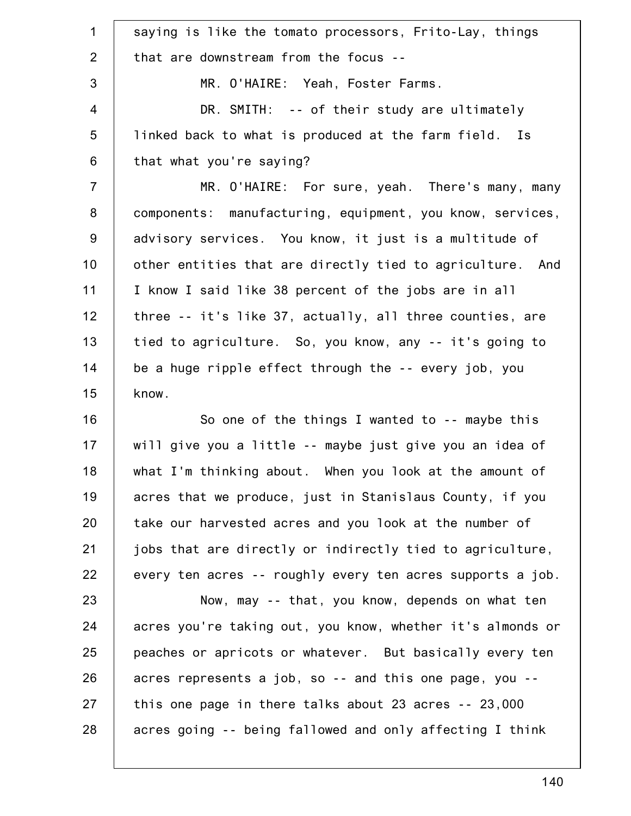| $\mathbf 1$     | saying is like the tomato processors, Frito-Lay, things    |
|-----------------|------------------------------------------------------------|
| 2               | that are downstream from the focus --                      |
| 3               | MR. O'HAIRE: Yeah, Foster Farms.                           |
| $\overline{4}$  | DR. SMITH: -- of their study are ultimately                |
| $5\phantom{.0}$ | linked back to what is produced at the farm field. Is      |
| 6               | that what you're saying?                                   |
| $\overline{7}$  | MR. O'HAIRE: For sure, yeah. There's many, many            |
| 8               | components: manufacturing, equipment, you know, services,  |
| $9\,$           | advisory services. You know, it just is a multitude of     |
| 10              | other entities that are directly tied to agriculture. And  |
| 11              | I know I said like 38 percent of the jobs are in all       |
| 12              | three -- it's like 37, actually, all three counties, are   |
| 13              | tied to agriculture. So, you know, any -- it's going to    |
| 14              | be a huge ripple effect through the -- every job, you      |
| 15              | know.                                                      |
| 16              | So one of the things I wanted to -- maybe this             |
| 17              | will give you a little -- maybe just give you an idea of   |
| 18              | what I'm thinking about. When you look at the amount of    |
| 19              | acres that we produce, just in Stanislaus County, if you   |
| 20              | take our harvested acres and you look at the number of     |
| 21              | jobs that are directly or indirectly tied to agriculture,  |
| 22              | every ten acres -- roughly every ten acres supports a job. |
| 23              | Now, may -- that, you know, depends on what ten            |
| 24              | acres you're taking out, you know, whether it's almonds or |
| 25              | peaches or apricots or whatever. But basically every ten   |
| 26              | acres represents a job, so -- and this one page, you --    |
| 27              | this one page in there talks about 23 acres -- 23,000      |
| 28              | acres going -- being fallowed and only affecting I think   |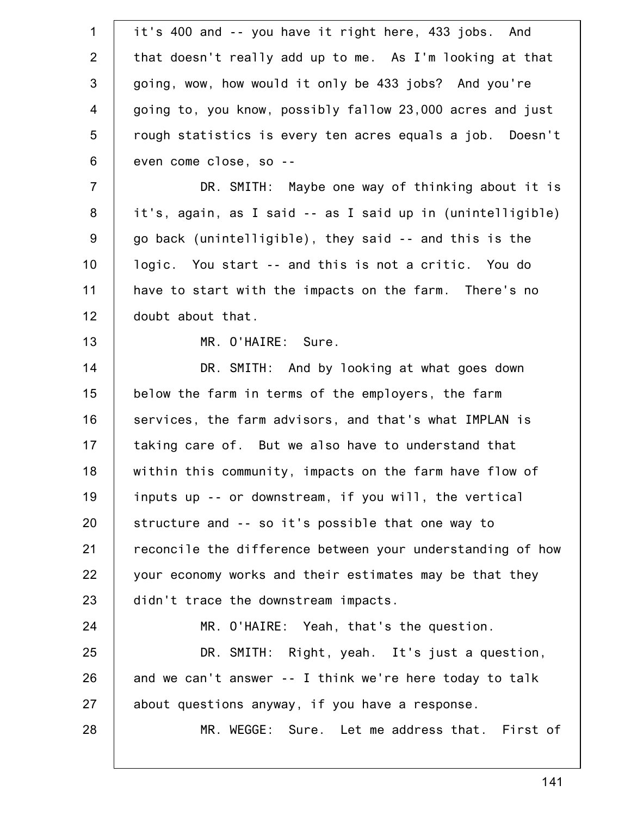| $\mathbf 1$    | it's 400 and -- you have it right here, 433 jobs. And      |
|----------------|------------------------------------------------------------|
| 2              | that doesn't really add up to me. As I'm looking at that   |
| $\mathfrak{S}$ | going, wow, how would it only be 433 jobs? And you're      |
| $\overline{4}$ | going to, you know, possibly fallow 23,000 acres and just  |
| 5              | rough statistics is every ten acres equals a job. Doesn't  |
| $\,6$          | even come close, so --                                     |
| $\overline{7}$ | DR. SMITH: Maybe one way of thinking about it is           |
| 8              | it's, again, as I said -- as I said up in (unintelligible) |
| $9\,$          | go back (unintelligible), they said -- and this is the     |
| 10             | logic. You start -- and this is not a critic. You do       |
| 11             | have to start with the impacts on the farm. There's no     |
| 12             | doubt about that.                                          |
| 13             | MR. O'HAIRE: Sure.                                         |
| 14             | DR. SMITH: And by looking at what goes down                |
| 15             | below the farm in terms of the employers, the farm         |
| 16             | services, the farm advisors, and that's what IMPLAN is     |
| 17             | taking care of. But we also have to understand that        |
| 18             | within this community, impacts on the farm have flow of    |
| 19             | inputs up -- or downstream, if you will, the vertical      |
| 20             | structure and -- so it's possible that one way to          |
| 21             | reconcile the difference between your understanding of how |
| 22             | your economy works and their estimates may be that they    |
| 23             | didn't trace the downstream impacts.                       |
| 24             | MR. O'HAIRE: Yeah, that's the question.                    |
| 25             | DR. SMITH: Right, yeah. It's just a question,              |
| 26             | and we can't answer -- I think we're here today to talk    |
| 27             | about questions anyway, if you have a response.            |
| 28             | MR. WEGGE: Sure. Let me address that. First of             |
|                |                                                            |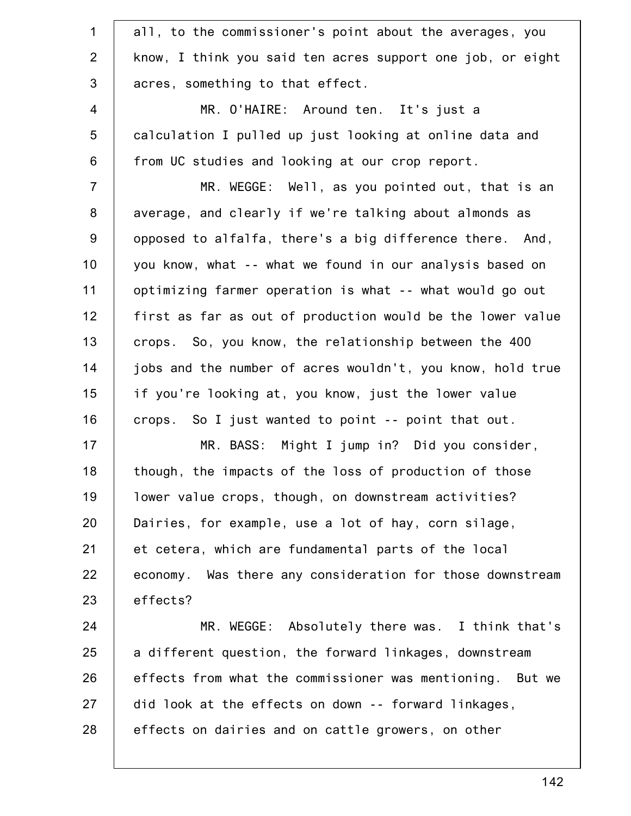| all, to the commissioner's point about the averages, you   |
|------------------------------------------------------------|
| know, I think you said ten acres support one job, or eight |
| acres, something to that effect.                           |
| MR. O'HAIRE: Around ten. It's just a                       |
| calculation I pulled up just looking at online data and    |
| from UC studies and looking at our crop report.            |
| MR. WEGGE: Well, as you pointed out, that is an            |
| average, and clearly if we're talking about almonds as     |
| opposed to alfalfa, there's a big difference there. And,   |
| you know, what -- what we found in our analysis based on   |
| optimizing farmer operation is what -- what would go out   |
| first as far as out of production would be the lower value |
| crops. So, you know, the relationship between the 400      |
| jobs and the number of acres wouldn't, you know, hold true |
| if you're looking at, you know, just the lower value       |
| crops. So I just wanted to point -- point that out.        |
| MR. BASS: Might I jump in? Did you consider,               |
| though, the impacts of the loss of production of those     |
| lower value crops, though, on downstream activities?       |
| Dairies, for example, use a lot of hay, corn silage,       |
| et cetera, which are fundamental parts of the local        |
| economy. Was there any consideration for those downstream  |
| effects?                                                   |
| MR. WEGGE: Absolutely there was. I think that's            |
| a different question, the forward linkages, downstream     |
| effects from what the commissioner was mentioning. But we  |
| did look at the effects on down -- forward linkages,       |
| effects on dairies and on cattle growers, on other         |
|                                                            |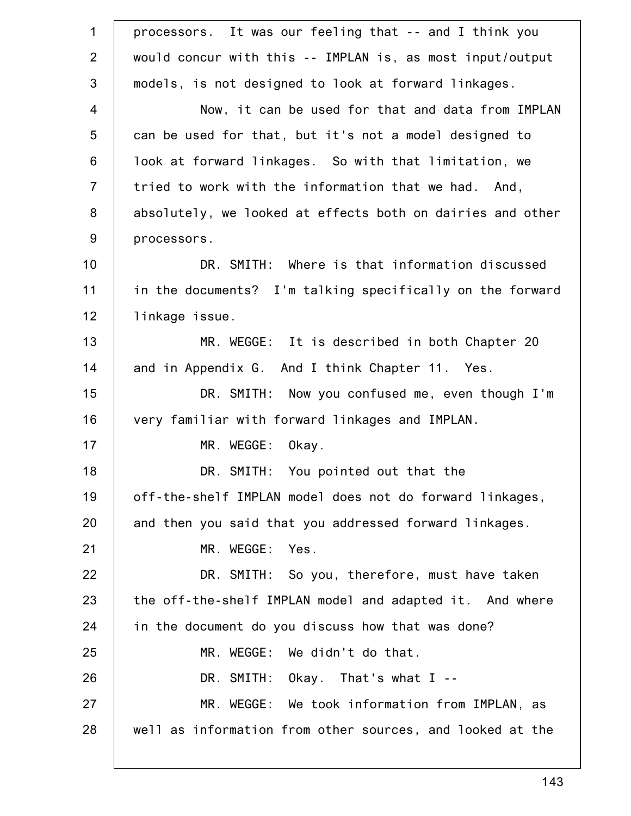| $\mathbf 1$    | processors. It was our feeling that -- and I think you     |
|----------------|------------------------------------------------------------|
| $\overline{2}$ | would concur with this -- IMPLAN is, as most input/output  |
| 3              | models, is not designed to look at forward linkages.       |
| $\overline{4}$ | Now, it can be used for that and data from IMPLAN          |
| 5              | can be used for that, but it's not a model designed to     |
| 6              | look at forward linkages. So with that limitation, we      |
| $\overline{7}$ | tried to work with the information that we had. And,       |
| 8              | absolutely, we looked at effects both on dairies and other |
| $9\,$          | processors.                                                |
| 10             | DR. SMITH: Where is that information discussed             |
| 11             | in the documents? I'm talking specifically on the forward  |
| 12             | linkage issue.                                             |
| 13             | MR. WEGGE: It is described in both Chapter 20              |
| 14             | and in Appendix G. And I think Chapter 11. Yes.            |
| 15             | DR. SMITH: Now you confused me, even though I'm            |
| 16             | very familiar with forward linkages and IMPLAN.            |
| 17             | MR. WEGGE: Okay.                                           |
| 18             | DR. SMITH: You pointed out that the                        |
| 19             | off-the-shelf IMPLAN model does not do forward linkages,   |
| 20             | and then you said that you addressed forward linkages.     |
| 21             | MR. WEGGE:<br>Yes.                                         |
| 22             | DR. SMITH: So you, therefore, must have taken              |
| 23             | the off-the-shelf IMPLAN model and adapted it. And where   |
| 24             | in the document do you discuss how that was done?          |
| 25             | MR. WEGGE: We didn't do that.                              |
| 26             | DR. SMITH: $0$ kay. That's what I --                       |
| 27             | MR. WEGGE: We took information from IMPLAN, as             |
| 28             | well as information from other sources, and looked at the  |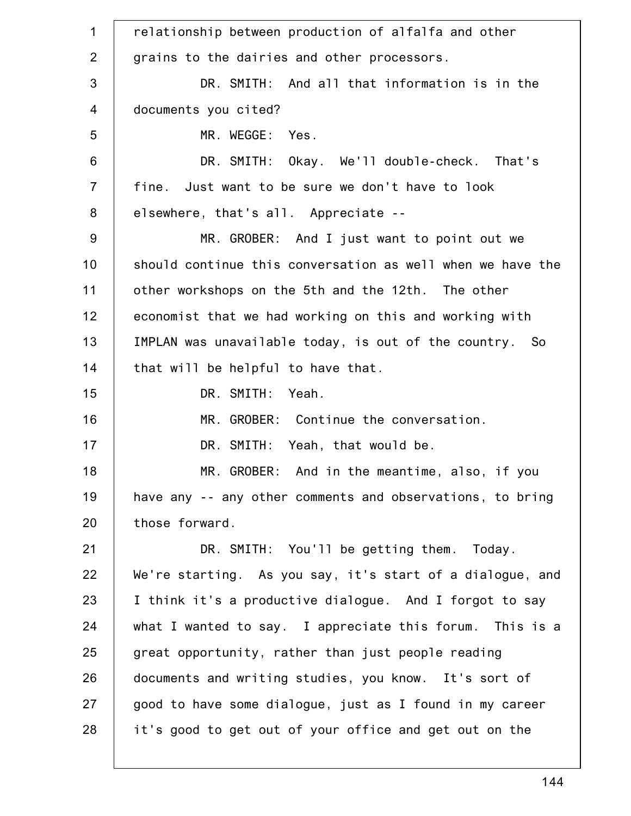1 2 3 4 5 6 7 8 9 10 11 12 13 14 15 16 17 18 19 20 21 22 23 24 25 26 27 28 relationship between production of alfalfa and other grains to the dairies and other processors. DR. SMITH: And all that information is in the documents you cited? MR. WEGGE: Yes. DR. SMITH: Okay. We'll double-check. That's fine. Just want to be sure we don't have to look elsewhere, that's all. Appreciate -- MR. GROBER: And I just want to point out we should continue this conversation as well when we have the other workshops on the 5th and the 12th. The other economist that we had working on this and working with IMPLAN was unavailable today, is out of the country. So that will be helpful to have that. DR. SMITH: Yeah. MR. GROBER: Continue the conversation. DR. SMITH: Yeah, that would be. MR. GROBER: And in the meantime, also, if you have any -- any other comments and observations, to bring those forward. DR. SMITH: You'll be getting them. Today. We're starting. As you say, it's start of a dialogue, and I think it's a productive dialogue. And I forgot to say what I wanted to say. I appreciate this forum. This is a great opportunity, rather than just people reading documents and writing studies, you know. It's sort of good to have some dialogue, just as I found in my career it's good to get out of your office and get out on the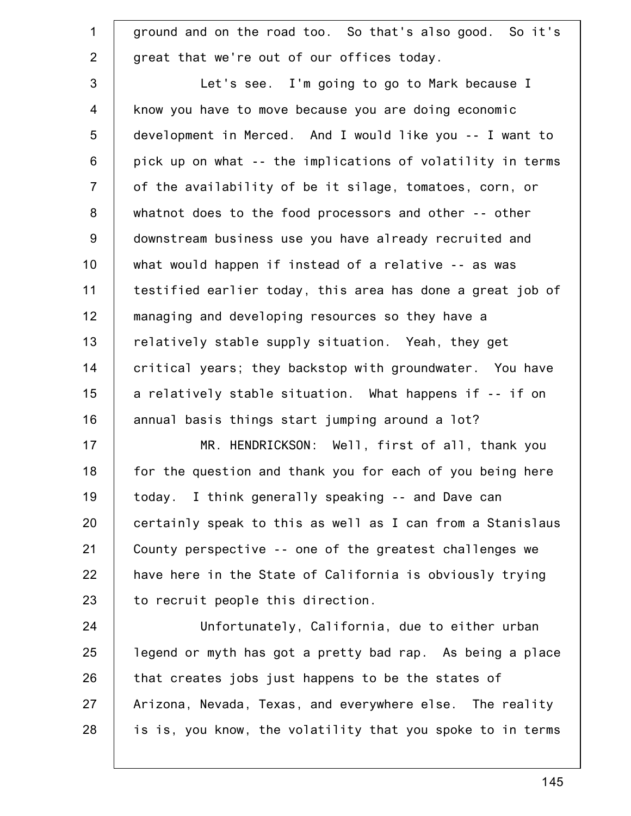| $\mathbf{1}$   | ground and on the road too. So that's also good. So it's   |
|----------------|------------------------------------------------------------|
| $\overline{2}$ | great that we're out of our offices today.                 |
| 3              | Let's see. I'm going to go to Mark because I               |
| $\overline{4}$ | know you have to move because you are doing economic       |
| 5              | development in Merced. And I would like you -- I want to   |
| 6              | pick up on what -- the implications of volatility in terms |
| $\overline{7}$ | of the availability of be it silage, tomatoes, corn, or    |
| 8              | whatnot does to the food processors and other -- other     |
| 9              | downstream business use you have already recruited and     |
| 10             | what would happen if instead of a relative -- as was       |
| 11             | testified earlier today, this area has done a great job of |
| 12             | managing and developing resources so they have a           |
| 13             | relatively stable supply situation. Yeah, they get         |
| 14             | critical years; they backstop with groundwater. You have   |
| 15             | a relatively stable situation. What happens if -- if on    |
| 16             | annual basis things start jumping around a lot?            |
| 17             | MR. HENDRICKSON: Well, first of all, thank you             |
| 18             | for the question and thank you for each of you being here  |
| 19             | today. I think generally speaking -- and Dave can          |
| 20             | certainly speak to this as well as I can from a Stanislaus |
| 21             | County perspective -- one of the greatest challenges we    |
| 22             | have here in the State of California is obviously trying   |
| 23             | to recruit people this direction.                          |
| 24             | Unfortunately, California, due to either urban             |
| 25             | legend or myth has got a pretty bad rap. As being a place  |
| 26             | that creates jobs just happens to be the states of         |
| 27             | Arizona, Nevada, Texas, and everywhere else. The reality   |
| 28             | is is, you know, the volatility that you spoke to in terms |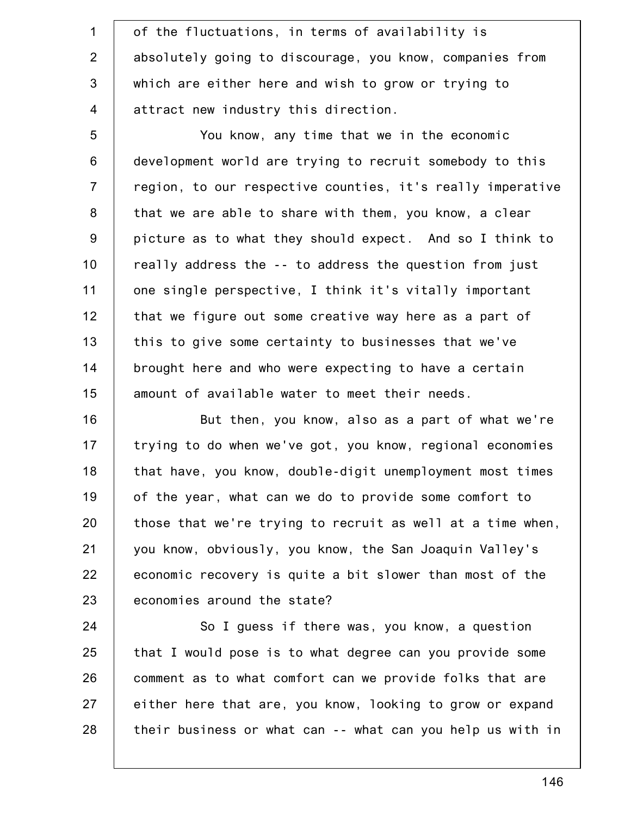1 2 3 4 of the fluctuations, in terms of availability is absolutely going to discourage, you know, companies from which are either here and wish to grow or trying to attract new industry this direction.

5 6 7 8 9 10 11 12 13 14 15 You know, any time that we in the economic development world are trying to recruit somebody to this region, to our respective counties, it's really imperative that we are able to share with them, you know, a clear picture as to what they should expect. And so I think to really address the -- to address the question from just one single perspective, I think it's vitally important that we figure out some creative way here as a part of this to give some certainty to businesses that we've brought here and who were expecting to have a certain amount of available water to meet their needs.

16 17 18 19 20 21 22 23 But then, you know, also as a part of what we're trying to do when we've got, you know, regional economies that have, you know, double-digit unemployment most times of the year, what can we do to provide some comfort to those that we're trying to recruit as well at a time when, you know, obviously, you know, the San Joaquin Valley's economic recovery is quite a bit slower than most of the economies around the state?

24 25 26 27 28 So I guess if there was, you know, a question that I would pose is to what degree can you provide some comment as to what comfort can we provide folks that are either here that are, you know, looking to grow or expand their business or what can -- what can you help us with in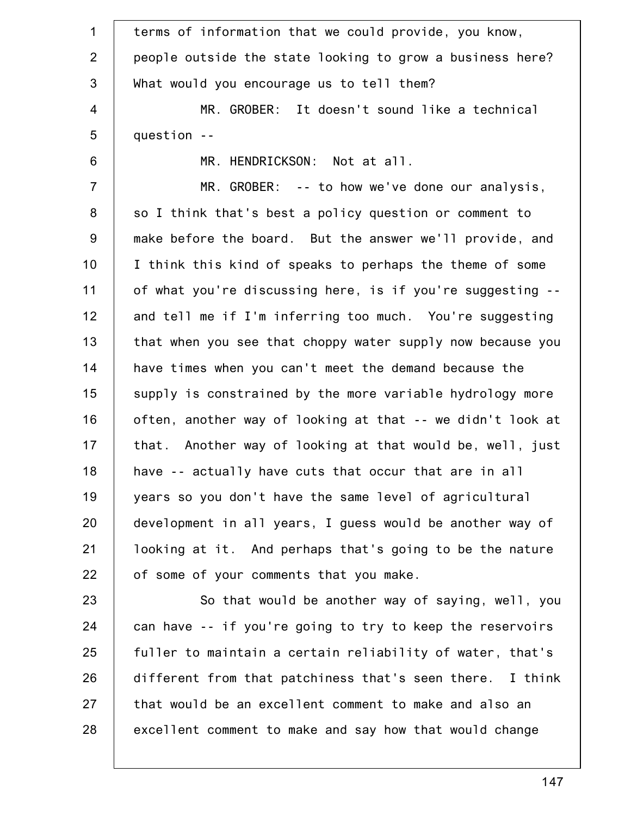| $\mathbf 1$    | terms of information that we could provide, you know,      |
|----------------|------------------------------------------------------------|
| 2              | people outside the state looking to grow a business here?  |
| 3              | What would you encourage us to tell them?                  |
| 4              | MR. GROBER: It doesn't sound like a technical              |
| 5              | question --                                                |
| $6\phantom{1}$ | MR. HENDRICKSON: Not at all.                               |
| $\overline{7}$ | $MR. GROBER: -- to how we've done our analysis,$           |
| 8              | so I think that's best a policy question or comment to     |
| 9              | make before the board. But the answer we'll provide, and   |
| 10             | I think this kind of speaks to perhaps the theme of some   |
| 11             | of what you're discussing here, is if you're suggesting -- |
| 12             | and tell me if I'm inferring too much. You're suggesting   |
| 13             | that when you see that choppy water supply now because you |
| 14             | have times when you can't meet the demand because the      |
| 15             | supply is constrained by the more variable hydrology more  |
| 16             | often, another way of looking at that -- we didn't look at |
| 17             | that. Another way of looking at that would be, well, just  |
| 18             | have -- actually have cuts that occur that are in all      |
| 19             | years so you don't have the same level of agricultural     |
| 20             | development in all years, I guess would be another way of  |
| 21             | looking at it. And perhaps that's going to be the nature   |
| 22             | of some of your comments that you make.                    |
| 23             | So that would be another way of saying, well, you          |
| 24             | can have -- if you're going to try to keep the reservoirs  |
| 25             | fuller to maintain a certain reliability of water, that's  |
| 26             | different from that patchiness that's seen there. I think  |
| 27             | that would be an excellent comment to make and also an     |
| 28             | excellent comment to make and say how that would change    |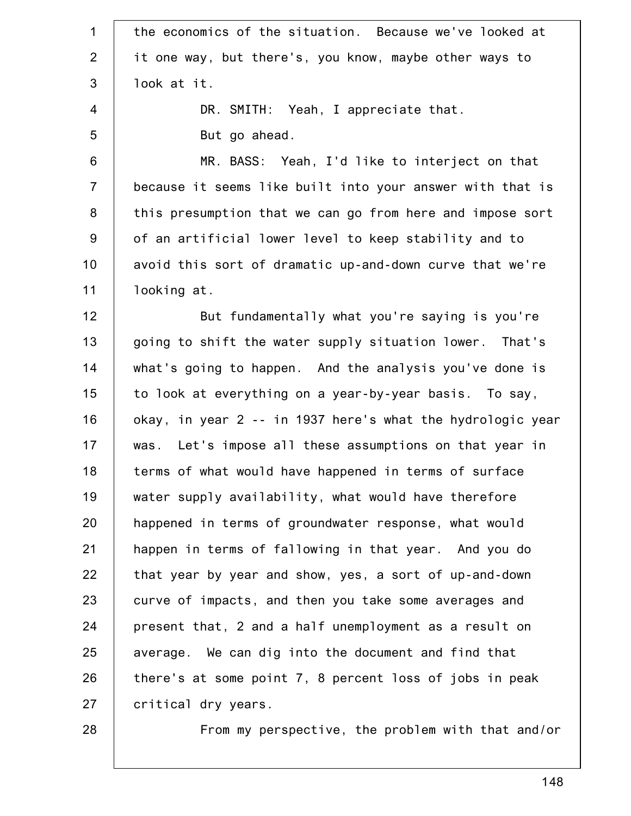| 1              | the economics of the situation. Because we've looked at    |
|----------------|------------------------------------------------------------|
| $\overline{2}$ | it one way, but there's, you know, maybe other ways to     |
| $\mathfrak{S}$ | look at it.                                                |
| 4              | DR. SMITH: Yeah, I appreciate that.                        |
| 5              | But go ahead.                                              |
| 6              | MR. BASS: Yeah, I'd like to interject on that              |
| $\overline{7}$ | because it seems like built into your answer with that is  |
| 8              | this presumption that we can go from here and impose sort  |
| 9              | of an artificial lower level to keep stability and to      |
| 10             | avoid this sort of dramatic up-and-down curve that we're   |
| 11             | looking at.                                                |
| 12             | But fundamentally what you're saying is you're             |
| 13             | going to shift the water supply situation lower. That's    |
| 14             | what's going to happen. And the analysis you've done is    |
| 15             | to look at everything on a year-by-year basis. To say,     |
| 16             | okay, in year 2 -- in 1937 here's what the hydrologic year |
| 17             | was. Let's impose all these assumptions on that year in    |
| 18             | terms of what would have happened in terms of surface      |
| 19             | water supply availability, what would have therefore       |
| 20             | happened in terms of groundwater response, what would      |
| 21             | happen in terms of fallowing in that year. And you do      |
| 22             | that year by year and show, yes, a sort of up-and-down     |
| 23             | curve of impacts, and then you take some averages and      |
| 24             | present that, 2 and a half unemployment as a result on     |
| 25             | average. We can dig into the document and find that        |
| 26             | there's at some point 7, 8 percent loss of jobs in peak    |
| 27             | critical dry years.                                        |
| 28             | From my perspective, the problem with that and/or          |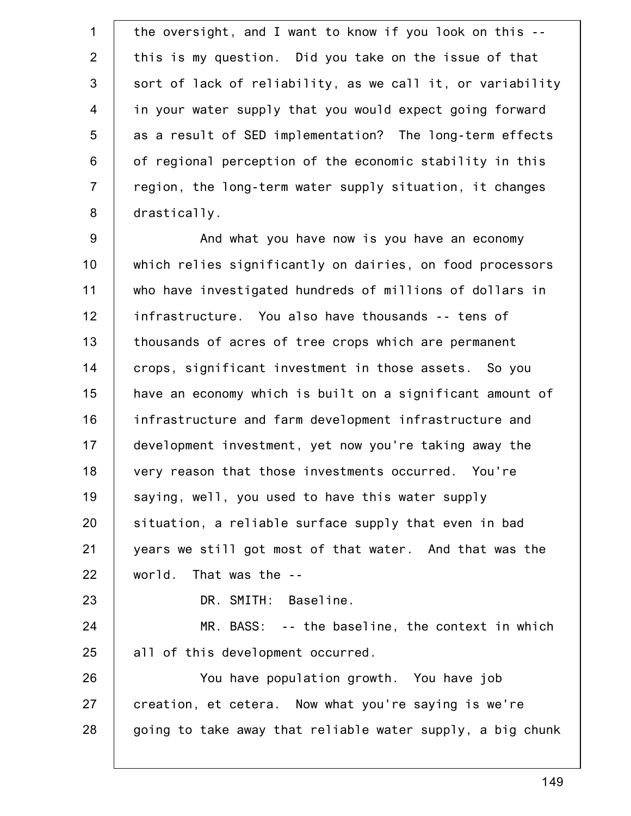1 2 3 4 5 6 7 8 the oversight, and I want to know if you look on this - this is my question. Did you take on the issue of that sort of lack of reliability, as we call it, or variability in your water supply that you would expect going forward as a result of SED implementation? The long-term effects of regional perception of the economic stability in this region, the long-term water supply situation, it changes drastically.

9 10 11 12 13 14 15 16 17 18 19 20 21 22 23 And what you have now is you have an economy which relies significantly on dairies, on food processors who have investigated hundreds of millions of dollars in infrastructure. You also have thousands -- tens of thousands of acres of tree crops which are permanent crops, significant investment in those assets. So you have an economy which is built on a significant amount of infrastructure and farm development infrastructure and development investment, yet now you're taking away the very reason that those investments occurred. You're saying, well, you used to have this water supply situation, a reliable surface supply that even in bad years we still got most of that water. And that was the world. That was the --

DR. SMITH: Baseline.

24 25 MR. BASS: -- the baseline, the context in which all of this development occurred.

26 27 28 You have population growth. You have job creation, et cetera. Now what you're saying is we're going to take away that reliable water supply, a big chunk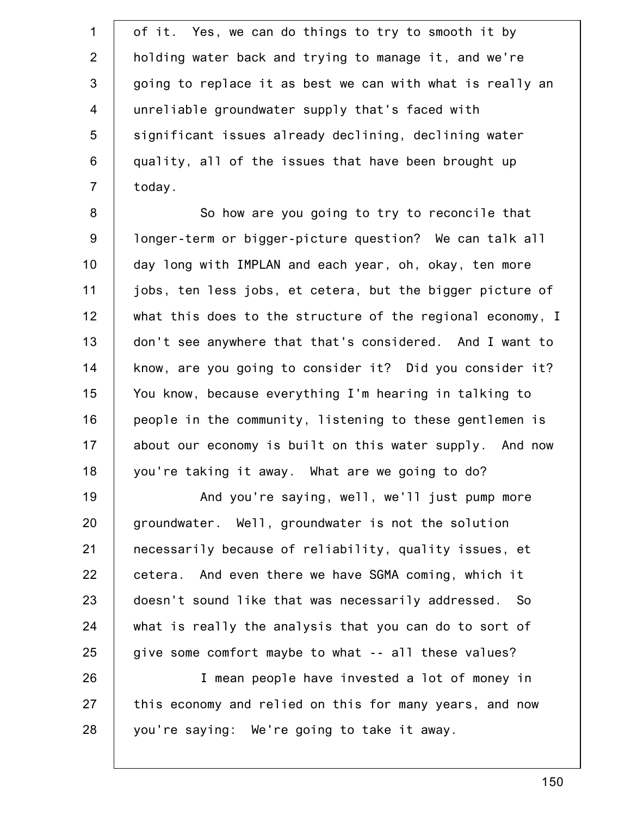1 2 3 4 5 6 7 of it. Yes, we can do things to try to smooth it by holding water back and trying to manage it, and we're going to replace it as best we can with what is really an unreliable groundwater supply that's faced with significant issues already declining, declining water quality, all of the issues that have been brought up today.

8 9 10 11 12 13 14 15 16 17 18 So how are you going to try to reconcile that longer-term or bigger-picture question? We can talk all day long with IMPLAN and each year, oh, okay, ten more jobs, ten less jobs, et cetera, but the bigger picture of what this does to the structure of the regional economy, I don't see anywhere that that's considered. And I want to know, are you going to consider it? Did you consider it? You know, because everything I'm hearing in talking to people in the community, listening to these gentlemen is about our economy is built on this water supply. And now you're taking it away. What are we going to do?

19 20 21 22 23 24 25 And you're saying, well, we'll just pump more groundwater. Well, groundwater is not the solution necessarily because of reliability, quality issues, et cetera. And even there we have SGMA coming, which it doesn't sound like that was necessarily addressed. So what is really the analysis that you can do to sort of give some comfort maybe to what -- all these values?

26 27 28 I mean people have invested a lot of money in this economy and relied on this for many years, and now you're saying: We're going to take it away.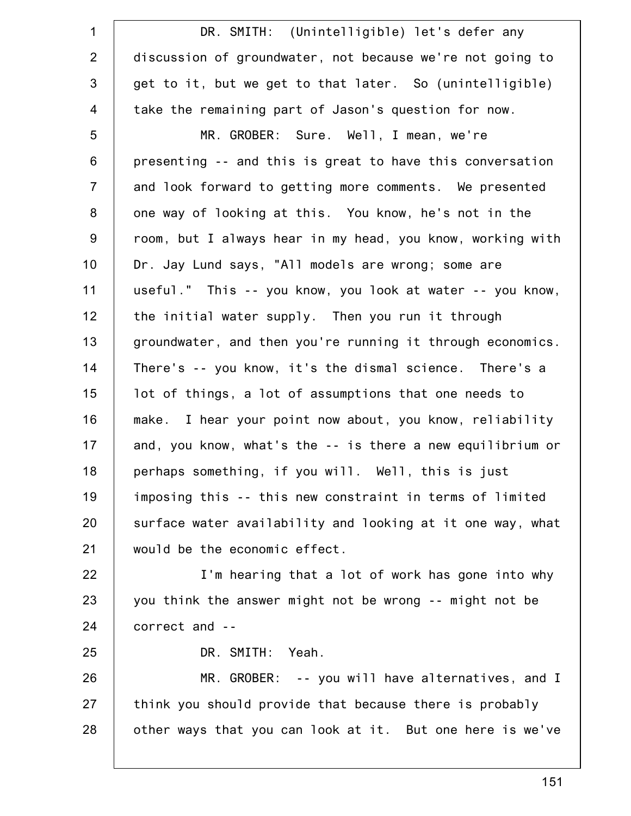| $\mathbf{1}$     | DR. SMITH: (Unintelligible) let's defer any                |
|------------------|------------------------------------------------------------|
| 2                | discussion of groundwater, not because we're not going to  |
| 3                | get to it, but we get to that later. So (unintelligible)   |
| $\overline{4}$   | take the remaining part of Jason's question for now.       |
| 5                | MR. GROBER: Sure. Well, I mean, we're                      |
| $6\,$            | presenting -- and this is great to have this conversation  |
| $\overline{7}$   | and look forward to getting more comments. We presented    |
| 8                | one way of looking at this. You know, he's not in the      |
| $\boldsymbol{9}$ | room, but I always hear in my head, you know, working with |
| 10               | Dr. Jay Lund says, "All models are wrong; some are         |
| 11               | useful." This -- you know, you look at water -- you know,  |
| 12               | the initial water supply. Then you run it through          |
| 13               | groundwater, and then you're running it through economics. |
| 14               | There's -- you know, it's the dismal science. There's a    |
| 15               | lot of things, a lot of assumptions that one needs to      |
| 16               | make. I hear your point now about, you know, reliability   |
| 17               | and, you know, what's the -- is there a new equilibrium or |
| 18               | perhaps something, if you will. Well, this is just         |
| 19               | imposing this -- this new constraint in terms of limited   |
| 20               | surface water availability and looking at it one way, what |
| 21               | would be the economic effect.                              |
| 22               | I'm hearing that a lot of work has gone into why           |
| 23               | you think the answer might not be wrong -- might not be    |
| 24               | correct and --                                             |
| 25               | DR. SMITH: Yeah.                                           |
| 26               | $MR. GROBER: -- you will have alternatives, and I$         |
| 27               | think you should provide that because there is probably    |
| 28               | other ways that you can look at it. But one here is we've  |
|                  |                                                            |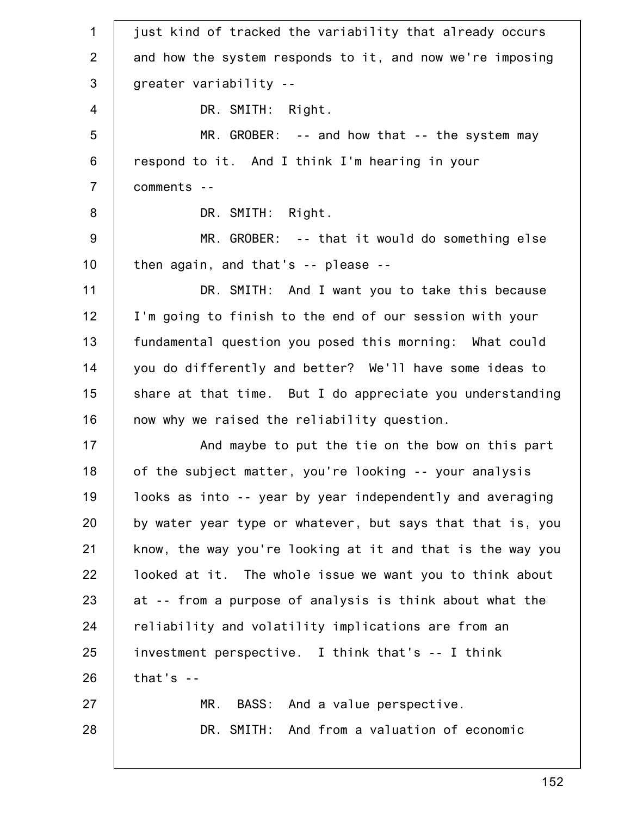1 2 3 4 5 6 7 8 9 10 11 12 13 14 15 16 17 18 19 20 21 22 23 24 25 26 27 28 just kind of tracked the variability that already occurs and how the system responds to it, and now we're imposing greater variability -- DR. SMITH: Right. MR. GROBER: -- and how that -- the system may respond to it. And I think I'm hearing in your comments -- DR. SMITH: Right. MR. GROBER: -- that it would do something else then again, and that's -- please -- DR. SMITH: And I want you to take this because I'm going to finish to the end of our session with your fundamental question you posed this morning: What could you do differently and better? We'll have some ideas to share at that time. But I do appreciate you understanding now why we raised the reliability question. And maybe to put the tie on the bow on this part of the subject matter, you're looking -- your analysis looks as into -- year by year independently and averaging by water year type or whatever, but says that that is, you know, the way you're looking at it and that is the way you looked at it. The whole issue we want you to think about at -- from a purpose of analysis is think about what the reliability and volatility implications are from an investment perspective. I think that's -- I think that's -- MR. BASS: And a value perspective. DR. SMITH: And from a valuation of economic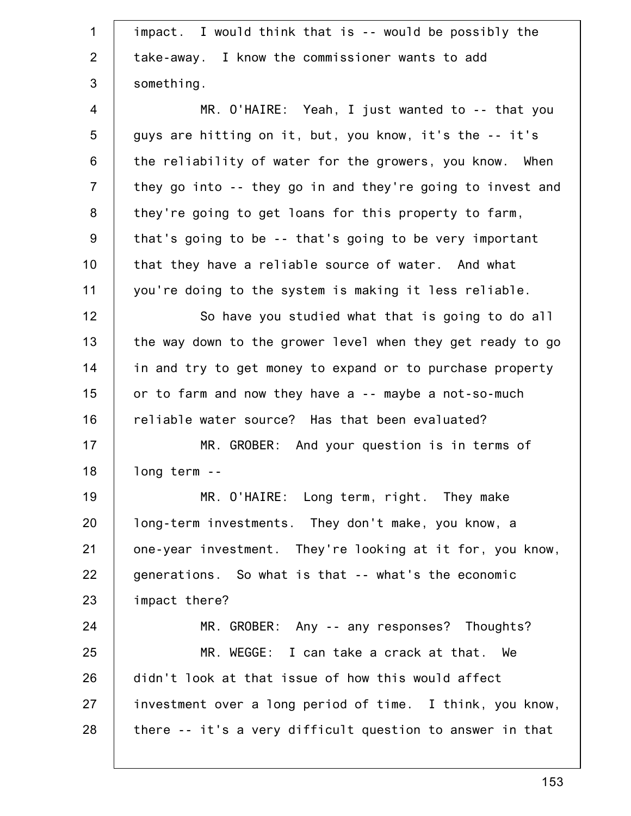| $\mathbf{1}$   | impact. I would think that is -- would be possibly the     |
|----------------|------------------------------------------------------------|
| $\overline{2}$ | take-away. I know the commissioner wants to add            |
| 3              | something.                                                 |
| 4              | MR. O'HAIRE: Yeah, I just wanted to -- that you            |
| 5              | guys are hitting on it, but, you know, it's the -- it's    |
| 6              | the reliability of water for the growers, you know. When   |
| $\overline{7}$ | they go into -- they go in and they're going to invest and |
| 8              | they're going to get loans for this property to farm,      |
| 9              | that's going to be -- that's going to be very important    |
| 10             | that they have a reliable source of water. And what        |
| 11             | you're doing to the system is making it less reliable.     |
| 12             | So have you studied what that is going to do all           |
| 13             | the way down to the grower level when they get ready to go |
| 14             | in and try to get money to expand or to purchase property  |
| 15             | or to farm and now they have a -- maybe a not-so-much      |
| 16             | reliable water source? Has that been evaluated?            |
| 17             | MR. GROBER: And your question is in terms of               |
| 18             | long term --                                               |
| 19             | MR. O'HAIRE: Long term, right. They make                   |
| 20             | long-term investments. They don't make, you know, a        |
| 21             | one-year investment. They're looking at it for, you know,  |
| 22             | generations. So what is that -- what's the economic        |
| 23             | impact there?                                              |
| 24             | MR. GROBER: Any -- any responses? Thoughts?                |
| 25             | MR. WEGGE: I can take a crack at that. We                  |
| 26             | didn't look at that issue of how this would affect         |
| 27             | investment over a long period of time. I think, you know,  |
| 28             | there -- it's a very difficult question to answer in that  |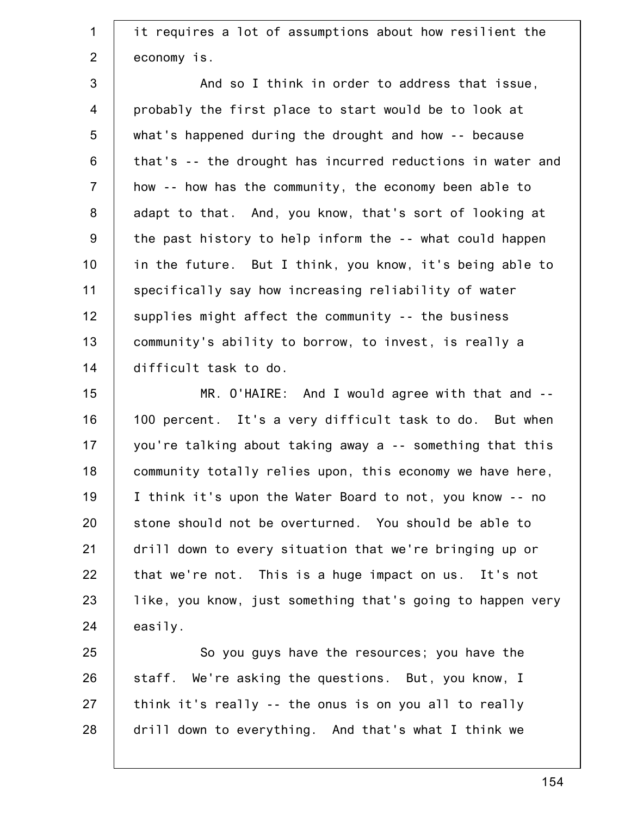1 2 it requires a lot of assumptions about how resilient the economy is.

3 4 5 6 7 8 9 10 11 12 13 14 And so I think in order to address that issue, probably the first place to start would be to look at what's happened during the drought and how -- because that's -- the drought has incurred reductions in water and how -- how has the community, the economy been able to adapt to that. And, you know, that's sort of looking at the past history to help inform the -- what could happen in the future. But I think, you know, it's being able to specifically say how increasing reliability of water supplies might affect the community -- the business community's ability to borrow, to invest, is really a difficult task to do.

15 16 17 18 19 20 21 22 23 24 MR. O'HAIRE: And I would agree with that and -- 100 percent. It's a very difficult task to do. But when you're talking about taking away a -- something that this community totally relies upon, this economy we have here, I think it's upon the Water Board to not, you know -- no stone should not be overturned. You should be able to drill down to every situation that we're bringing up or that we're not. This is a huge impact on us. It's not like, you know, just something that's going to happen very easily.

25 26 27 28 So you guys have the resources; you have the staff. We're asking the questions. But, you know, I think it's really -- the onus is on you all to really drill down to everything. And that's what I think we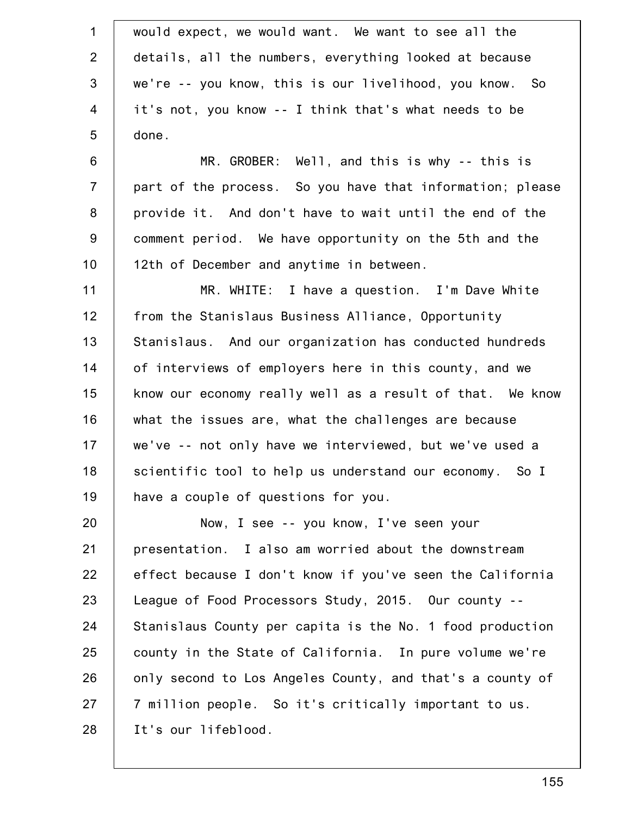| $\mathbf 1$    | would expect, we would want. We want to see all the       |
|----------------|-----------------------------------------------------------|
| $\overline{2}$ | details, all the numbers, everything looked at because    |
| $\mathfrak{S}$ | we're -- you know, this is our livelihood, you know. So   |
| $\overline{4}$ | it's not, you know -- I think that's what needs to be     |
| 5              | done.                                                     |
| $6\,$          | MR. GROBER: Well, and this is why -- this is              |
| $\overline{7}$ | part of the process. So you have that information; please |
| $\bf 8$        | provide it. And don't have to wait until the end of the   |
| $9\,$          | comment period. We have opportunity on the 5th and the    |
| 10             | 12th of December and anytime in between.                  |
| 11             | MR. WHITE: I have a question. I'm Dave White              |
| 12             | from the Stanislaus Business Alliance, Opportunity        |
| 13             | Stanislaus. And our organization has conducted hundreds   |
| 14             | of interviews of employers here in this county, and we    |
| 15             | know our economy really well as a result of that. We know |
| 16             | what the issues are, what the challenges are because      |
| 17             | we've -- not only have we interviewed, but we've used a   |
| 18             | scientific tool to help us understand our economy. So I   |
| 19             | have a couple of questions for you.                       |
| 20             | Now, I see -- you know, I've seen your                    |
| 21             | presentation. I also am worried about the downstream      |
| 22             | effect because I don't know if you've seen the California |
| 23             | League of Food Processors Study, 2015. Our county --      |
| 24             | Stanislaus County per capita is the No. 1 food production |
| 25             | county in the State of California. In pure volume we're   |
| 26             | only second to Los Angeles County, and that's a county of |
| 27             | 7 million people. So it's critically important to us.     |
| 28             | It's our lifeblood.                                       |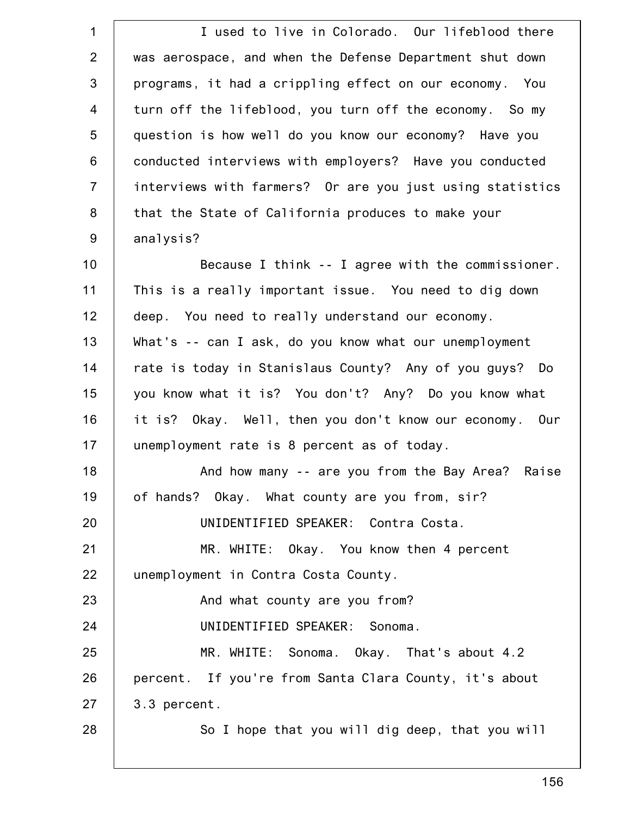| $\mathbf 1$    | I used to live in Colorado. Our lifeblood there           |
|----------------|-----------------------------------------------------------|
| $\overline{2}$ | was aerospace, and when the Defense Department shut down  |
| 3              | programs, it had a crippling effect on our economy. You   |
| $\overline{4}$ | turn off the lifeblood, you turn off the economy. So my   |
| 5              | question is how well do you know our economy? Have you    |
| 6              | conducted interviews with employers? Have you conducted   |
| $\overline{7}$ | interviews with farmers? Or are you just using statistics |
| 8              | that the State of California produces to make your        |
| $9\,$          | analysis?                                                 |
| 10             | Because I think -- I agree with the commissioner.         |
| 11             | This is a really important issue. You need to dig down    |
| 12             | deep. You need to really understand our economy.          |
| 13             | What's -- can I ask, do you know what our unemployment    |
| 14             | rate is today in Stanislaus County? Any of you guys? Do   |
| 15             | you know what it is? You don't? Any? Do you know what     |
| 16             | it is? Okay. Well, then you don't know our economy. Our   |
| 17             | unemployment rate is 8 percent as of today.               |
| 18             | And how many -- are you from the Bay Area? Raise          |
| 19             | of hands? Okay. What county are you from, sir?            |
| 20             | UNIDENTIFIED SPEAKER: Contra Costa.                       |
| 21             | MR. WHITE: Okay. You know then 4 percent                  |
| 22             | unemployment in Contra Costa County.                      |
| 23             | And what county are you from?                             |
| 24             | UNIDENTIFIED SPEAKER: Sonoma.                             |
| 25             | MR. WHITE: Sonoma. Okay. That's about 4.2                 |
| 26             | percent. If you're from Santa Clara County, it's about    |
| 27             | 3.3 percent.                                              |
| 28             | So I hope that you will dig deep, that you will           |
|                |                                                           |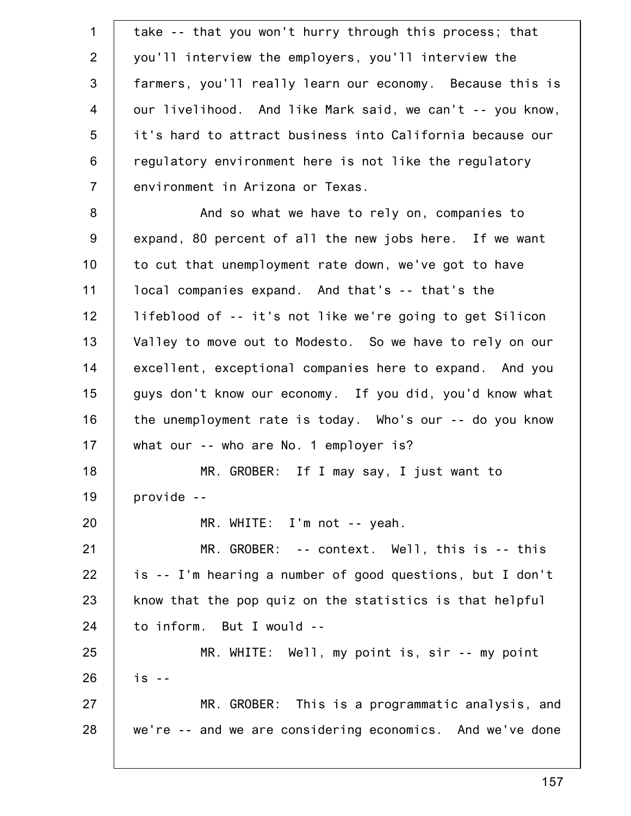1 2 3 4 5 6 7 8 9 10 11 12 13 14 15 16 17 18 19 20 21 22 23 24 25 26 27 28 take -- that you won't hurry through this process; that you'll interview the employers, you'll interview the farmers, you'll really learn our economy. Because this is our livelihood. And like Mark said, we can't -- you know, it's hard to attract business into California because our regulatory environment here is not like the regulatory environment in Arizona or Texas. And so what we have to rely on, companies to expand, 80 percent of all the new jobs here. If we want to cut that unemployment rate down, we've got to have local companies expand. And that's -- that's the lifeblood of -- it's not like we're going to get Silicon Valley to move out to Modesto. So we have to rely on our excellent, exceptional companies here to expand. And you guys don't know our economy. If you did, you'd know what the unemployment rate is today. Who's our -- do you know what our -- who are No. 1 employer is? MR. GROBER: If I may say, I just want to provide -- MR. WHITE: I'm not -- yeah. MR. GROBER: -- context. Well, this is -- this is -- I'm hearing a number of good questions, but I don't know that the pop quiz on the statistics is that helpful to inform. But I would -- MR. WHITE: Well, my point is, sir -- my point is -- MR. GROBER: This is a programmatic analysis, and we're -- and we are considering economics. And we've done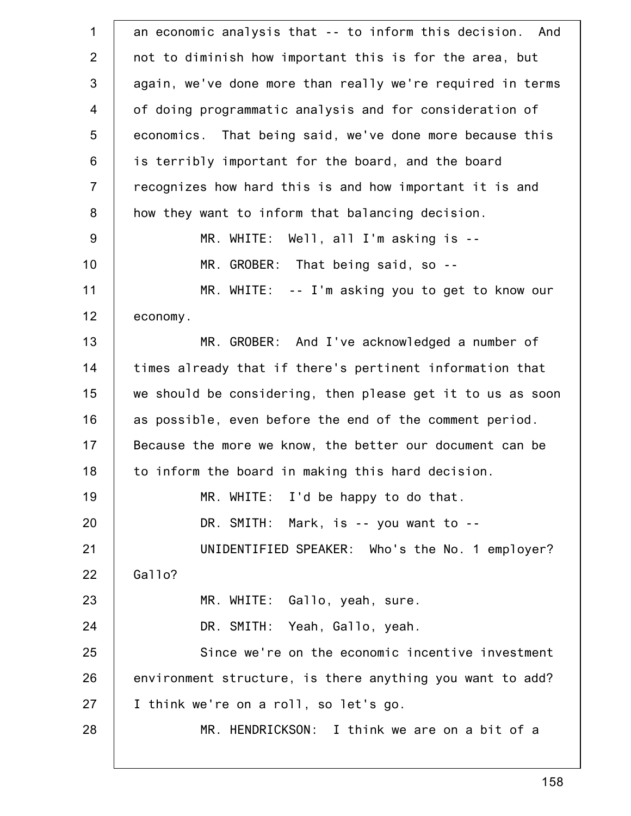| an economic analysis that -- to inform this decision. And  |
|------------------------------------------------------------|
| not to diminish how important this is for the area, but    |
| again, we've done more than really we're required in terms |
| of doing programmatic analysis and for consideration of    |
| economics. That being said, we've done more because this   |
| is terribly important for the board, and the board         |
| recognizes how hard this is and how important it is and    |
| how they want to inform that balancing decision.           |
| MR. WHITE: Well, all I'm asking is --                      |
| MR. GROBER: That being said, so --                         |
| MR. WHITE: -- I'm asking you to get to know our            |
| economy.                                                   |
| MR. GROBER: And I've acknowledged a number of              |
| times already that if there's pertinent information that   |
| we should be considering, then please get it to us as soon |
| as possible, even before the end of the comment period.    |
| Because the more we know, the better our document can be   |
| to inform the board in making this hard decision.          |
| MR. WHITE: I'd be happy to do that.                        |
| DR. SMITH: Mark, is -- you want to --                      |
| UNIDENTIFIED SPEAKER: Who's the No. 1 employer?            |
| Gallo?                                                     |
| MR. WHITE: Gallo, yeah, sure.                              |
| DR. SMITH: Yeah, Gallo, yeah.                              |
| Since we're on the economic incentive investment           |
| environment structure, is there anything you want to add?  |
| I think we're on a roll, so let's go.                      |
| MR. HENDRICKSON: I think we are on a bit of a              |
|                                                            |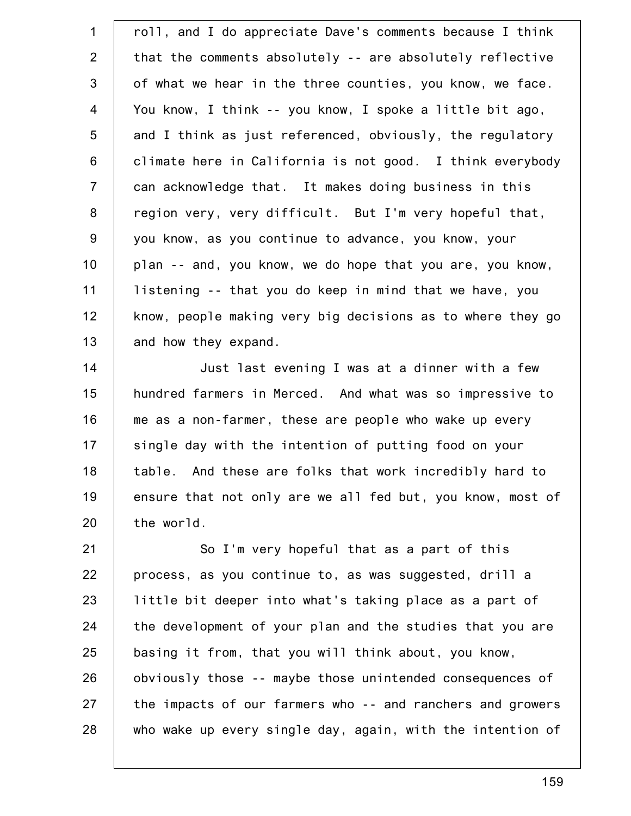1 2 3 4 5 6 7 8 9 10 11 12 13 roll, and I do appreciate Dave's comments because I think that the comments absolutely -- are absolutely reflective of what we hear in the three counties, you know, we face. You know, I think -- you know, I spoke a little bit ago, and I think as just referenced, obviously, the regulatory climate here in California is not good. I think everybody can acknowledge that. It makes doing business in this region very, very difficult. But I'm very hopeful that, you know, as you continue to advance, you know, your plan -- and, you know, we do hope that you are, you know, listening -- that you do keep in mind that we have, you know, people making very big decisions as to where they go and how they expand.

14 15 16 17 18 19 20 Just last evening I was at a dinner with a few hundred farmers in Merced. And what was so impressive to me as a non-farmer, these are people who wake up every single day with the intention of putting food on your table. And these are folks that work incredibly hard to ensure that not only are we all fed but, you know, most of the world.

21 22 23 24 25 26 27 28 So I'm very hopeful that as a part of this process, as you continue to, as was suggested, drill a little bit deeper into what's taking place as a part of the development of your plan and the studies that you are basing it from, that you will think about, you know, obviously those -- maybe those unintended consequences of the impacts of our farmers who -- and ranchers and growers who wake up every single day, again, with the intention of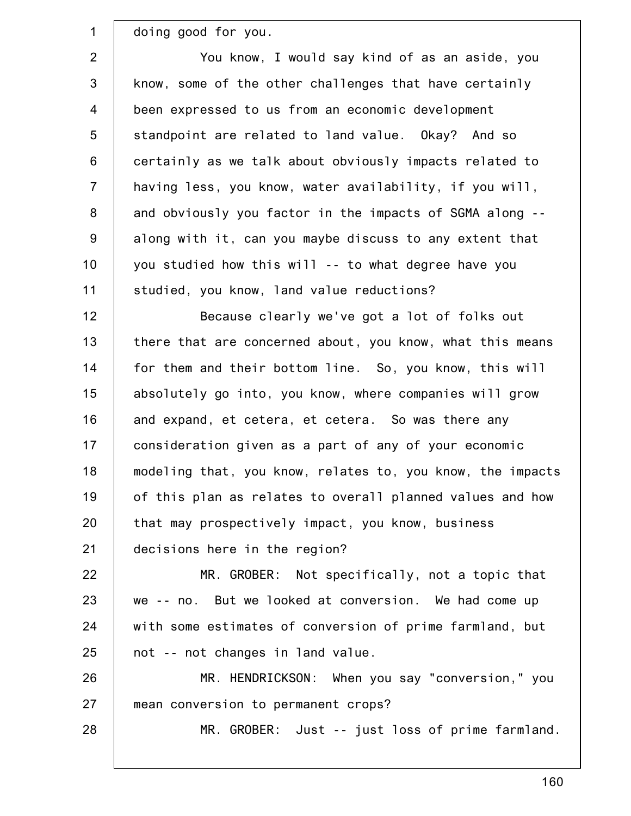doing good for you.

1

28

2 3 4 5 6 7 8 9 10 11 You know, I would say kind of as an aside, you know, some of the other challenges that have certainly been expressed to us from an economic development standpoint are related to land value. Okay? And so certainly as we talk about obviously impacts related to having less, you know, water availability, if you will, and obviously you factor in the impacts of SGMA along - along with it, can you maybe discuss to any extent that you studied how this will -- to what degree have you studied, you know, land value reductions?

12 13 14 15 16 17 18 19 20 21 Because clearly we've got a lot of folks out there that are concerned about, you know, what this means for them and their bottom line. So, you know, this will absolutely go into, you know, where companies will grow and expand, et cetera, et cetera. So was there any consideration given as a part of any of your economic modeling that, you know, relates to, you know, the impacts of this plan as relates to overall planned values and how that may prospectively impact, you know, business decisions here in the region?

22 23 24 25 MR. GROBER: Not specifically, not a topic that we -- no. But we looked at conversion. We had come up with some estimates of conversion of prime farmland, but not -- not changes in land value.

26 27 MR. HENDRICKSON: When you say "conversion," you mean conversion to permanent crops?

MR. GROBER: Just -- just loss of prime farmland.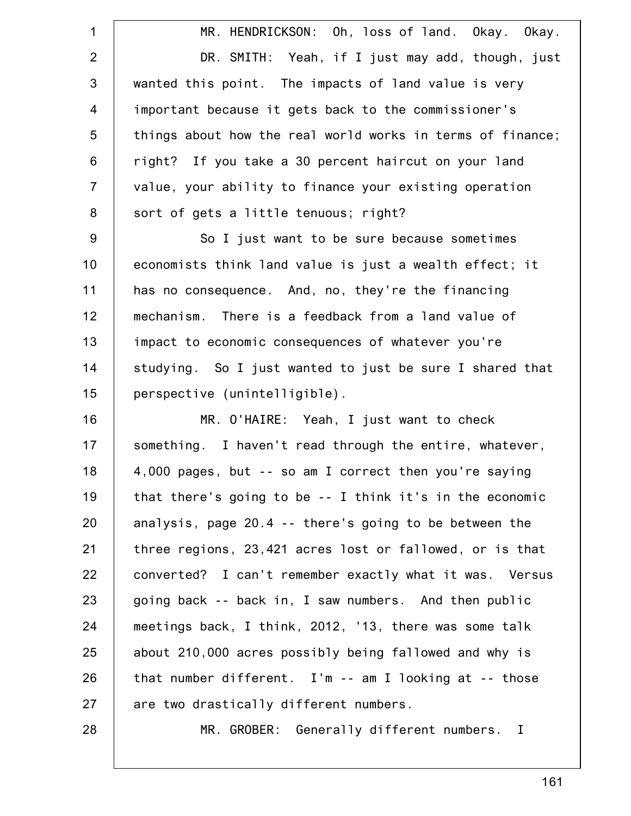1 2 3 4 5 6 7 8 9 10 11 12 13 14 15 16 17 18 19 20 21 22 23 24 25 26 27 28 MR. HENDRICKSON: Oh, loss of land. Okay. Okay. DR. SMITH: Yeah, if I just may add, though, just wanted this point. The impacts of land value is very important because it gets back to the commissioner's things about how the real world works in terms of finance; right? If you take a 30 percent haircut on your land value, your ability to finance your existing operation sort of gets a little tenuous; right? So I just want to be sure because sometimes economists think land value is just a wealth effect; it has no consequence. And, no, they're the financing mechanism. There is a feedback from a land value of impact to economic consequences of whatever you're studying. So I just wanted to just be sure I shared that perspective (unintelligible). MR. O'HAIRE: Yeah, I just want to check something. I haven't read through the entire, whatever, 4,000 pages, but -- so am I correct then you're saying that there's going to be -- I think it's in the economic analysis, page 20.4 -- there's going to be between the three regions, 23,421 acres lost or fallowed, or is that converted? I can't remember exactly what it was. Versus going back -- back in, I saw numbers. And then public meetings back, I think, 2012, '13, there was some talk about 210,000 acres possibly being fallowed and why is that number different. I'm -- am I looking at -- those are two drastically different numbers. MR. GROBER: Generally different numbers. I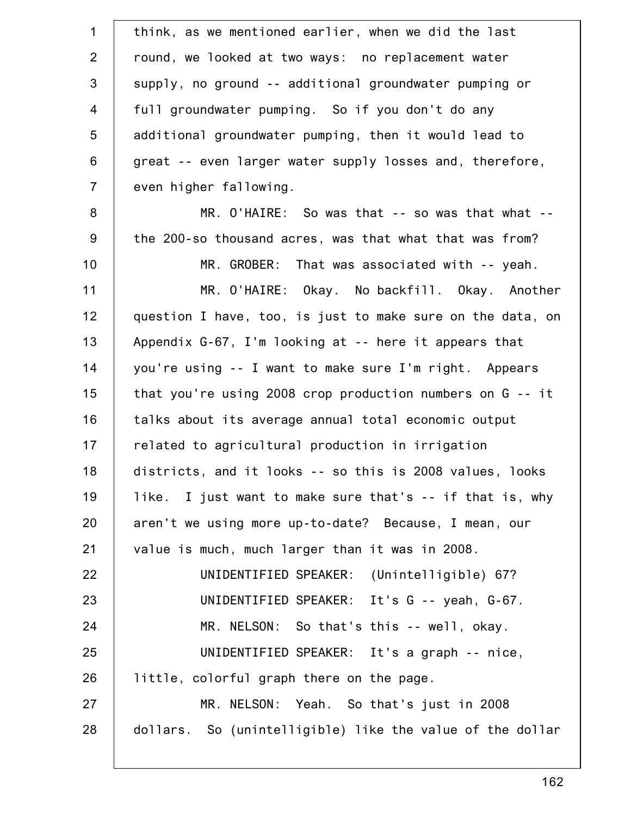| $\mathbf 1$    | think, as we mentioned earlier, when we did the last         |
|----------------|--------------------------------------------------------------|
| 2              | round, we looked at two ways: no replacement water           |
| 3              | supply, no ground -- additional groundwater pumping or       |
| $\overline{4}$ | full groundwater pumping. So if you don't do any             |
| 5              | additional groundwater pumping, then it would lead to        |
| 6              | great -- even larger water supply losses and, therefore,     |
| $\overline{7}$ | even higher fallowing.                                       |
| 8              | MR. O'HAIRE: So was that -- so was that what --              |
| $9\,$          | the 200-so thousand acres, was that what that was from?      |
| 10             | MR. GROBER: That was associated with -- yeah.                |
| 11             | MR. O'HAIRE: Okay. No backfill. Okay. Another                |
| 12             | question I have, too, is just to make sure on the data, on   |
| 13             | Appendix G-67, I'm looking at -- here it appears that        |
| 14             | you're using -- I want to make sure I'm right. Appears       |
| 15             | that you're using 2008 crop production numbers on $G - - it$ |
| 16             | talks about its average annual total economic output         |
| 17             | related to agricultural production in irrigation             |
| 18             | districts, and it looks -- so this is 2008 values, looks     |
| 19             | like. I just want to make sure that's -- if that is, why     |
| 20             | aren't we using more up-to-date? Because, I mean, our        |
| 21             | value is much, much larger than it was in 2008.              |
| 22             | UNIDENTIFIED SPEAKER: (Unintelligible) 67?                   |
| 23             | UNIDENTIFIED SPEAKER: It's G -- yeah, G-67.                  |
| 24             | MR. NELSON: So that's this -- well, okay.                    |
| 25             | UNIDENTIFIED SPEAKER: It's a graph -- nice,                  |
| 26             | little, colorful graph there on the page.                    |
| 27             | MR. NELSON: Yeah. So that's just in 2008                     |
| 28             | dollars. So (unintelligible) like the value of the dollar    |
|                |                                                              |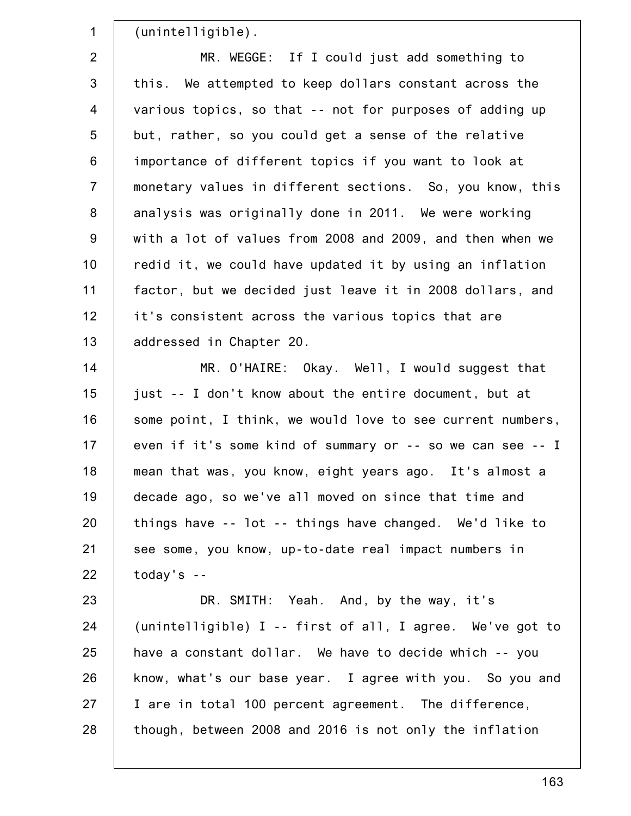1 2 3 4 5 6 7 8 9 10 11 12 13 14 15 16 17 18 19 20 21 22 23 24 25 26 27 28 (unintelligible). MR. WEGGE: If I could just add something to this. We attempted to keep dollars constant across the various topics, so that -- not for purposes of adding up but, rather, so you could get a sense of the relative importance of different topics if you want to look at monetary values in different sections. So, you know, this analysis was originally done in 2011. We were working with a lot of values from 2008 and 2009, and then when we redid it, we could have updated it by using an inflation factor, but we decided just leave it in 2008 dollars, and it's consistent across the various topics that are addressed in Chapter 20. MR. O'HAIRE: Okay. Well, I would suggest that just -- I don't know about the entire document, but at some point, I think, we would love to see current numbers, even if it's some kind of summary or -- so we can see -- I mean that was, you know, eight years ago. It's almost a decade ago, so we've all moved on since that time and things have -- lot -- things have changed. We'd like to see some, you know, up-to-date real impact numbers in today's -- DR. SMITH: Yeah. And, by the way, it's (unintelligible) I -- first of all, I agree. We've got to have a constant dollar. We have to decide which -- you know, what's our base year. I agree with you. So you and I are in total 100 percent agreement. The difference, though, between 2008 and 2016 is not only the inflation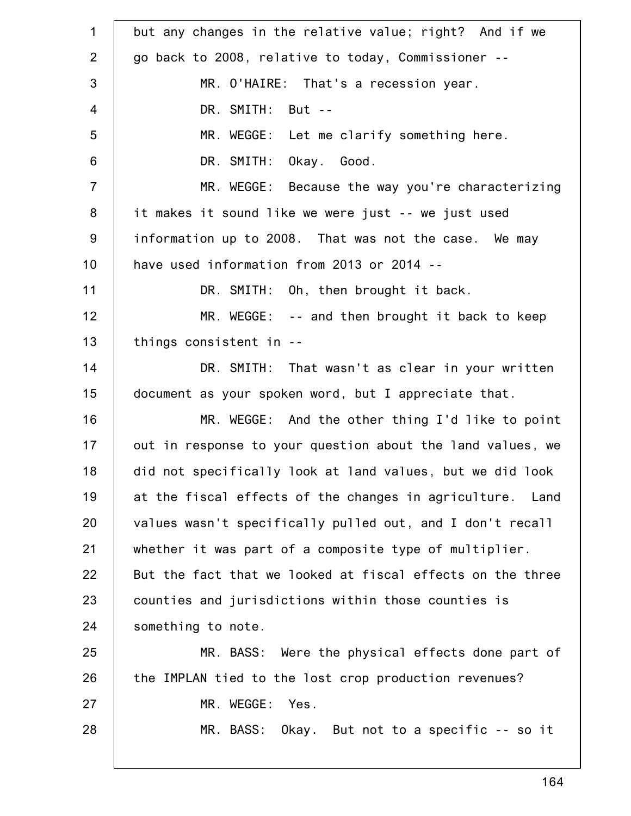1 2 3 4 5 6 7 8 9 10 11 12 13 14 15 16 17 18 19 20 21 22 23 24 25 26 27 28 but any changes in the relative value; right? And if we go back to 2008, relative to today, Commissioner -- MR. O'HAIRE: That's a recession year. DR. SMITH: But -- MR. WEGGE: Let me clarify something here. DR. SMITH: Okay. Good. MR. WEGGE: Because the way you're characterizing it makes it sound like we were just -- we just used information up to 2008. That was not the case. We may have used information from 2013 or 2014 -- DR. SMITH: Oh, then brought it back. MR. WEGGE: -- and then brought it back to keep things consistent in -- DR. SMITH: That wasn't as clear in your written document as your spoken word, but I appreciate that. MR. WEGGE: And the other thing I'd like to point out in response to your question about the land values, we did not specifically look at land values, but we did look at the fiscal effects of the changes in agriculture. Land values wasn't specifically pulled out, and I don't recall whether it was part of a composite type of multiplier. But the fact that we looked at fiscal effects on the three counties and jurisdictions within those counties is something to note. MR. BASS: Were the physical effects done part of the IMPLAN tied to the lost crop production revenues? MR. WEGGE: Yes. MR. BASS: Okay. But not to a specific -- so it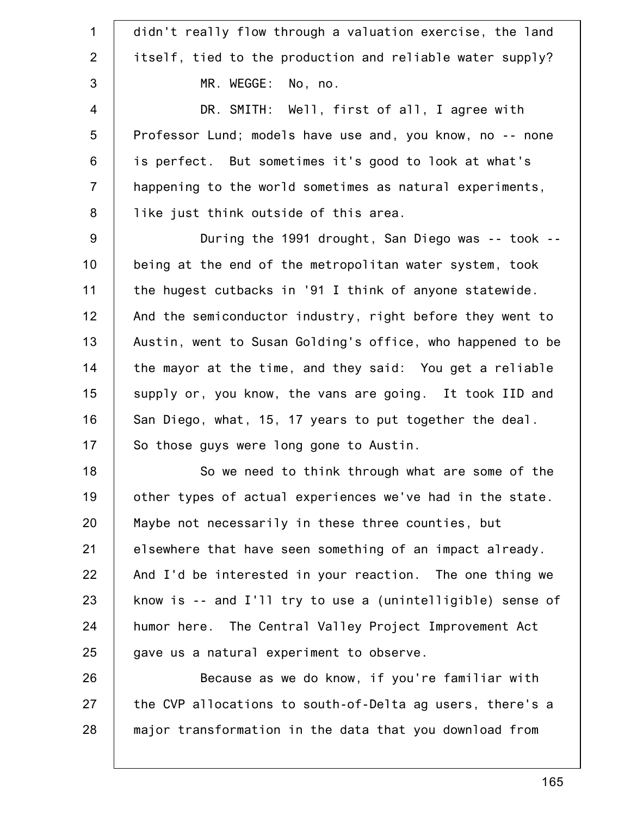| $\mathbf 1$    | didn't really flow through a valuation exercise, the land  |
|----------------|------------------------------------------------------------|
| 2              | itself, tied to the production and reliable water supply?  |
| 3              | MR. WEGGE: No, no.                                         |
| $\overline{4}$ | DR. SMITH: Well, first of all, I agree with                |
| 5              | Professor Lund; models have use and, you know, no -- none  |
| $\,6$          | is perfect. But sometimes it's good to look at what's      |
| $\overline{7}$ | happening to the world sometimes as natural experiments,   |
| 8              | like just think outside of this area.                      |
| $9\,$          | During the 1991 drought, San Diego was -- took --          |
| 10             | being at the end of the metropolitan water system, took    |
| 11             | the hugest cutbacks in '91 I think of anyone statewide.    |
| 12             | And the semiconductor industry, right before they went to  |
| 13             | Austin, went to Susan Golding's office, who happened to be |
| 14             | the mayor at the time, and they said: You get a reliable   |
| 15             | supply or, you know, the vans are going. It took IID and   |
| 16             | San Diego, what, 15, 17 years to put together the deal.    |
| 17             | So those guys were long gone to Austin.                    |
| 18             | So we need to think through what are some of the           |
| 19             | other types of actual experiences we've had in the state.  |
| 20             | Maybe not necessarily in these three counties, but         |
| 21             | elsewhere that have seen something of an impact already.   |
| 22             | And I'd be interested in your reaction. The one thing we   |
| 23             | know is -- and I'll try to use a (unintelligible) sense of |
| 24             | humor here. The Central Valley Project Improvement Act     |
| 25             | gave us a natural experiment to observe.                   |
| 26             | Because as we do know, if you're familiar with             |
| 27             | the CVP allocations to south-of-Delta ag users, there's a  |
| 28             | major transformation in the data that you download from    |
|                |                                                            |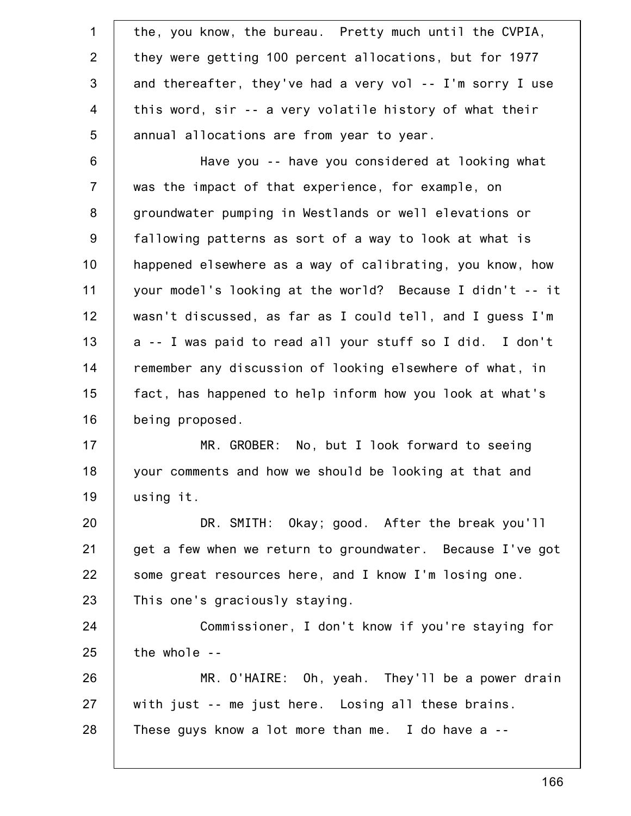| $\mathbf 1$    | the, you know, the bureau. Pretty much until the CVPIA,   |
|----------------|-----------------------------------------------------------|
| $\overline{2}$ | they were getting 100 percent allocations, but for 1977   |
| 3              | and thereafter, they've had a very vol -- I'm sorry I use |
| $\overline{4}$ | this word, sir -- a very volatile history of what their   |
| 5              | annual allocations are from year to year.                 |
| $6\,$          | Have you -- have you considered at looking what           |
| $\overline{7}$ | was the impact of that experience, for example, on        |
| 8              | groundwater pumping in Westlands or well elevations or    |
| 9              | fallowing patterns as sort of a way to look at what is    |
| 10             | happened elsewhere as a way of calibrating, you know, how |
| 11             | your model's looking at the world? Because I didn't -- it |
| 12             | wasn't discussed, as far as I could tell, and I guess I'm |
| 13             | a -- I was paid to read all your stuff so I did. I don't  |
| 14             | remember any discussion of looking elsewhere of what, in  |
| 15             | fact, has happened to help inform how you look at what's  |
| 16             | being proposed.                                           |
| 17             | MR. GROBER: No, but I look forward to seeing              |
| 18             | your comments and how we should be looking at that and    |
| 19             | using it.                                                 |
| 20             | DR. SMITH: Okay; good. After the break you'll             |
| 21             | get a few when we return to groundwater. Because I've got |
| 22             | some great resources here, and I know I'm losing one.     |
| 23             | This one's graciously staying.                            |
| 24             | Commissioner, I don't know if you're staying for          |
| 25             | the whole --                                              |
| 26             | MR. O'HAIRE: Oh, yeah. They'll be a power drain           |
| 27             | with just -- me just here. Losing all these brains.       |
| 28             | These guys know a lot more than me. I do have a $-$       |
|                |                                                           |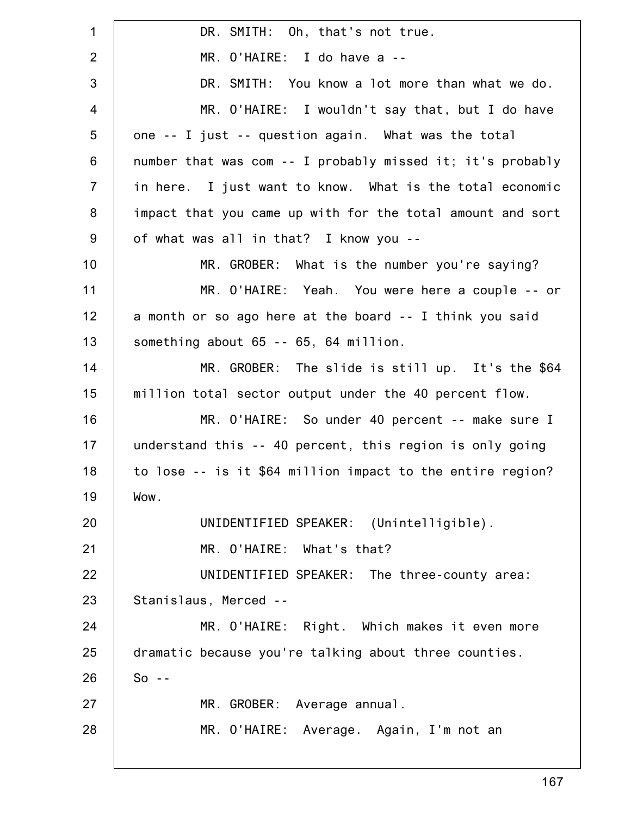1 2 3 4 5 6 7 8 9 10 11 12 13 14 15 16 17 18 19 20 21 22 23 24 25 26 27 28 DR. SMITH: Oh, that's not true. MR. O'HAIRE: I do have a -- DR. SMITH: You know a lot more than what we do. MR. O'HAIRE: I wouldn't say that, but I do have one -- I just -- question again. What was the total number that was com -- I probably missed it; it's probably in here. I just want to know. What is the total economic impact that you came up with for the total amount and sort of what was all in that? I know you -- MR. GROBER: What is the number you're saying? MR. O'HAIRE: Yeah. You were here a couple -- or a month or so ago here at the board -- I think you said something about 65 -- 65, 64 million. MR. GROBER: The slide is still up. It's the \$64 million total sector output under the 40 percent flow. MR. O'HAIRE: So under 40 percent -- make sure I understand this -- 40 percent, this region is only going to lose -- is it \$64 million impact to the entire region? Wow. UNIDENTIFIED SPEAKER: (Unintelligible). MR. O'HAIRE: What's that? UNIDENTIFIED SPEAKER: The three-county area: Stanislaus, Merced -- MR. O'HAIRE: Right. Which makes it even more dramatic because you're talking about three counties.  $So - -$ MR. GROBER: Average annual. MR. O'HAIRE: Average. Again, I'm not an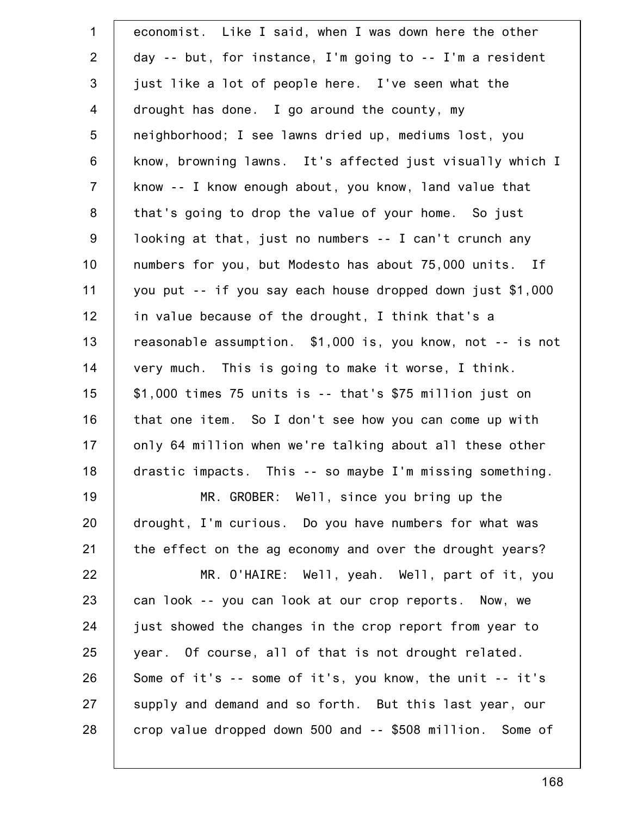| $\mathbf 1$    | economist. Like I said, when I was down here the other     |
|----------------|------------------------------------------------------------|
| $\overline{2}$ | day -- but, for instance, I'm going to -- I'm a resident   |
| $\mathfrak{S}$ | just like a lot of people here. I've seen what the         |
| $\overline{4}$ | drought has done. I go around the county, my               |
| 5              | neighborhood; I see lawns dried up, mediums lost, you      |
| $6\,$          | know, browning lawns. It's affected just visually which I  |
| $\overline{7}$ | know -- I know enough about, you know, land value that     |
| 8              | that's going to drop the value of your home. So just       |
| $9\,$          | looking at that, just no numbers -- I can't crunch any     |
| 10             | numbers for you, but Modesto has about 75,000 units. If    |
| 11             | you put -- if you say each house dropped down just \$1,000 |
| 12             | in value because of the drought, I think that's a          |
| 13             | reasonable assumption. \$1,000 is, you know, not -- is not |
| 14             | very much. This is going to make it worse, I think.        |
| 15             | $$1,000$ times 75 units is -- that's $$75$ million just on |
| 16             | that one item. So I don't see how you can come up with     |
| 17             | only 64 million when we're talking about all these other   |
| 18             | drastic impacts. This -- so maybe I'm missing something.   |
| 19             | MR. GROBER: Well, since you bring up the                   |
| 20             | drought, I'm curious. Do you have numbers for what was     |
| 21             | the effect on the ag economy and over the drought years?   |
| 22             | MR. O'HAIRE: Well, yeah. Well, part of it, you             |
| 23             | can look -- you can look at our crop reports. Now, we      |
| 24             | just showed the changes in the crop report from year to    |
| 25             | year. Of course, all of that is not drought related.       |
| 26             | Some of it's -- some of it's, you know, the unit -- it's   |
| 27             | supply and demand and so forth. But this last year, our    |
| 28             | crop value dropped down 500 and -- \$508 million. Some of  |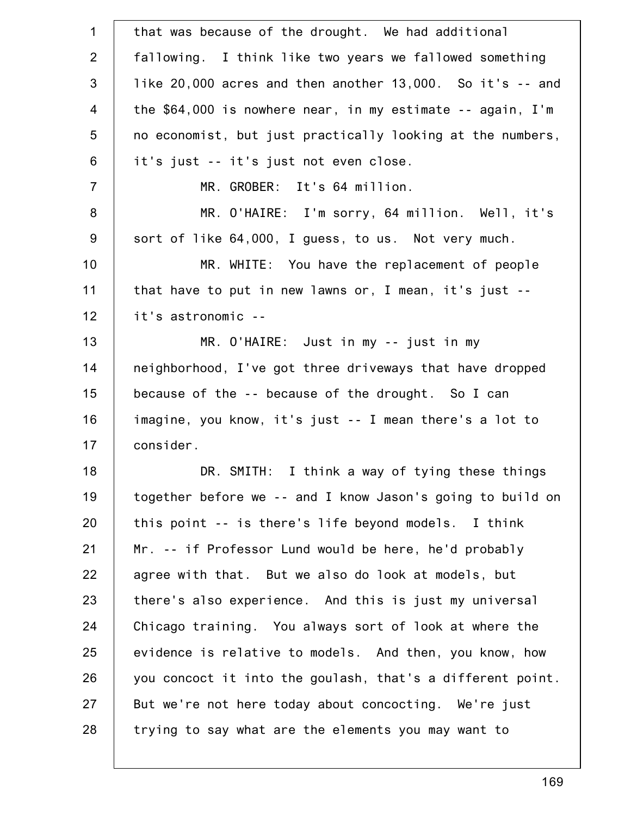| $\mathbf 1$     | that was because of the drought. We had additional              |
|-----------------|-----------------------------------------------------------------|
| 2               | fallowing. I think like two years we fallowed something         |
| $\mathfrak{B}$  | like $20,000$ acres and then another $13,000$ . So it's $-$ and |
| $\overline{4}$  | the \$64,000 is nowhere near, in my estimate -- again, I'm      |
| $5\phantom{.0}$ | no economist, but just practically looking at the numbers,      |
| 6               | it's just -- it's just not even close.                          |
| $\overline{7}$  | MR. GROBER: It's 64 million.                                    |
| 8               | MR. O'HAIRE: I'm sorry, 64 million. Well, it's                  |
| $9$             | sort of like 64,000, I guess, to us. Not very much.             |
| 10              | MR. WHITE: You have the replacement of people                   |
| 11              | that have to put in new lawns or, I mean, it's just --          |
| 12              | it's astronomic --                                              |
| 13              | MR. O'HAIRE: Just in my -- just in my                           |
| 14              | neighborhood, I've got three driveways that have dropped        |
| 15              | because of the -- because of the drought. So I can              |
| 16              | imagine, you know, it's just -- I mean there's a lot to         |
| 17              | consider.                                                       |
| 18              | DR. SMITH: I think a way of tying these things                  |
| 19              | together before we -- and I know Jason's going to build on      |
| 20              | this point -- is there's life beyond models. I think            |
| 21              | Mr. -- if Professor Lund would be here, he'd probably           |
| 22              | agree with that. But we also do look at models, but             |
| 23              | there's also experience. And this is just my universal          |
| 24              | Chicago training. You always sort of look at where the          |
| 25              | evidence is relative to models. And then, you know, how         |
| 26              | you concoct it into the goulash, that's a different point.      |
| 27              | But we're not here today about concocting. We're just           |
| 28              | trying to say what are the elements you may want to             |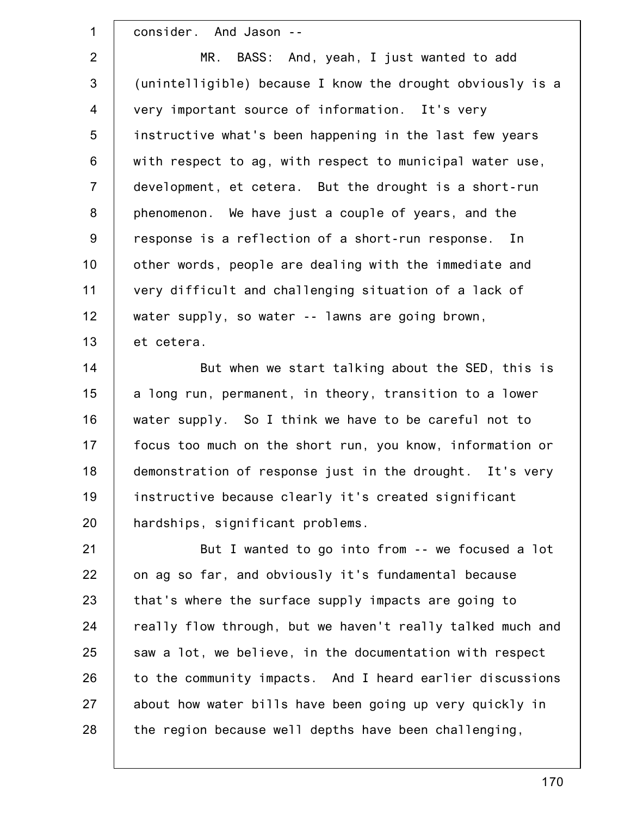1 2 3 4 5 6 7 8 9 10 11 12 13 14 15 16 17 18 19 20 21 22 23 24 25 26 27 28 consider. And Jason -- MR. BASS: And, yeah, I just wanted to add (unintelligible) because I know the drought obviously is a very important source of information. It's very instructive what's been happening in the last few years with respect to ag, with respect to municipal water use, development, et cetera. But the drought is a short-run phenomenon. We have just a couple of years, and the response is a reflection of a short-run response. In other words, people are dealing with the immediate and very difficult and challenging situation of a lack of water supply, so water -- lawns are going brown, et cetera. But when we start talking about the SED, this is a long run, permanent, in theory, transition to a lower water supply. So I think we have to be careful not to focus too much on the short run, you know, information or demonstration of response just in the drought. It's very instructive because clearly it's created significant hardships, significant problems. But I wanted to go into from -- we focused a lot on ag so far, and obviously it's fundamental because that's where the surface supply impacts are going to really flow through, but we haven't really talked much and saw a lot, we believe, in the documentation with respect to the community impacts. And I heard earlier discussions about how water bills have been going up very quickly in the region because well depths have been challenging,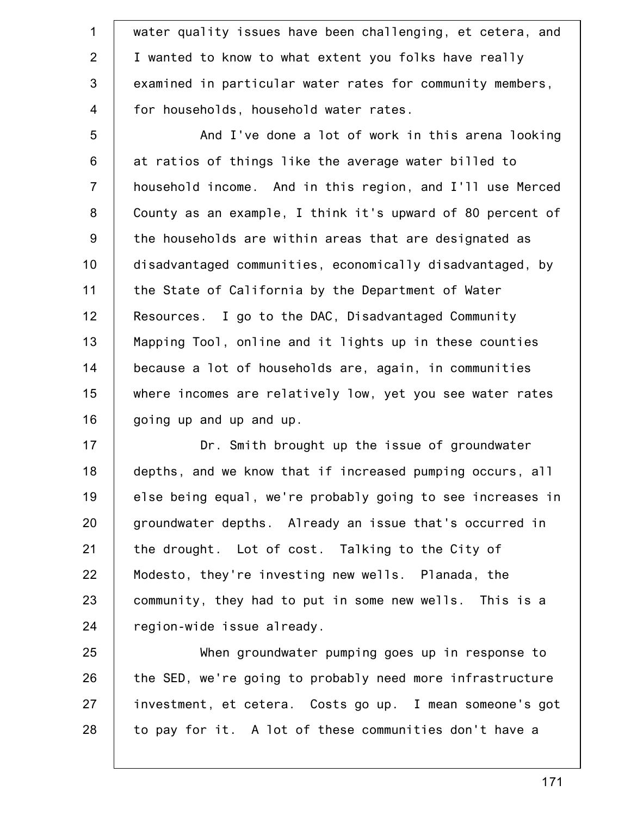1 2 3 4 water quality issues have been challenging, et cetera, and I wanted to know to what extent you folks have really examined in particular water rates for community members, for households, household water rates.

5 6 7 8 9 10 11 12 13 14 15 16 And I've done a lot of work in this arena looking at ratios of things like the average water billed to household income. And in this region, and I'll use Merced County as an example, I think it's upward of 80 percent of the households are within areas that are designated as disadvantaged communities, economically disadvantaged, by the State of California by the Department of Water Resources. I go to the DAC, Disadvantaged Community Mapping Tool, online and it lights up in these counties because a lot of households are, again, in communities where incomes are relatively low, yet you see water rates going up and up and up.

17 18 19 20 21 22 23 24 Dr. Smith brought up the issue of groundwater depths, and we know that if increased pumping occurs, all else being equal, we're probably going to see increases in groundwater depths. Already an issue that's occurred in the drought. Lot of cost. Talking to the City of Modesto, they're investing new wells. Planada, the community, they had to put in some new wells. This is a region-wide issue already.

25 26 27 28 When groundwater pumping goes up in response to the SED, we're going to probably need more infrastructure investment, et cetera. Costs go up. I mean someone's got to pay for it. A lot of these communities don't have a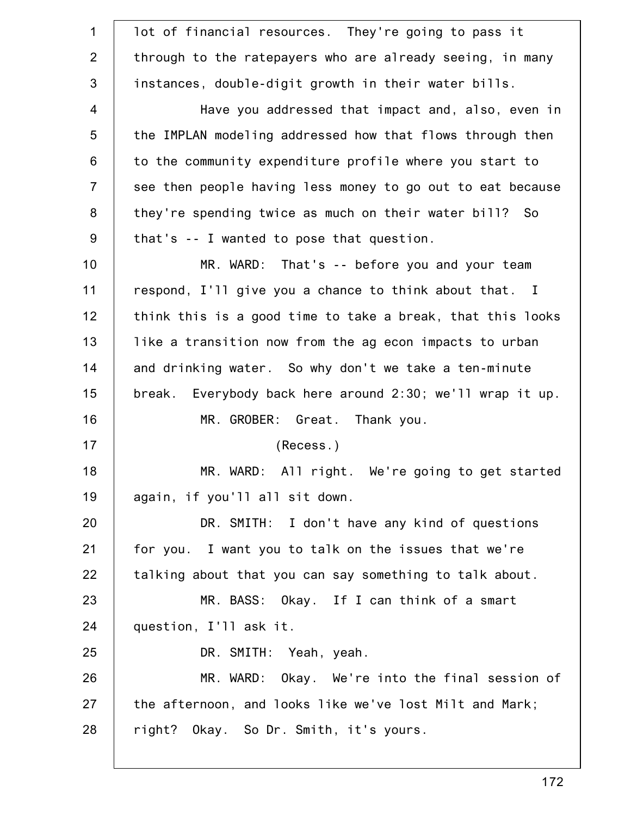| lot of financial resources. They're going to pass it       |
|------------------------------------------------------------|
| through to the ratepayers who are already seeing, in many  |
| instances, double-digit growth in their water bills.       |
| Have you addressed that impact and, also, even in          |
| the IMPLAN modeling addressed how that flows through then  |
| to the community expenditure profile where you start to    |
| see then people having less money to go out to eat because |
| they're spending twice as much on their water bill? So     |
| that's -- I wanted to pose that question.                  |
| MR. WARD: That's -- before you and your team               |
| respond, I'll give you a chance to think about that. I     |
| think this is a good time to take a break, that this looks |
| like a transition now from the ag econ impacts to urban    |
| and drinking water. So why don't we take a ten-minute      |
| break. Everybody back here around 2:30; we'll wrap it up.  |
| MR. GROBER: Great. Thank you.                              |
| (Recess.)                                                  |
| MR. WARD: All right. We're going to get started            |
| again, if you'll all sit down.                             |
| DR. SMITH: I don't have any kind of questions              |
| for you. I want you to talk on the issues that we're       |
| talking about that you can say something to talk about.    |
| MR. BASS: Okay. If I can think of a smart                  |
| question, I'll ask it.                                     |
| DR. SMITH: Yeah, yeah.                                     |
| MR. WARD: Okay. We're into the final session of            |
| the afternoon, and looks like we've lost Milt and Mark;    |
| right? Okay. So Dr. Smith, it's yours.                     |
|                                                            |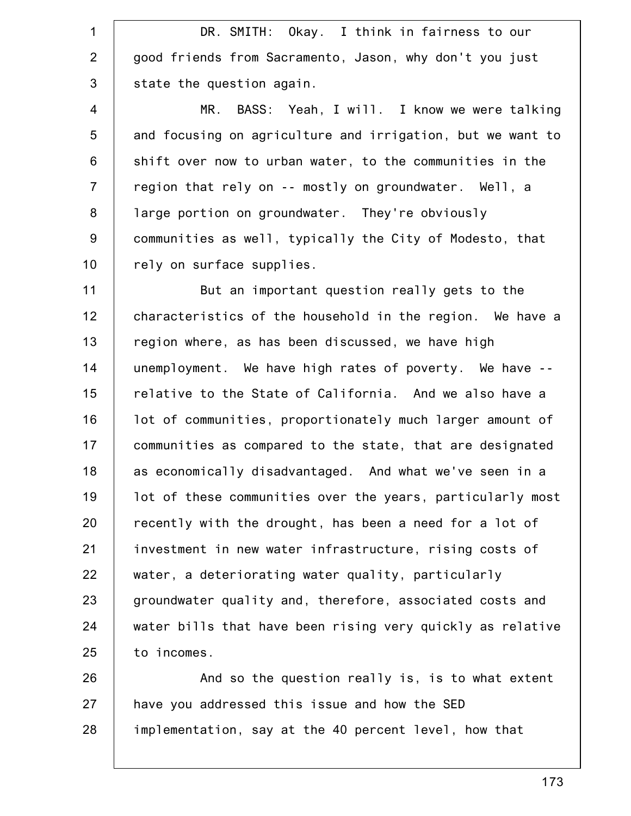1 2 3 4 5 6 7 8 9 10 11 12 13 14 15 16 17 18 19 20 21 22 23 24 25 26 27 DR. SMITH: Okay. I think in fairness to our good friends from Sacramento, Jason, why don't you just state the question again. MR. BASS: Yeah, I will. I know we were talking and focusing on agriculture and irrigation, but we want to shift over now to urban water, to the communities in the region that rely on -- mostly on groundwater. Well, a large portion on groundwater. They're obviously communities as well, typically the City of Modesto, that rely on surface supplies. But an important question really gets to the characteristics of the household in the region. We have a region where, as has been discussed, we have high unemployment. We have high rates of poverty. We have - relative to the State of California. And we also have a lot of communities, proportionately much larger amount of communities as compared to the state, that are designated as economically disadvantaged. And what we've seen in a lot of these communities over the years, particularly most recently with the drought, has been a need for a lot of investment in new water infrastructure, rising costs of water, a deteriorating water quality, particularly groundwater quality and, therefore, associated costs and water bills that have been rising very quickly as relative to incomes. And so the question really is, is to what extent have you addressed this issue and how the SED

implementation, say at the 40 percent level, how that

28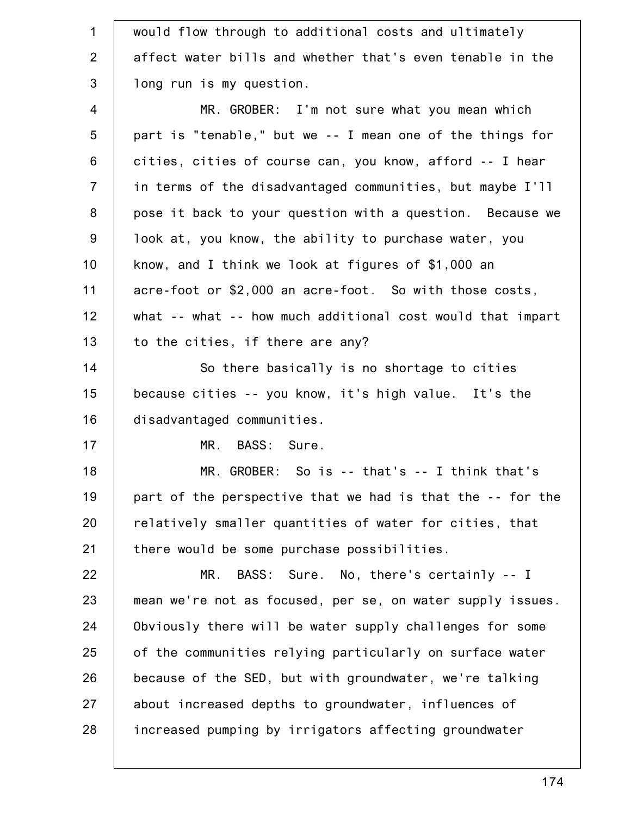| $\mathbf 1$    | would flow through to additional costs and ultimately      |
|----------------|------------------------------------------------------------|
| $\overline{2}$ | affect water bills and whether that's even tenable in the  |
| 3              | long run is my question.                                   |
| $\overline{4}$ | MR. GROBER: I'm not sure what you mean which               |
| 5              | part is "tenable," but we -- I mean one of the things for  |
| 6              | cities, cities of course can, you know, afford -- I hear   |
| $\overline{7}$ | in terms of the disadvantaged communities, but maybe I'll  |
| 8              | pose it back to your question with a question. Because we  |
| $9\,$          | look at, you know, the ability to purchase water, you      |
| 10             | know, and I think we look at figures of \$1,000 an         |
| 11             | acre-foot or \$2,000 an acre-foot. So with those costs,    |
| 12             | what -- what -- how much additional cost would that impart |
| 13             | to the cities, if there are any?                           |
| 14             | So there basically is no shortage to cities                |
| 15             | because cities -- you know, it's high value. It's the      |
| 16             | disadvantaged communities.                                 |
| 17             | BASS: Sure.<br>MR.                                         |
| 18             | MR. GROBER: So is -- that's -- I think that's              |
| 19             | part of the perspective that we had is that the -- for the |
| 20             | relatively smaller quantities of water for cities, that    |
| 21             | there would be some purchase possibilities.                |
| 22             | BASS: Sure. No, there's certainly -- I<br>MR.              |
| 23             | mean we're not as focused, per se, on water supply issues. |
| 24             | Obviously there will be water supply challenges for some   |
| 25             | of the communities relying particularly on surface water   |
| 26             | because of the SED, but with groundwater, we're talking    |
| 27             | about increased depths to groundwater, influences of       |
| 28             | increased pumping by irrigators affecting groundwater      |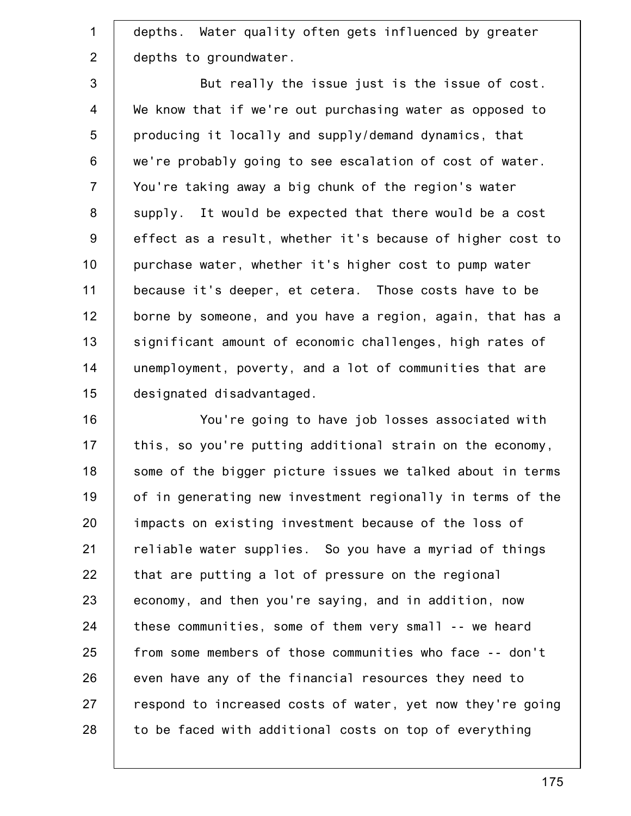1 2 depths. Water quality often gets influenced by greater depths to groundwater.

3 4 5 6 7 8 9 10 11 12 13 14 15 But really the issue just is the issue of cost. We know that if we're out purchasing water as opposed to producing it locally and supply/demand dynamics, that we're probably going to see escalation of cost of water. You're taking away a big chunk of the region's water supply. It would be expected that there would be a cost effect as a result, whether it's because of higher cost to purchase water, whether it's higher cost to pump water because it's deeper, et cetera. Those costs have to be borne by someone, and you have a region, again, that has a significant amount of economic challenges, high rates of unemployment, poverty, and a lot of communities that are designated disadvantaged.

16 17 18 19 20 21 22 23 24 25 26 27 28 You're going to have job losses associated with this, so you're putting additional strain on the economy, some of the bigger picture issues we talked about in terms of in generating new investment regionally in terms of the impacts on existing investment because of the loss of reliable water supplies. So you have a myriad of things that are putting a lot of pressure on the regional economy, and then you're saying, and in addition, now these communities, some of them very small -- we heard from some members of those communities who face -- don't even have any of the financial resources they need to respond to increased costs of water, yet now they're going to be faced with additional costs on top of everything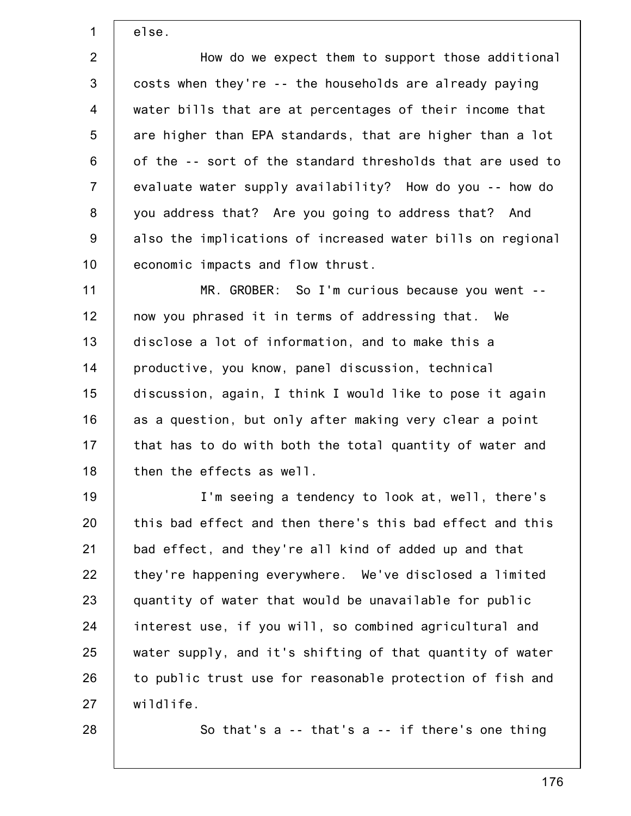else.

1

2 3 4 5 6 7 8 9 10 How do we expect them to support those additional costs when they're -- the households are already paying water bills that are at percentages of their income that are higher than EPA standards, that are higher than a lot of the -- sort of the standard thresholds that are used to evaluate water supply availability? How do you -- how do you address that? Are you going to address that? And also the implications of increased water bills on regional economic impacts and flow thrust.

11 12 13 14 15 16 17 18 MR. GROBER: So I'm curious because you went - now you phrased it in terms of addressing that. We disclose a lot of information, and to make this a productive, you know, panel discussion, technical discussion, again, I think I would like to pose it again as a question, but only after making very clear a point that has to do with both the total quantity of water and then the effects as well.

19 20 21 22 23 24 25 26 27 I'm seeing a tendency to look at, well, there's this bad effect and then there's this bad effect and this bad effect, and they're all kind of added up and that they're happening everywhere. We've disclosed a limited quantity of water that would be unavailable for public interest use, if you will, so combined agricultural and water supply, and it's shifting of that quantity of water to public trust use for reasonable protection of fish and wildlife.

28

So that's a -- that's a -- if there's one thing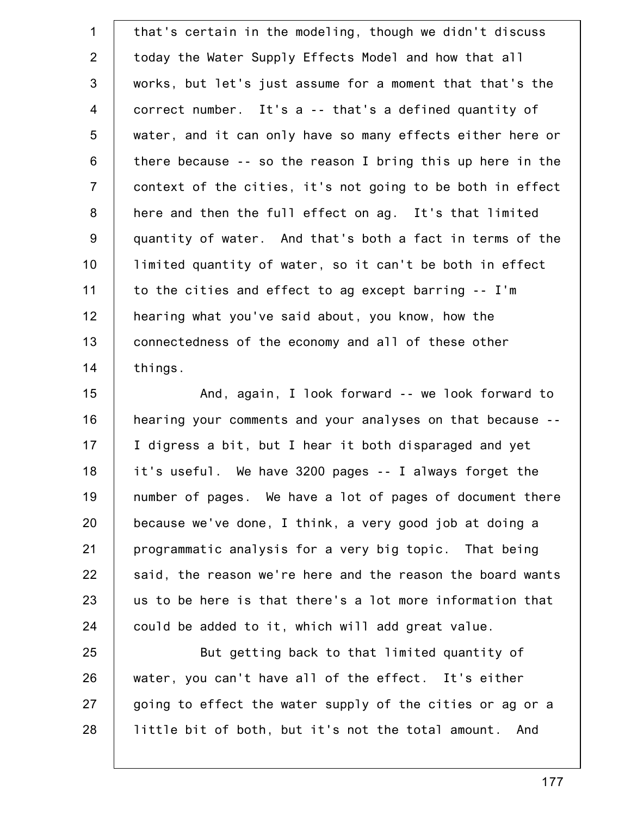1 2 3 4 5 6 7 8 9 10 11 12 13 14 that's certain in the modeling, though we didn't discuss today the Water Supply Effects Model and how that all works, but let's just assume for a moment that that's the correct number. It's a -- that's a defined quantity of water, and it can only have so many effects either here or there because -- so the reason I bring this up here in the context of the cities, it's not going to be both in effect here and then the full effect on ag. It's that limited quantity of water. And that's both a fact in terms of the limited quantity of water, so it can't be both in effect to the cities and effect to ag except barring -- I'm hearing what you've said about, you know, how the connectedness of the economy and all of these other things.

15 16 17 18 19 20 21 22 23 24 And, again, I look forward -- we look forward to hearing your comments and your analyses on that because -- I digress a bit, but I hear it both disparaged and yet it's useful. We have 3200 pages -- I always forget the number of pages. We have a lot of pages of document there because we've done, I think, a very good job at doing a programmatic analysis for a very big topic. That being said, the reason we're here and the reason the board wants us to be here is that there's a lot more information that could be added to it, which will add great value.

25 26 27 28 But getting back to that limited quantity of water, you can't have all of the effect. It's either going to effect the water supply of the cities or ag or a little bit of both, but it's not the total amount. And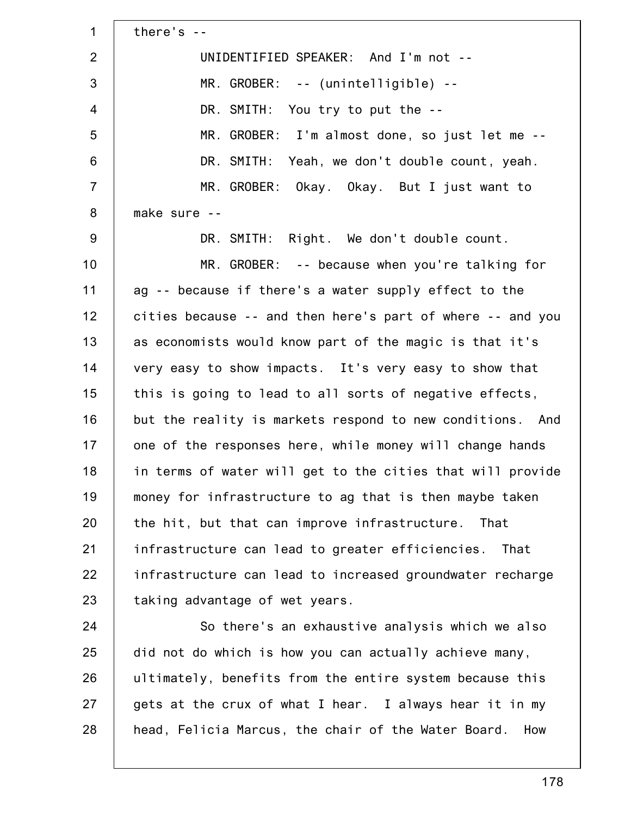1 2 3 4 5 6 7 8 9 10 11 12 13 14 15 16 17 18 19 20 21 22 23 24 25 26 27 28 there's -- UNIDENTIFIED SPEAKER: And I'm not -- MR. GROBER: -- (unintelligible) -- DR. SMITH: You try to put the -- MR. GROBER: I'm almost done, so just let me -- DR. SMITH: Yeah, we don't double count, yeah. MR. GROBER: Okay. Okay. But I just want to make sure -- DR. SMITH: Right. We don't double count. MR. GROBER: -- because when you're talking for ag -- because if there's a water supply effect to the cities because -- and then here's part of where -- and you as economists would know part of the magic is that it's very easy to show impacts. It's very easy to show that this is going to lead to all sorts of negative effects, but the reality is markets respond to new conditions. And one of the responses here, while money will change hands in terms of water will get to the cities that will provide money for infrastructure to ag that is then maybe taken the hit, but that can improve infrastructure. That infrastructure can lead to greater efficiencies. That infrastructure can lead to increased groundwater recharge taking advantage of wet years. So there's an exhaustive analysis which we also did not do which is how you can actually achieve many, ultimately, benefits from the entire system because this gets at the crux of what I hear. I always hear it in my head, Felicia Marcus, the chair of the Water Board. How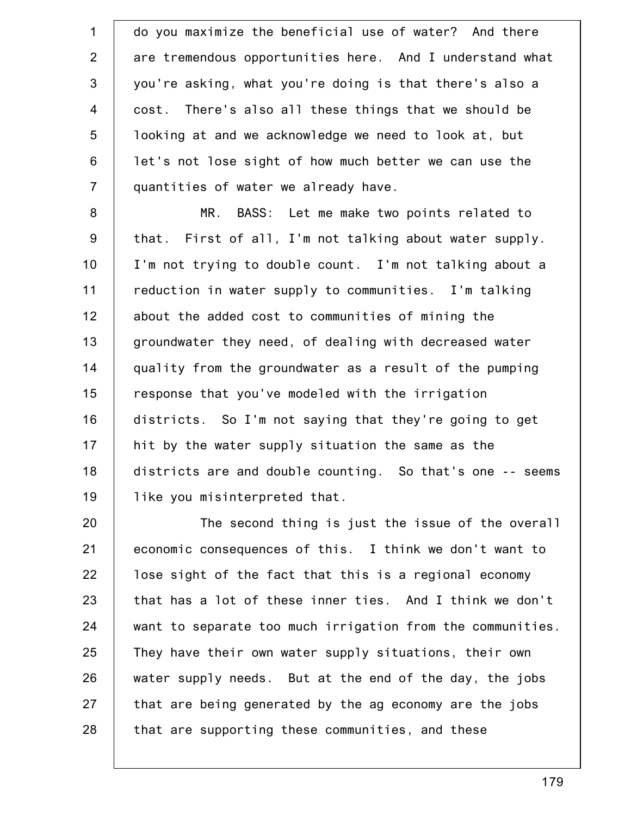1 2 3 4 5 6 7 do you maximize the beneficial use of water? And there are tremendous opportunities here. And I understand what you're asking, what you're doing is that there's also a cost. There's also all these things that we should be looking at and we acknowledge we need to look at, but let's not lose sight of how much better we can use the quantities of water we already have.

8 9 10 11 12 13 14 15 16 17 18 19 MR. BASS: Let me make two points related to that. First of all, I'm not talking about water supply. I'm not trying to double count. I'm not talking about a reduction in water supply to communities. I'm talking about the added cost to communities of mining the groundwater they need, of dealing with decreased water quality from the groundwater as a result of the pumping response that you've modeled with the irrigation districts. So I'm not saying that they're going to get hit by the water supply situation the same as the districts are and double counting. So that's one -- seems like you misinterpreted that.

20 21 22 23 24 25 26 27 28 The second thing is just the issue of the overall economic consequences of this. I think we don't want to lose sight of the fact that this is a regional economy that has a lot of these inner ties. And I think we don't want to separate too much irrigation from the communities. They have their own water supply situations, their own water supply needs. But at the end of the day, the jobs that are being generated by the ag economy are the jobs that are supporting these communities, and these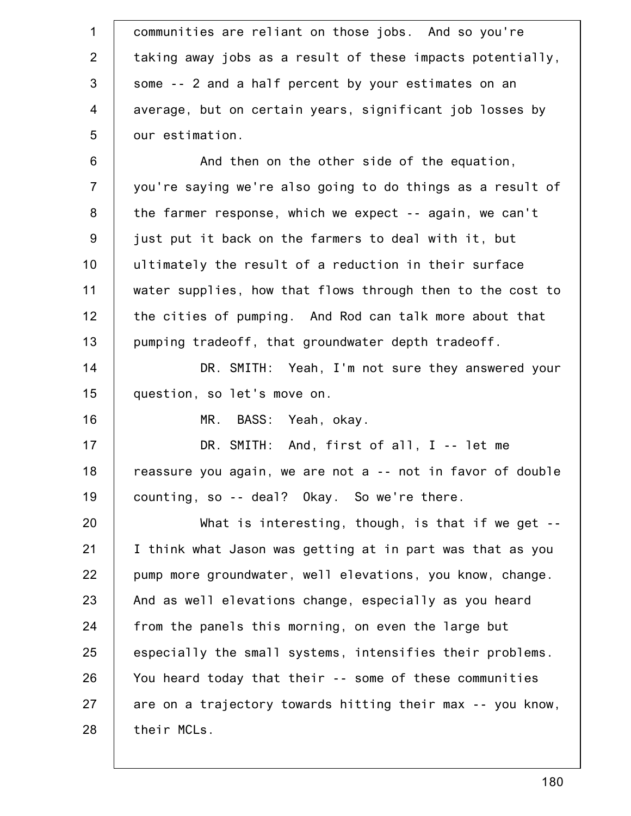| $\mathbf{1}$   | communities are reliant on those jobs. And so you're       |
|----------------|------------------------------------------------------------|
| 2              | taking away jobs as a result of these impacts potentially, |
| 3              | some -- 2 and a half percent by your estimates on an       |
| $\overline{4}$ | average, but on certain years, significant job losses by   |
| 5              | our estimation.                                            |
| $6\,$          | And then on the other side of the equation,                |
| $\overline{7}$ | you're saying we're also going to do things as a result of |
| 8              | the farmer response, which we expect -- again, we can't    |
| $9\,$          | just put it back on the farmers to deal with it, but       |
| 10             | ultimately the result of a reduction in their surface      |
| 11             | water supplies, how that flows through then to the cost to |
| 12             | the cities of pumping. And Rod can talk more about that    |
| 13             | pumping tradeoff, that groundwater depth tradeoff.         |
| 14             | DR. SMITH: Yeah, I'm not sure they answered your           |
| 15             | question, so let's move on.                                |
| 16             | BASS: Yeah, okay.<br>MR.                                   |
| 17             | DR. SMITH: And, first of all, I -- let me                  |
| 18             | reassure you again, we are not a -- not in favor of double |
| 19             | counting, so -- deal? Okay. So we're there.                |
| 20             | What is interesting, though, is that if we get $-$         |
| 21             | I think what Jason was getting at in part was that as you  |
| 22             | pump more groundwater, well elevations, you know, change.  |
| 23             | And as well elevations change, especially as you heard     |
| 24             | from the panels this morning, on even the large but        |
| 25             | especially the small systems, intensifies their problems.  |
| 26             | You heard today that their -- some of these communities    |
| 27             | are on a trajectory towards hitting their max -- you know, |
| 28             | their MCLs.                                                |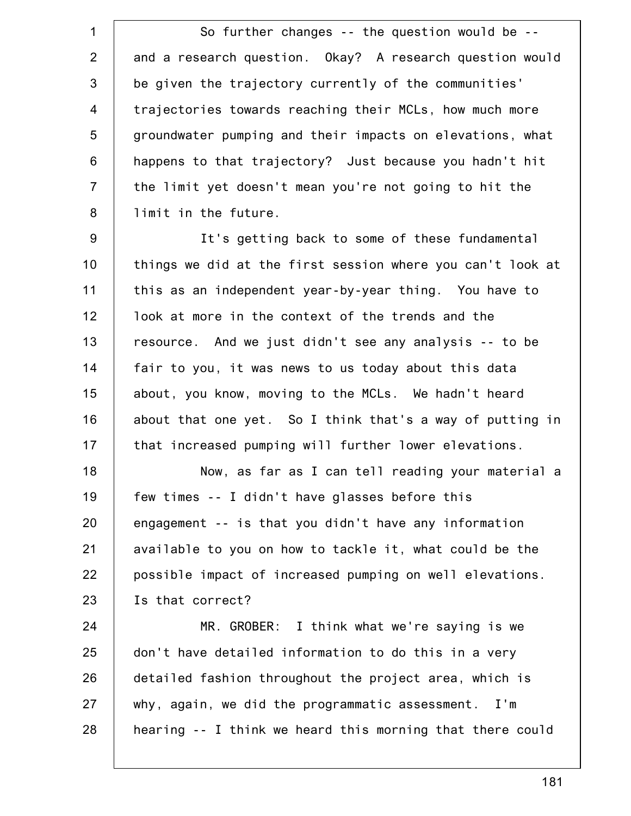1 2 3 4 5 6 7 8 So further changes -- the question would be - and a research question. Okay? A research question would be given the trajectory currently of the communities' trajectories towards reaching their MCLs, how much more groundwater pumping and their impacts on elevations, what happens to that trajectory? Just because you hadn't hit the limit yet doesn't mean you're not going to hit the limit in the future.

9 10 11 12 13 14 15 16 17 It's getting back to some of these fundamental things we did at the first session where you can't look at this as an independent year-by-year thing. You have to look at more in the context of the trends and the resource. And we just didn't see any analysis -- to be fair to you, it was news to us today about this data about, you know, moving to the MCLs. We hadn't heard about that one yet. So I think that's a way of putting in that increased pumping will further lower elevations.

18 19 20 21 22 23 Now, as far as I can tell reading your material a few times -- I didn't have glasses before this engagement -- is that you didn't have any information available to you on how to tackle it, what could be the possible impact of increased pumping on well elevations. Is that correct?

24 25 26 27 28 MR. GROBER: I think what we're saying is we don't have detailed information to do this in a very detailed fashion throughout the project area, which is why, again, we did the programmatic assessment. I'm hearing -- I think we heard this morning that there could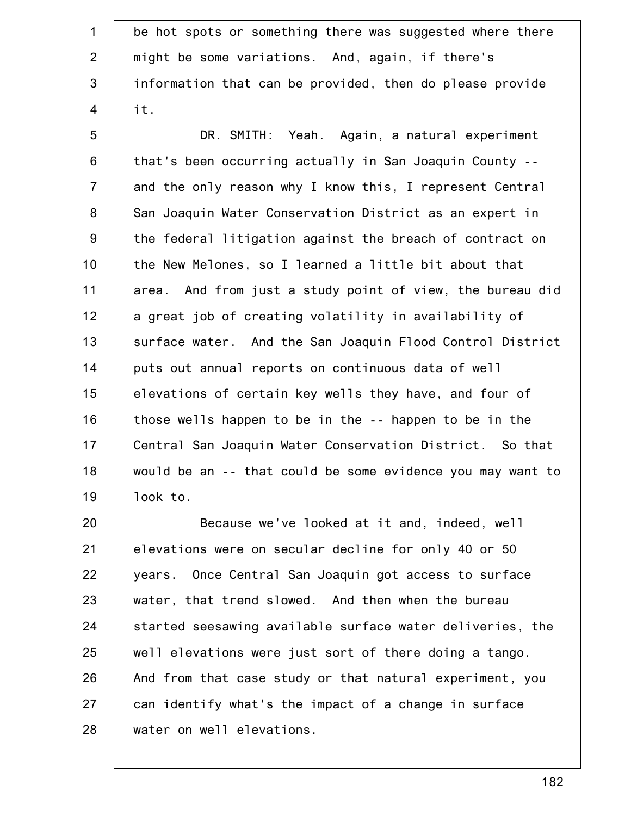1 2 3 4 5 6 7 8 9 10 11 12 13 14 15 16 17 18 19 be hot spots or something there was suggested where there might be some variations. And, again, if there's information that can be provided, then do please provide it. DR. SMITH: Yeah. Again, a natural experiment that's been occurring actually in San Joaquin County - and the only reason why I know this, I represent Central San Joaquin Water Conservation District as an expert in the federal litigation against the breach of contract on the New Melones, so I learned a little bit about that area. And from just a study point of view, the bureau did a great job of creating volatility in availability of surface water. And the San Joaquin Flood Control District puts out annual reports on continuous data of well elevations of certain key wells they have, and four of those wells happen to be in the -- happen to be in the Central San Joaquin Water Conservation District. So that would be an -- that could be some evidence you may want to look to.

20 21 22 23 24 25 26 27 28 Because we've looked at it and, indeed, well elevations were on secular decline for only 40 or 50 years. Once Central San Joaquin got access to surface water, that trend slowed. And then when the bureau started seesawing available surface water deliveries, the well elevations were just sort of there doing a tango. And from that case study or that natural experiment, you can identify what's the impact of a change in surface water on well elevations.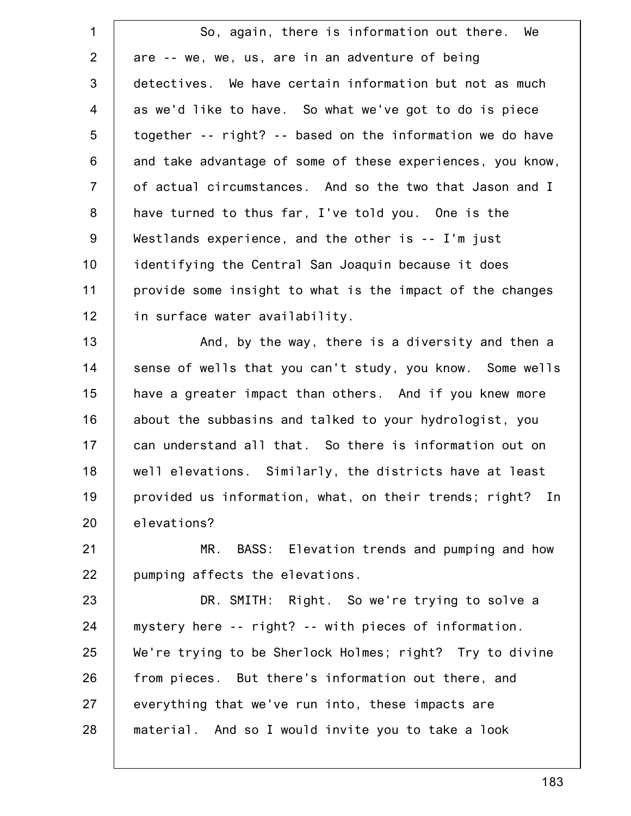1 2 3 4 5 6 7 8 9 10 11 12 So, again, there is information out there. We are -- we, we, us, are in an adventure of being detectives. We have certain information but not as much as we'd like to have. So what we've got to do is piece together -- right? -- based on the information we do have and take advantage of some of these experiences, you know, of actual circumstances. And so the two that Jason and I have turned to thus far, I've told you. One is the Westlands experience, and the other is -- I'm just identifying the Central San Joaquin because it does provide some insight to what is the impact of the changes in surface water availability.

13 14 15 16 17 18 19 20 And, by the way, there is a diversity and then a sense of wells that you can't study, you know. Some wells have a greater impact than others. And if you knew more about the subbasins and talked to your hydrologist, you can understand all that. So there is information out on well elevations. Similarly, the districts have at least provided us information, what, on their trends; right? In elevations?

21 22 MR. BASS: Elevation trends and pumping and how pumping affects the elevations.

23 24 25 26 27 28 DR. SMITH: Right. So we're trying to solve a mystery here -- right? -- with pieces of information. We're trying to be Sherlock Holmes; right? Try to divine from pieces. But there's information out there, and everything that we've run into, these impacts are material. And so I would invite you to take a look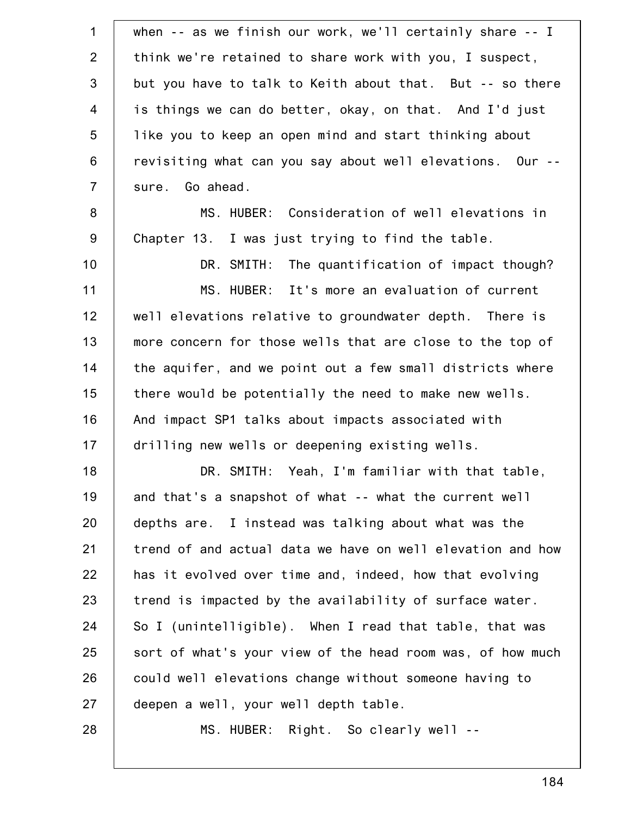| $\mathbf 1$    | when $-$ as we finish our work, we'll certainly share $-$ I |
|----------------|-------------------------------------------------------------|
| $\overline{2}$ | think we're retained to share work with you, I suspect,     |
| 3              | but you have to talk to Keith about that. But -- so there   |
| $\overline{4}$ | is things we can do better, okay, on that. And I'd just     |
| 5              | like you to keep an open mind and start thinking about      |
| $6\phantom{1}$ | revisiting what can you say about well elevations. Our --   |
| $\overline{7}$ | sure. Go ahead.                                             |
| 8              | MS. HUBER: Consideration of well elevations in              |
| $9\,$          | Chapter 13. I was just trying to find the table.            |
| 10             | DR. SMITH: The quantification of impact though?             |
| 11             | MS. HUBER: It's more an evaluation of current               |
| 12             | well elevations relative to groundwater depth. There is     |
| 13             | more concern for those wells that are close to the top of   |
| 14             | the aquifer, and we point out a few small districts where   |
| 15             | there would be potentially the need to make new wells.      |
| 16             | And impact SP1 talks about impacts associated with          |
| 17             | drilling new wells or deepening existing wells.             |
| 18             | DR. SMITH: Yeah, I'm familiar with that table,              |
| 19             | and that's a snapshot of what -- what the current well      |
| 20             | depths are. I instead was talking about what was the        |
| 21             | trend of and actual data we have on well elevation and how  |
| 22             | has it evolved over time and, indeed, how that evolving     |
| 23             | trend is impacted by the availability of surface water.     |
| 24             | So I (unintelligible). When I read that table, that was     |
| 25             | sort of what's your view of the head room was, of how much  |
| 26             | could well elevations change without someone having to      |
| 27             | deepen a well, your well depth table.                       |
| 28             | MS. HUBER: Right. So clearly well --                        |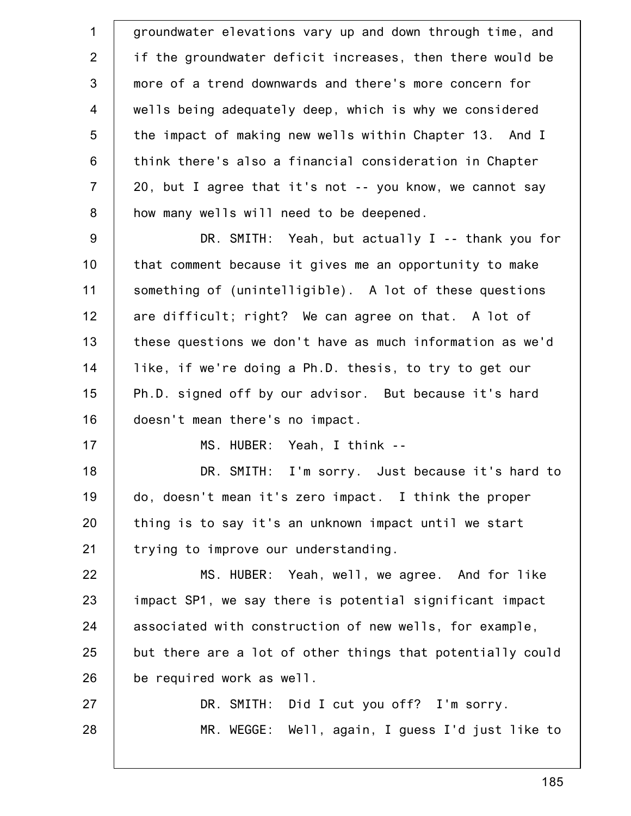1 2 3 4 5 6 7 8 9 10 11 12 13 14 15 16 17 18 19 20 21 22 23 24 25 26 27 28 groundwater elevations vary up and down through time, and if the groundwater deficit increases, then there would be more of a trend downwards and there's more concern for wells being adequately deep, which is why we considered the impact of making new wells within Chapter 13. And I think there's also a financial consideration in Chapter 20, but I agree that it's not -- you know, we cannot say how many wells will need to be deepened. DR. SMITH: Yeah, but actually I -- thank you for that comment because it gives me an opportunity to make something of (unintelligible). A lot of these questions are difficult; right? We can agree on that. A lot of these questions we don't have as much information as we'd like, if we're doing a Ph.D. thesis, to try to get our Ph.D. signed off by our advisor. But because it's hard doesn't mean there's no impact. MS. HUBER: Yeah, I think -- DR. SMITH: I'm sorry. Just because it's hard to do, doesn't mean it's zero impact. I think the proper thing is to say it's an unknown impact until we start trying to improve our understanding. MS. HUBER: Yeah, well, we agree. And for like impact SP1, we say there is potential significant impact associated with construction of new wells, for example, but there are a lot of other things that potentially could be required work as well. DR. SMITH: Did I cut you off? I'm sorry. MR. WEGGE: Well, again, I guess I'd just like to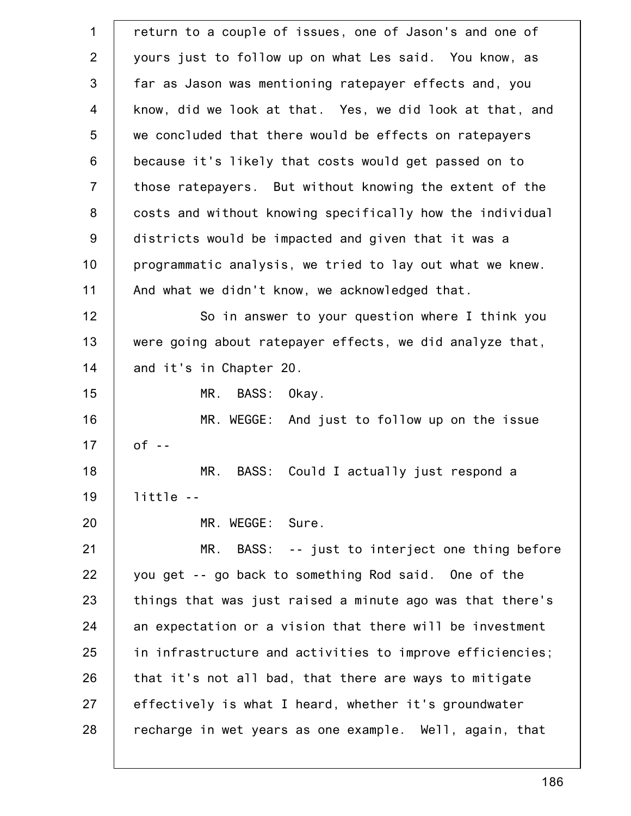| $\mathbf{1}$   | return to a couple of issues, one of Jason's and one of   |
|----------------|-----------------------------------------------------------|
| 2              | yours just to follow up on what Les said. You know, as    |
| 3              | far as Jason was mentioning ratepayer effects and, you    |
| $\overline{4}$ | know, did we look at that. Yes, we did look at that, and  |
| 5              | we concluded that there would be effects on ratepayers    |
| $6\phantom{1}$ | because it's likely that costs would get passed on to     |
| $\overline{7}$ | those ratepayers. But without knowing the extent of the   |
| 8              | costs and without knowing specifically how the individual |
| $9\,$          | districts would be impacted and given that it was a       |
| 10             | programmatic analysis, we tried to lay out what we knew.  |
| 11             | And what we didn't know, we acknowledged that.            |
| 12             | So in answer to your question where I think you           |
| 13             | were going about ratepayer effects, we did analyze that,  |
| 14             | and it's in Chapter 20.                                   |
| 15             | MR.<br>BASS: Okay.                                        |
| 16             | MR. WEGGE: And just to follow up on the issue             |
| 17             | $of -$                                                    |
| 18             | MR.<br>BASS:<br>Could I actually just respond a           |
| 19             | $little - -$                                              |
| 20             | MR. WEGGE: Sure.                                          |
| 21             | MR. BASS: -- just to interject one thing before           |
| 22             | you get -- go back to something Rod said. One of the      |
| 23             | things that was just raised a minute ago was that there's |
| 24             | an expectation or a vision that there will be investment  |
| 25             | in infrastructure and activities to improve efficiencies; |
| 26             | that it's not all bad, that there are ways to mitigate    |
| 27             | effectively is what I heard, whether it's groundwater     |
| 28             | recharge in wet years as one example. Well, again, that   |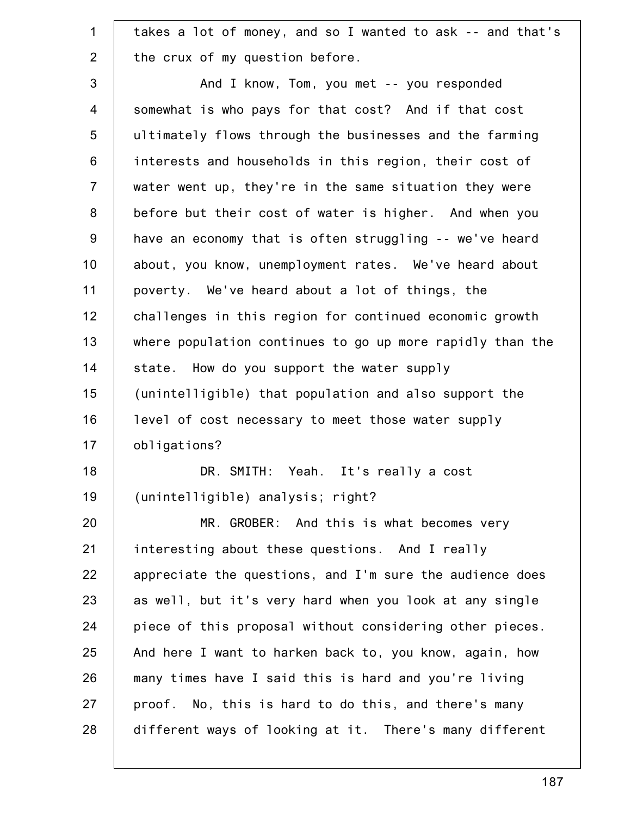| $\mathbf 1$    | takes a lot of money, and so I wanted to ask -- and that's |
|----------------|------------------------------------------------------------|
| $\overline{2}$ | the crux of my question before.                            |
| 3              | And I know, Tom, you met -- you responded                  |
| 4              | somewhat is who pays for that cost? And if that cost       |
| 5              | ultimately flows through the businesses and the farming    |
| 6              | interests and households in this region, their cost of     |
| $\overline{7}$ | water went up, they're in the same situation they were     |
| 8              | before but their cost of water is higher. And when you     |
| $9\,$          | have an economy that is often struggling -- we've heard    |
| 10             | about, you know, unemployment rates. We've heard about     |
| 11             | poverty. We've heard about a lot of things, the            |
| 12             | challenges in this region for continued economic growth    |
| 13             | where population continues to go up more rapidly than the  |
| 14             | state. How do you support the water supply                 |
| 15             | (unintelligible) that population and also support the      |
| 16             | level of cost necessary to meet those water supply         |
| 17             | obligations?                                               |
| 18             | DR. SMITH: Yeah. It's really a cost                        |
| 19             | (unintelligible) analysis; right?                          |
| 20             | MR. GROBER: And this is what becomes very                  |
| 21             | interesting about these questions. And I really            |
| 22             | appreciate the questions, and I'm sure the audience does   |
| 23             | as well, but it's very hard when you look at any single    |
| 24             | piece of this proposal without considering other pieces.   |
| 25             | And here I want to harken back to, you know, again, how    |
| 26             | many times have I said this is hard and you're living      |
| 27             | proof. No, this is hard to do this, and there's many       |
| 28             | different ways of looking at it. There's many different    |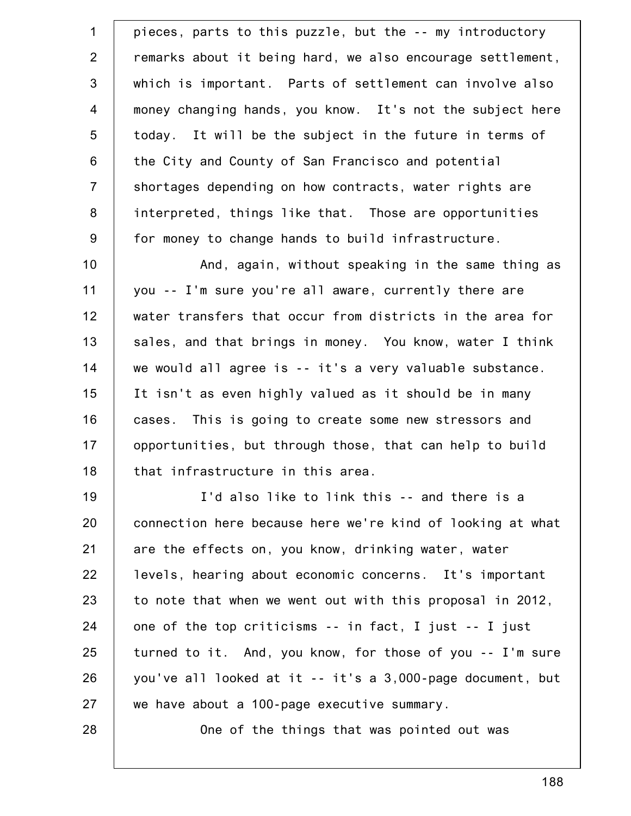1 2 3 4 5 6 7 8 9 10 11 12 13 14 15 16 17 18 19 20 21 22 23 24 25 26 27 pieces, parts to this puzzle, but the -- my introductory remarks about it being hard, we also encourage settlement, which is important. Parts of settlement can involve also money changing hands, you know. It's not the subject here today. It will be the subject in the future in terms of the City and County of San Francisco and potential shortages depending on how contracts, water rights are interpreted, things like that. Those are opportunities for money to change hands to build infrastructure. And, again, without speaking in the same thing as you -- I'm sure you're all aware, currently there are water transfers that occur from districts in the area for sales, and that brings in money. You know, water I think we would all agree is -- it's a very valuable substance. It isn't as even highly valued as it should be in many cases. This is going to create some new stressors and opportunities, but through those, that can help to build that infrastructure in this area. I'd also like to link this -- and there is a connection here because here we're kind of looking at what are the effects on, you know, drinking water, water levels, hearing about economic concerns. It's important to note that when we went out with this proposal in 2012, one of the top criticisms -- in fact, I just -- I just turned to it. And, you know, for those of you -- I'm sure you've all looked at it -- it's a 3,000-page document, but we have about a 100-page executive summary.

One of the things that was pointed out was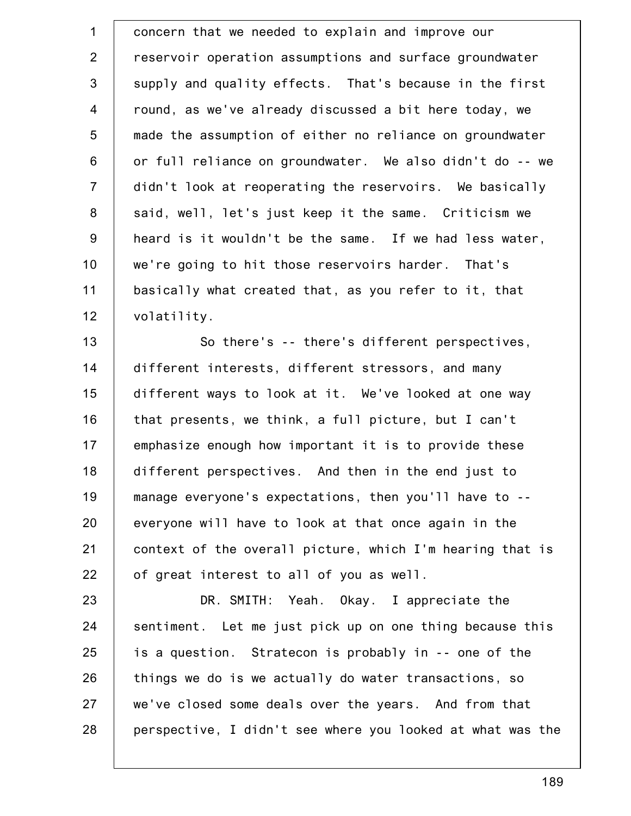1 2 3 4 5 6 7 8 9 10 11 12 concern that we needed to explain and improve our reservoir operation assumptions and surface groundwater supply and quality effects. That's because in the first round, as we've already discussed a bit here today, we made the assumption of either no reliance on groundwater or full reliance on groundwater. We also didn't do -- we didn't look at reoperating the reservoirs. We basically said, well, let's just keep it the same. Criticism we heard is it wouldn't be the same. If we had less water, we're going to hit those reservoirs harder. That's basically what created that, as you refer to it, that volatility.

13 14 15 16 17 18 19 20 21 22 So there's -- there's different perspectives, different interests, different stressors, and many different ways to look at it. We've looked at one way that presents, we think, a full picture, but I can't emphasize enough how important it is to provide these different perspectives. And then in the end just to manage everyone's expectations, then you'll have to - everyone will have to look at that once again in the context of the overall picture, which I'm hearing that is of great interest to all of you as well.

23 24 25 26 27 28 DR. SMITH: Yeah. Okay. I appreciate the sentiment. Let me just pick up on one thing because this is a question. Stratecon is probably in -- one of the things we do is we actually do water transactions, so we've closed some deals over the years. And from that perspective, I didn't see where you looked at what was the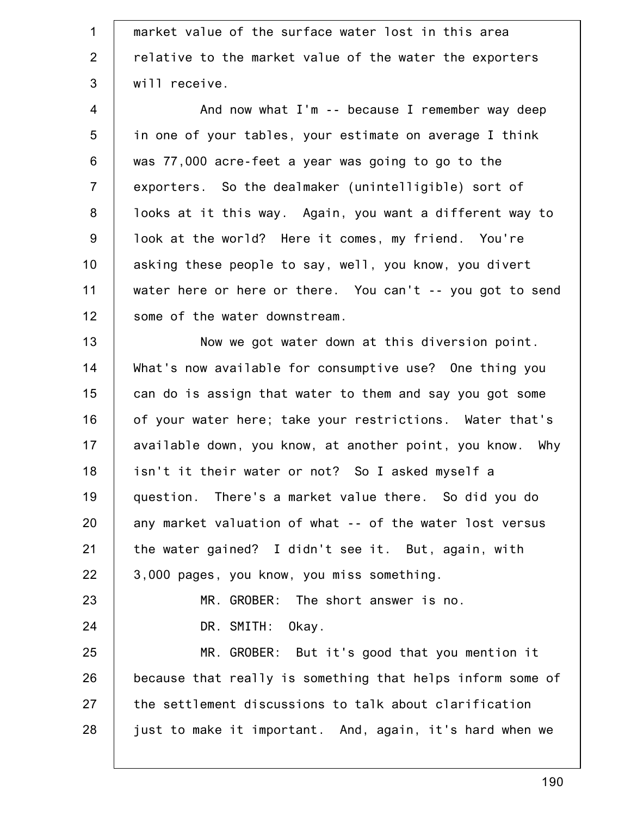| $\mathbf 1$    | market value of the surface water lost in this area        |
|----------------|------------------------------------------------------------|
| 2              | relative to the market value of the water the exporters    |
| 3              | will receive.                                              |
| $\overline{4}$ | And now what I'm -- because I remember way deep            |
| 5              | in one of your tables, your estimate on average I think    |
| $\,6$          | was 77,000 acre-feet a year was going to go to the         |
| $\overline{7}$ | exporters. So the dealmaker (unintelligible) sort of       |
| 8              | looks at it this way. Again, you want a different way to   |
| $9\,$          | look at the world? Here it comes, my friend. You're        |
| 10             | asking these people to say, well, you know, you divert     |
| 11             | water here or here or there. You can't -- you got to send  |
| 12             | some of the water downstream.                              |
| 13             | Now we got water down at this diversion point.             |
| 14             | What's now available for consumptive use? One thing you    |
| 15             | can do is assign that water to them and say you got some   |
| 16             | of your water here; take your restrictions. Water that's   |
| 17             | available down, you know, at another point, you know. Why  |
| 18             | isn't it their water or not? So I asked myself a           |
| 19             | question. There's a market value there. So did you do      |
| 20             | any market valuation of what -- of the water lost versus   |
| 21             | the water gained? I didn't see it. But, again, with        |
| 22             | 3,000 pages, you know, you miss something.                 |
| 23             | MR. GROBER: The short answer is no.                        |
| 24             | DR. SMITH: Okay.                                           |
| 25             | MR. GROBER: But it's good that you mention it              |
| 26             | because that really is something that helps inform some of |
| 27             | the settlement discussions to talk about clarification     |
| 28             | just to make it important. And, again, it's hard when we   |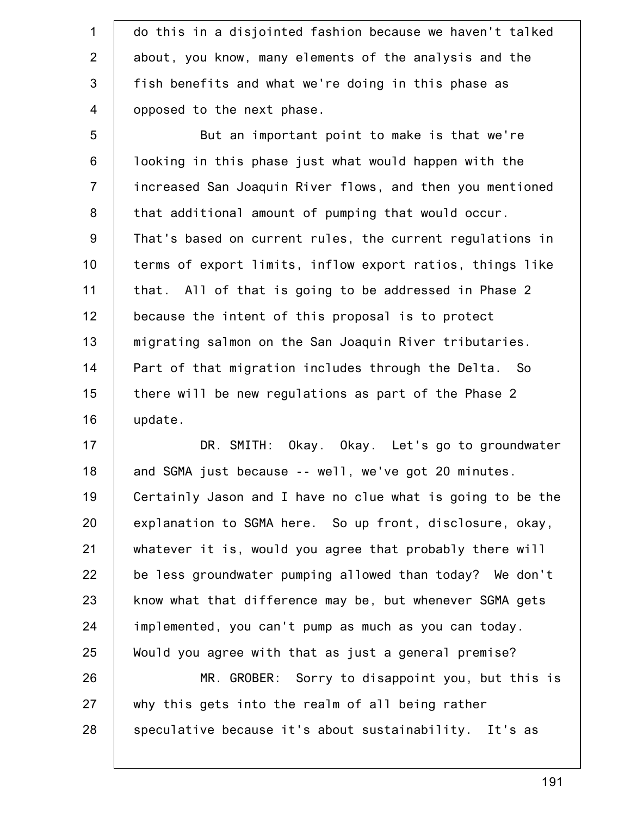1 2 3 4 do this in a disjointed fashion because we haven't talked about, you know, many elements of the analysis and the fish benefits and what we're doing in this phase as opposed to the next phase.

5 6 7 8 9 10 11 12 13 14 15 16 But an important point to make is that we're looking in this phase just what would happen with the increased San Joaquin River flows, and then you mentioned that additional amount of pumping that would occur. That's based on current rules, the current regulations in terms of export limits, inflow export ratios, things like that. All of that is going to be addressed in Phase 2 because the intent of this proposal is to protect migrating salmon on the San Joaquin River tributaries. Part of that migration includes through the Delta. So there will be new regulations as part of the Phase 2 update.

17 18 19 20 21 22 23 24 25 26 DR. SMITH: Okay. Okay. Let's go to groundwater and SGMA just because -- well, we've got 20 minutes. Certainly Jason and I have no clue what is going to be the explanation to SGMA here. So up front, disclosure, okay, whatever it is, would you agree that probably there will be less groundwater pumping allowed than today? We don't know what that difference may be, but whenever SGMA gets implemented, you can't pump as much as you can today. Would you agree with that as just a general premise? MR. GROBER: Sorry to disappoint you, but this is

27 28 why this gets into the realm of all being rather speculative because it's about sustainability. It's as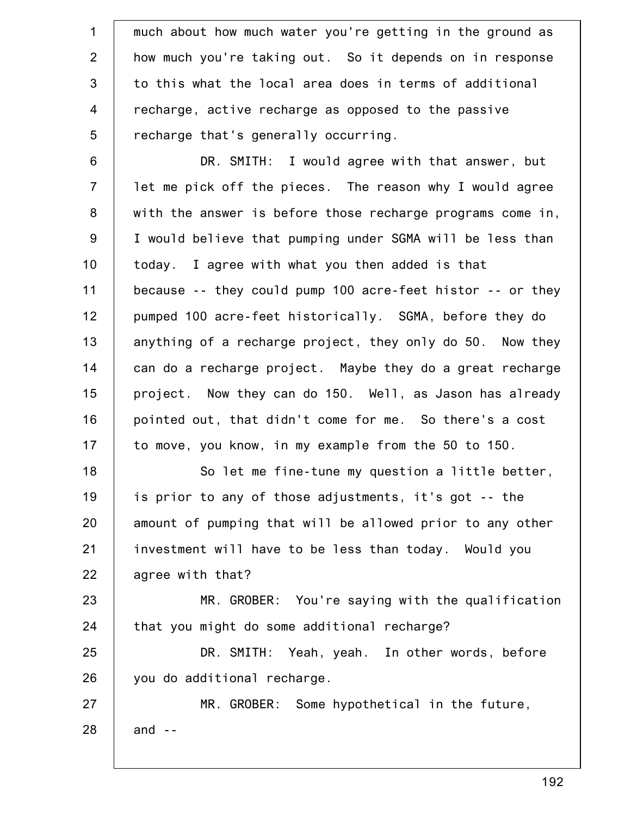1 2 3 4 5 much about how much water you're getting in the ground as how much you're taking out. So it depends on in response to this what the local area does in terms of additional recharge, active recharge as opposed to the passive recharge that's generally occurring.

6 7 8 9 10 11 12 13 14 15 16 17 DR. SMITH: I would agree with that answer, but let me pick off the pieces. The reason why I would agree with the answer is before those recharge programs come in, I would believe that pumping under SGMA will be less than today. I agree with what you then added is that because -- they could pump 100 acre-feet histor -- or they pumped 100 acre-feet historically. SGMA, before they do anything of a recharge project, they only do 50. Now they can do a recharge project. Maybe they do a great recharge project. Now they can do 150. Well, as Jason has already pointed out, that didn't come for me. So there's a cost to move, you know, in my example from the 50 to 150.

18 19 20 21 22 So let me fine-tune my question a little better, is prior to any of those adjustments, it's got -- the amount of pumping that will be allowed prior to any other investment will have to be less than today. Would you agree with that?

23 24 MR. GROBER: You're saying with the qualification that you might do some additional recharge?

25 26 DR. SMITH: Yeah, yeah. In other words, before you do additional recharge.

27 28 MR. GROBER: Some hypothetical in the future, and --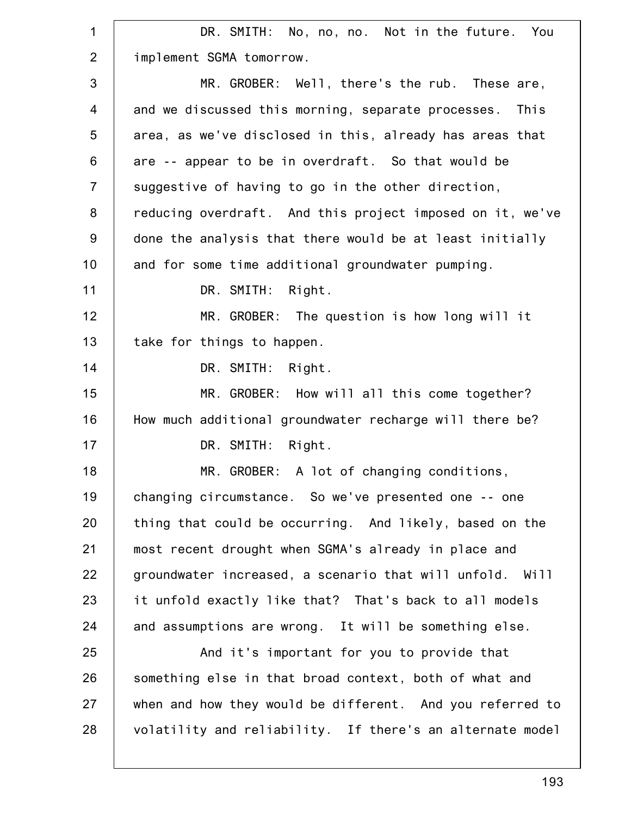| 1              | DR. SMITH: No, no, no. Not in the future. You             |
|----------------|-----------------------------------------------------------|
| 2              | implement SGMA tomorrow.                                  |
| 3              | MR. GROBER: Well, there's the rub. These are,             |
| $\overline{4}$ | and we discussed this morning, separate processes. This   |
| 5              | area, as we've disclosed in this, already has areas that  |
| 6              | are -- appear to be in overdraft. So that would be        |
| $\overline{7}$ | suggestive of having to go in the other direction,        |
| 8              | reducing overdraft. And this project imposed on it, we've |
| $9\,$          | done the analysis that there would be at least initially  |
| 10             | and for some time additional groundwater pumping.         |
| 11             | DR. SMITH:<br>Right.                                      |
| 12             | MR. GROBER: The question is how long will it              |
| 13             | take for things to happen.                                |
| 14             | DR. SMITH:<br>Right.                                      |
| 15             | MR. GROBER: How will all this come together?              |
| 16             | How much additional groundwater recharge will there be?   |
| 17             | DR. SMITH: Right.                                         |
| 18             | MR. GROBER: A lot of changing conditions,                 |
| 19             | changing circumstance. So we've presented one -- one      |
| 20             | thing that could be occurring. And likely, based on the   |
| 21             | most recent drought when SGMA's already in place and      |
| 22             | groundwater increased, a scenario that will unfold. Will  |
| 23             | it unfold exactly like that? That's back to all models    |
| 24             | and assumptions are wrong. It will be something else.     |
| 25             | And it's important for you to provide that                |
| 26             | something else in that broad context, both of what and    |
| 27             | when and how they would be different. And you referred to |
| 28             | volatility and reliability. If there's an alternate model |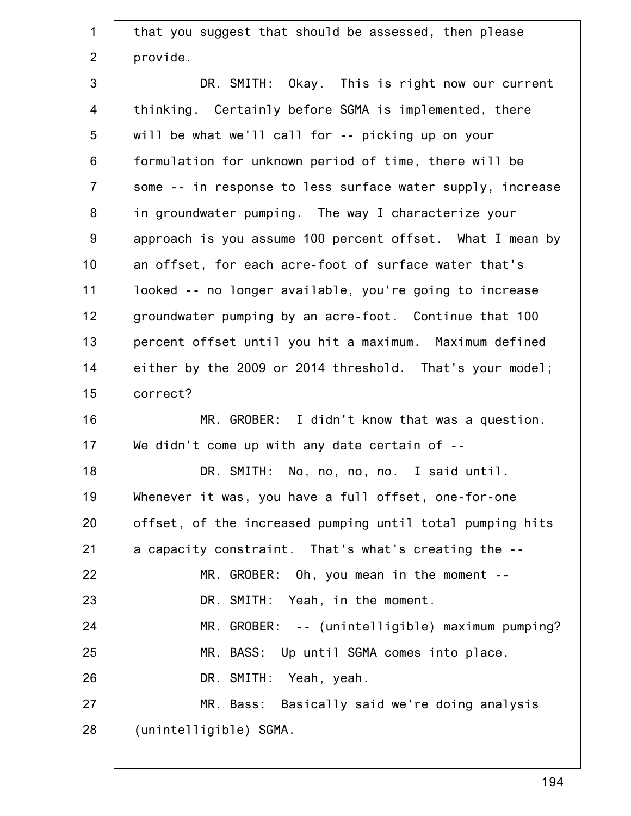| $\mathbf{1}$   | that you suggest that should be assessed, then please      |
|----------------|------------------------------------------------------------|
| $\overline{2}$ | provide.                                                   |
| 3              | DR. SMITH: Okay. This is right now our current             |
| $\overline{4}$ | thinking. Certainly before SGMA is implemented, there      |
| 5              | will be what we'll call for -- picking up on your          |
| $6\phantom{1}$ | formulation for unknown period of time, there will be      |
| $\overline{7}$ | some -- in response to less surface water supply, increase |
| 8              | in groundwater pumping. The way I characterize your        |
| $9\,$          | approach is you assume 100 percent offset. What I mean by  |
| 10             | an offset, for each acre-foot of surface water that's      |
| 11             | looked -- no longer available, you're going to increase    |
| 12             | groundwater pumping by an acre-foot. Continue that 100     |
| 13             | percent offset until you hit a maximum. Maximum defined    |
| 14             | either by the 2009 or 2014 threshold. That's your model;   |
| 15             | correct?                                                   |
| 16             | MR. GROBER: I didn't know that was a question.             |
| 17             | We didn't come up with any date certain of $-$             |
| 18             | DR. SMITH: No, no, no, no. I said until.                   |
| 19             | Whenever it was, you have a full offset, one-for-one       |
| 20             | offset, of the increased pumping until total pumping hits  |
| 21             | a capacity constraint. That's what's creating the --       |
| 22             | $MR. GROBER: Oh, you mean in the moment --$                |
| 23             | DR. SMITH: Yeah, in the moment.                            |
| 24             | MR. GROBER: -- (unintelligible) maximum pumping?           |
| 25             | MR. BASS: Up until SGMA comes into place.                  |
| 26             | DR. SMITH: Yeah, yeah.                                     |
| 27             | MR. Bass: Basically said we're doing analysis              |
| 28             | (unintelligible) SGMA.                                     |
|                |                                                            |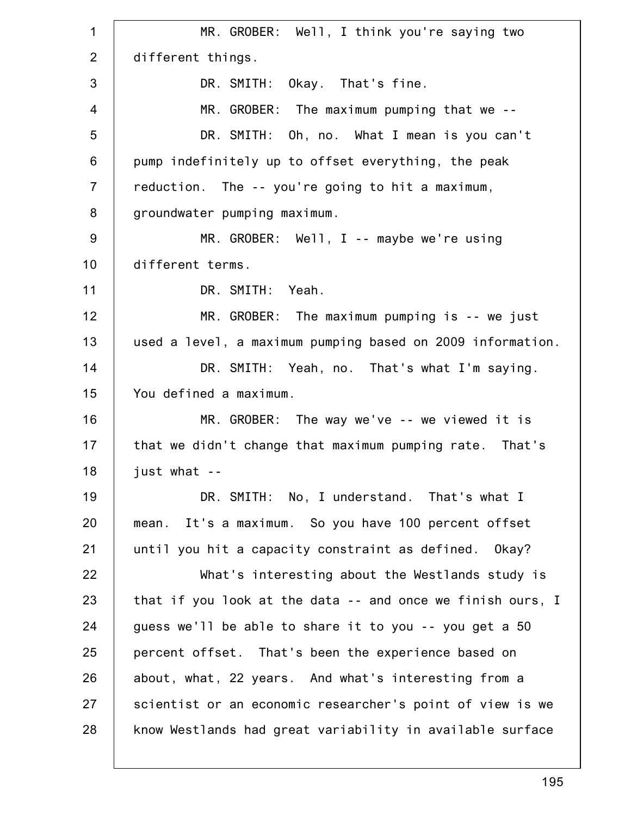1 2 3 4 5 6 7 8 9 10 11 12 13 14 15 16 17 18 19 20 21 22 23 24 25 26 27 28 MR. GROBER: Well, I think you're saying two different things. DR. SMITH: Okay. That's fine. MR. GROBER: The maximum pumping that we -- DR. SMITH: Oh, no. What I mean is you can't pump indefinitely up to offset everything, the peak reduction. The -- you're going to hit a maximum, groundwater pumping maximum. MR. GROBER: Well, I -- maybe we're using different terms. DR. SMITH: Yeah. MR. GROBER: The maximum pumping is -- we just used a level, a maximum pumping based on 2009 information. DR. SMITH: Yeah, no. That's what I'm saying. You defined a maximum. MR. GROBER: The way we've -- we viewed it is that we didn't change that maximum pumping rate. That's just what -- DR. SMITH: No, I understand. That's what I mean. It's a maximum. So you have 100 percent offset until you hit a capacity constraint as defined. Okay? What's interesting about the Westlands study is that if you look at the data -- and once we finish ours, I guess we'll be able to share it to you -- you get a 50 percent offset. That's been the experience based on about, what, 22 years. And what's interesting from a scientist or an economic researcher's point of view is we know Westlands had great variability in available surface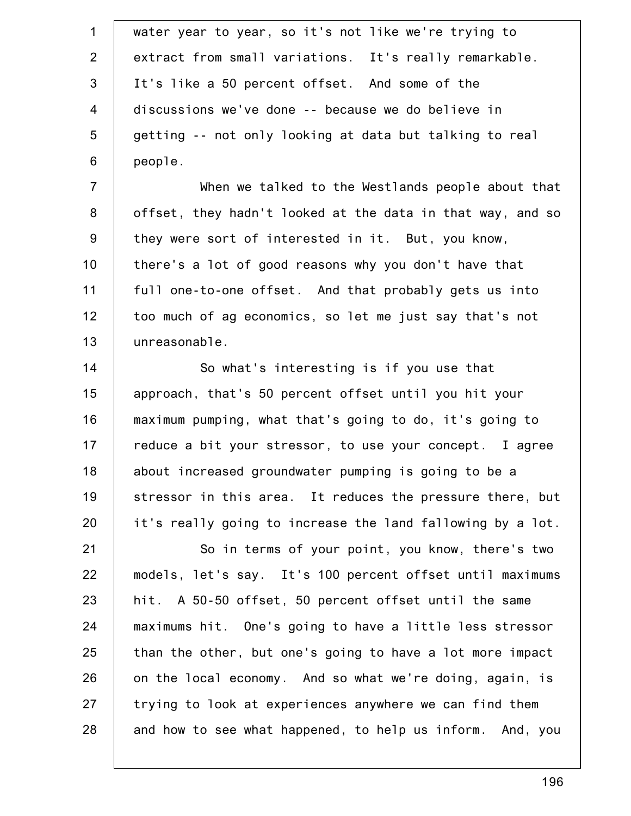| $\mathbf{1}$   | water year to year, so it's not like we're trying to       |
|----------------|------------------------------------------------------------|
| $\overline{2}$ | extract from small variations. It's really remarkable.     |
| $\mathfrak{S}$ | It's like a 50 percent offset. And some of the             |
| 4              | discussions we've done -- because we do believe in         |
| 5              | getting -- not only looking at data but talking to real    |
| 6              | people.                                                    |
| $\overline{7}$ | When we talked to the Westlands people about that          |
| $\bf 8$        | offset, they hadn't looked at the data in that way, and so |
| $9\,$          | they were sort of interested in it. But, you know,         |
| 10             | there's a lot of good reasons why you don't have that      |
| 11             | full one-to-one offset. And that probably gets us into     |
| 12             | too much of ag economics, so let me just say that's not    |
| 13             | unreasonable.                                              |
| 14             | So what's interesting is if you use that                   |
| 15             | approach, that's 50 percent offset until you hit your      |
| 16             | maximum pumping, what that's going to do, it's going to    |
| 17             | reduce a bit your stressor, to use your concept. I agree   |
| 18             | about increased groundwater pumping is going to be a       |
| 19             | stressor in this area. It reduces the pressure there, but  |
| 20             | it's really going to increase the land fallowing by a lot. |
| 21             | So in terms of your point, you know, there's two           |
| 22             | models, let's say. It's 100 percent offset until maximums  |
| 23             | hit. A 50-50 offset, 50 percent offset until the same      |
| 24             | maximums hit. One's going to have a little less stressor   |
| 25             | than the other, but one's going to have a lot more impact  |
| 26             | on the local economy. And so what we're doing, again, is   |
| 27             | trying to look at experiences anywhere we can find them    |
| 28             | and how to see what happened, to help us inform. And, you  |
|                |                                                            |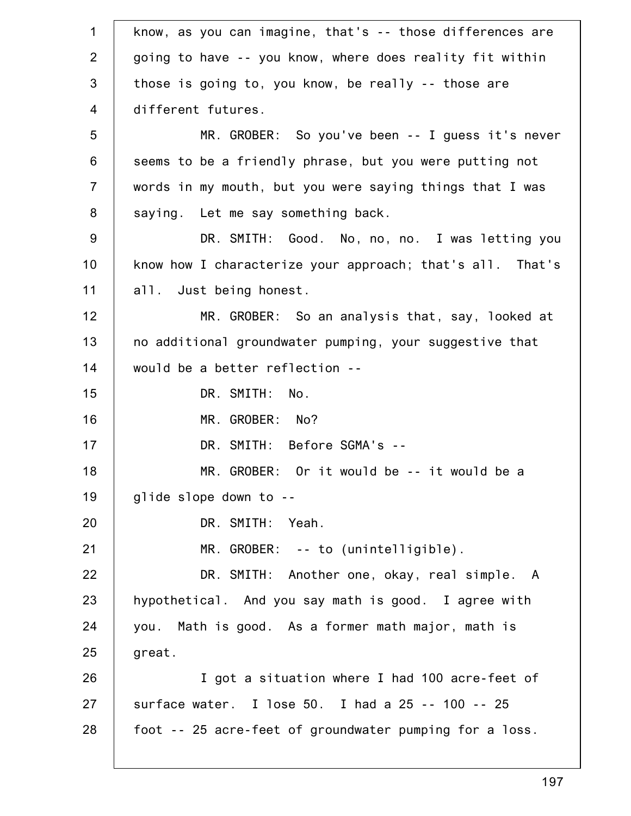| $\mathbf 1$      | know, as you can imagine, that's -- those differences are |
|------------------|-----------------------------------------------------------|
| $\overline{2}$   | going to have -- you know, where does reality fit within  |
| 3                | those is going to, you know, be really -- those are       |
| $\overline{4}$   | different futures.                                        |
| 5                | MR. GROBER: So you've been -- I guess it's never          |
| $6\,$            | seems to be a friendly phrase, but you were putting not   |
| $\overline{7}$   | words in my mouth, but you were saying things that I was  |
| 8                | saying. Let me say something back.                        |
| $\boldsymbol{9}$ | DR. SMITH: Good. No, no, no. I was letting you            |
| 10               | know how I characterize your approach; that's all. That's |
| 11               | all. Just being honest.                                   |
| 12               | MR. GROBER: So an analysis that, say, looked at           |
| 13               | no additional groundwater pumping, your suggestive that   |
| 14               | would be a better reflection --                           |
| 15               | DR. SMITH:<br>No.                                         |
| 16               | MR. GROBER: No?                                           |
| 17               | DR. SMITH: Before SGMA's --                               |
| 18               | MR. GROBER: Or it would be -- it would be a               |
| 19               | glide slope down to --                                    |
| 20               | DR. SMITH: Yeah.                                          |
| 21               | $MR. GROBER: -- to (unintelligible).$                     |
| 22               | DR. SMITH: Another one, okay, real simple. A              |
| 23               | hypothetical. And you say math is good. I agree with      |
| 24               | you. Math is good. As a former math major, math is        |
| 25               | great.                                                    |
| 26               | I got a situation where I had 100 acre-feet of            |
| 27               | surface water. I lose 50. I had a 25 -- 100 -- 25         |
| 28               | foot -- 25 acre-feet of groundwater pumping for a loss.   |
|                  |                                                           |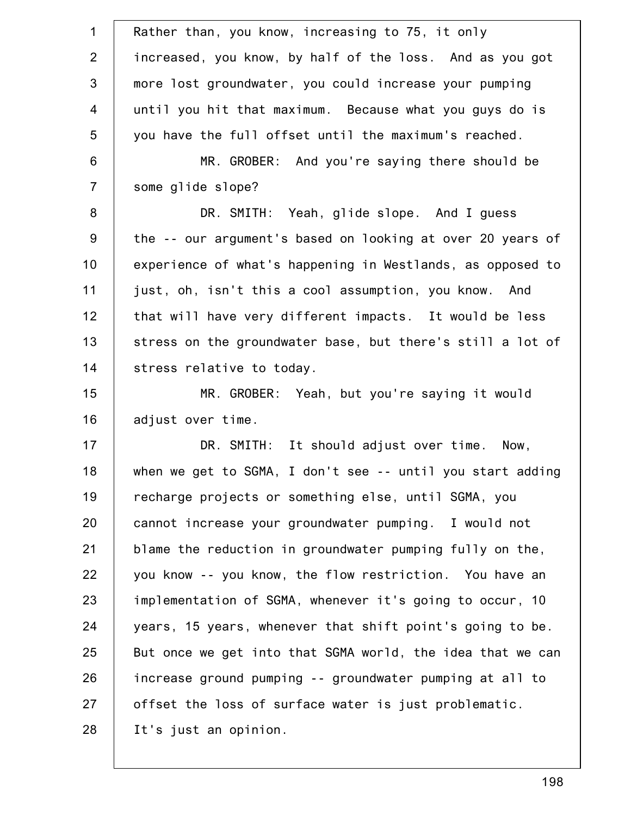| $\mathbf{1}$     | Rather than, you know, increasing to 75, it only           |
|------------------|------------------------------------------------------------|
| $\overline{2}$   | increased, you know, by half of the loss. And as you got   |
| $\mathfrak{S}$   | more lost groundwater, you could increase your pumping     |
| $\overline{4}$   | until you hit that maximum. Because what you guys do is    |
| 5                | you have the full offset until the maximum's reached.      |
| $\,6$            | MR. GROBER: And you're saying there should be              |
| $\overline{7}$   | some glide slope?                                          |
| $\bf 8$          | DR. SMITH: Yeah, glide slope. And I guess                  |
| $\boldsymbol{9}$ | the -- our argument's based on looking at over 20 years of |
| 10               | experience of what's happening in Westlands, as opposed to |
| 11               | just, oh, isn't this a cool assumption, you know. And      |
| 12               | that will have very different impacts. It would be less    |
| 13               | stress on the groundwater base, but there's still a lot of |
| 14               | stress relative to today.                                  |
| 15               | MR. GROBER: Yeah, but you're saying it would               |
| 16               | adjust over time.                                          |
| 17               | DR. SMITH: It should adjust over time. Now,                |
| 18               | when we get to SGMA, I don't see -- until you start adding |
| 19               | recharge projects or something else, until SGMA, you       |
| 20               | cannot increase your groundwater pumping. I would not      |
| 21               | blame the reduction in groundwater pumping fully on the,   |
| 22               | you know -- you know, the flow restriction. You have an    |
| 23               | implementation of SGMA, whenever it's going to occur, 10   |
| 24               | years, 15 years, whenever that shift point's going to be.  |
| 25               | But once we get into that SGMA world, the idea that we can |
| 26               | increase ground pumping -- groundwater pumping at all to   |
| 27               | offset the loss of surface water is just problematic.      |
| 28               | It's just an opinion.                                      |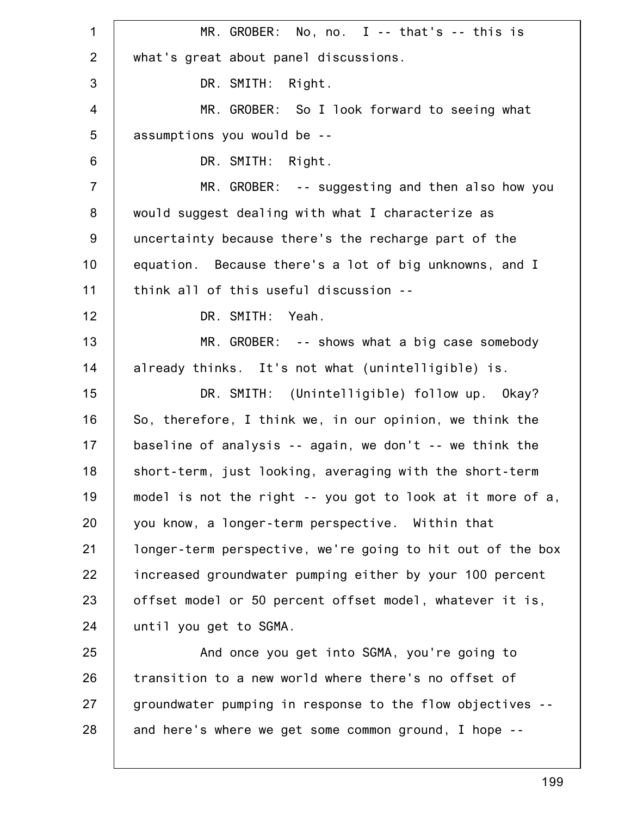1 2 3 4 5 6 7 8 9 10 11 12 13 14 15 16 17 18 19 20 21 22 23 24 25 26 27 28 MR. GROBER: No, no. I -- that's -- this is what's great about panel discussions. DR. SMITH: Right. MR. GROBER: So I look forward to seeing what assumptions you would be -- DR. SMITH: Right. MR. GROBER: -- suggesting and then also how you would suggest dealing with what I characterize as uncertainty because there's the recharge part of the equation. Because there's a lot of big unknowns, and I think all of this useful discussion -- DR. SMITH: Yeah. MR. GROBER: -- shows what a big case somebody already thinks. It's not what (unintelligible) is. DR. SMITH: (Unintelligible) follow up. Okay? So, therefore, I think we, in our opinion, we think the baseline of analysis -- again, we don't -- we think the short-term, just looking, averaging with the short-term model is not the right -- you got to look at it more of a, you know, a longer-term perspective. Within that longer-term perspective, we're going to hit out of the box increased groundwater pumping either by your 100 percent offset model or 50 percent offset model, whatever it is, until you get to SGMA. And once you get into SGMA, you're going to transition to a new world where there's no offset of groundwater pumping in response to the flow objectives - and here's where we get some common ground, I hope --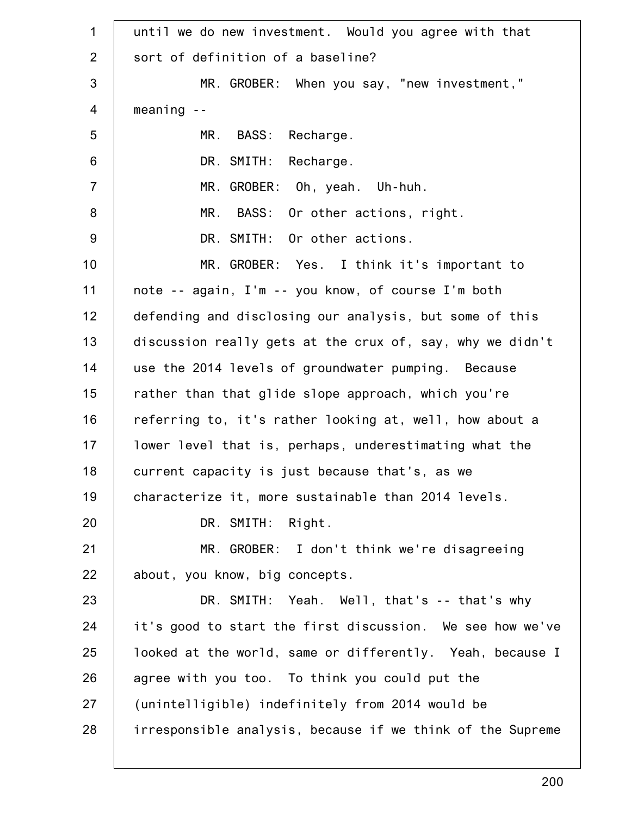1 2 3 4 5 6 7 8 9 10 11 12 13 14 15 16 17 18 19 20 21 22 23 24 25 26 27 28 until we do new investment. Would you agree with that sort of definition of a baseline? MR. GROBER: When you say, "new investment," meaning -- MR. BASS: Recharge. DR. SMITH: Recharge. MR. GROBER: Oh, yeah. Uh-huh. MR. BASS: Or other actions, right. DR. SMITH: Or other actions. MR. GROBER: Yes. I think it's important to note -- again, I'm -- you know, of course I'm both defending and disclosing our analysis, but some of this discussion really gets at the crux of, say, why we didn't use the 2014 levels of groundwater pumping. Because rather than that glide slope approach, which you're referring to, it's rather looking at, well, how about a lower level that is, perhaps, underestimating what the current capacity is just because that's, as we characterize it, more sustainable than 2014 levels. DR. SMITH: Right. MR. GROBER: I don't think we're disagreeing about, you know, big concepts. DR. SMITH: Yeah. Well, that's -- that's why it's good to start the first discussion. We see how we've looked at the world, same or differently. Yeah, because I agree with you too. To think you could put the (unintelligible) indefinitely from 2014 would be irresponsible analysis, because if we think of the Supreme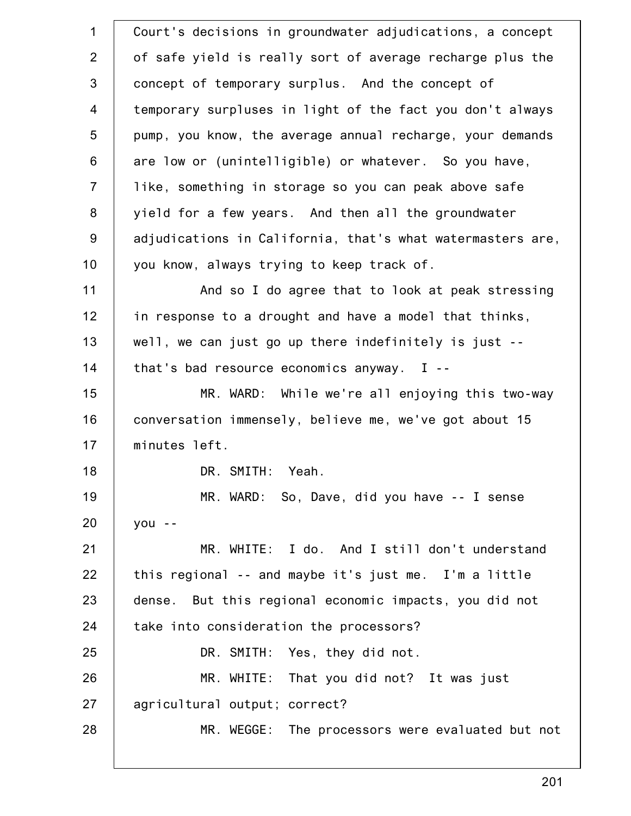1 2 3 4 5 6 7 8 9 10 11 12 13 14 15 16 17 18 19 20 21 22 23 24 25 26 27 28 Court's decisions in groundwater adjudications, a concept of safe yield is really sort of average recharge plus the concept of temporary surplus. And the concept of temporary surpluses in light of the fact you don't always pump, you know, the average annual recharge, your demands are low or (unintelligible) or whatever. So you have, like, something in storage so you can peak above safe yield for a few years. And then all the groundwater adjudications in California, that's what watermasters are, you know, always trying to keep track of. And so I do agree that to look at peak stressing in response to a drought and have a model that thinks, well, we can just go up there indefinitely is just - that's bad resource economics anyway. I -- MR. WARD: While we're all enjoying this two-way conversation immensely, believe me, we've got about 15 minutes left. DR. SMITH: Yeah. MR. WARD: So, Dave, did you have -- I sense you -- MR. WHITE: I do. And I still don't understand this regional -- and maybe it's just me. I'm a little dense. But this regional economic impacts, you did not take into consideration the processors? DR. SMITH: Yes, they did not. MR. WHITE: That you did not? It was just agricultural output; correct? MR. WEGGE: The processors were evaluated but not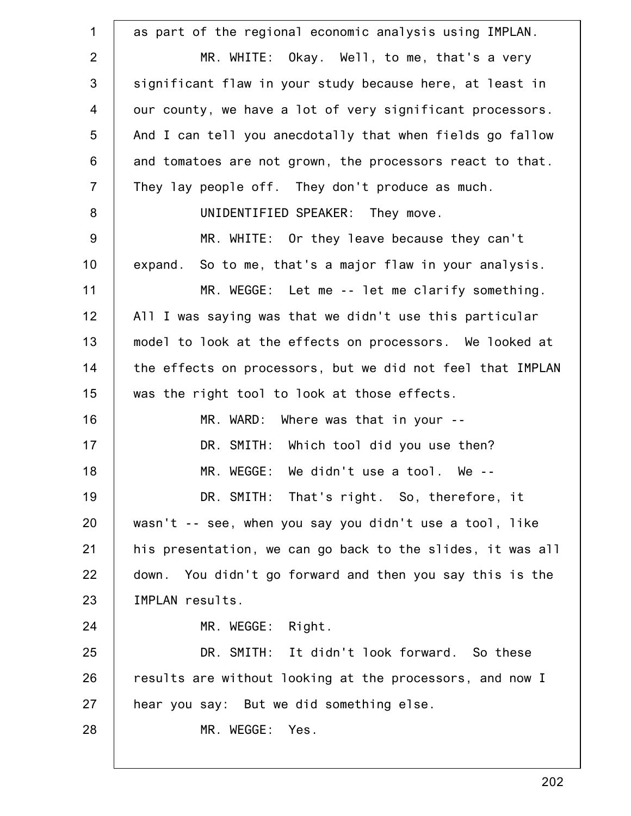| as part of the regional economic analysis using IMPLAN.    |
|------------------------------------------------------------|
| MR. WHITE: Okay. Well, to me, that's a very                |
| significant flaw in your study because here, at least in   |
| our county, we have a lot of very significant processors.  |
| And I can tell you anecdotally that when fields go fallow  |
| and tomatoes are not grown, the processors react to that.  |
| They lay people off. They don't produce as much.           |
| UNIDENTIFIED SPEAKER: They move.                           |
| MR. WHITE: Or they leave because they can't                |
| expand. So to me, that's a major flaw in your analysis.    |
| MR. WEGGE: Let me -- let me clarify something.             |
| All I was saying was that we didn't use this particular    |
| model to look at the effects on processors. We looked at   |
| the effects on processors, but we did not feel that IMPLAN |
| was the right tool to look at those effects.               |
| MR. WARD: Where was that in your --                        |
| DR. SMITH: Which tool did you use then?                    |
| MR. WEGGE: We didn't use a tool. We --                     |
| DR. SMITH: That's right. So, therefore, it                 |
| wasn't -- see, when you say you didn't use a tool, like    |
| his presentation, we can go back to the slides, it was all |
| down. You didn't go forward and then you say this is the   |
| IMPLAN results.                                            |
| MR. WEGGE: Right.                                          |
| DR. SMITH: It didn't look forward. So these                |
| results are without looking at the processors, and now I   |
| hear you say: But we did something else.                   |
| MR. WEGGE:<br>Yes.                                         |
|                                                            |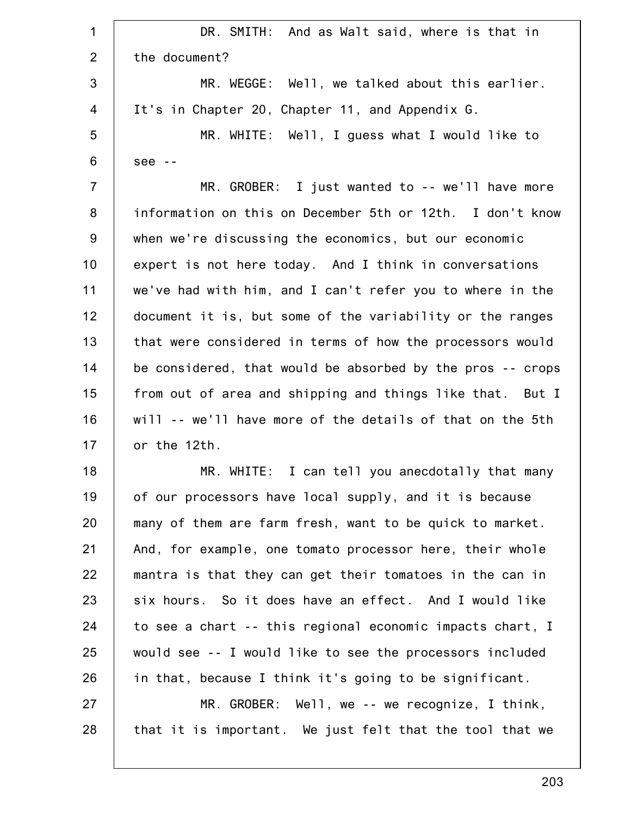| $\mathbf 1$    | DR. SMITH: And as Walt said, where is that in              |
|----------------|------------------------------------------------------------|
| $\overline{2}$ | the document?                                              |
| 3              | MR. WEGGE: Well, we talked about this earlier.             |
| 4              | It's in Chapter 20, Chapter 11, and Appendix G.            |
| 5              | MR. WHITE: Well, I guess what I would like to              |
| 6              | $see --$                                                   |
| $\overline{7}$ | MR. GROBER: I just wanted to -- we'll have more            |
| 8              | information on this on December 5th or 12th. I don't know  |
| 9              | when we're discussing the economics, but our economic      |
| 10             | expert is not here today. And I think in conversations     |
| 11             | we've had with him, and I can't refer you to where in the  |
| 12             | document it is, but some of the variability or the ranges  |
| 13             | that were considered in terms of how the processors would  |
| 14             | be considered, that would be absorbed by the pros -- crops |
| 15             | from out of area and shipping and things like that. But I  |
| 16             | will -- we'll have more of the details of that on the 5th  |
| 17             | or the 12th.                                               |
| 18             | MR. WHITE: I can tell you anecdotally that many            |
| 19             | of our processors have local supply, and it is because     |
| 20             | many of them are farm fresh, want to be quick to market.   |
| 21             | And, for example, one tomato processor here, their whole   |
| 22             | mantra is that they can get their tomatoes in the can in   |
| 23             | six hours. So it does have an effect. And I would like     |
| 24             | to see a chart -- this regional economic impacts chart, I  |
| 25             | would see -- I would like to see the processors included   |
| 26             | in that, because I think it's going to be significant.     |
| 27             | $MR. GROBER: Well, we -- we recognize, I think,$           |
| 28             | that it is important. We just felt that the tool that we   |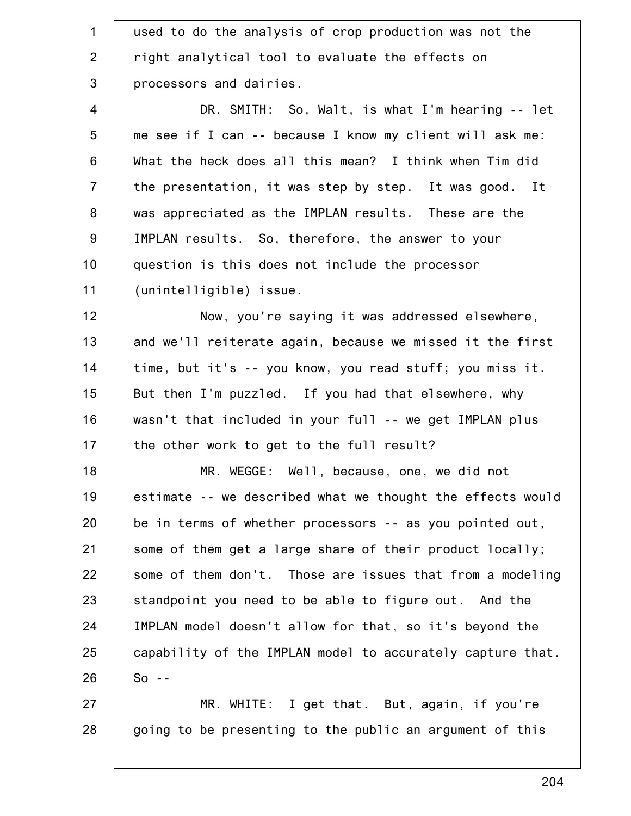| $\mathbf 1$     | used to do the analysis of crop production was not the     |
|-----------------|------------------------------------------------------------|
| $\overline{2}$  | right analytical tool to evaluate the effects on           |
| 3               | processors and dairies.                                    |
| $\overline{4}$  | DR. SMITH: So, Walt, is what I'm hearing -- let            |
| $5\phantom{.0}$ | me see if I can -- because I know my client will ask me:   |
| 6               | What the heck does all this mean? I think when Tim did     |
| $\overline{7}$  | the presentation, it was step by step. It was good. It     |
| 8               | was appreciated as the IMPLAN results. These are the       |
| $9\,$           | IMPLAN results. So, therefore, the answer to your          |
| 10              | question is this does not include the processor            |
| 11              | (unintelligible) issue.                                    |
| 12              | Now, you're saying it was addressed elsewhere,             |
| 13              | and we'll reiterate again, because we missed it the first  |
| 14              | time, but it's -- you know, you read stuff; you miss it.   |
| 15              | But then I'm puzzled. If you had that elsewhere, why       |
| 16              | wasn't that included in your full -- we get IMPLAN plus    |
| 17              | the other work to get to the full result?                  |
| 18              | MR. WEGGE: Well, because, one, we did not                  |
| 19              | estimate -- we described what we thought the effects would |
| 20              | be in terms of whether processors -- as you pointed out,   |
| 21              | some of them get a large share of their product locally;   |
| 22              | some of them don't. Those are issues that from a modeling  |
| 23              | standpoint you need to be able to figure out. And the      |
| 24              | IMPLAN model doesn't allow for that, so it's beyond the    |
| 25              | capability of the IMPLAN model to accurately capture that. |
| 26              | $So - -$                                                   |
| 27              | MR. WHITE: I get that. But, again, if you're               |
| 28              | going to be presenting to the public an argument of this   |
|                 |                                                            |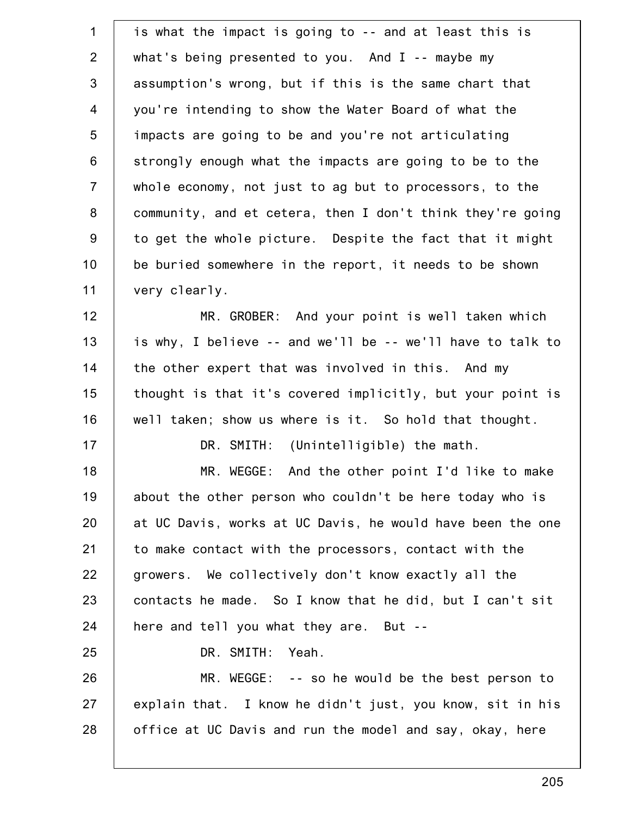| $\mathbf 1$    | is what the impact is going to -- and at least this is     |
|----------------|------------------------------------------------------------|
| $\overline{2}$ | what's being presented to you. And $I$ -- maybe my         |
| 3              | assumption's wrong, but if this is the same chart that     |
| $\overline{4}$ | you're intending to show the Water Board of what the       |
| 5              | impacts are going to be and you're not articulating        |
| $\,6$          | strongly enough what the impacts are going to be to the    |
| $\overline{7}$ | whole economy, not just to ag but to processors, to the    |
| 8              | community, and et cetera, then I don't think they're going |
| $9\,$          | to get the whole picture. Despite the fact that it might   |
| 10             | be buried somewhere in the report, it needs to be shown    |
| 11             | very clearly.                                              |
| 12             | MR. GROBER: And your point is well taken which             |
| 13             | is why, I believe -- and we'll be -- we'll have to talk to |
| 14             | the other expert that was involved in this. And my         |
| 15             | thought is that it's covered implicitly, but your point is |
| 16             | well taken; show us where is it. So hold that thought.     |
| 17             | DR. SMITH: (Unintelligible) the math.                      |
| 18             | And the other point I'd like to make<br>MR. WEGGE:         |
| 19             | about the other person who couldn't be here today who is   |
| 20             | at UC Davis, works at UC Davis, he would have been the one |
| 21             | to make contact with the processors, contact with the      |
| 22             | growers. We collectively don't know exactly all the        |
| 23             | contacts he made. So I know that he did, but I can't sit   |
| 24             | here and tell you what they are. But --                    |
| 25             | Yeah.<br>DR. SMITH:                                        |
| 26             | MR. WEGGE: -- so he would be the best person to            |
| 27             | explain that. I know he didn't just, you know, sit in his  |
| 28             | office at UC Davis and run the model and say, okay, here   |
|                |                                                            |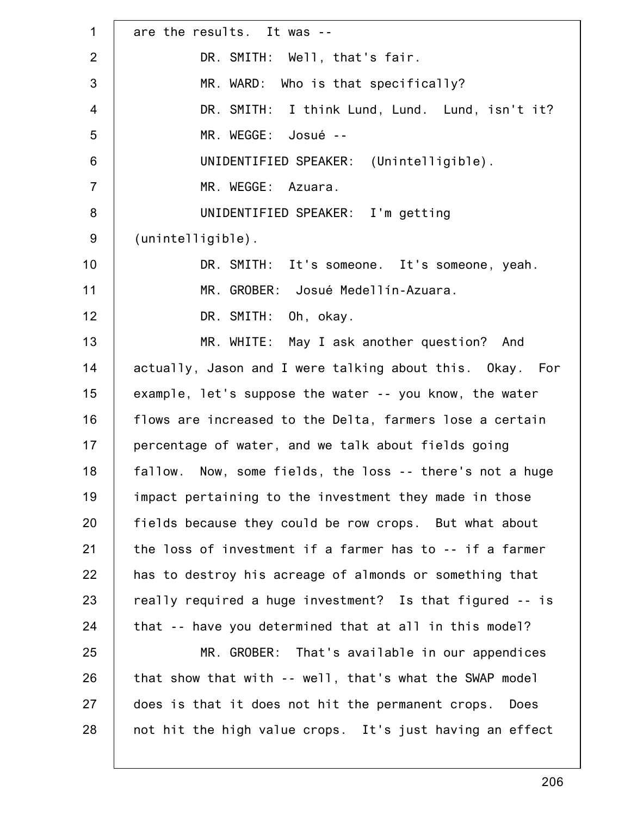| are the results. It was --                               |
|----------------------------------------------------------|
| DR. SMITH: Well, that's fair.                            |
| Who is that specifically?<br>MR. WARD:                   |
| DR. SMITH: I think Lund, Lund. Lund, isn't it?           |
| MR. WEGGE: Josué --                                      |
| UNIDENTIFIED SPEAKER: (Unintelligible).                  |
| MR. WEGGE: Azuara.                                       |
| UNIDENTIFIED SPEAKER: I'm getting                        |
| $(unintelligible)$ .                                     |
| DR. SMITH: It's someone. It's someone, yeah.             |
| MR. GROBER: Josué Medellín-Azuara.                       |
| DR. SMITH: Oh, okay.                                     |
| MR. WHITE: May I ask another question? And               |
| actually, Jason and I were talking about this. Okay. For |
| example, let's suppose the water -- you know, the water  |
| flows are increased to the Delta, farmers lose a certain |
| percentage of water, and we talk about fields going      |
| fallow. Now, some fields, the loss -- there's not a huge |
| impact pertaining to the investment they made in those   |
| fields because they could be row crops. But what about   |
| the loss of investment if a farmer has to -- if a farmer |
| has to destroy his acreage of almonds or something that  |
| really required a huge investment? Is that figured -- is |
| that -- have you determined that at all in this model?   |
| MR. GROBER: That's available in our appendices           |
| that show that with -- well, that's what the SWAP model  |
| does is that it does not hit the permanent crops. Does   |
| not hit the high value crops. It's just having an effect |
|                                                          |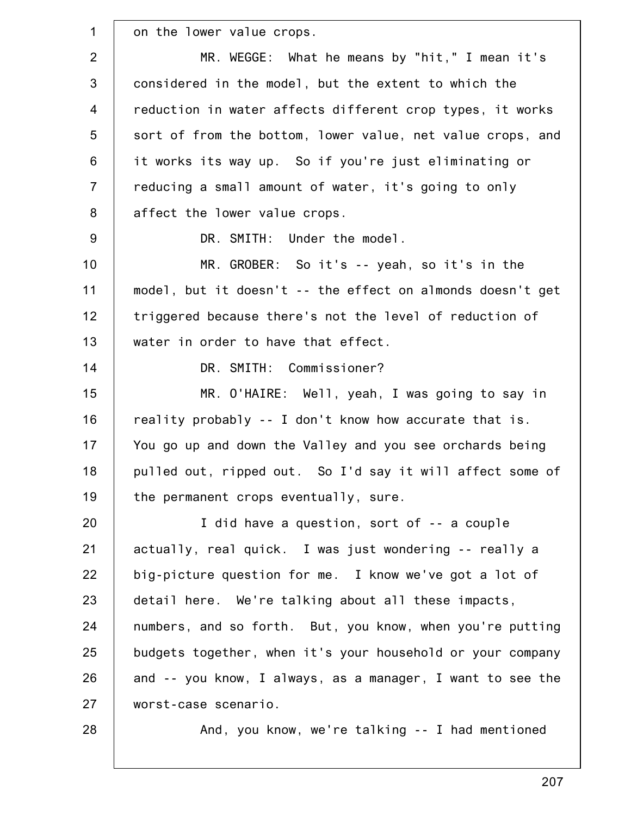1 2 3 4 5 6 7 8 9 10 11 12 13 14 15 16 17 18 19 20 21 22 23 24 25 26 27 28 on the lower value crops. MR. WEGGE: What he means by "hit," I mean it's considered in the model, but the extent to which the reduction in water affects different crop types, it works sort of from the bottom, lower value, net value crops, and it works its way up. So if you're just eliminating or reducing a small amount of water, it's going to only affect the lower value crops. DR. SMITH: Under the model. MR. GROBER: So it's -- yeah, so it's in the model, but it doesn't -- the effect on almonds doesn't get triggered because there's not the level of reduction of water in order to have that effect. DR. SMITH: Commissioner? MR. O'HAIRE: Well, yeah, I was going to say in reality probably -- I don't know how accurate that is. You go up and down the Valley and you see orchards being pulled out, ripped out. So I'd say it will affect some of the permanent crops eventually, sure. I did have a question, sort of -- a couple actually, real quick. I was just wondering -- really a big-picture question for me. I know we've got a lot of detail here. We're talking about all these impacts, numbers, and so forth. But, you know, when you're putting budgets together, when it's your household or your company and -- you know, I always, as a manager, I want to see the worst-case scenario. And, you know, we're talking -- I had mentioned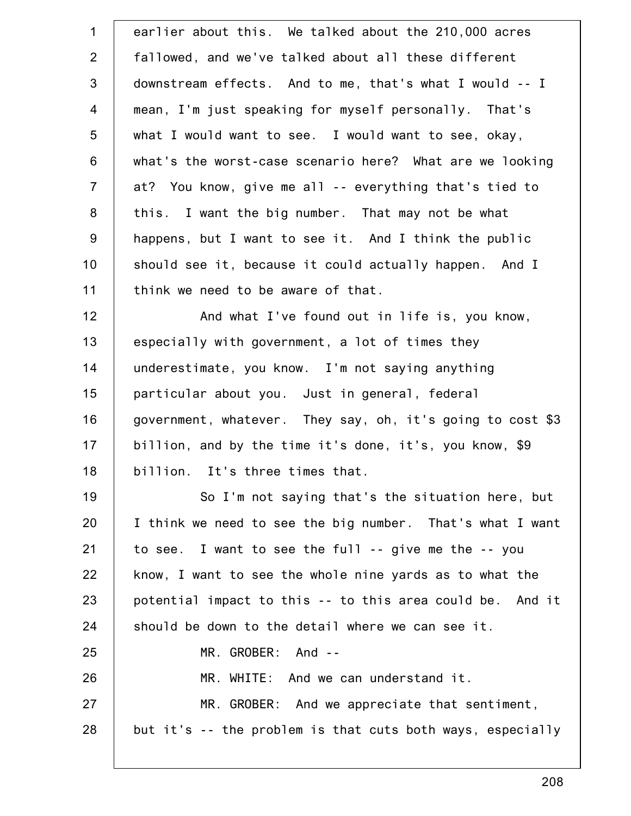| $\mathbf 1$    | earlier about this. We talked about the 210,000 acres      |
|----------------|------------------------------------------------------------|
| $\overline{2}$ | fallowed, and we've talked about all these different       |
| $\mathfrak{S}$ | downstream effects. And to me, that's what I would -- I    |
| $\overline{4}$ | mean, I'm just speaking for myself personally. That's      |
| 5              | what I would want to see. I would want to see, okay,       |
| 6              | what's the worst-case scenario here? What are we looking   |
| $\overline{7}$ | at? You know, give me all -- everything that's tied to     |
| 8              | this. I want the big number. That may not be what          |
| $9\,$          | happens, but I want to see it. And I think the public      |
| 10             | should see it, because it could actually happen. And I     |
| 11             | think we need to be aware of that.                         |
| 12             | And what I've found out in life is, you know,              |
| 13             | especially with government, a lot of times they            |
| 14             | underestimate, you know. I'm not saying anything           |
| 15             | particular about you. Just in general, federal             |
| 16             | government, whatever. They say, oh, it's going to cost \$3 |
| 17             | billion, and by the time it's done, it's, you know, \$9    |
| 18             | billion. It's three times that.                            |
| 19             | So I'm not saying that's the situation here, but           |
| 20             | I think we need to see the big number. That's what I want  |
| 21             | to see. I want to see the full $-$ give me the $-$ you     |
| 22             | know, I want to see the whole nine yards as to what the    |
| 23             | potential impact to this -- to this area could be. And it  |
| 24             | should be down to the detail where we can see it.          |
| 25             | MR. GROBER: And --                                         |
| 26             | MR. WHITE: And we can understand it.                       |
| 27             | MR. GROBER: And we appreciate that sentiment,              |
| 28             | but it's -- the problem is that cuts both ways, especially |
|                |                                                            |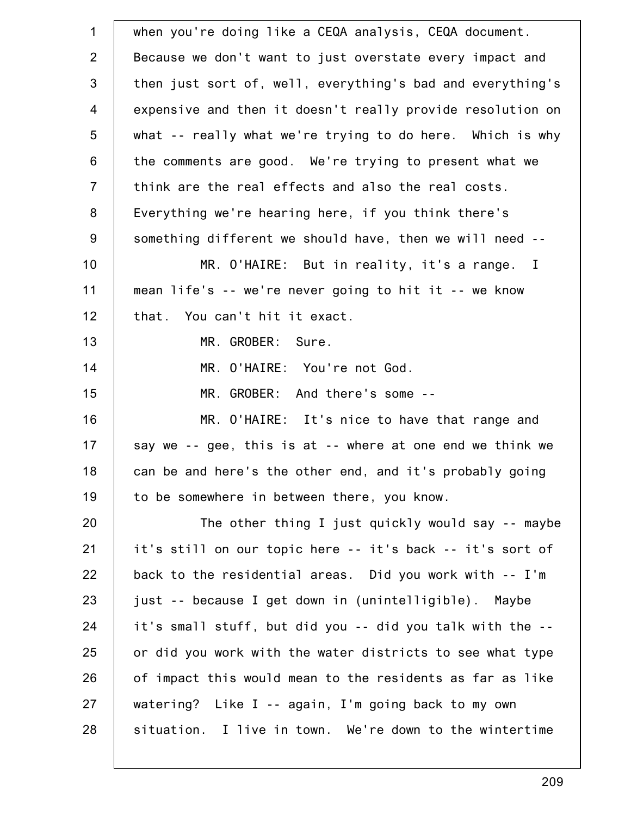| $\mathbf 1$    | when you're doing like a CEQA analysis, CEQA document.     |
|----------------|------------------------------------------------------------|
| $\overline{2}$ | Because we don't want to just overstate every impact and   |
| $\mathfrak{S}$ | then just sort of, well, everything's bad and everything's |
| $\overline{4}$ | expensive and then it doesn't really provide resolution on |
| 5              | what -- really what we're trying to do here. Which is why  |
| 6              | the comments are good. We're trying to present what we     |
| $\overline{7}$ | think are the real effects and also the real costs.        |
| 8              | Everything we're hearing here, if you think there's        |
| 9              | something different we should have, then we will need --   |
| 10             | MR. O'HAIRE: But in reality, it's a range. I               |
| 11             | mean life's -- we're never going to hit it -- we know      |
| 12             | that. You can't hit it exact.                              |
| 13             | MR. GROBER:<br>Sure.                                       |
| 14             | MR. O'HAIRE: You're not God.                               |
| 15             | MR. GROBER: And there's some --                            |
| 16             | MR. O'HAIRE: It's nice to have that range and              |
| 17             | say we -- gee, this is at -- where at one end we think we  |
| 18             | can be and here's the other end, and it's probably going   |
| 19             | to be somewhere in between there, you know.                |
| 20             | The other thing I just quickly would say -- maybe          |
| 21             | it's still on our topic here -- it's back -- it's sort of  |
| 22             | back to the residential areas. Did you work with -- I'm    |
| 23             | just -- because I get down in (unintelligible). Maybe      |
| 24             | it's small stuff, but did you -- did you talk with the --  |
| 25             | or did you work with the water districts to see what type  |
| 26             | of impact this would mean to the residents as far as like  |
| 27             | watering? Like I -- again, I'm going back to my own        |
| 28             | situation. I live in town. We're down to the wintertime    |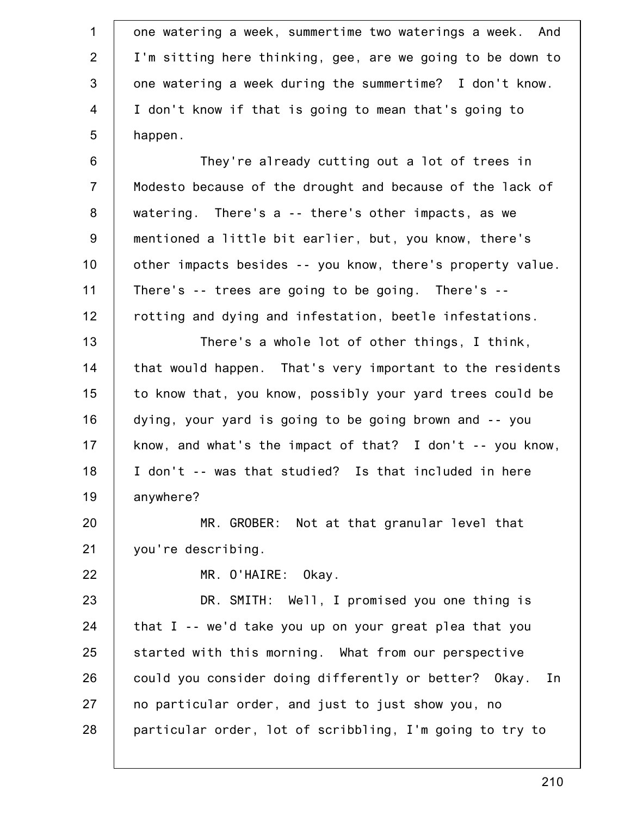1 2 3 4 5 6 7 8 9 10 11 12 13 14 15 16 17 18 19 20 21 22 23 24 25 26 27 28 one watering a week, summertime two waterings a week. And I'm sitting here thinking, gee, are we going to be down to one watering a week during the summertime? I don't know. I don't know if that is going to mean that's going to happen. They're already cutting out a lot of trees in Modesto because of the drought and because of the lack of watering. There's a -- there's other impacts, as we mentioned a little bit earlier, but, you know, there's other impacts besides -- you know, there's property value. There's -- trees are going to be going. There's - rotting and dying and infestation, beetle infestations. There's a whole lot of other things, I think, that would happen. That's very important to the residents to know that, you know, possibly your yard trees could be dying, your yard is going to be going brown and -- you know, and what's the impact of that? I don't -- you know, I don't -- was that studied? Is that included in here anywhere? MR. GROBER: Not at that granular level that you're describing. MR. O'HAIRE: Okay. DR. SMITH: Well, I promised you one thing is that I -- we'd take you up on your great plea that you started with this morning. What from our perspective could you consider doing differently or better? Okay. In no particular order, and just to just show you, no particular order, lot of scribbling, I'm going to try to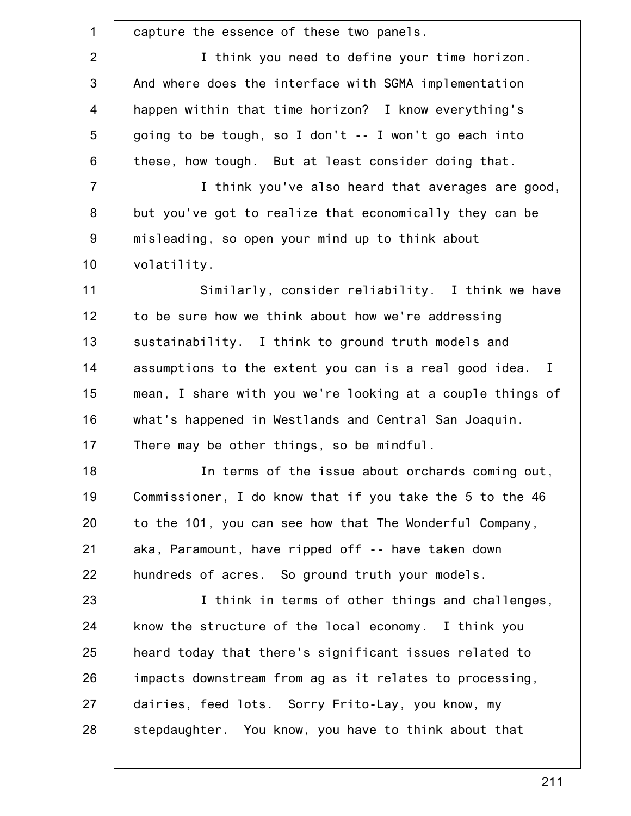| $\mathbf 1$    | capture the essence of these two panels.                   |
|----------------|------------------------------------------------------------|
| $\overline{2}$ | I think you need to define your time horizon.              |
| 3              | And where does the interface with SGMA implementation      |
| $\overline{4}$ | happen within that time horizon? I know everything's       |
| 5              | going to be tough, so I don't -- I won't go each into      |
| 6              | these, how tough. But at least consider doing that.        |
| $\overline{7}$ | I think you've also heard that averages are good,          |
| $\bf 8$        | but you've got to realize that economically they can be    |
| $9\,$          | misleading, so open your mind up to think about            |
| 10             | volatility.                                                |
| 11             | Similarly, consider reliability. I think we have           |
| 12             | to be sure how we think about how we're addressing         |
| 13             | sustainability. I think to ground truth models and         |
| 14             | assumptions to the extent you can is a real good idea. I   |
| 15             | mean, I share with you we're looking at a couple things of |
| 16             | what's happened in Westlands and Central San Joaquin.      |
| 17             | There may be other things, so be mindful.                  |
| 18             | In terms of the issue about orchards coming out,           |
| 19             | Commissioner, I do know that if you take the 5 to the 46   |
| 20             | to the 101, you can see how that The Wonderful Company,    |
| 21             | aka, Paramount, have ripped off -- have taken down         |
| 22             | hundreds of acres. So ground truth your models.            |
| 23             | I think in terms of other things and challenges,           |
| 24             | know the structure of the local economy. I think you       |
| 25             | heard today that there's significant issues related to     |
| 26             | impacts downstream from ag as it relates to processing,    |
| 27             | dairies, feed lots. Sorry Frito-Lay, you know, my          |
| 28             | stepdaughter. You know, you have to think about that       |
|                |                                                            |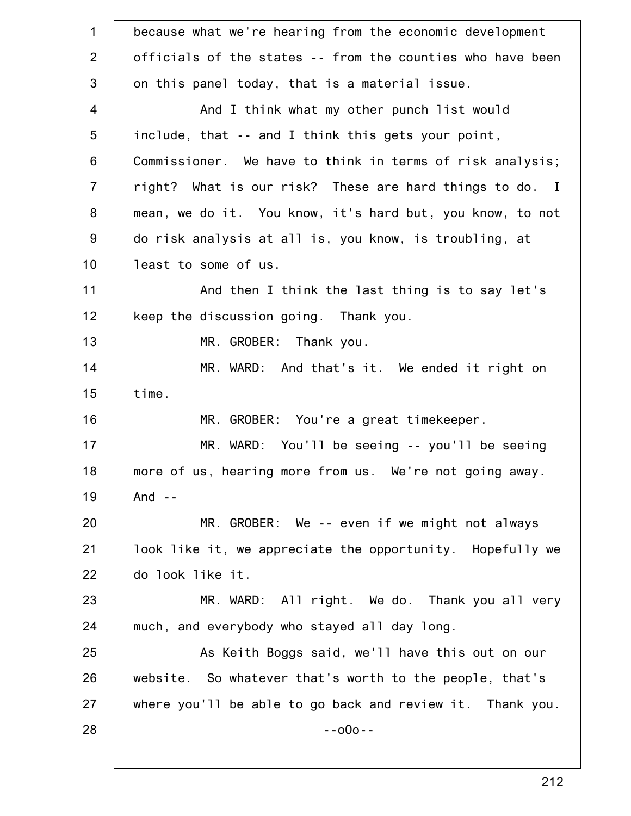| $\mathbf 1$    | because what we're hearing from the economic development   |
|----------------|------------------------------------------------------------|
| $\overline{2}$ | officials of the states -- from the counties who have been |
| $\mathfrak{S}$ | on this panel today, that is a material issue.             |
| $\overline{4}$ | And I think what my other punch list would                 |
| 5              | include, that -- and I think this gets your point,         |
| $6\phantom{1}$ | Commissioner. We have to think in terms of risk analysis;  |
| $\overline{7}$ | right? What is our risk? These are hard things to do. I    |
| 8              | mean, we do it. You know, it's hard but, you know, to not  |
| 9              | do risk analysis at all is, you know, is troubling, at     |
| 10             | least to some of us.                                       |
| 11             | And then I think the last thing is to say let's            |
| 12             | keep the discussion going. Thank you.                      |
| 13             | MR. GROBER: Thank you.                                     |
| 14             | MR. WARD: And that's it. We ended it right on              |
| 15             | time.                                                      |
| 16             | MR. GROBER: You're a great timekeeper.                     |
| 17             | MR. WARD: You'll be seeing -- you'll be seeing             |
| 18             | more of us, hearing more from us. We're not going away.    |
| 19             | And $-$                                                    |
| 20             | MR. GROBER: We -- even if we might not always              |
| 21             | look like it, we appreciate the opportunity. Hopefully we  |
| 22             | do look like it.                                           |
| 23             | MR. WARD: All right. We do. Thank you all very             |
| 24             | much, and everybody who stayed all day long.               |
| 25             | As Keith Boggs said, we'll have this out on our            |
| 26             | website. So whatever that's worth to the people, that's    |
| 27             | where you'll be able to go back and review it. Thank you.  |
| 28             | $-000 -$                                                   |
|                |                                                            |